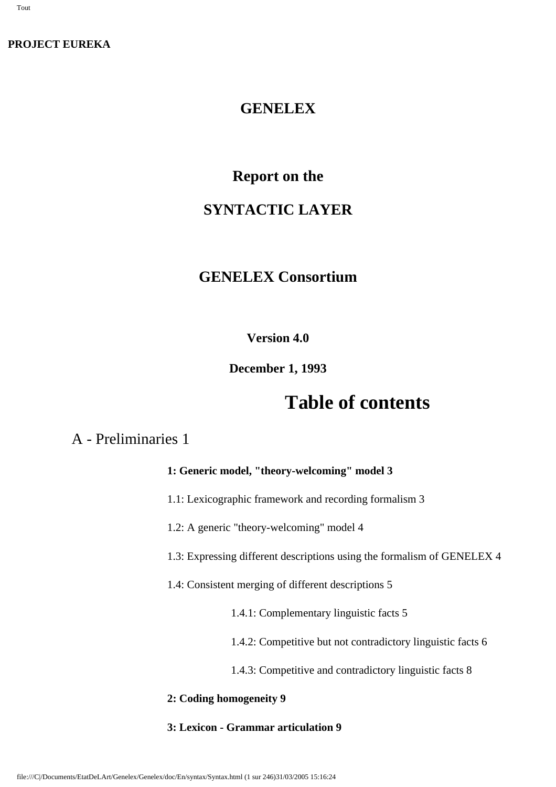### **PROJECT EUREKA**

### **GENELEX**

# **Report on the**

# **SYNTACTIC LAYER**

# **GENELEX Consortium**

### **Version 4.0**

### **December 1, 1993**

# **Table of contents**

# A - Preliminaries 1

### **1: Generic model, "theory-welcoming" model 3**

1.1: Lexicographic framework and recording formalism 3

1.2: A generic "theory-welcoming" model 4

1.3: Expressing different descriptions using the formalism of GENELEX 4

1.4: Consistent merging of different descriptions 5

1.4.1: Complementary linguistic facts 5

1.4.2: Competitive but not contradictory linguistic facts 6

1.4.3: Competitive and contradictory linguistic facts 8

#### **2: Coding homogeneity 9**

#### **3: Lexicon - Grammar articulation 9**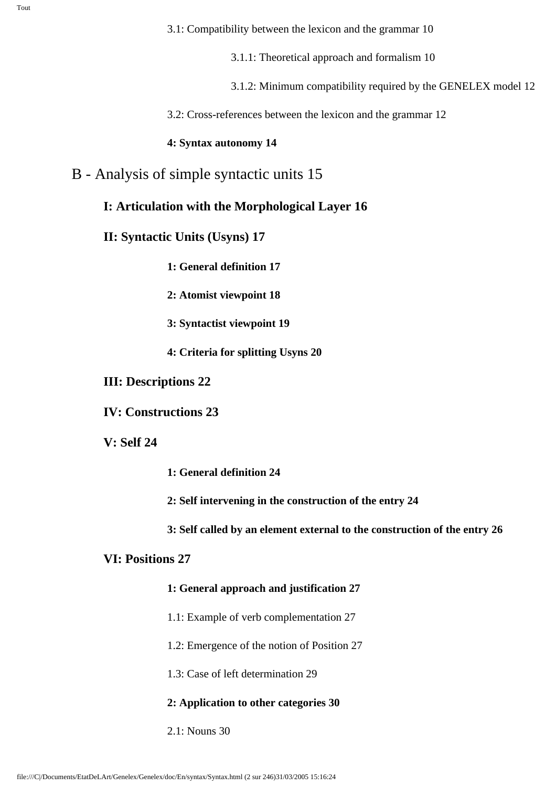3.1.1: Theoretical approach and formalism 10

3.1.2: Minimum compatibility required by the GENELEX model 12

3.2: Cross-references between the lexicon and the grammar 12

### **4: Syntax autonomy 14**

### B - Analysis of simple syntactic units 15

### **I: Articulation with the Morphological Layer 16**

**II: Syntactic Units (Usyns) 17**

**1: General definition 17**

**2: Atomist viewpoint 18**

**3: Syntactist viewpoint 19**

**4: Criteria for splitting Usyns 20**

### **III: Descriptions 22**

**IV: Constructions 23**

### **V: Self 24**

**1: General definition 24**

**2: Self intervening in the construction of the entry 24**

**3: Self called by an element external to the construction of the entry 26**

### **VI: Positions 27**

### **1: General approach and justification 27**

- 1.1: Example of verb complementation 27
- 1.2: Emergence of the notion of Position 27
- 1.3: Case of left determination 29

### **2: Application to other categories 30**

2.1: Nouns 30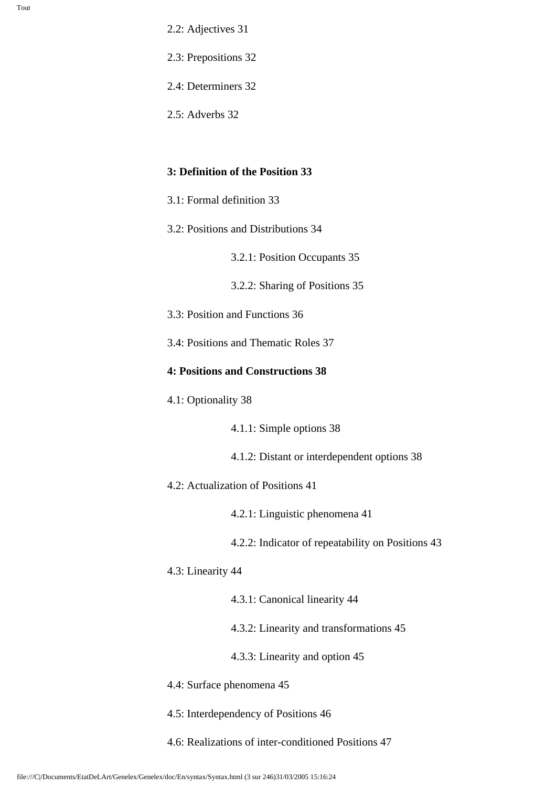- 2.2: Adjectives 31
- 2.3: Prepositions 32
- 2.4: Determiners 32
- 2.5: Adverbs 32

#### **3: Definition of the Position 33**

- 3.1: Formal definition 33
- 3.2: Positions and Distributions 34

3.2.1: Position Occupants 35

3.2.2: Sharing of Positions 35

- 3.3: Position and Functions 36
- 3.4: Positions and Thematic Roles 37

#### **4: Positions and Constructions 38**

4.1: Optionality 38

4.1.1: Simple options 38

- 4.1.2: Distant or interdependent options 38
- 4.2: Actualization of Positions 41
	- 4.2.1: Linguistic phenomena 41
	- 4.2.2: Indicator of repeatability on Positions 43
- 4.3: Linearity 44
	- 4.3.1: Canonical linearity 44
	- 4.3.2: Linearity and transformations 45
	- 4.3.3: Linearity and option 45
- 4.4: Surface phenomena 45
- 4.5: Interdependency of Positions 46
- 4.6: Realizations of inter-conditioned Positions 47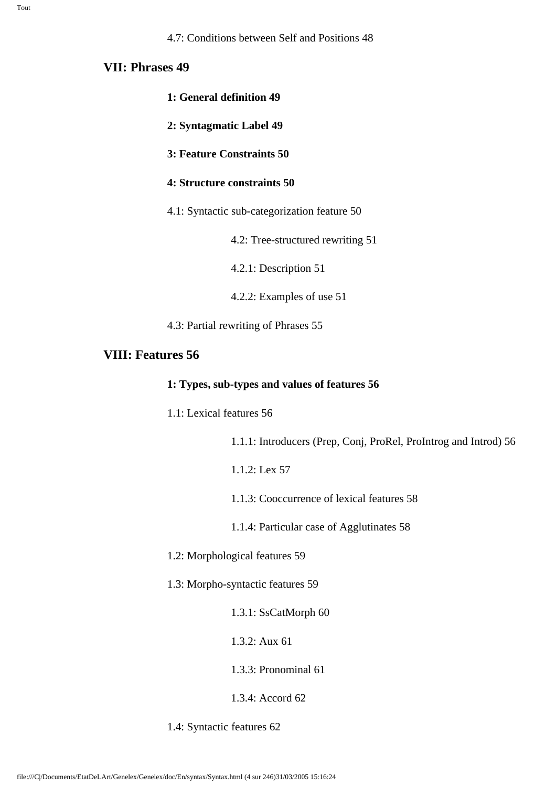#### **VII: Phrases 49**

- **1: General definition 49**
- **2: Syntagmatic Label 49**
- **3: Feature Constraints 50**
- **4: Structure constraints 50**
- 4.1: Syntactic sub-categorization feature 50
	- 4.2: Tree-structured rewriting 51

4.2.1: Description 51

4.2.2: Examples of use 51

4.3: Partial rewriting of Phrases 55

#### **VIII: Features 56**

#### **1: Types, sub-types and values of features 56**

1.1: Lexical features 56

1.1.1: Introducers (Prep, Conj, ProRel, ProIntrog and Introd) 56

- 1.1.2: Lex 57
- 1.1.3: Cooccurrence of lexical features 58

1.1.4: Particular case of Agglutinates 58

- 1.2: Morphological features 59
- 1.3: Morpho-syntactic features 59
	- 1.3.1: SsCatMorph 60
	- 1.3.2: Aux 61

1.3.3: Pronominal 61

#### 1.3.4: Accord 62

1.4: Syntactic features 62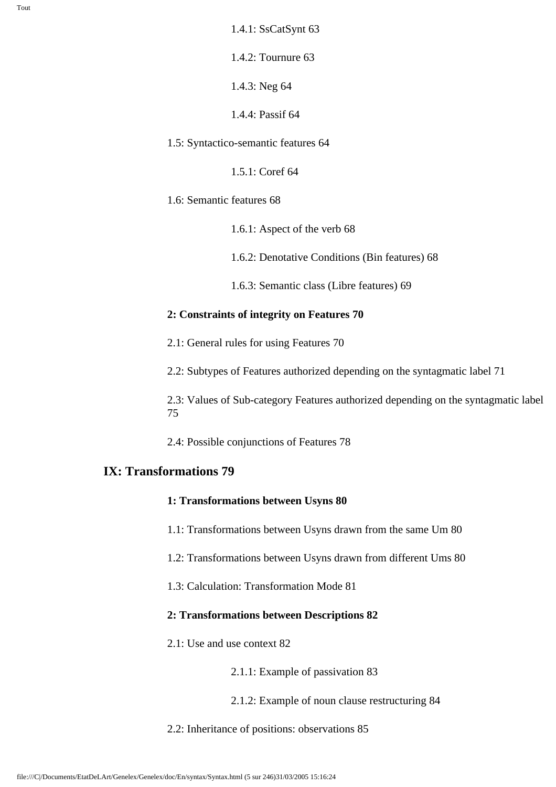Tout

1.4.1: SsCatSynt 63

1.4.2: Tournure 63

1.4.3: Neg 64

1.4.4: Passif 64

1.5: Syntactico-semantic features 64

1.5.1: Coref 64

1.6: Semantic features 68

1.6.1: Aspect of the verb 68

1.6.2: Denotative Conditions (Bin features) 68

1.6.3: Semantic class (Libre features) 69

#### **2: Constraints of integrity on Features 70**

2.1: General rules for using Features 70

2.2: Subtypes of Features authorized depending on the syntagmatic label 71

2.3: Values of Sub-category Features authorized depending on the syntagmatic label 75

2.4: Possible conjunctions of Features 78

### **IX: Transformations 79**

#### **1: Transformations between Usyns 80**

1.1: Transformations between Usyns drawn from the same Um 80

1.2: Transformations between Usyns drawn from different Ums 80

1.3: Calculation: Transformation Mode 81

#### **2: Transformations between Descriptions 82**

2.1: Use and use context 82

2.1.1: Example of passivation 83

2.1.2: Example of noun clause restructuring 84

2.2: Inheritance of positions: observations 85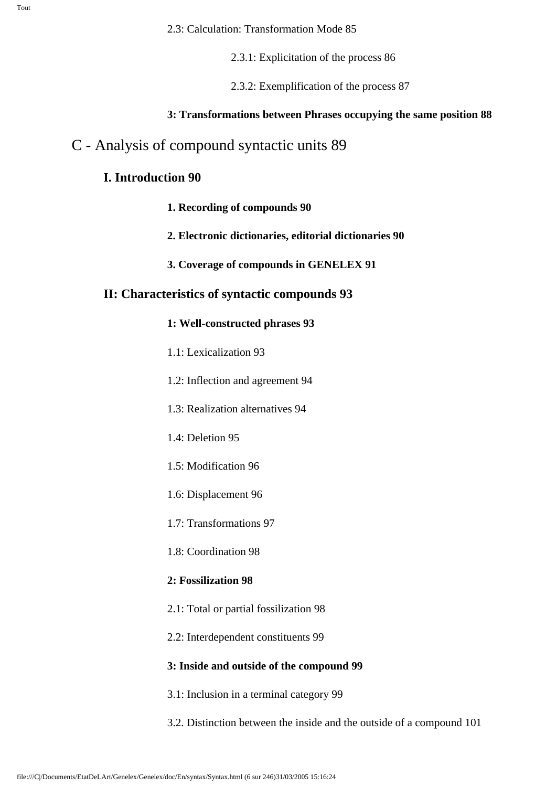2.3.1: Explicitation of the process 86

2.3.2: Exemplification of the process 87

#### **3: Transformations between Phrases occupying the same position 88**

### C - Analysis of compound syntactic units 89

### **I. Introduction 90**

- **1. Recording of compounds 90**
- **2. Electronic dictionaries, editorial dictionaries 90**
- **3. Coverage of compounds in GENELEX 91**

#### **II: Characteristics of syntactic compounds 93**

- **1: Well-constructed phrases 93**
- 1.1: Lexicalization 93
- 1.2: Inflection and agreement 94
- 1.3: Realization alternatives 94
- 1.4: Deletion 95
- 1.5: Modification 96
- 1.6: Displacement 96
- 1.7: Transformations 97
- 1.8: Coordination 98

#### **2: Fossilization 98**

- 2.1: Total or partial fossilization 98
- 2.2: Interdependent constituents 99

#### **3: Inside and outside of the compound 99**

- 3.1: Inclusion in a terminal category 99
- 3.2. Distinction between the inside and the outside of a compound 101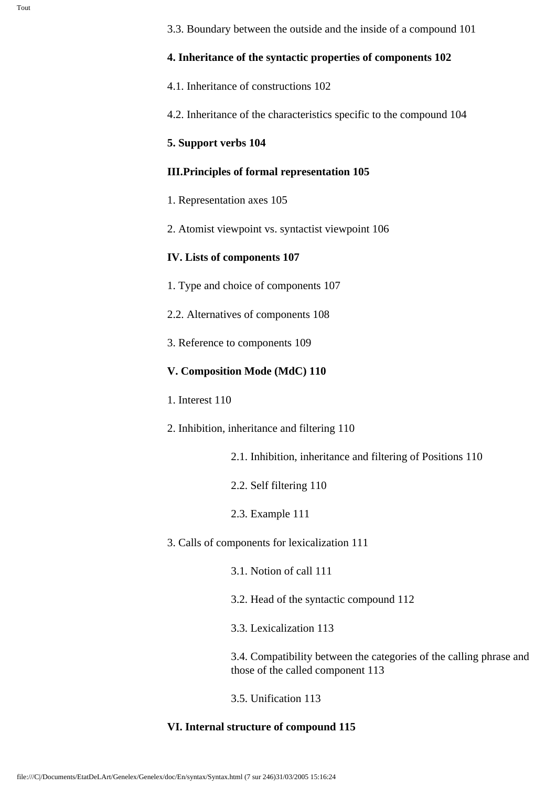#### **4. Inheritance of the syntactic properties of components 102**

4.1. Inheritance of constructions 102

4.2. Inheritance of the characteristics specific to the compound 104

#### **5. Support verbs 104**

#### **III.Principles of formal representation 105**

- 1. Representation axes 105
- 2. Atomist viewpoint vs. syntactist viewpoint 106

### **IV. Lists of components 107**

- 1. Type and choice of components 107
- 2.2. Alternatives of components 108
- 3. Reference to components 109

### **V. Composition Mode (MdC) 110**

- 1. Interest 110
- 2. Inhibition, inheritance and filtering 110
	- 2.1. Inhibition, inheritance and filtering of Positions 110
	- 2.2. Self filtering 110
	- 2.3. Example 111
- 3. Calls of components for lexicalization 111
	- 3.1. Notion of call 111
	- 3.2. Head of the syntactic compound 112
	- 3.3. Lexicalization 113

3.4. Compatibility between the categories of the calling phrase and those of the called component 113

3.5. Unification 113

#### **VI. Internal structure of compound 115**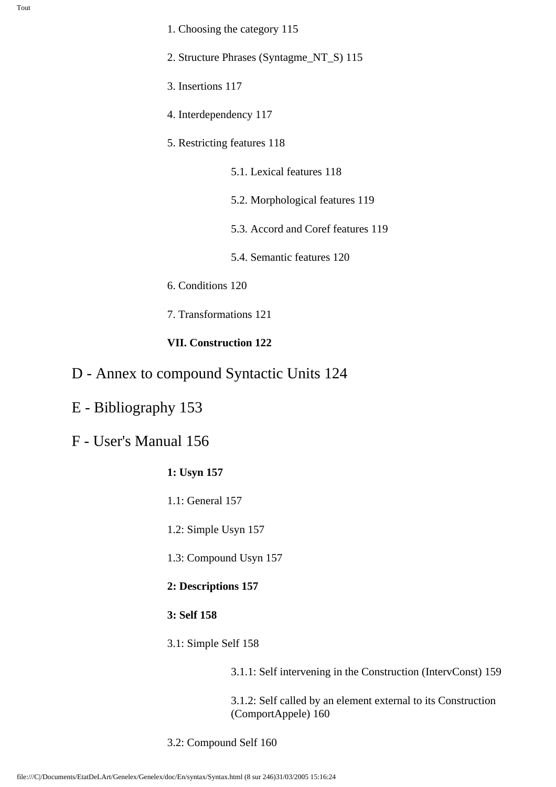- 1. Choosing the category 115
- 2. Structure Phrases (Syntagme\_NT\_S) 115
- 3. Insertions 117
- 4. Interdependency 117
- 5. Restricting features 118
	- 5.1. Lexical features 118
	- 5.2. Morphological features 119
	- 5.3. Accord and Coref features 119
	- 5.4. Semantic features 120
- 6. Conditions 120
- 7. Transformations 121

#### **VII. Construction 122**

- D Annex to compound Syntactic Units 124
- E Bibliography 153
- F User's Manual 156
	- **1: Usyn 157**
	- 1.1: General 157
	- 1.2: Simple Usyn 157
	- 1.3: Compound Usyn 157
	- **2: Descriptions 157**
	- **3: Self 158**
	- 3.1: Simple Self 158

3.1.1: Self intervening in the Construction (IntervConst) 159

3.1.2: Self called by an element external to its Construction (ComportAppele) 160

3.2: Compound Self 160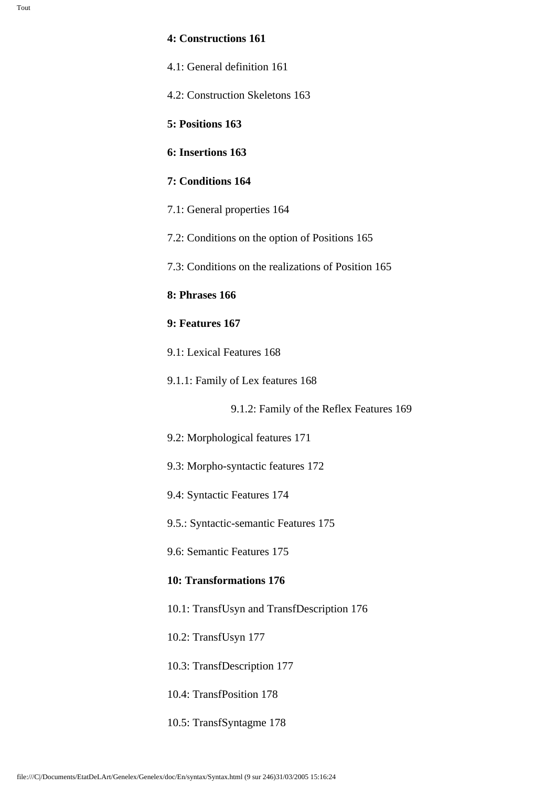#### **4: Constructions 161**

| 4.1: General definition 161 |  |
|-----------------------------|--|
|-----------------------------|--|

4.2: Construction Skeletons 163

**5: Positions 163**

**6: Insertions 163**

#### **7: Conditions 164**

7.1: General properties 164

7.2: Conditions on the option of Positions 165

7.3: Conditions on the realizations of Position 165

**8: Phrases 166**

#### **9: Features 167**

9.1: Lexical Features 168

9.1.1: Family of Lex features 168

9.1.2: Family of the Reflex Features 169

- 9.2: Morphological features 171
- 9.3: Morpho-syntactic features 172
- 9.4: Syntactic Features 174

9.5.: Syntactic-semantic Features 175

9.6: Semantic Features 175

#### **10: Transformations 176**

10.1: TransfUsyn and TransfDescription 176

10.2: TransfUsyn 177

10.3: TransfDescription 177

10.4: TransfPosition 178

10.5: TransfSyntagme 178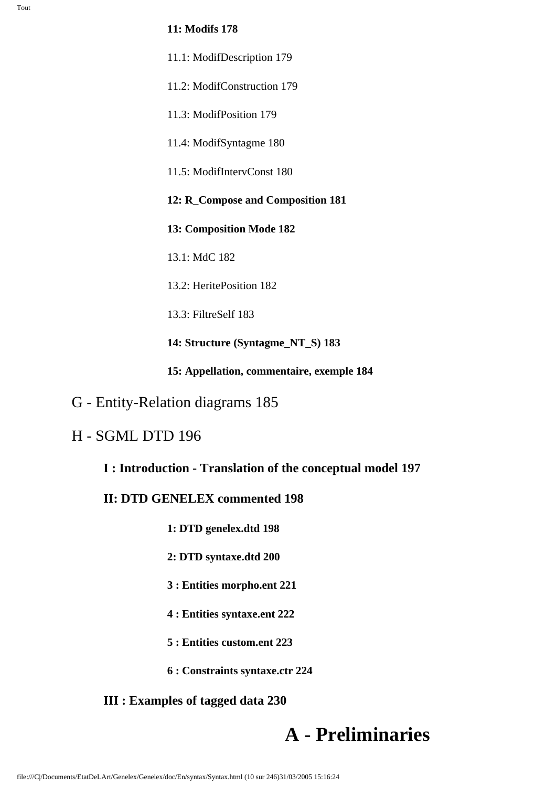#### **11: Modifs 178**

- 11.1: ModifDescription 179
- 11.2: ModifConstruction 179
- 11.3: ModifPosition 179
- 11.4: ModifSyntagme 180
- 11.5: ModifIntervConst 180
- **12: R\_Compose and Composition 181**
- **13: Composition Mode 182**
- 13.1: MdC 182
- 13.2: HeritePosition 182
- 13.3: FiltreSelf 183
- **14: Structure (Syntagme\_NT\_S) 183**
- **15: Appellation, commentaire, exemple 184**
- G Entity-Relation diagrams 185

### H - SGML DTD 196

#### **I : Introduction - Translation of the conceptual model 197**

### **II: DTD GENELEX commented 198**

- **1: DTD genelex.dtd 198**
- **2: DTD syntaxe.dtd 200**
- **3 : Entities morpho.ent 221**
- **4 : Entities syntaxe.ent 222**
- **5 : Entities custom.ent 223**
- **6 : Constraints syntaxe.ctr 224**

### **III : Examples of tagged data 230**

# **A - Preliminaries**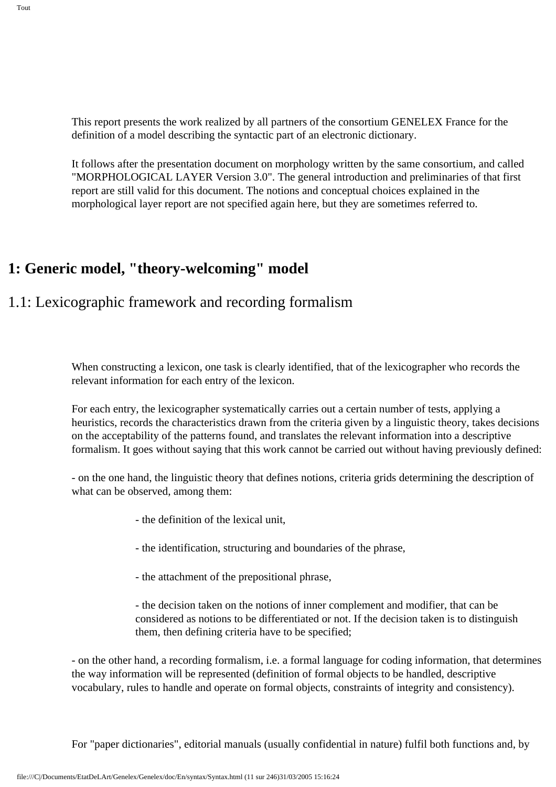This report presents the work realized by all partners of the consortium GENELEX France for the definition of a model describing the syntactic part of an electronic dictionary.

It follows after the presentation document on morphology written by the same consortium, and called "MORPHOLOGICAL LAYER Version 3.0". The general introduction and preliminaries of that first report are still valid for this document. The notions and conceptual choices explained in the morphological layer report are not specified again here, but they are sometimes referred to.

# **1: Generic model, "theory-welcoming" model**

# 1.1: Lexicographic framework and recording formalism

When constructing a lexicon, one task is clearly identified, that of the lexicographer who records the relevant information for each entry of the lexicon.

For each entry, the lexicographer systematically carries out a certain number of tests, applying a heuristics, records the characteristics drawn from the criteria given by a linguistic theory, takes decisions on the acceptability of the patterns found, and translates the relevant information into a descriptive formalism. It goes without saying that this work cannot be carried out without having previously defined:

- on the one hand, the linguistic theory that defines notions, criteria grids determining the description of what can be observed, among them:

- the definition of the lexical unit,

- the identification, structuring and boundaries of the phrase,

- the attachment of the prepositional phrase,

- the decision taken on the notions of inner complement and modifier, that can be considered as notions to be differentiated or not. If the decision taken is to distinguish them, then defining criteria have to be specified;

- on the other hand, a recording formalism, i.e. a formal language for coding information, that determines the way information will be represented (definition of formal objects to be handled, descriptive vocabulary, rules to handle and operate on formal objects, constraints of integrity and consistency).

For "paper dictionaries", editorial manuals (usually confidential in nature) fulfil both functions and, by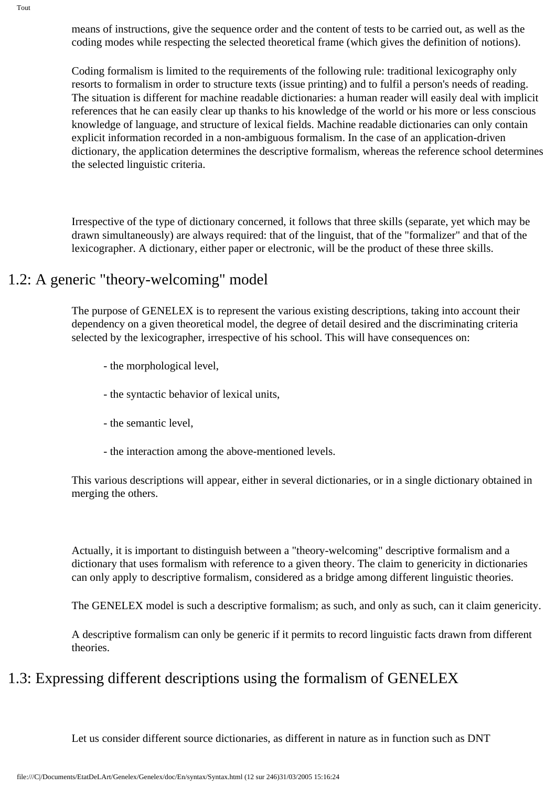means of instructions, give the sequence order and the content of tests to be carried out, as well as the coding modes while respecting the selected theoretical frame (which gives the definition of notions).

Coding formalism is limited to the requirements of the following rule: traditional lexicography only resorts to formalism in order to structure texts (issue printing) and to fulfil a person's needs of reading. The situation is different for machine readable dictionaries: a human reader will easily deal with implicit references that he can easily clear up thanks to his knowledge of the world or his more or less conscious knowledge of language, and structure of lexical fields. Machine readable dictionaries can only contain explicit information recorded in a non-ambiguous formalism. In the case of an application-driven dictionary, the application determines the descriptive formalism, whereas the reference school determines the selected linguistic criteria.

Irrespective of the type of dictionary concerned, it follows that three skills (separate, yet which may be drawn simultaneously) are always required: that of the linguist, that of the "formalizer" and that of the lexicographer. A dictionary, either paper or electronic, will be the product of these three skills.

### 1.2: A generic "theory-welcoming" model

The purpose of GENELEX is to represent the various existing descriptions, taking into account their dependency on a given theoretical model, the degree of detail desired and the discriminating criteria selected by the lexicographer, irrespective of his school. This will have consequences on:

- the morphological level,
- the syntactic behavior of lexical units,
- the semantic level,
- the interaction among the above-mentioned levels.

This various descriptions will appear, either in several dictionaries, or in a single dictionary obtained in merging the others.

Actually, it is important to distinguish between a "theory-welcoming" descriptive formalism and a dictionary that uses formalism with reference to a given theory. The claim to genericity in dictionaries can only apply to descriptive formalism, considered as a bridge among different linguistic theories.

The GENELEX model is such a descriptive formalism; as such, and only as such, can it claim genericity.

A descriptive formalism can only be generic if it permits to record linguistic facts drawn from different theories.

# 1.3: Expressing different descriptions using the formalism of GENELEX

Let us consider different source dictionaries, as different in nature as in function such as DNT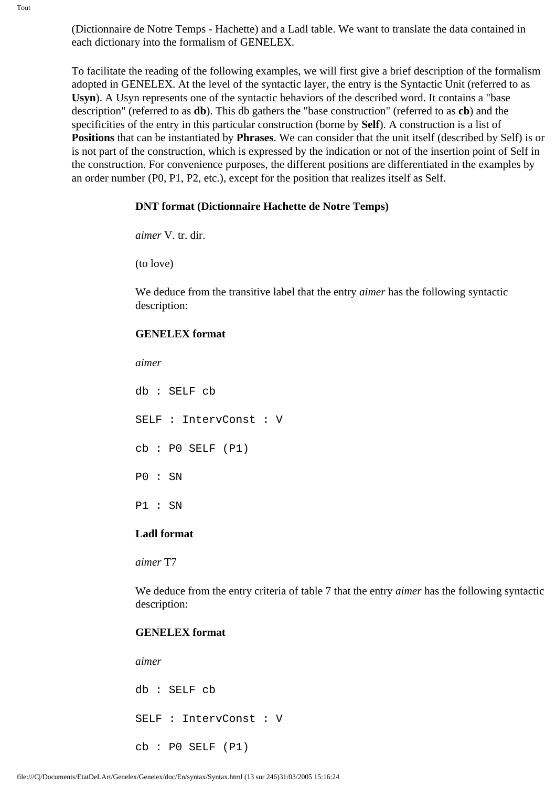(Dictionnaire de Notre Temps - Hachette) and a Ladl table. We want to translate the data contained in each dictionary into the formalism of GENELEX.

To facilitate the reading of the following examples, we will first give a brief description of the formalism adopted in GENELEX. At the level of the syntactic layer, the entry is the Syntactic Unit (referred to as **Usyn**). A Usyn represents one of the syntactic behaviors of the described word. It contains a "base description" (referred to as **db**). This db gathers the "base construction" (referred to as **cb**) and the specificities of the entry in this particular construction (borne by **Self**). A construction is a list of **Positions** that can be instantiated by **Phrases**. We can consider that the unit itself (described by Self) is or is not part of the construction, which is expressed by the indication or not of the insertion point of Self in the construction. For convenience purposes, the different positions are differentiated in the examples by an order number (P0, P1, P2, etc.), except for the position that realizes itself as Self.

#### **DNT format (Dictionnaire Hachette de Notre Temps)**

*aimer* V. tr. dir.

(to love)

We deduce from the transitive label that the entry *aimer* has the following syntactic description:

#### **GENELEX format**

*aimer*

db : SELF cb SELF : IntervConst : V cb : P0 SELF (P1) P0 : SN P1 : SN

#### **Ladl format**

*aimer* T7

We deduce from the entry criteria of table 7 that the entry *aimer* has the following syntactic description:

#### **GENELEX format**

*aimer*

```
db : SELF cb
SELF : IntervConst : V
cb : PO SELF (P1)
```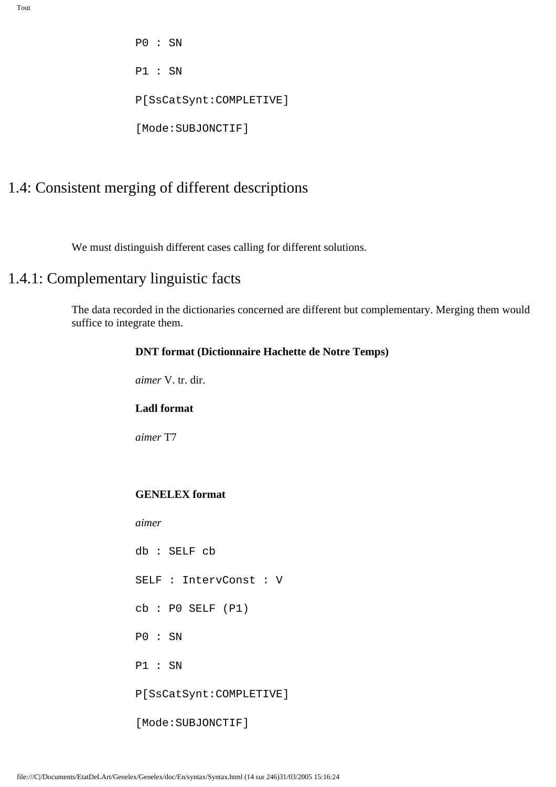P0 : SN P1 : SN P[SsCatSynt:COMPLETIVE] [Mode:SUBJONCTIF]

# 1.4: Consistent merging of different descriptions

We must distinguish different cases calling for different solutions.

### 1.4.1: Complementary linguistic facts

The data recorded in the dictionaries concerned are different but complementary. Merging them would suffice to integrate them.

#### **DNT format (Dictionnaire Hachette de Notre Temps)**

*aimer* V. tr. dir.

#### **Ladl format**

*aimer* T7

#### **GENELEX format**

*aimer*

db : SELF cb SELF : IntervConst : V cb : P0 SELF (P1) P0 : SN P1 : SN P[SsCatSynt:COMPLETIVE] [Mode:SUBJONCTIF]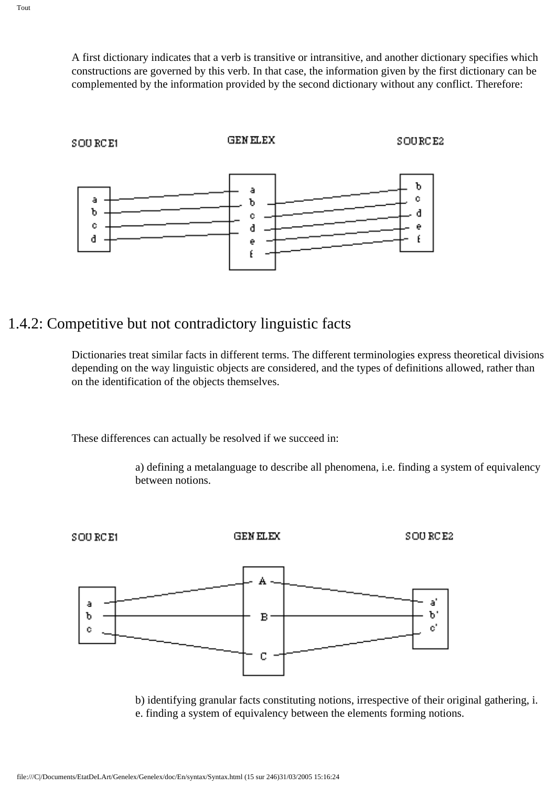A first dictionary indicates that a verb is transitive or intransitive, and another dictionary specifies which constructions are governed by this verb. In that case, the information given by the first dictionary can be complemented by the information provided by the second dictionary without any conflict. Therefore:



# 1.4.2: Competitive but not contradictory linguistic facts

Dictionaries treat similar facts in different terms. The different terminologies express theoretical divisions depending on the way linguistic objects are considered, and the types of definitions allowed, rather than on the identification of the objects themselves.

These differences can actually be resolved if we succeed in:

a) defining a metalanguage to describe all phenomena, i.e. finding a system of equivalency between notions.



b) identifying granular facts constituting notions, irrespective of their original gathering, i. e. finding a system of equivalency between the elements forming notions.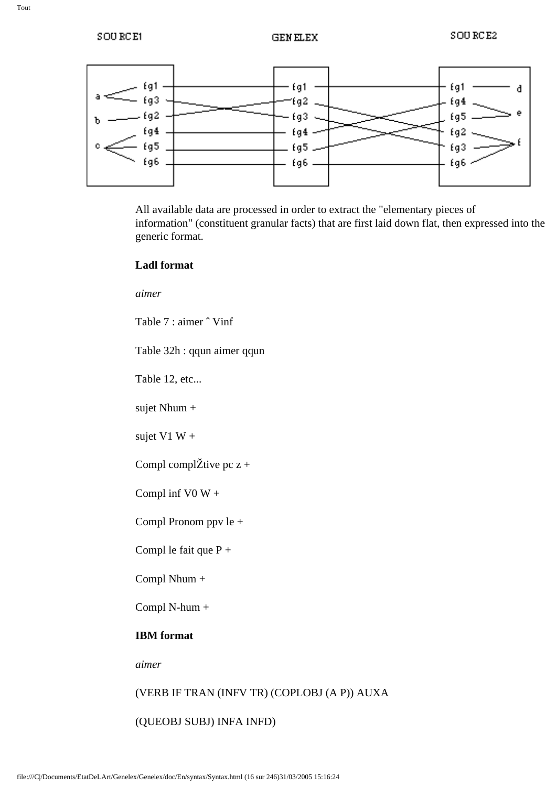

All available data are processed in order to extract the "elementary pieces of information" (constituent granular facts) that are first laid down flat, then expressed into the generic format.

#### **Ladl format**

*aimer*

Table 7 : aimer ˆ Vinf

Table 32h : qqun aimer qqun

Table 12, etc...

sujet Nhum +

sujet V1 W  $+$ 

Compl compl $\check{Z}$ tive pc z +

Compl inf V0  $W +$ 

Compl Pronom ppv le +

Compl le fait que P +

Compl Nhum +

Compl N-hum +

#### **IBM format**

*aimer*

### (VERB IF TRAN (INFV TR) (COPLOBJ (A P)) AUXA

(QUEOBJ SUBJ) INFA INFD)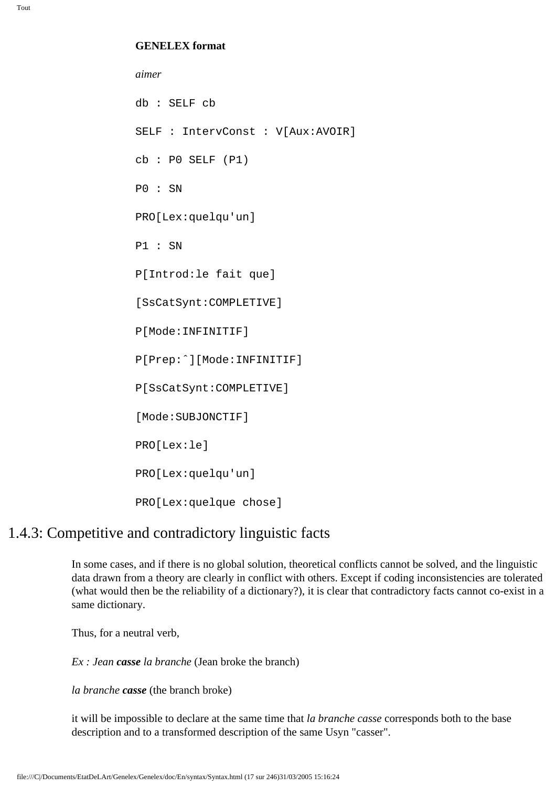#### **GENELEX format**

*aimer* db : SELF cb SELF : IntervConst : V[Aux:AVOIR]  $cb : P0$  SELF  $(P1)$ P0 : SN PRO[Lex:quelqu'un] P1 : SN P[Introd:le fait que] [SsCatSynt:COMPLETIVE] P[Mode:INFINITIF] P[Prep:ˆ][Mode:INFINITIF] P[SsCatSynt:COMPLETIVE] [Mode:SUBJONCTIF] PRO[Lex:le] PRO[Lex:quelqu'un] PRO[Lex:quelque chose]

### 1.4.3: Competitive and contradictory linguistic facts

In some cases, and if there is no global solution, theoretical conflicts cannot be solved, and the linguistic data drawn from a theory are clearly in conflict with others. Except if coding inconsistencies are tolerated (what would then be the reliability of a dictionary?), it is clear that contradictory facts cannot co-exist in a same dictionary.

Thus, for a neutral verb,

*Ex : Jean casse la branche* (Jean broke the branch)

*la branche casse* (the branch broke)

it will be impossible to declare at the same time that *la branche casse* corresponds both to the base description and to a transformed description of the same Usyn "casser".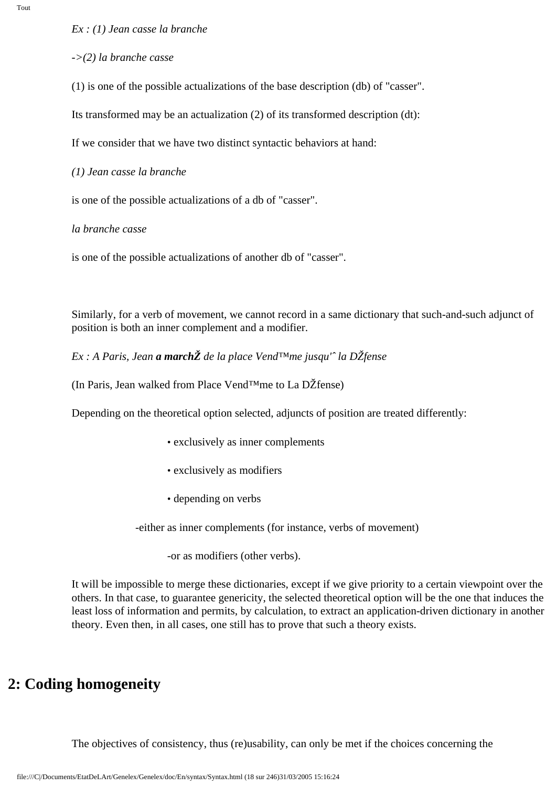*Ex : (1) Jean casse la branche*

*->(2) la branche casse*

(1) is one of the possible actualizations of the base description (db) of "casser".

Its transformed may be an actualization (2) of its transformed description (dt):

If we consider that we have two distinct syntactic behaviors at hand:

*(1) Jean casse la branche*

is one of the possible actualizations of a db of "casser".

*la branche casse*

is one of the possible actualizations of another db of "casser".

Similarly, for a verb of movement, we cannot record in a same dictionary that such-and-such adjunct of position is both an inner complement and a modifier.

*Ex : A Paris, Jean a marchŽ de la place Vend™me jusqu'ˆ la DŽfense*

(In Paris, Jean walked from Place Vend™me to La DŽfense)

Depending on the theoretical option selected, adjuncts of position are treated differently:

- exclusively as inner complements
- exclusively as modifiers
- depending on verbs

-either as inner complements (for instance, verbs of movement)

-or as modifiers (other verbs).

It will be impossible to merge these dictionaries, except if we give priority to a certain viewpoint over the others. In that case, to guarantee genericity, the selected theoretical option will be the one that induces the least loss of information and permits, by calculation, to extract an application-driven dictionary in another theory. Even then, in all cases, one still has to prove that such a theory exists.

# **2: Coding homogeneity**

The objectives of consistency, thus (re)usability, can only be met if the choices concerning the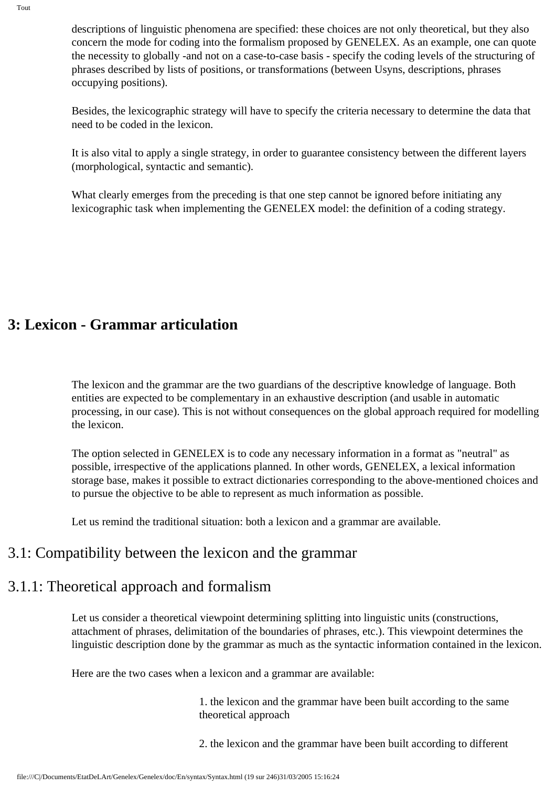descriptions of linguistic phenomena are specified: these choices are not only theoretical, but they also concern the mode for coding into the formalism proposed by GENELEX. As an example, one can quote the necessity to globally -and not on a case-to-case basis - specify the coding levels of the structuring of phrases described by lists of positions, or transformations (between Usyns, descriptions, phrases occupying positions).

Besides, the lexicographic strategy will have to specify the criteria necessary to determine the data that need to be coded in the lexicon.

It is also vital to apply a single strategy, in order to guarantee consistency between the different layers (morphological, syntactic and semantic).

What clearly emerges from the preceding is that one step cannot be ignored before initiating any lexicographic task when implementing the GENELEX model: the definition of a coding strategy.

# **3: Lexicon - Grammar articulation**

The lexicon and the grammar are the two guardians of the descriptive knowledge of language. Both entities are expected to be complementary in an exhaustive description (and usable in automatic processing, in our case). This is not without consequences on the global approach required for modelling the lexicon.

The option selected in GENELEX is to code any necessary information in a format as "neutral" as possible, irrespective of the applications planned. In other words, GENELEX, a lexical information storage base, makes it possible to extract dictionaries corresponding to the above-mentioned choices and to pursue the objective to be able to represent as much information as possible.

Let us remind the traditional situation: both a lexicon and a grammar are available.

### 3.1: Compatibility between the lexicon and the grammar

### 3.1.1: Theoretical approach and formalism

Let us consider a theoretical viewpoint determining splitting into linguistic units (constructions, attachment of phrases, delimitation of the boundaries of phrases, etc.). This viewpoint determines the linguistic description done by the grammar as much as the syntactic information contained in the lexicon.

Here are the two cases when a lexicon and a grammar are available:

1. the lexicon and the grammar have been built according to the same theoretical approach

2. the lexicon and the grammar have been built according to different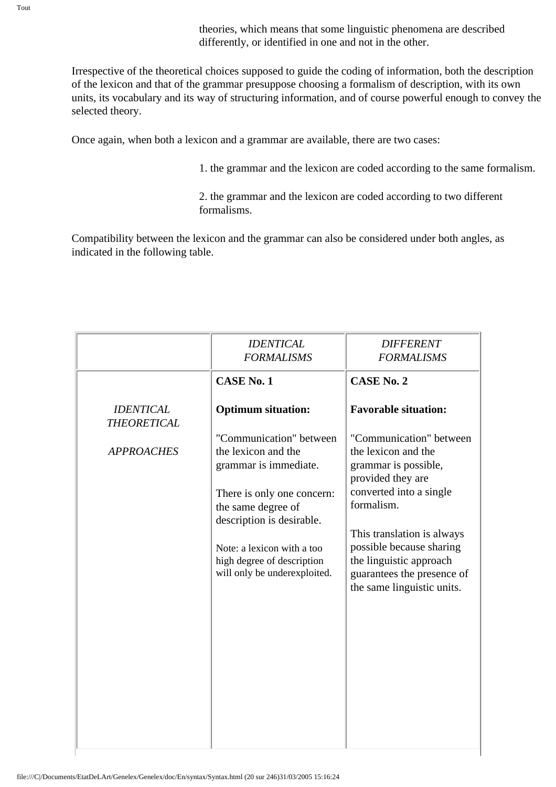theories, which means that some linguistic phenomena are described differently, or identified in one and not in the other.

Irrespective of the theoretical choices supposed to guide the coding of information, both the description of the lexicon and that of the grammar presuppose choosing a formalism of description, with its own units, its vocabulary and its way of structuring information, and of course powerful enough to convey the selected theory.

Once again, when both a lexicon and a grammar are available, there are two cases:

1. the grammar and the lexicon are coded according to the same formalism.

2. the grammar and the lexicon are coded according to two different formalisms.

Compatibility between the lexicon and the grammar can also be considered under both angles, as indicated in the following table.

|                                        | <i><b>IDENTICAL</b></i><br><b>FORMALISMS</b>                                                                                                                                                                                                         | <b>DIFFERENT</b><br><b>FORMALISMS</b>                                                                                                                                                                                                                                                 |
|----------------------------------------|------------------------------------------------------------------------------------------------------------------------------------------------------------------------------------------------------------------------------------------------------|---------------------------------------------------------------------------------------------------------------------------------------------------------------------------------------------------------------------------------------------------------------------------------------|
|                                        | <b>CASE No. 1</b>                                                                                                                                                                                                                                    | <b>CASE No. 2</b>                                                                                                                                                                                                                                                                     |
| <b>IDENTICAL</b><br><b>THEORETICAL</b> | <b>Optimum situation:</b>                                                                                                                                                                                                                            | <b>Favorable situation:</b>                                                                                                                                                                                                                                                           |
| <b>APPROACHES</b>                      | "Communication" between<br>the lexicon and the<br>grammar is immediate.<br>There is only one concern:<br>the same degree of<br>description is desirable.<br>Note: a lexicon with a too<br>high degree of description<br>will only be underexploited. | "Communication" between<br>the lexicon and the<br>grammar is possible,<br>provided they are<br>converted into a single<br>formalism.<br>This translation is always<br>possible because sharing<br>the linguistic approach<br>guarantees the presence of<br>the same linguistic units. |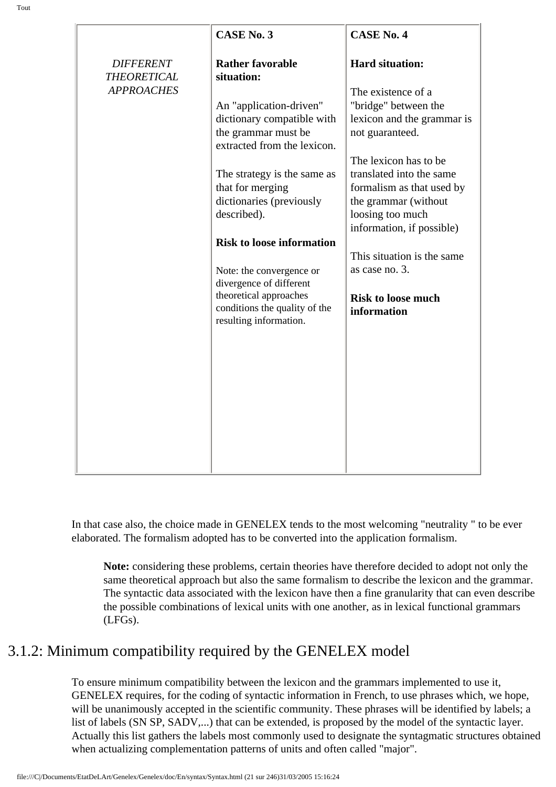| <b>DIFFERENT</b><br><b>THEORETICAL</b><br><b>APPROACHES</b> |
|-------------------------------------------------------------|

In that case also, the choice made in GENELEX tends to the most welcoming "neutrality " to be ever elaborated. The formalism adopted has to be converted into the application formalism.

**Note:** considering these problems, certain theories have therefore decided to adopt not only the same theoretical approach but also the same formalism to describe the lexicon and the grammar. The syntactic data associated with the lexicon have then a fine granularity that can even describe the possible combinations of lexical units with one another, as in lexical functional grammars (LFGs).

# 3.1.2: Minimum compatibility required by the GENELEX model

To ensure minimum compatibility between the lexicon and the grammars implemented to use it, GENELEX requires, for the coding of syntactic information in French, to use phrases which, we hope, will be unanimously accepted in the scientific community. These phrases will be identified by labels; a list of labels (SN SP, SADV,...) that can be extended, is proposed by the model of the syntactic layer. Actually this list gathers the labels most commonly used to designate the syntagmatic structures obtained when actualizing complementation patterns of units and often called "major".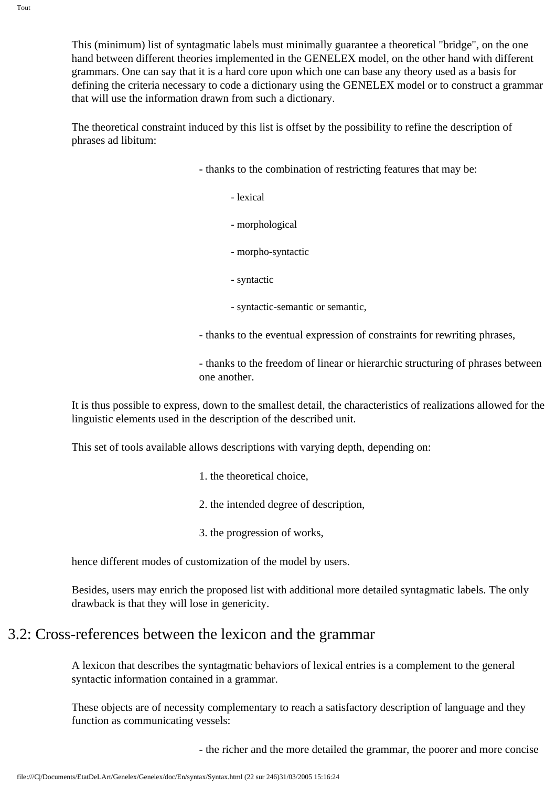Tout

This (minimum) list of syntagmatic labels must minimally guarantee a theoretical "bridge", on the one hand between different theories implemented in the GENELEX model, on the other hand with different grammars. One can say that it is a hard core upon which one can base any theory used as a basis for defining the criteria necessary to code a dictionary using the GENELEX model or to construct a grammar that will use the information drawn from such a dictionary.

The theoretical constraint induced by this list is offset by the possibility to refine the description of phrases ad libitum:

- thanks to the combination of restricting features that may be:
	- lexical
	- morphological
	- morpho-syntactic
	- syntactic
	- syntactic-semantic or semantic,
- thanks to the eventual expression of constraints for rewriting phrases,

- thanks to the freedom of linear or hierarchic structuring of phrases between one another.

It is thus possible to express, down to the smallest detail, the characteristics of realizations allowed for the linguistic elements used in the description of the described unit.

This set of tools available allows descriptions with varying depth, depending on:

- 1. the theoretical choice,
- 2. the intended degree of description,
- 3. the progression of works,

hence different modes of customization of the model by users.

Besides, users may enrich the proposed list with additional more detailed syntagmatic labels. The only drawback is that they will lose in genericity.

# 3.2: Cross-references between the lexicon and the grammar

A lexicon that describes the syntagmatic behaviors of lexical entries is a complement to the general syntactic information contained in a grammar.

These objects are of necessity complementary to reach a satisfactory description of language and they function as communicating vessels:

- the richer and the more detailed the grammar, the poorer and more concise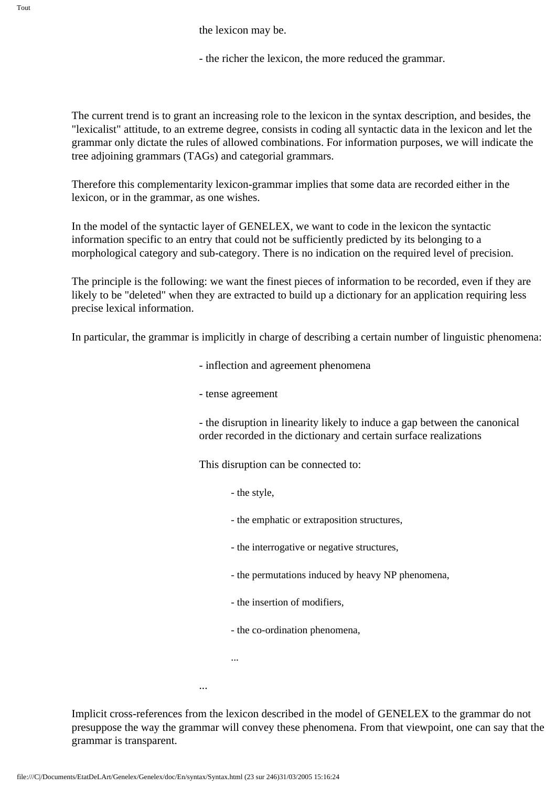the lexicon may be.

- the richer the lexicon, the more reduced the grammar.

The current trend is to grant an increasing role to the lexicon in the syntax description, and besides, the "lexicalist" attitude, to an extreme degree, consists in coding all syntactic data in the lexicon and let the grammar only dictate the rules of allowed combinations. For information purposes, we will indicate the tree adjoining grammars (TAGs) and categorial grammars.

Therefore this complementarity lexicon-grammar implies that some data are recorded either in the lexicon, or in the grammar, as one wishes.

In the model of the syntactic layer of GENELEX, we want to code in the lexicon the syntactic information specific to an entry that could not be sufficiently predicted by its belonging to a morphological category and sub-category. There is no indication on the required level of precision.

The principle is the following: we want the finest pieces of information to be recorded, even if they are likely to be "deleted" when they are extracted to build up a dictionary for an application requiring less precise lexical information.

In particular, the grammar is implicitly in charge of describing a certain number of linguistic phenomena:

- inflection and agreement phenomena
- tense agreement

- the disruption in linearity likely to induce a gap between the canonical order recorded in the dictionary and certain surface realizations

This disruption can be connected to:

- the style,
- the emphatic or extraposition structures,
- the interrogative or negative structures,
- the permutations induced by heavy NP phenomena,
- the insertion of modifiers,
- the co-ordination phenomena,

...

...

Implicit cross-references from the lexicon described in the model of GENELEX to the grammar do not presuppose the way the grammar will convey these phenomena. From that viewpoint, one can say that the grammar is transparent.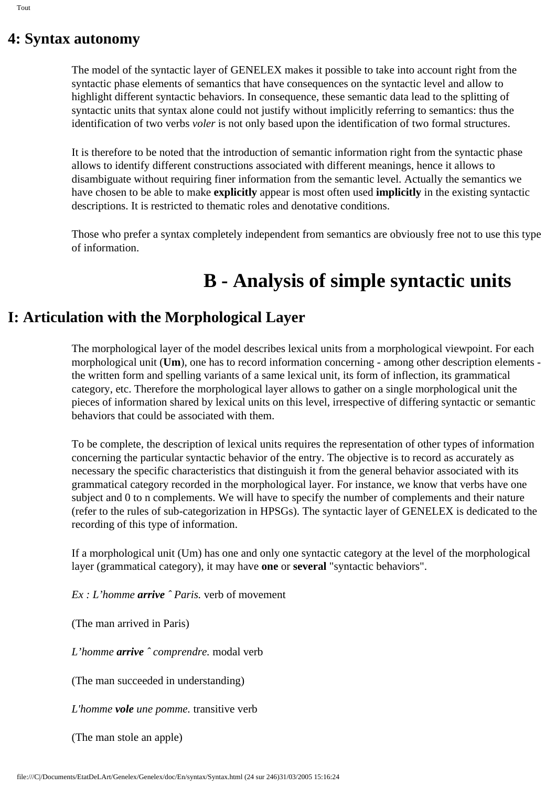# **4: Syntax autonomy**

The model of the syntactic layer of GENELEX makes it possible to take into account right from the syntactic phase elements of semantics that have consequences on the syntactic level and allow to highlight different syntactic behaviors. In consequence, these semantic data lead to the splitting of syntactic units that syntax alone could not justify without implicitly referring to semantics: thus the identification of two verbs *voler* is not only based upon the identification of two formal structures.

It is therefore to be noted that the introduction of semantic information right from the syntactic phase allows to identify different constructions associated with different meanings, hence it allows to disambiguate without requiring finer information from the semantic level. Actually the semantics we have chosen to be able to make **explicitly** appear is most often used **implicitly** in the existing syntactic descriptions. It is restricted to thematic roles and denotative conditions.

Those who prefer a syntax completely independent from semantics are obviously free not to use this type of information.

# **B - Analysis of simple syntactic units**

# **I: Articulation with the Morphological Layer**

The morphological layer of the model describes lexical units from a morphological viewpoint. For each morphological unit (**Um**), one has to record information concerning - among other description elements the written form and spelling variants of a same lexical unit, its form of inflection, its grammatical category, etc. Therefore the morphological layer allows to gather on a single morphological unit the pieces of information shared by lexical units on this level, irrespective of differing syntactic or semantic behaviors that could be associated with them.

To be complete, the description of lexical units requires the representation of other types of information concerning the particular syntactic behavior of the entry. The objective is to record as accurately as necessary the specific characteristics that distinguish it from the general behavior associated with its grammatical category recorded in the morphological layer. For instance, we know that verbs have one subject and 0 to n complements. We will have to specify the number of complements and their nature (refer to the rules of sub-categorization in HPSGs). The syntactic layer of GENELEX is dedicated to the recording of this type of information.

If a morphological unit (Um) has one and only one syntactic category at the level of the morphological layer (grammatical category), it may have **one** or **several** "syntactic behaviors".

*Ex : L'homme arrive ˆ Paris.* verb of movement

(The man arrived in Paris)

*L'homme arrive ˆ comprendre.* modal verb

(The man succeeded in understanding)

*L'homme vole une pomme.* transitive verb

(The man stole an apple)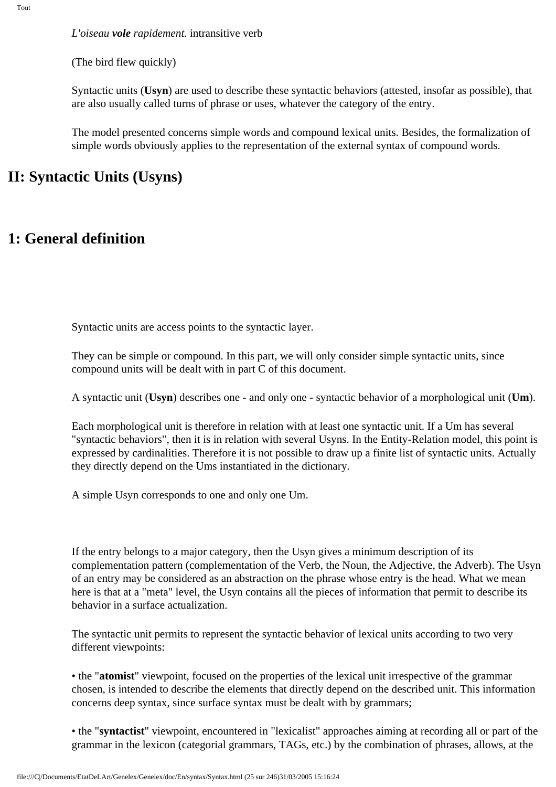*L'oiseau vole rapidement.* intransitive verb

(The bird flew quickly)

Syntactic units (**Usyn**) are used to describe these syntactic behaviors (attested, insofar as possible), that are also usually called turns of phrase or uses, whatever the category of the entry.

The model presented concerns simple words and compound lexical units. Besides, the formalization of simple words obviously applies to the representation of the external syntax of compound words.

### **II: Syntactic Units (Usyns)**

### **1: General definition**

Syntactic units are access points to the syntactic layer.

They can be simple or compound. In this part, we will only consider simple syntactic units, since compound units will be dealt with in part C of this document.

A syntactic unit (**Usyn**) describes one - and only one - syntactic behavior of a morphological unit (**Um**).

Each morphological unit is therefore in relation with at least one syntactic unit. If a Um has several "syntactic behaviors", then it is in relation with several Usyns. In the Entity-Relation model, this point is expressed by cardinalities. Therefore it is not possible to draw up a finite list of syntactic units. Actually they directly depend on the Ums instantiated in the dictionary.

A simple Usyn corresponds to one and only one Um.

If the entry belongs to a major category, then the Usyn gives a minimum description of its complementation pattern (complementation of the Verb, the Noun, the Adjective, the Adverb). The Usyn of an entry may be considered as an abstraction on the phrase whose entry is the head. What we mean here is that at a "meta" level, the Usyn contains all the pieces of information that permit to describe its behavior in a surface actualization.

The syntactic unit permits to represent the syntactic behavior of lexical units according to two very different viewpoints:

• the "**atomist**" viewpoint, focused on the properties of the lexical unit irrespective of the grammar chosen, is intended to describe the elements that directly depend on the described unit. This information concerns deep syntax, since surface syntax must be dealt with by grammars;

• the "**syntactist**" viewpoint, encountered in "lexicalist" approaches aiming at recording all or part of the grammar in the lexicon (categorial grammars, TAGs, etc.) by the combination of phrases, allows, at the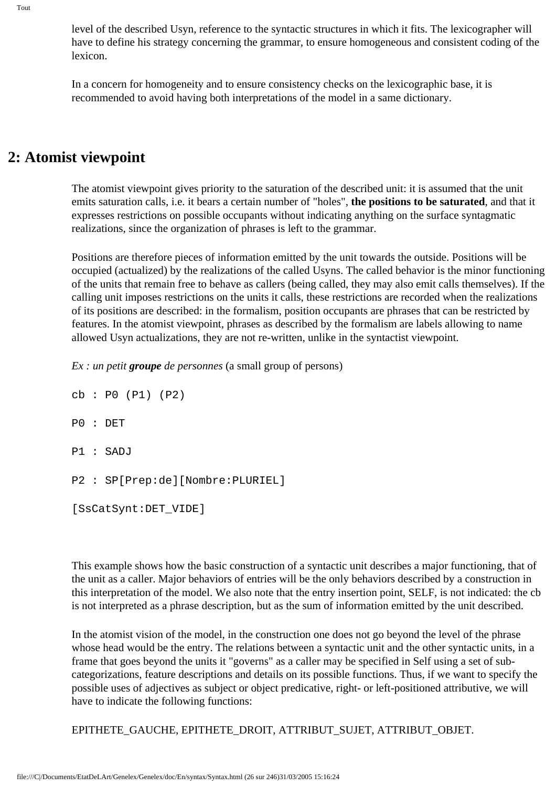level of the described Usyn, reference to the syntactic structures in which it fits. The lexicographer will have to define his strategy concerning the grammar, to ensure homogeneous and consistent coding of the lexicon.

In a concern for homogeneity and to ensure consistency checks on the lexicographic base, it is recommended to avoid having both interpretations of the model in a same dictionary.

### **2: Atomist viewpoint**

The atomist viewpoint gives priority to the saturation of the described unit: it is assumed that the unit emits saturation calls, i.e. it bears a certain number of "holes", **the positions to be saturated**, and that it expresses restrictions on possible occupants without indicating anything on the surface syntagmatic realizations, since the organization of phrases is left to the grammar.

Positions are therefore pieces of information emitted by the unit towards the outside. Positions will be occupied (actualized) by the realizations of the called Usyns. The called behavior is the minor functioning of the units that remain free to behave as callers (being called, they may also emit calls themselves). If the calling unit imposes restrictions on the units it calls, these restrictions are recorded when the realizations of its positions are described: in the formalism, position occupants are phrases that can be restricted by features. In the atomist viewpoint, phrases as described by the formalism are labels allowing to name allowed Usyn actualizations, they are not re-written, unlike in the syntactist viewpoint.

*Ex : un petit groupe de personnes* (a small group of persons)

cb : P0 (P1) (P2) P0 : DET P1 : SADJ P2 : SP[Prep:de][Nombre:PLURIEL] [SsCatSynt:DET\_VIDE]

This example shows how the basic construction of a syntactic unit describes a major functioning, that of the unit as a caller. Major behaviors of entries will be the only behaviors described by a construction in this interpretation of the model. We also note that the entry insertion point, SELF, is not indicated: the cb is not interpreted as a phrase description, but as the sum of information emitted by the unit described.

In the atomist vision of the model, in the construction one does not go beyond the level of the phrase whose head would be the entry. The relations between a syntactic unit and the other syntactic units, in a frame that goes beyond the units it "governs" as a caller may be specified in Self using a set of subcategorizations, feature descriptions and details on its possible functions. Thus, if we want to specify the possible uses of adjectives as subject or object predicative, right- or left-positioned attributive, we will have to indicate the following functions:

EPITHETE\_GAUCHE, EPITHETE\_DROIT, ATTRIBUT\_SUJET, ATTRIBUT\_OBJET.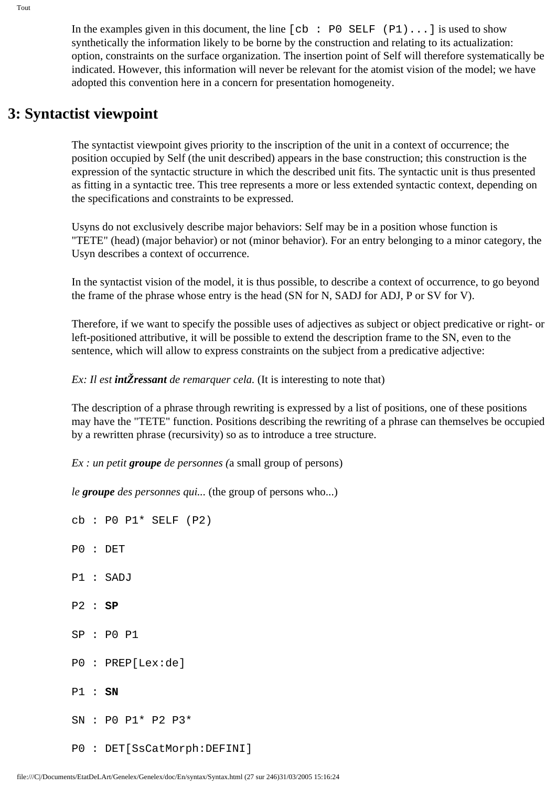In the examples given in this document, the line  $[cb : P0 SELF (P1)...]$  is used to show synthetically the information likely to be borne by the construction and relating to its actualization: option, constraints on the surface organization. The insertion point of Self will therefore systematically be indicated. However, this information will never be relevant for the atomist vision of the model; we have adopted this convention here in a concern for presentation homogeneity.

# **3: Syntactist viewpoint**

The syntactist viewpoint gives priority to the inscription of the unit in a context of occurrence; the position occupied by Self (the unit described) appears in the base construction; this construction is the expression of the syntactic structure in which the described unit fits. The syntactic unit is thus presented as fitting in a syntactic tree. This tree represents a more or less extended syntactic context, depending on the specifications and constraints to be expressed.

Usyns do not exclusively describe major behaviors: Self may be in a position whose function is "TETE" (head) (major behavior) or not (minor behavior). For an entry belonging to a minor category, the Usyn describes a context of occurrence.

In the syntactist vision of the model, it is thus possible, to describe a context of occurrence, to go beyond the frame of the phrase whose entry is the head (SN for N, SADJ for ADJ, P or SV for V).

Therefore, if we want to specify the possible uses of adjectives as subject or object predicative or right- or left-positioned attributive, it will be possible to extend the description frame to the SN, even to the sentence, which will allow to express constraints on the subject from a predicative adjective:

*Ex: Il est intZressant de remarquer cela.* (It is interesting to note that)

The description of a phrase through rewriting is expressed by a list of positions, one of these positions may have the "TETE" function. Positions describing the rewriting of a phrase can themselves be occupied by a rewritten phrase (recursivity) so as to introduce a tree structure.

*Ex : un petit groupe de personnes (*a small group of persons)

*le groupe des personnes qui...* (the group of persons who...)

cb : P0 P1\* SELF (P2) P0 : DET P1 : SADJ P2 : **SP** SP : P0 P1 P0 : PREP[Lex:de] P1 : **SN** SN : P0 P1\* P2 P3\* P0 : DET[SsCatMorph:DEFINI]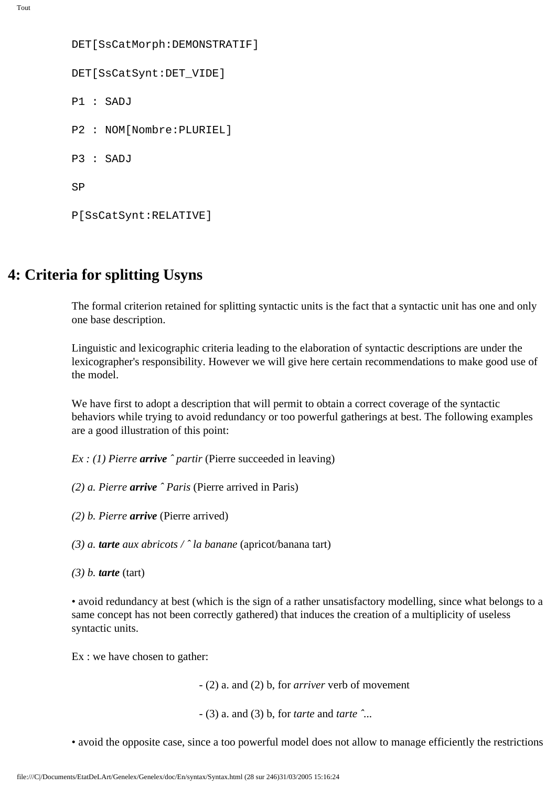```
DET[SsCatMorph:DEMONSTRATIF]
DET[SsCatSynt:DET_VIDE]
P1 : SADJ
P2 : NOM[Nombre:PLURIEL]
P3 : SADJ
SP
P[SsCatSynt:RELATIVE]
```
# **4: Criteria for splitting Usyns**

The formal criterion retained for splitting syntactic units is the fact that a syntactic unit has one and only one base description.

Linguistic and lexicographic criteria leading to the elaboration of syntactic descriptions are under the lexicographer's responsibility. However we will give here certain recommendations to make good use of the model.

We have first to adopt a description that will permit to obtain a correct coverage of the syntactic behaviors while trying to avoid redundancy or too powerful gatherings at best. The following examples are a good illustration of this point:

*Ex : (1) Pierre arrive ˆ partir* (Pierre succeeded in leaving)

- *(2) a. Pierre arrive ˆ Paris* (Pierre arrived in Paris)
- *(2) b. Pierre arrive* (Pierre arrived)

*(3) a. tarte aux abricots / ˆ la banane* (apricot/banana tart)

*(3) b. tarte* (tart)

• avoid redundancy at best (which is the sign of a rather unsatisfactory modelling, since what belongs to a same concept has not been correctly gathered) that induces the creation of a multiplicity of useless syntactic units.

Ex : we have chosen to gather:

- (2) a. and (2) b, for *arriver* verb of movement

- (3) a. and (3) b, for *tarte* and *tarte ˆ...*

• avoid the opposite case, since a too powerful model does not allow to manage efficiently the restrictions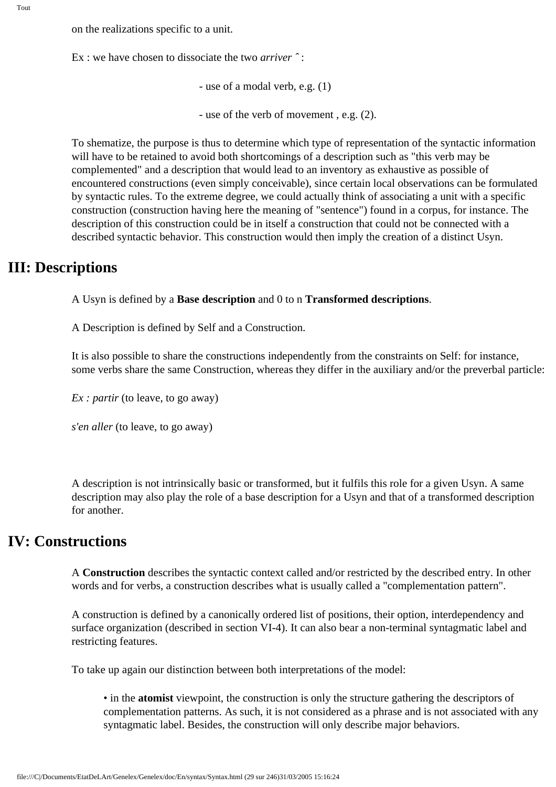on the realizations specific to a unit.

Ex : we have chosen to dissociate the two *arriver ˆ* :

- use of a modal verb, e.g. (1)

- use of the verb of movement , e.g. (2).

To shematize, the purpose is thus to determine which type of representation of the syntactic information will have to be retained to avoid both shortcomings of a description such as "this verb may be complemented" and a description that would lead to an inventory as exhaustive as possible of encountered constructions (even simply conceivable), since certain local observations can be formulated by syntactic rules. To the extreme degree, we could actually think of associating a unit with a specific construction (construction having here the meaning of "sentence") found in a corpus, for instance. The description of this construction could be in itself a construction that could not be connected with a described syntactic behavior. This construction would then imply the creation of a distinct Usyn.

### **III: Descriptions**

A Usyn is defined by a **Base description** and 0 to n **Transformed descriptions**.

A Description is defined by Self and a Construction.

It is also possible to share the constructions independently from the constraints on Self: for instance, some verbs share the same Construction, whereas they differ in the auxiliary and/or the preverbal particle:

*Ex : partir* (to leave, to go away)

*s'en aller* (to leave, to go away)

A description is not intrinsically basic or transformed, but it fulfils this role for a given Usyn. A same description may also play the role of a base description for a Usyn and that of a transformed description for another.

# **IV: Constructions**

A **Construction** describes the syntactic context called and/or restricted by the described entry. In other words and for verbs, a construction describes what is usually called a "complementation pattern".

A construction is defined by a canonically ordered list of positions, their option, interdependency and surface organization (described in section VI-4). It can also bear a non-terminal syntagmatic label and restricting features.

To take up again our distinction between both interpretations of the model:

• in the **atomist** viewpoint, the construction is only the structure gathering the descriptors of complementation patterns. As such, it is not considered as a phrase and is not associated with any syntagmatic label. Besides, the construction will only describe major behaviors.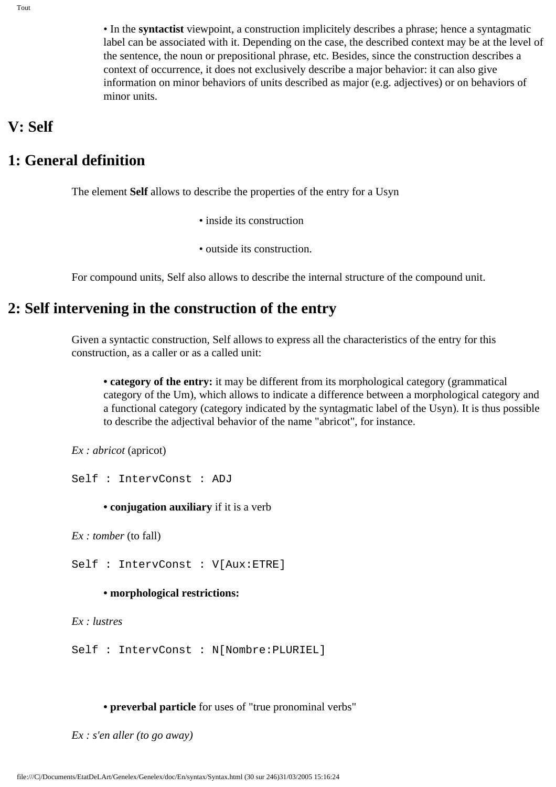• In the **syntactist** viewpoint, a construction implicitely describes a phrase; hence a syntagmatic label can be associated with it. Depending on the case, the described context may be at the level of the sentence, the noun or prepositional phrase, etc. Besides, since the construction describes a context of occurrence, it does not exclusively describe a major behavior: it can also give information on minor behaviors of units described as major (e.g. adjectives) or on behaviors of minor units.

### **V: Self**

### **1: General definition**

The element **Self** allows to describe the properties of the entry for a Usyn

- inside its construction
- outside its construction.

For compound units, Self also allows to describe the internal structure of the compound unit.

# **2: Self intervening in the construction of the entry**

Given a syntactic construction, Self allows to express all the characteristics of the entry for this construction, as a caller or as a called unit:

**• category of the entry:** it may be different from its morphological category (grammatical category of the Um), which allows to indicate a difference between a morphological category and a functional category (category indicated by the syntagmatic label of the Usyn). It is thus possible to describe the adjectival behavior of the name "abricot", for instance.

*Ex : abricot* (apricot)

Self : IntervConst : ADJ

**• conjugation auxiliary** if it is a verb

*Ex : tomber* (to fall)

Self : IntervConst : V[Aux:ETRE]

#### **• morphological restrictions:**

*Ex : lustres*

Self : IntervConst : N[Nombre:PLURIEL]

**• preverbal particle** for uses of "true pronominal verbs"

*Ex : s'en aller (to go away)*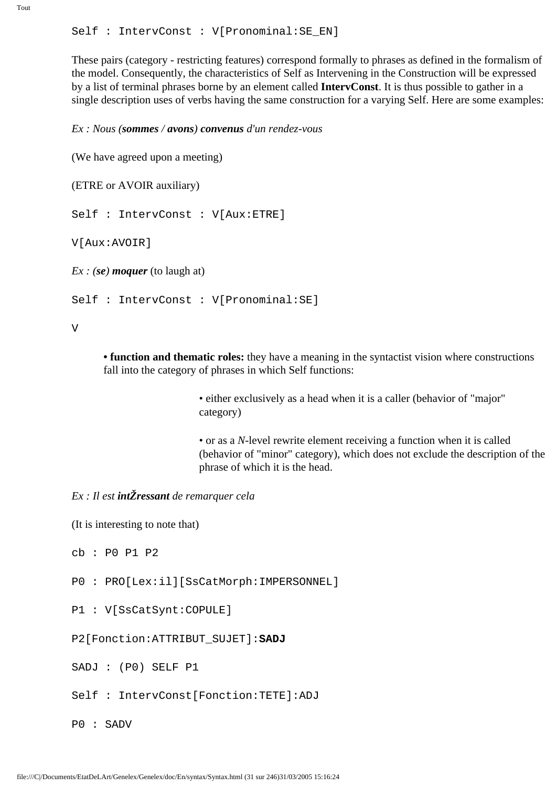These pairs (category - restricting features) correspond formally to phrases as defined in the formalism of the model. Consequently, the characteristics of Self as Intervening in the Construction will be expressed by a list of terminal phrases borne by an element called **IntervConst**. It is thus possible to gather in a single description uses of verbs having the same construction for a varying Self. Here are some examples:

*Ex : Nous (sommes / avons) convenus d'un rendez-vous*

(We have agreed upon a meeting)

```
(ETRE or AVOIR auxiliary)
```
Self : IntervConst : V[Aux:ETRE]

V[Aux:AVOIR]

*Ex : (se) moquer (to laugh at)* 

Self : IntervConst : V[Pronominal:SE]

V

**• function and thematic roles:** they have a meaning in the syntactist vision where constructions fall into the category of phrases in which Self functions:

> • either exclusively as a head when it is a caller (behavior of "major" category)

• or as a *N-*level rewrite element receiving a function when it is called (behavior of "minor" category), which does not exclude the description of the phrase of which it is the head.

#### *Ex : Il est intŽressant de remarquer cela*

(It is interesting to note that)

cb : P0 P1 P2

- P0 : PRO[Lex:il][SsCatMorph:IMPERSONNEL]
- P1 : V[SsCatSynt:COPULE]

#### P2[Fonction:ATTRIBUT\_SUJET]:**SADJ**

SADJ : (P0) SELF P1

Self : IntervConst[Fonction:TETE]:ADJ

P0 : SADV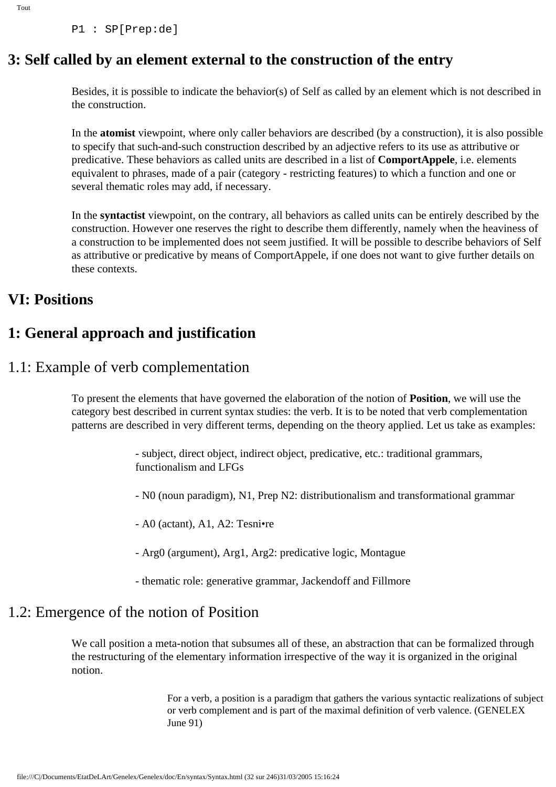P1 : SP[Prep:de]

# **3: Self called by an element external to the construction of the entry**

Besides, it is possible to indicate the behavior(s) of Self as called by an element which is not described in the construction.

In the **atomist** viewpoint, where only caller behaviors are described (by a construction), it is also possible to specify that such-and-such construction described by an adjective refers to its use as attributive or predicative. These behaviors as called units are described in a list of **ComportAppele**, i.e. elements equivalent to phrases, made of a pair (category - restricting features) to which a function and one or several thematic roles may add, if necessary.

In the **syntactist** viewpoint, on the contrary, all behaviors as called units can be entirely described by the construction. However one reserves the right to describe them differently, namely when the heaviness of a construction to be implemented does not seem justified. It will be possible to describe behaviors of Self as attributive or predicative by means of ComportAppele, if one does not want to give further details on these contexts.

### **VI: Positions**

# **1: General approach and justification**

### 1.1: Example of verb complementation

To present the elements that have governed the elaboration of the notion of **Position**, we will use the category best described in current syntax studies: the verb. It is to be noted that verb complementation patterns are described in very different terms, depending on the theory applied. Let us take as examples:

> - subject, direct object, indirect object, predicative, etc.: traditional grammars, functionalism and LFGs

- N0 (noun paradigm), N1, Prep N2: distributionalism and transformational grammar

- A0 (actant), A1, A2: Tesni•re

- Arg0 (argument), Arg1, Arg2: predicative logic, Montague

- thematic role: generative grammar, Jackendoff and Fillmore

### 1.2: Emergence of the notion of Position

We call position a meta-notion that subsumes all of these, an abstraction that can be formalized through the restructuring of the elementary information irrespective of the way it is organized in the original notion.

> For a verb, a position is a paradigm that gathers the various syntactic realizations of subject or verb complement and is part of the maximal definition of verb valence. (GENELEX June 91)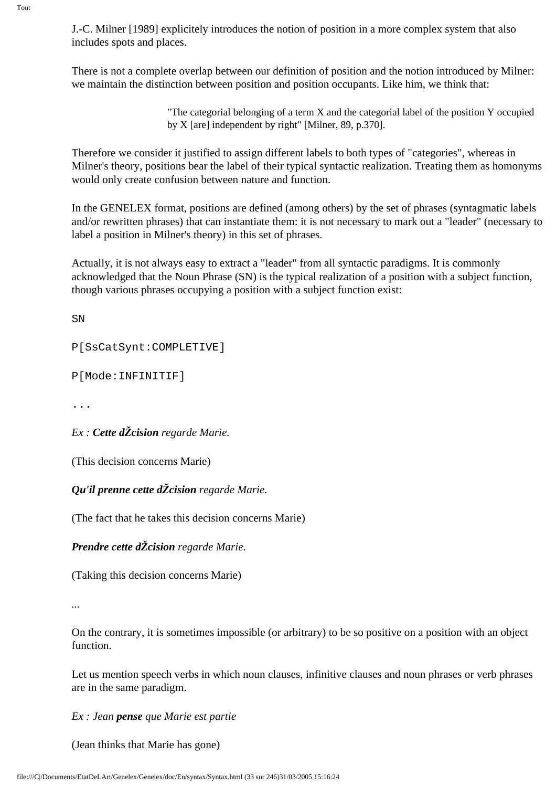J.-C. Milner [1989] explicitely introduces the notion of position in a more complex system that also includes spots and places.

There is not a complete overlap between our definition of position and the notion introduced by Milner: we maintain the distinction between position and position occupants. Like him, we think that:

> "The categorial belonging of a term X and the categorial label of the position Y occupied by X [are] independent by right" [Milner, 89, p.370].

Therefore we consider it justified to assign different labels to both types of "categories", whereas in Milner's theory, positions bear the label of their typical syntactic realization. Treating them as homonyms would only create confusion between nature and function.

In the GENELEX format, positions are defined (among others) by the set of phrases (syntagmatic labels and/or rewritten phrases) that can instantiate them: it is not necessary to mark out a "leader" (necessary to label a position in Milner's theory) in this set of phrases.

Actually, it is not always easy to extract a "leader" from all syntactic paradigms. It is commonly acknowledged that the Noun Phrase (SN) is the typical realization of a position with a subject function, though various phrases occupying a position with a subject function exist:

SN

P[SsCatSynt:COMPLETIVE]

P[Mode:INFINITIF]

...

*Ex : Cette dŽcision regarde Marie.* 

(This decision concerns Marie)

*Qu'il prenne cette dŽcision regarde Marie.*

(The fact that he takes this decision concerns Marie)

*Prendre cette dŽcision regarde Marie.*

(Taking this decision concerns Marie)

*...*

On the contrary, it is sometimes impossible (or arbitrary) to be so positive on a position with an object function.

Let us mention speech verbs in which noun clauses, infinitive clauses and noun phrases or verb phrases are in the same paradigm.

*Ex : Jean pense que Marie est partie*

(Jean thinks that Marie has gone)

Tout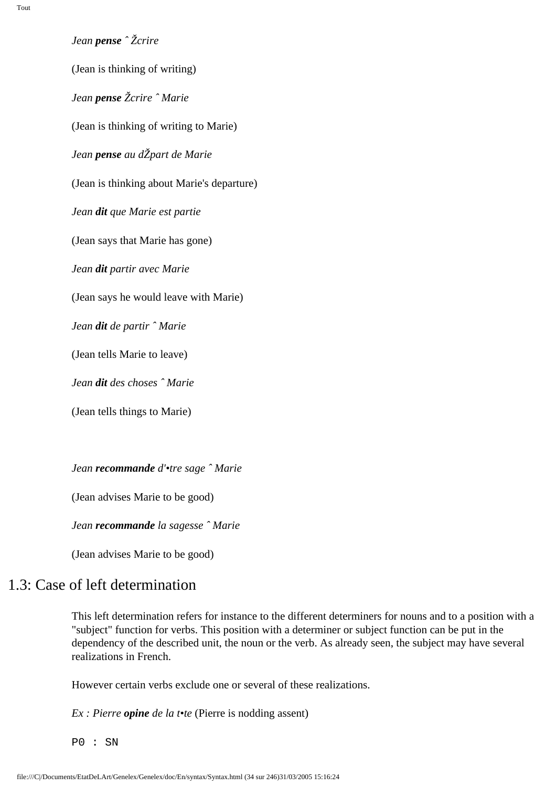*Jean pense ˆ Žcrire*

(Jean is thinking of writing) *Jean pense Žcrire ˆ Marie* (Jean is thinking of writing to Marie) *Jean pense au dŽpart de Marie* (Jean is thinking about Marie's departure) *Jean dit que Marie est partie* (Jean says that Marie has gone) *Jean dit partir avec Marie* (Jean says he would leave with Marie) *Jean dit de partir ˆ Marie* (Jean tells Marie to leave) *Jean dit des choses ˆ Marie* (Jean tells things to Marie)

*Jean recommande d'•tre sage ˆ Marie*

(Jean advises Marie to be good)

*Jean recommande la sagesse ˆ Marie*

(Jean advises Marie to be good)

# 1.3: Case of left determination

This left determination refers for instance to the different determiners for nouns and to a position with a "subject" function for verbs. This position with a determiner or subject function can be put in the dependency of the described unit, the noun or the verb. As already seen, the subject may have several realizations in French.

However certain verbs exclude one or several of these realizations.

*Ex : Pierre opine de la t•te* (Pierre is nodding assent)

P0 : SN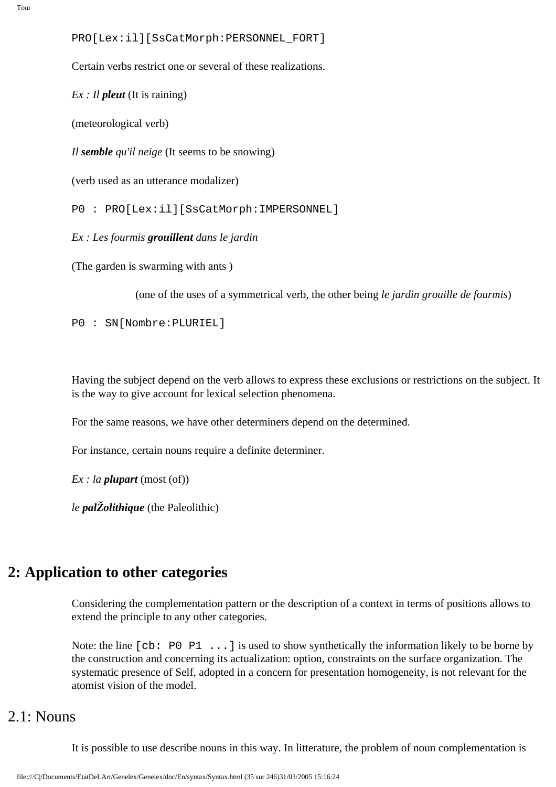```
PRO[Lex:il][SsCatMorph:PERSONNEL_FORT]
```
Certain verbs restrict one or several of these realizations.

*Ex : Il pleut* (It is raining)

(meteorological verb)

*Il semble qu'il neige* (It seems to be snowing)

(verb used as an utterance modalizer)

P0 : PRO[Lex:il][SsCatMorph:IMPERSONNEL]

*Ex : Les fourmis grouillent dans le jardin* 

(The garden is swarming with ants )

(one of the uses of a symmetrical verb, the other being *le jardin grouille de fourmis*)

P0 : SN[Nombre:PLURIEL]

Having the subject depend on the verb allows to express these exclusions or restrictions on the subject. It is the way to give account for lexical selection phenomena.

For the same reasons, we have other determiners depend on the determined.

For instance, certain nouns require a definite determiner.

*Ex : la plupart* (most (of))

*le palŽolithique* (the Paleolithic)

### **2: Application to other categories**

Considering the complementation pattern or the description of a context in terms of positions allows to extend the principle to any other categories.

Note: the line [cb: P0 P1 ...] is used to show synthetically the information likely to be borne by the construction and concerning its actualization: option, constraints on the surface organization. The systematic presence of Self, adopted in a concern for presentation homogeneity, is not relevant for the atomist vision of the model.

# 2.1: Nouns

It is possible to use describe nouns in this way. In litterature, the problem of noun complementation is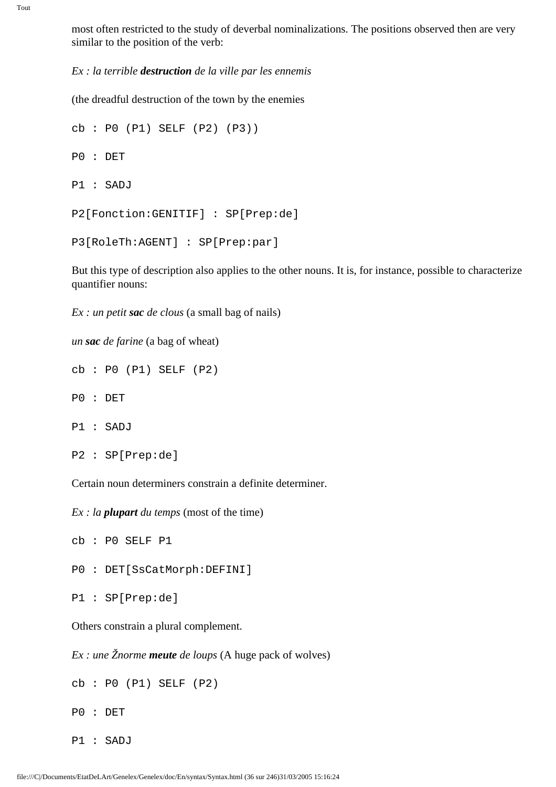Tout

most often restricted to the study of deverbal nominalizations. The positions observed then are very similar to the position of the verb:

*Ex : la terrible destruction de la ville par les ennemis*

(the dreadful destruction of the town by the enemies

```
cb : P0 (P1) SELF (P2) (P3))
P0 : DET
P1 : SADJ
P2[Fonction:GENITIF] : SP[Prep:de]
P3[RoleTh:AGENT] : SP[Prep:par]
```
But this type of description also applies to the other nouns. It is, for instance, possible to characterize quantifier nouns:

*Ex : un petit sac de clous* (a small bag of nails)

*un sac de farine* (a bag of wheat)

cb : P0 (P1) SELF (P2)

- P0 : DET
- P1 : SADJ
- P2 : SP[Prep:de]

Certain noun determiners constrain a definite determiner.

*Ex : la plupart du temps* (most of the time)

cb : P0 SELF P1

P0 : DET[SsCatMorph:DEFINI]

```
P1 : SP[Prep:de]
```
Others constrain a plural complement.

*Ex : une Žnorme meute de loups* (A huge pack of wolves)

cb : P0 (P1) SELF (P2)

- P0 : DET
- P1 : SADJ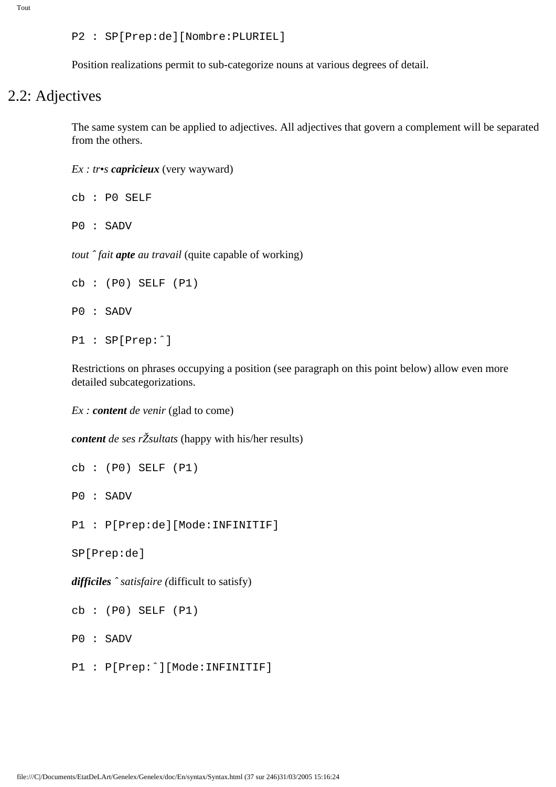P2 : SP[Prep:de][Nombre:PLURIEL]

Position realizations permit to sub-categorize nouns at various degrees of detail.

# 2.2: Adjectives

The same system can be applied to adjectives. All adjectives that govern a complement will be separated from the others.

*Ex : tr•s capricieux* (very wayward)

cb : P0 SELF

P0 : SADV

*tout ˆ fait apte au travail* (quite capable of working)

```
cb : (P0) SELF (P1)
P0 : SADV
P1 : SP[Prep:ˆ]
```
Restrictions on phrases occupying a position (see paragraph on this point below) allow even more detailed subcategorizations.

*Ex : content de venir* (glad to come)

*content de ses rŽsultats* (happy with his/her results)

cb : (P0) SELF (P1)

P0 : SADV

P1 : P[Prep:de][Mode:INFINITIF]

SP[Prep:de]

*difficiles ˆ satisfaire (*difficult to satisfy)

cb : (P0) SELF (P1)

P0 : SADV

P1 : P[Prep:ˆ][Mode:INFINITIF]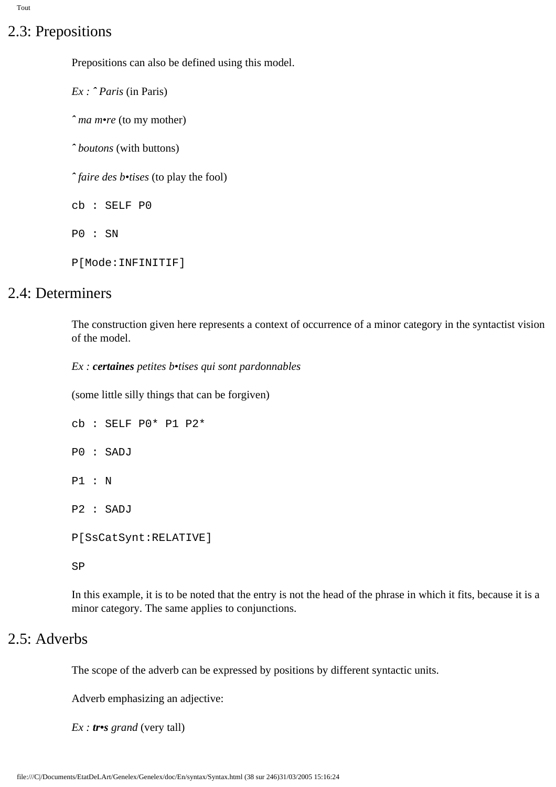# 2.3: Prepositions

Prepositions can also be defined using this model.

*Ex : ˆ Paris* (in Paris) *ˆ ma m•re* (to my mother) *ˆ boutons* (with buttons) *ˆ faire des b•tises* (to play the fool) cb : SELF P0 P0 : SN P[Mode:INFINITIF]

### 2.4: Determiners

The construction given here represents a context of occurrence of a minor category in the syntactist vision of the model.

*Ex : certaines petites b•tises qui sont pardonnables*

(some little silly things that can be forgiven)

cb : SELF P0\* P1 P2\* P0 : SADJ P1 : N P2 : SADJ P[SsCatSynt:RELATIVE]

In this example, it is to be noted that the entry is not the head of the phrase in which it fits, because it is a minor category. The same applies to conjunctions.

# 2.5: Adverbs

SP

The scope of the adverb can be expressed by positions by different syntactic units.

Adverb emphasizing an adjective:

*Ex : tr•s grand* (very tall)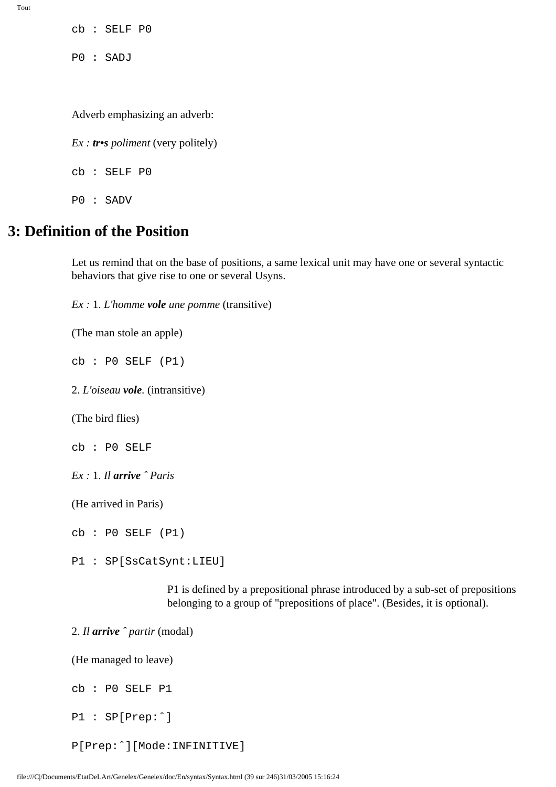cb : SELF P0

P0 : SADJ

Adverb emphasizing an adverb:

*Ex : tr•s poliment* (very politely) cb : SELF P0

P0 : SADV

# **3: Definition of the Position**

Let us remind that on the base of positions, a same lexical unit may have one or several syntactic behaviors that give rise to one or several Usyns.

*Ex :* 1. *L'homme vole une pomme* (transitive)

(The man stole an apple)

cb : P0 SELF (P1)

2. *L'oiseau vole.* (intransitive)

(The bird flies)

cb : P0 SELF

*Ex :* 1. *Il arrive ˆ Paris*

(He arrived in Paris)

cb : P0 SELF (P1)

P1 : SP[SsCatSynt:LIEU]

P1 is defined by a prepositional phrase introduced by a sub-set of prepositions belonging to a group of "prepositions of place". (Besides, it is optional).

2. *Il arrive ˆ partir* (modal)

(He managed to leave)

cb : P0 SELF P1

P1 : SP[Prep:ˆ]

P[Prep:ˆ][Mode:INFINITIVE]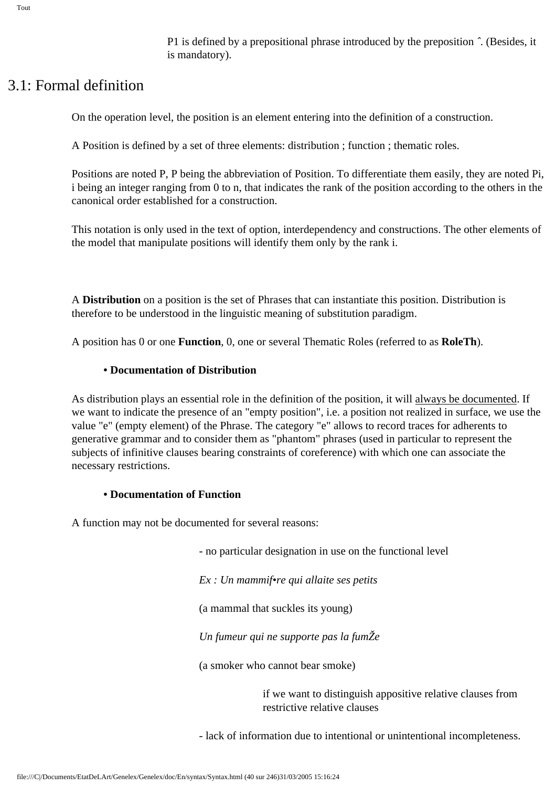P1 is defined by a prepositional phrase introduced by the preposition *ˆ*. (Besides, it is mandatory).

# 3.1: Formal definition

On the operation level, the position is an element entering into the definition of a construction.

A Position is defined by a set of three elements: distribution ; function ; thematic roles.

Positions are noted P, P being the abbreviation of Position. To differentiate them easily, they are noted Pi, i being an integer ranging from 0 to n, that indicates the rank of the position according to the others in the canonical order established for a construction.

This notation is only used in the text of option, interdependency and constructions. The other elements of the model that manipulate positions will identify them only by the rank i.

A **Distribution** on a position is the set of Phrases that can instantiate this position. Distribution is therefore to be understood in the linguistic meaning of substitution paradigm.

A position has 0 or one **Function**, 0, one or several Thematic Roles (referred to as **RoleTh**).

#### **• Documentation of Distribution**

As distribution plays an essential role in the definition of the position, it will always be documented. If we want to indicate the presence of an "empty position", i.e. a position not realized in surface, we use the value "e" (empty element) of the Phrase. The category "e" allows to record traces for adherents to generative grammar and to consider them as "phantom" phrases (used in particular to represent the subjects of infinitive clauses bearing constraints of coreference) with which one can associate the necessary restrictions.

#### **• Documentation of Function**

A function may not be documented for several reasons:

- no particular designation in use on the functional level

*Ex : Un mammif•re qui allaite ses petits*

(a mammal that suckles its young)

*Un fumeur qui ne supporte pas la fumŽe*

(a smoker who cannot bear smoke)

if we want to distinguish appositive relative clauses from restrictive relative clauses

- lack of information due to intentional or unintentional incompleteness.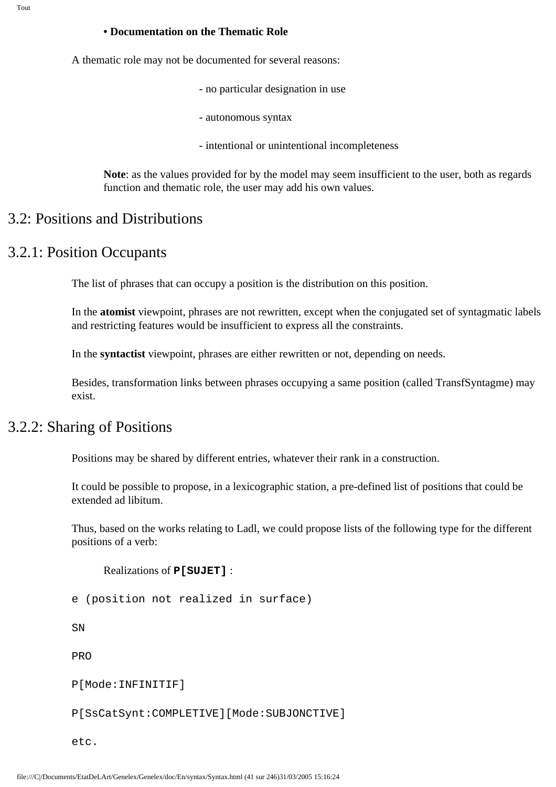#### **• Documentation on the Thematic Role**

A thematic role may not be documented for several reasons:

- no particular designation in use
- autonomous syntax
- intentional or unintentional incompleteness

**Note**: as the values provided for by the model may seem insufficient to the user, both as regards function and thematic role, the user may add his own values.

### 3.2: Positions and Distributions

### 3.2.1: Position Occupants

The list of phrases that can occupy a position is the distribution on this position.

In the **atomist** viewpoint, phrases are not rewritten, except when the conjugated set of syntagmatic labels and restricting features would be insufficient to express all the constraints.

In the **syntactist** viewpoint, phrases are either rewritten or not, depending on needs.

Besides, transformation links between phrases occupying a same position (called TransfSyntagme) may exist.

# 3.2.2: Sharing of Positions

Positions may be shared by different entries, whatever their rank in a construction.

It could be possible to propose, in a lexicographic station, a pre-defined list of positions that could be extended ad libitum.

Thus, based on the works relating to Ladl, we could propose lists of the following type for the different positions of a verb:

```
Realizations of P[SUJET] :
```
e (position not realized in surface)

**SN** 

PRO

P[Mode:INFINITIF]

P[SsCatSynt:COMPLETIVE][Mode:SUBJONCTIVE]

etc.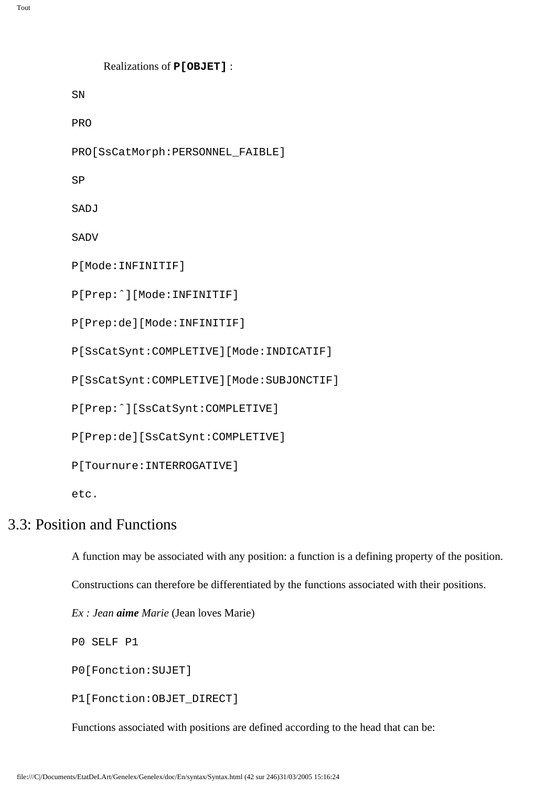```
Realizations of P[OBJET] :
SN
PRO
PRO[SsCatMorph:PERSONNEL_FAIBLE]
SP
SADJ
SADV
P[Mode:INFINITIF]
P[Prep:ˆ][Mode:INFINITIF]
P[Prep:de][Mode:INFINITIF]
P[SsCatSynt:COMPLETIVE][Mode:INDICATIF]
P[SsCatSynt:COMPLETIVE][Mode:SUBJONCTIF]
P[Prep:ˆ][SsCatSynt:COMPLETIVE]
P[Prep:de][SsCatSynt:COMPLETIVE]
```
etc.

## 3.3: Position and Functions

A function may be associated with any position: a function is a defining property of the position.

Constructions can therefore be differentiated by the functions associated with their positions.

*Ex : Jean aime Marie* (Jean loves Marie)

P[Tournure:INTERROGATIVE]

P0 SELF P1

P0[Fonction:SUJET]

P1[Fonction:OBJET\_DIRECT]

Functions associated with positions are defined according to the head that can be: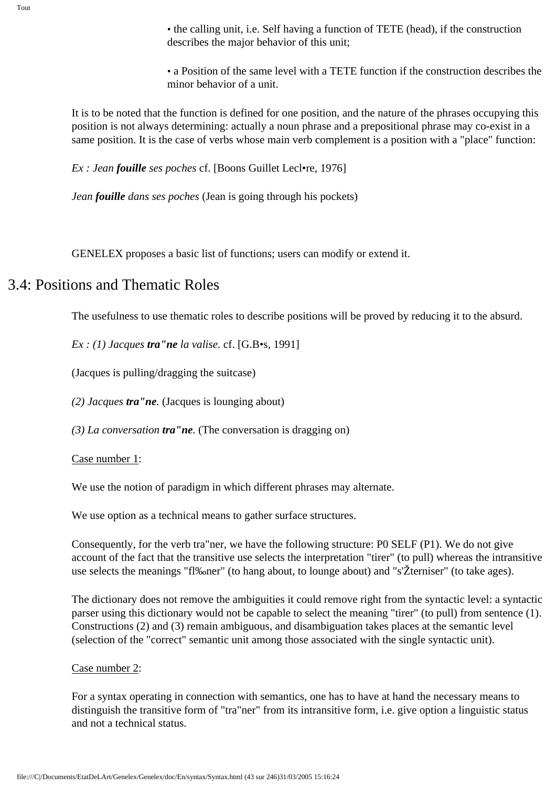• the calling unit, i.e. Self having a function of TETE (head), if the construction describes the major behavior of this unit;

• a Position of the same level with a TETE function if the construction describes the minor behavior of a unit.

It is to be noted that the function is defined for one position, and the nature of the phrases occupying this position is not always determining: actually a noun phrase and a prepositional phrase may co-exist in a same position. It is the case of verbs whose main verb complement is a position with a "place" function:

*Ex : Jean fouille ses poches* cf. [Boons Guillet Lecl•re, 1976]

*Jean fouille dans ses poches* (Jean is going through his pockets)

GENELEX proposes a basic list of functions; users can modify or extend it.

# 3.4: Positions and Thematic Roles

The usefulness to use thematic roles to describe positions will be proved by reducing it to the absurd.

*Ex : (1) Jacques tra"ne la valise.* cf. [G.B•s, 1991]

(Jacques is pulling/dragging the suitcase)

*(2) Jacques tra"ne.* (Jacques is lounging about)

*(3) La conversation tra"ne.* (The conversation is dragging on)

#### Case number 1:

We use the notion of paradigm in which different phrases may alternate.

We use option as a technical means to gather surface structures.

Consequently, for the verb tra"ner, we have the following structure: P0 SELF (P1). We do not give account of the fact that the transitive use selects the interpretation "tirer" (to pull) whereas the intransitive use selects the meanings "fl‰ner" (to hang about, to lounge about) and "s'Žterniser" (to take ages).

The dictionary does not remove the ambiguities it could remove right from the syntactic level: a syntactic parser using this dictionary would not be capable to select the meaning "tirer" (to pull) from sentence (1). Constructions (2) and (3) remain ambiguous, and disambiguation takes places at the semantic level (selection of the "correct" semantic unit among those associated with the single syntactic unit).

#### Case number 2:

For a syntax operating in connection with semantics, one has to have at hand the necessary means to distinguish the transitive form of "tra"ner" from its intransitive form, i.e. give option a linguistic status and not a technical status.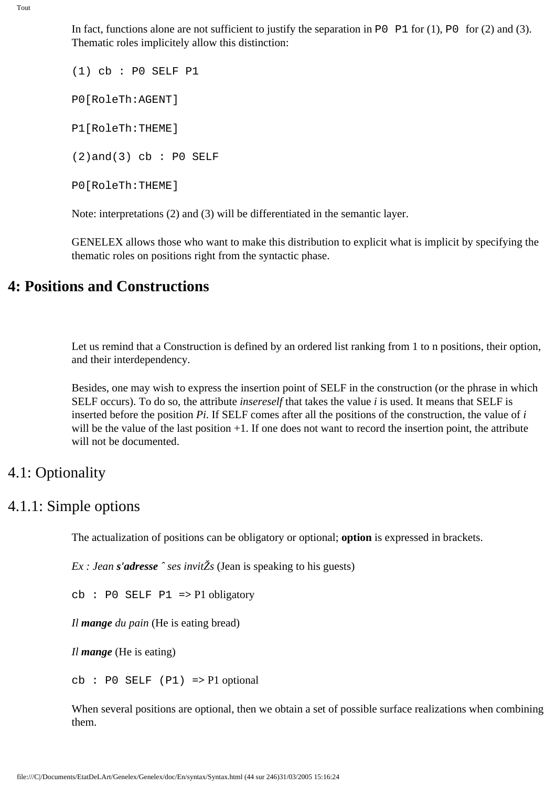In fact, functions alone are not sufficient to justify the separation in P0  $\mathbb{P}1$  for (1), P0 for (2) and (3). Thematic roles implicitely allow this distinction:

(1) cb : P0 SELF P1 P0[RoleTh:AGENT] P1[RoleTh:THEME]  $(2)$ and $(3)$  cb : P0 SELF P0[RoleTh:THEME]

Note: interpretations (2) and (3) will be differentiated in the semantic layer.

GENELEX allows those who want to make this distribution to explicit what is implicit by specifying the thematic roles on positions right from the syntactic phase.

# **4: Positions and Constructions**

Let us remind that a Construction is defined by an ordered list ranking from 1 to n positions, their option, and their interdependency.

Besides, one may wish to express the insertion point of SELF in the construction (or the phrase in which SELF occurs). To do so, the attribute *insereself* that takes the value *i* is used. It means that SELF is inserted before the position *Pi*. If SELF comes after all the positions of the construction, the value of *i* will be the value of the last position  $+1$ . If one does not want to record the insertion point, the attribute will not be documented.

# 4.1: Optionality

# 4.1.1: Simple options

The actualization of positions can be obligatory or optional; **option** is expressed in brackets.

*Ex : Jean s'adresse ˆ ses invitŽs* (Jean is speaking to his guests)

cb : P0 SELF P1 **=>** P1 obligatory

*Il mange du pain* (He is eating bread)

*Il mange* (He is eating)

cb : P0 SELF (P1) **=>** P1 optional

When several positions are optional, then we obtain a set of possible surface realizations when combining them.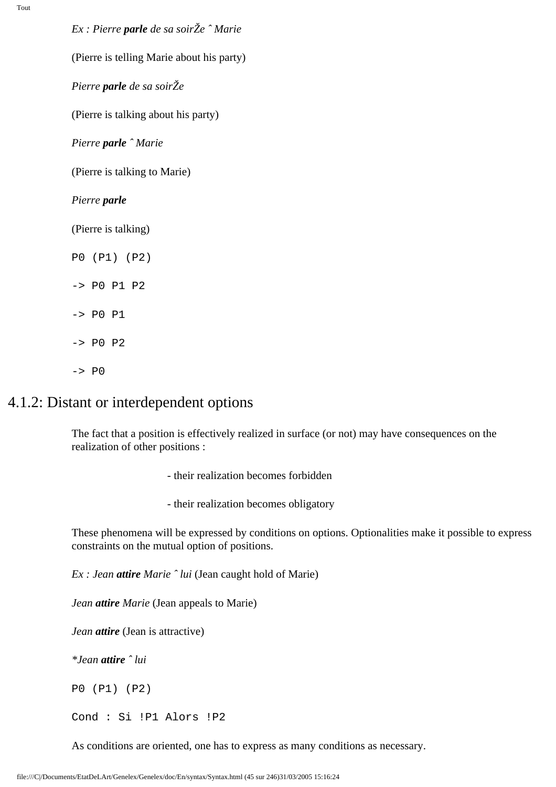*Ex : Pierre parle de sa soirŽe ˆ Marie*

(Pierre is telling Marie about his party)

*Pierre parle de sa soirŽe*

(Pierre is talking about his party)

*Pierre parle ˆ Marie*

(Pierre is talking to Marie)

#### *Pierre parle*

(Pierre is talking)

P0 (P1) (P2) -> P0 P1 P2  $->$   $PO$   $P1$  $->$  PO P2  $->$  P $0$ 

### 4.1.2: Distant or interdependent options

The fact that a position is effectively realized in surface (or not) may have consequences on the realization of other positions :

- their realization becomes forbidden
- their realization becomes obligatory

These phenomena will be expressed by conditions on options. Optionalities make it possible to express constraints on the mutual option of positions.

*Ex : Jean attire Marie ˆ lui* (Jean caught hold of Marie)

*Jean attire Marie* (Jean appeals to Marie)

*Jean attire* (Jean is attractive)

*\*Jean attire ˆ lui* 

P0 (P1) (P2)

Cond : Si !P1 Alors !P2

As conditions are oriented, one has to express as many conditions as necessary.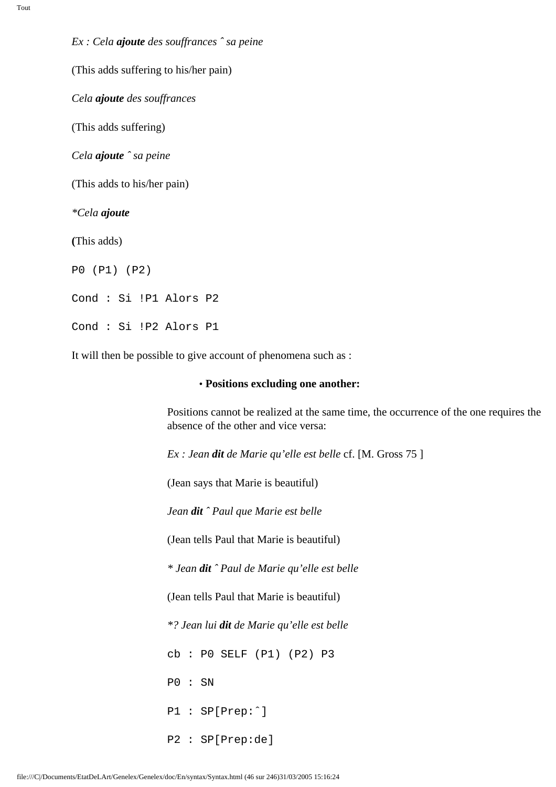*Ex : Cela ajoute des souffrances ˆ sa peine*  (This adds suffering to his/her pain) *Cela ajoute des souffrances* (This adds suffering) *Cela ajoute ˆ sa peine* (This adds to his/her pain) *\*Cela ajoute* **(**This adds) P0 (P1) (P2) Cond : Si !P1 Alors P2 Cond : Si !P2 Alors P1

It will then be possible to give account of phenomena such as :

#### • **Positions excluding one another:**

Positions cannot be realized at the same time, the occurrence of the one requires the absence of the other and vice versa:

*Ex : Jean dit de Marie qu'elle est belle* cf. [M. Gross 75 ]

(Jean says that Marie is beautiful)

*Jean dit ˆ Paul que Marie est belle*

(Jean tells Paul that Marie is beautiful)

*\* Jean dit ˆ Paul de Marie qu'elle est belle*

(Jean tells Paul that Marie is beautiful)

*\*? Jean lui dit de Marie qu'elle est belle*

cb : P0 SELF (P1) (P2) P3

P0 : SN

P1 : SP[Prep:ˆ]

P2 : SP[Prep:de]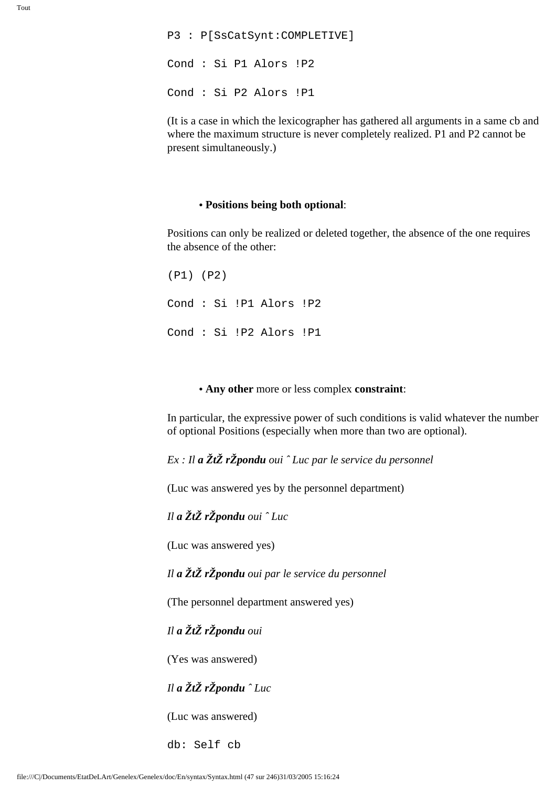P3 : P[SsCatSynt:COMPLETIVE] Cond : Si P1 Alors !P2 Cond : Si P2 Alors !P1

(It is a case in which the lexicographer has gathered all arguments in a same cb and where the maximum structure is never completely realized. P1 and P2 cannot be present simultaneously.)

#### **• Positions being both optional**:

Positions can only be realized or deleted together, the absence of the one requires the absence of the other:

(P1) (P2) Cond : Si !P1 Alors !P2 Cond : Si !P2 Alors !P1

#### **• Any other** more or less complex **constraint**:

In particular, the expressive power of such conditions is valid whatever the number of optional Positions (especially when more than two are optional).

*Ex : Il a ŽtŽ rŽpondu oui ˆ Luc par le service du personnel*

(Luc was answered yes by the personnel department)

*Il a ŽtŽ rŽpondu oui ˆ Luc* 

(Luc was answered yes)

*Il a ŽtŽ rŽpondu oui par le service du personnel*

(The personnel department answered yes)

*Il a ŽtŽ rŽpondu oui* 

(Yes was answered)

#### *Il a ŽtŽ rŽpondu ˆ Luc*

(Luc was answered)

db: Self cb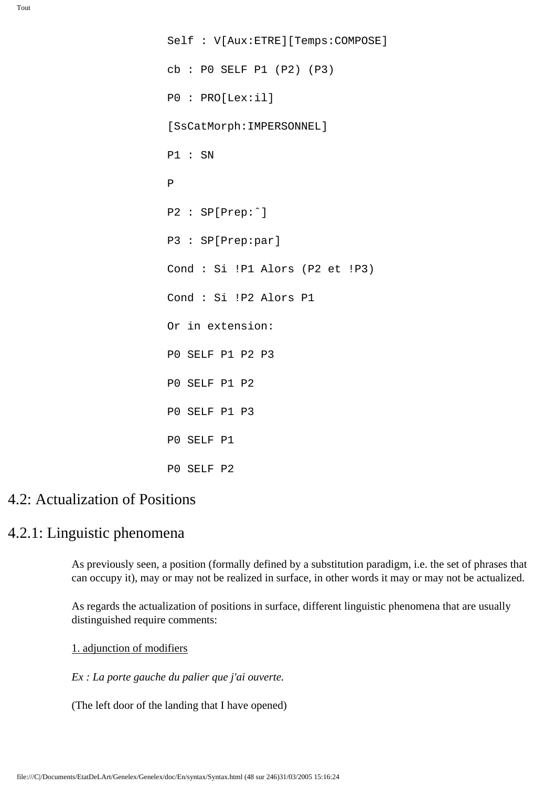Self : V[Aux:ETRE][Temps:COMPOSE] cb : P0 SELF P1 (P2) (P3) P0 : PRO[Lex:il] [SsCatMorph:IMPERSONNEL] P1 : SN P P2 : SP[Prep:ˆ] P3 : SP[Prep:par] Cond : Si !P1 Alors (P2 et !P3) Cond : Si !P2 Alors P1 Or in extension: P0 SELF P1 P2 P3 P0 SELF P1 P2 P0 SELF P1 P3 P0 SELF P1 P0 SELF P2

# 4.2: Actualization of Positions

### 4.2.1: Linguistic phenomena

As previously seen, a position (formally defined by a substitution paradigm, i.e. the set of phrases that can occupy it), may or may not be realized in surface, in other words it may or may not be actualized.

As regards the actualization of positions in surface, different linguistic phenomena that are usually distinguished require comments:

1. adjunction of modifiers

*Ex : La porte gauche du palier que j'ai ouverte.*

(The left door of the landing that I have opened)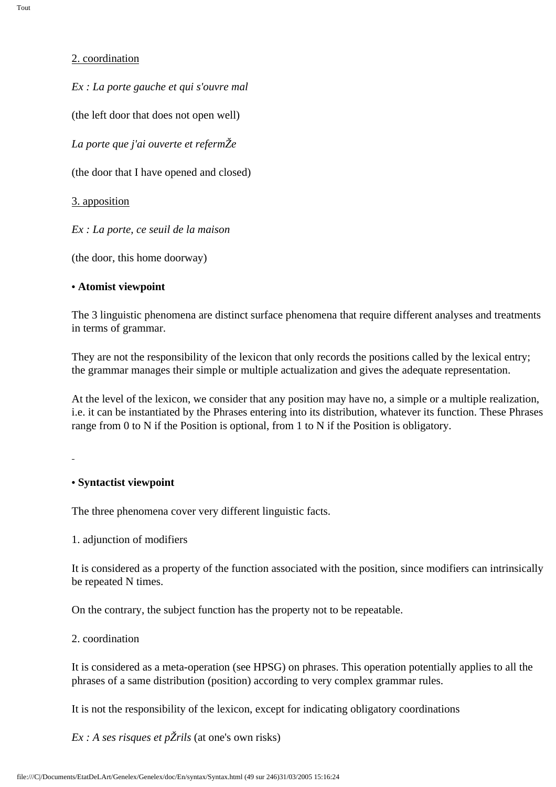#### 2. coordination

*Ex : La porte gauche et qui s'ouvre mal* 

(the left door that does not open well)

*La porte que j'ai ouverte et refermŽe*

(the door that I have opened and closed)

3. apposition

*Ex : La porte, ce seuil de la maison*

(the door, this home doorway)

#### **• Atomist viewpoint**

The 3 linguistic phenomena are distinct surface phenomena that require different analyses and treatments in terms of grammar.

They are not the responsibility of the lexicon that only records the positions called by the lexical entry; the grammar manages their simple or multiple actualization and gives the adequate representation.

At the level of the lexicon, we consider that any position may have no, a simple or a multiple realization, i.e. it can be instantiated by the Phrases entering into its distribution, whatever its function. These Phrases range from 0 to N if the Position is optional, from 1 to N if the Position is obligatory.

### **• Syntactist viewpoint**

The three phenomena cover very different linguistic facts.

### 1. adjunction of modifiers

It is considered as a property of the function associated with the position, since modifiers can intrinsically be repeated N times.

On the contrary, the subject function has the property not to be repeatable.

### 2. coordination

It is considered as a meta-operation (see HPSG) on phrases. This operation potentially applies to all the phrases of a same distribution (position) according to very complex grammar rules.

It is not the responsibility of the lexicon, except for indicating obligatory coordinations

*Ex : A ses risques et pŽrils* (at one's own risks)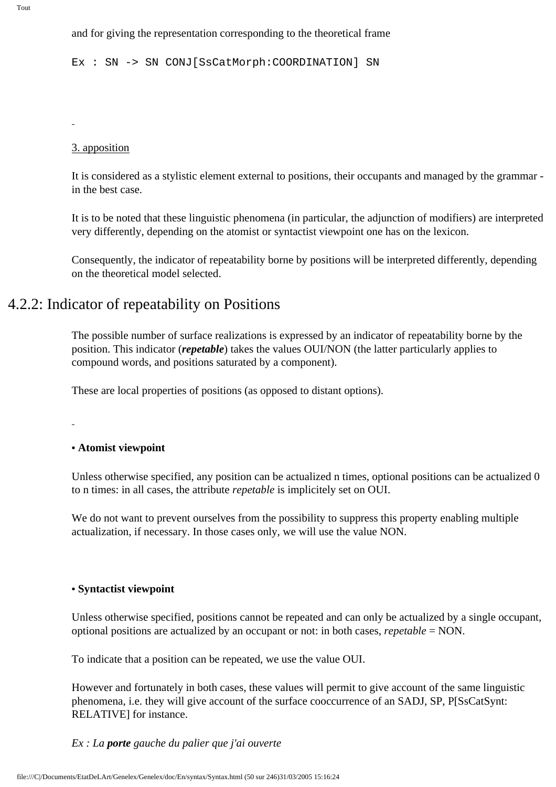and for giving the representation corresponding to the theoretical frame

Ex : SN -> SN CONJ[SsCatMorph:COORDINATION] SN

#### 3. apposition

It is considered as a stylistic element external to positions, their occupants and managed by the grammar in the best case.

It is to be noted that these linguistic phenomena (in particular, the adjunction of modifiers) are interpreted very differently, depending on the atomist or syntactist viewpoint one has on the lexicon.

Consequently, the indicator of repeatability borne by positions will be interpreted differently, depending on the theoretical model selected.

# 4.2.2: Indicator of repeatability on Positions

The possible number of surface realizations is expressed by an indicator of repeatability borne by the position. This indicator (*repetable*) takes the values OUI/NON (the latter particularly applies to compound words, and positions saturated by a component).

These are local properties of positions (as opposed to distant options).

#### **• Atomist viewpoint**

Unless otherwise specified, any position can be actualized n times, optional positions can be actualized 0 to n times: in all cases, the attribute *repetable* is implicitely set on OUI.

We do not want to prevent ourselves from the possibility to suppress this property enabling multiple actualization, if necessary. In those cases only, we will use the value NON.

#### **• Syntactist viewpoint**

Unless otherwise specified, positions cannot be repeated and can only be actualized by a single occupant, optional positions are actualized by an occupant or not: in both cases, *repetable* = NON.

To indicate that a position can be repeated, we use the value OUI.

However and fortunately in both cases, these values will permit to give account of the same linguistic phenomena, i.e. they will give account of the surface cooccurrence of an SADJ, SP, P[SsCatSynt: RELATIVE] for instance.

#### *Ex : La porte gauche du palier que j'ai ouverte*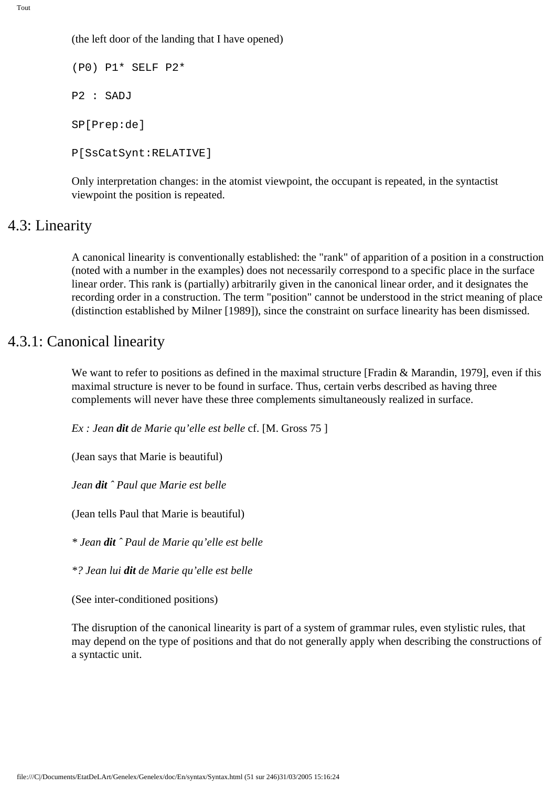(the left door of the landing that I have opened)

(P0) P1\* SELF P2\* P2 : SADJ SP[Prep:de] P[SsCatSynt:RELATIVE]

Only interpretation changes: in the atomist viewpoint, the occupant is repeated, in the syntactist viewpoint the position is repeated.

### 4.3: Linearity

A canonical linearity is conventionally established: the "rank" of apparition of a position in a construction (noted with a number in the examples) does not necessarily correspond to a specific place in the surface linear order. This rank is (partially) arbitrarily given in the canonical linear order, and it designates the recording order in a construction. The term "position" cannot be understood in the strict meaning of place (distinction established by Milner [1989]), since the constraint on surface linearity has been dismissed.

### 4.3.1: Canonical linearity

We want to refer to positions as defined in the maximal structure [Fradin & Marandin, 1979], even if this maximal structure is never to be found in surface. Thus, certain verbs described as having three complements will never have these three complements simultaneously realized in surface.

*Ex : Jean dit de Marie qu'elle est belle* cf. [M. Gross 75 ]

(Jean says that Marie is beautiful)

*Jean dit ˆ Paul que Marie est belle*

(Jean tells Paul that Marie is beautiful)

*\* Jean dit ˆ Paul de Marie qu'elle est belle*

*\*? Jean lui dit de Marie qu'elle est belle*

(See inter-conditioned positions)

The disruption of the canonical linearity is part of a system of grammar rules, even stylistic rules, that may depend on the type of positions and that do not generally apply when describing the constructions of a syntactic unit.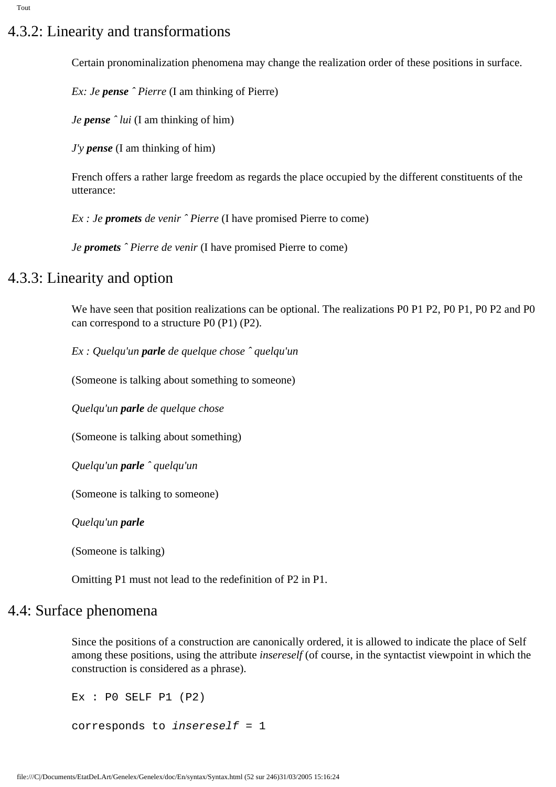# 4.3.2: Linearity and transformations

Certain pronominalization phenomena may change the realization order of these positions in surface.

*Ex: Je pense ˆ Pierre* (I am thinking of Pierre)

*Je pense ˆ lui* (I am thinking of him)

*J'y pense* (I am thinking of him)

French offers a rather large freedom as regards the place occupied by the different constituents of the utterance:

*Ex : Je promets de venir ˆ Pierre* (I have promised Pierre to come)

*Je promets ˆ Pierre de venir* (I have promised Pierre to come)

# 4.3.3: Linearity and option

We have seen that position realizations can be optional. The realizations P0 P1 P2, P0 P1, P0 P2 and P0 can correspond to a structure P0 (P1) (P2).

*Ex : Quelqu'un parle de quelque chose ˆ quelqu'un*

(Someone is talking about something to someone)

*Quelqu'un parle de quelque chose*

(Someone is talking about something)

*Quelqu'un parle ˆ quelqu'un*

(Someone is talking to someone)

*Quelqu'un parle*

(Someone is talking)

Omitting P1 must not lead to the redefinition of P2 in P1.

### 4.4: Surface phenomena

Since the positions of a construction are canonically ordered, it is allowed to indicate the place of Self among these positions, using the attribute *insereself* (of course, in the syntactist viewpoint in which the construction is considered as a phrase).

```
Ex : PO SELF P1 (P2)corresponds to insereself = 1
```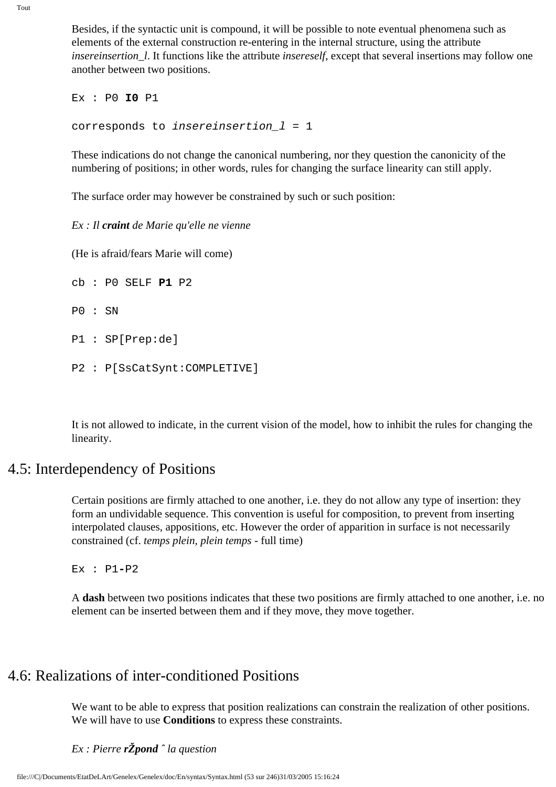Besides, if the syntactic unit is compound, it will be possible to note eventual phenomena such as elements of the external construction re-entering in the internal structure, using the attribute *insereinsertion\_l*. It functions like the attribute *insereself*, except that several insertions may follow one another between two positions.

Ex : P0 **I0** P1 corresponds to insereinsertion\_l = 1

These indications do not change the canonical numbering, nor they question the canonicity of the numbering of positions; in other words, rules for changing the surface linearity can still apply.

The surface order may however be constrained by such or such position:

*Ex : Il craint de Marie qu'elle ne vienne*

(He is afraid/fears Marie will come)

cb : P0 SELF **P1** P2 P0 : SN P1 : SP[Prep:de] P2 : P[SsCatSynt:COMPLETIVE]

It is not allowed to indicate, in the current vision of the model, how to inhibit the rules for changing the linearity.

# 4.5: Interdependency of Positions

Certain positions are firmly attached to one another, i.e. they do not allow any type of insertion: they form an undividable sequence. This convention is useful for composition, to prevent from inserting interpolated clauses, appositions, etc. However the order of apparition in surface is not necessarily constrained (cf. *temps plein, plein temps -* full time)

Ex : P1**-**P2

A **dash** between two positions indicates that these two positions are firmly attached to one another, i.e. no element can be inserted between them and if they move, they move together.

# 4.6: Realizations of inter-conditioned Positions

We want to be able to express that position realizations can constrain the realization of other positions. We will have to use **Conditions** to express these constraints.

### *Ex : Pierre rŽpond ˆ la question*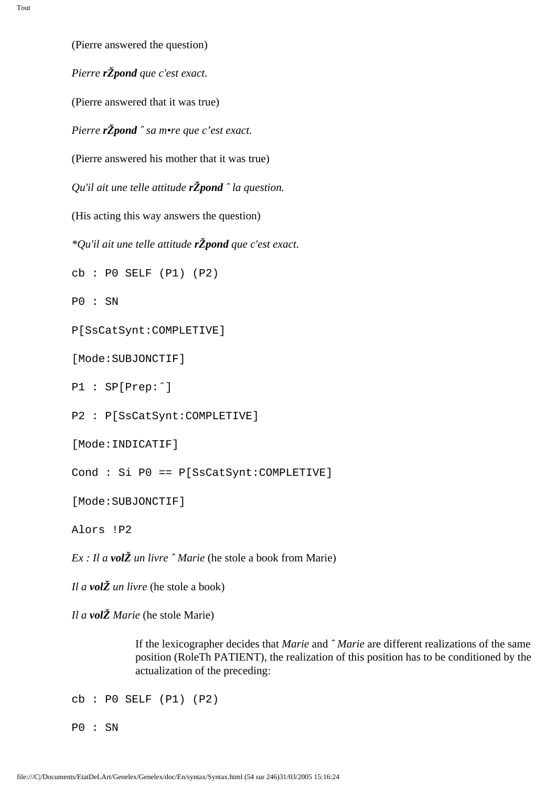(Pierre answered the question) *Pierre rŽpond que c'est exact.* (Pierre answered that it was true) *Pierre rŽpond ˆ sa m•re que c'est exact.* (Pierre answered his mother that it was true) *Qu'il ait une telle attitude rŽpond ˆ la question.* (His acting this way answers the question) *\*Qu'il ait une telle attitude rŽpond que c'est exact.* cb : P0 SELF (P1) (P2) P0 : SN P[SsCatSynt:COMPLETIVE] [Mode:SUBJONCTIF] P1 : SP[Prep:ˆ] P2 : P[SsCatSynt:COMPLETIVE] [Mode:INDICATIF] Cond : Si P0 == P[SsCatSynt:COMPLETIVE]

[Mode:SUBJONCTIF]

Alors !P2

*Ex : Il a volŽ un livre ˆ Marie* (he stole a book from Marie)

*Il a volŽ un livre* (he stole a book)

*Il a volŽ Marie* (he stole Marie)

If the lexicographer decides that *Marie* and *ˆ Marie* are different realizations of the same position (RoleTh PATIENT), the realization of this position has to be conditioned by the actualization of the preceding:

cb : P0 SELF (P1) (P2)

P0 : SN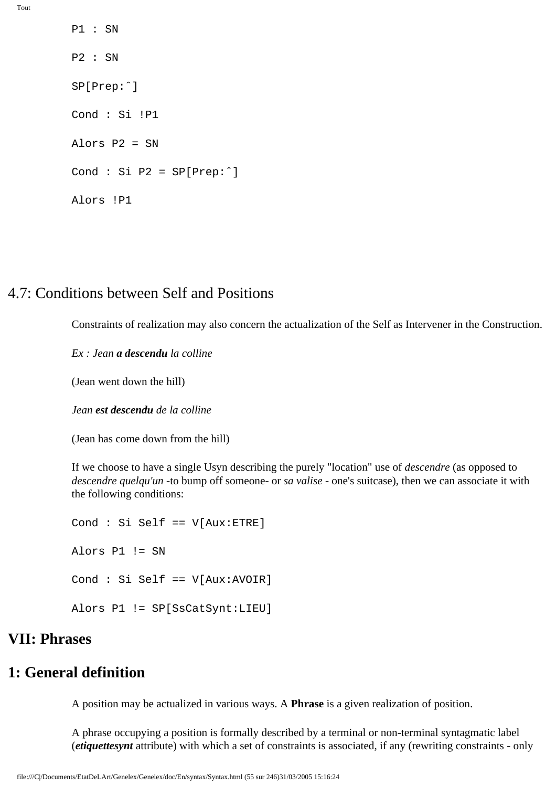P1 : SN P2 : SN SP[Prep:ˆ] Cond : Si !P1 Alors P2 = SN Cond : Si P2 = SP[Prep:ˆ] Alors !P1

### 4.7: Conditions between Self and Positions

Constraints of realization may also concern the actualization of the Self as Intervener in the Construction.

*Ex : Jean a descendu la colline* 

(Jean went down the hill)

*Jean est descendu de la colline* 

(Jean has come down from the hill)

If we choose to have a single Usyn describing the purely "location" use of *descendre* (as opposed to *descendre quelqu'un* -to bump off someone- or *sa valise -* one's suitcase), then we can associate it with the following conditions:

Cond : Si Self == V[Aux:ETRE] Alors P1 != SN Cond : Si Self == V[Aux:AVOIR] Alors P1 != SP[SsCatSynt:LIEU]

### **VII: Phrases**

# **1: General definition**

A position may be actualized in various ways. A **Phrase** is a given realization of position.

A phrase occupying a position is formally described by a terminal or non-terminal syntagmatic label (*etiquettesynt* attribute) with which a set of constraints is associated, if any (rewriting constraints - only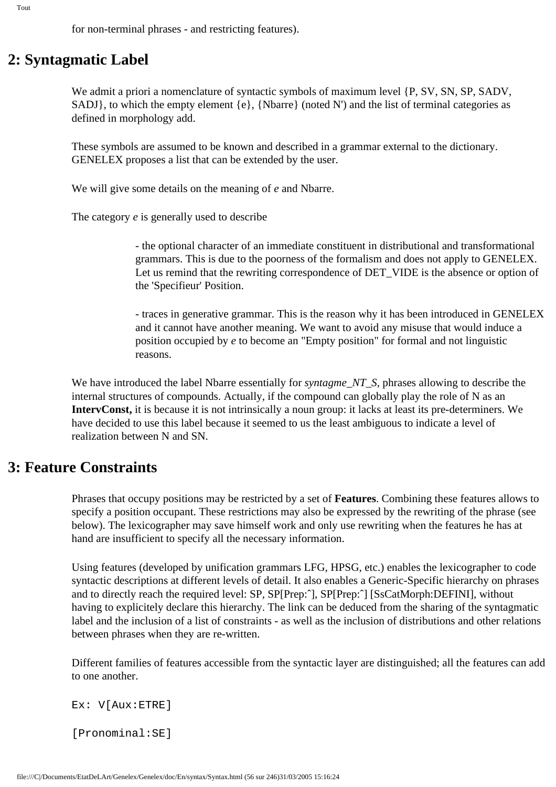for non-terminal phrases - and restricting features).

# **2: Syntagmatic Label**

We admit a priori a nomenclature of syntactic symbols of maximum level  $\{P, SV, SN, SP, SADV,$ SADJ}, to which the empty element  $\{e\}$ , {Nbarre} (noted N') and the list of terminal categories as defined in morphology add.

These symbols are assumed to be known and described in a grammar external to the dictionary. GENELEX proposes a list that can be extended by the user.

We will give some details on the meaning of *e* and Nbarre.

The category *e* is generally used to describe

- the optional character of an immediate constituent in distributional and transformational grammars. This is due to the poorness of the formalism and does not apply to GENELEX. Let us remind that the rewriting correspondence of DET\_VIDE is the absence or option of the 'Specifieur' Position.

- traces in generative grammar. This is the reason why it has been introduced in GENELEX and it cannot have another meaning. We want to avoid any misuse that would induce a position occupied by *e* to become an "Empty position" for formal and not linguistic reasons.

We have introduced the label Nbarre essentially for *syntagme\_NT\_S*, phrases allowing to describe the internal structures of compounds. Actually, if the compound can globally play the role of N as an **IntervConst,** it is because it is not intrinsically a noun group: it lacks at least its pre-determiners. We have decided to use this label because it seemed to us the least ambiguous to indicate a level of realization between N and SN.

### **3: Feature Constraints**

Phrases that occupy positions may be restricted by a set of **Features**. Combining these features allows to specify a position occupant. These restrictions may also be expressed by the rewriting of the phrase (see below). The lexicographer may save himself work and only use rewriting when the features he has at hand are insufficient to specify all the necessary information.

Using features (developed by unification grammars LFG, HPSG, etc.) enables the lexicographer to code syntactic descriptions at different levels of detail. It also enables a Generic-Specific hierarchy on phrases and to directly reach the required level: SP, SP[Prep:ˆ], SP[Prep:ˆ] [SsCatMorph:DEFINI], without having to explicitely declare this hierarchy. The link can be deduced from the sharing of the syntagmatic label and the inclusion of a list of constraints - as well as the inclusion of distributions and other relations between phrases when they are re-written.

Different families of features accessible from the syntactic layer are distinguished; all the features can add to one another.

Ex: V[Aux:ETRE]

[Pronominal:SE]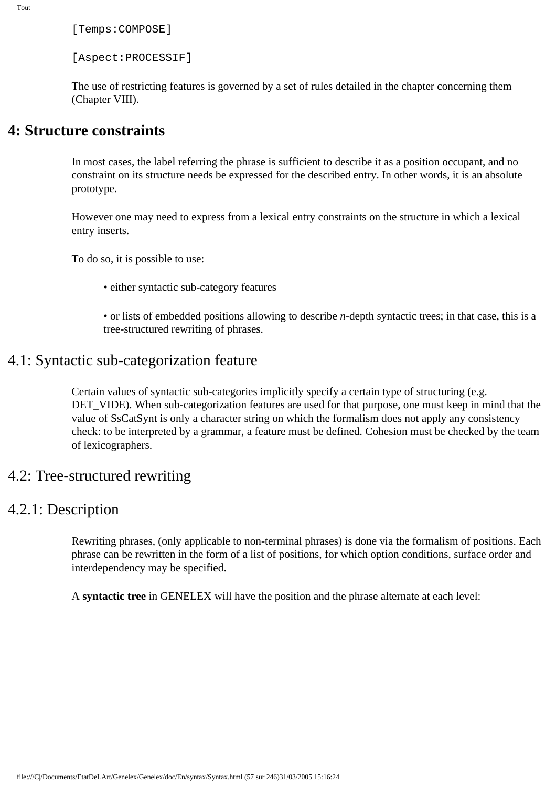[Temps:COMPOSE]

[Aspect:PROCESSIF]

The use of restricting features is governed by a set of rules detailed in the chapter concerning them (Chapter VIII).

### **4: Structure constraints**

In most cases, the label referring the phrase is sufficient to describe it as a position occupant, and no constraint on its structure needs be expressed for the described entry. In other words, it is an absolute prototype.

However one may need to express from a lexical entry constraints on the structure in which a lexical entry inserts.

To do so, it is possible to use:

• either syntactic sub-category features

• or lists of embedded positions allowing to describe *n*-depth syntactic trees; in that case, this is a tree-structured rewriting of phrases.

### 4.1: Syntactic sub-categorization feature

Certain values of syntactic sub-categories implicitly specify a certain type of structuring (e.g. DET\_VIDE). When sub-categorization features are used for that purpose, one must keep in mind that the value of SsCatSynt is only a character string on which the formalism does not apply any consistency check: to be interpreted by a grammar, a feature must be defined. Cohesion must be checked by the team of lexicographers.

### 4.2: Tree-structured rewriting

### 4.2.1: Description

Rewriting phrases, (only applicable to non-terminal phrases) is done via the formalism of positions. Each phrase can be rewritten in the form of a list of positions, for which option conditions, surface order and interdependency may be specified.

A **syntactic tree** in GENELEX will have the position and the phrase alternate at each level: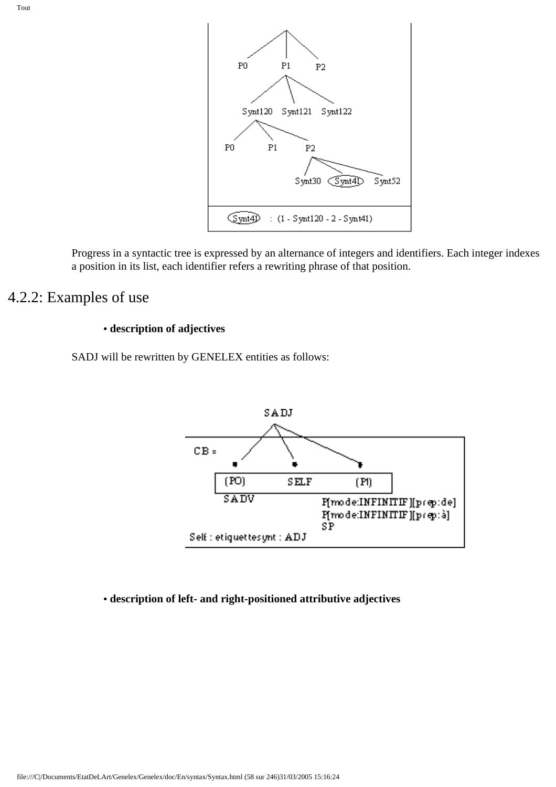

Progress in a syntactic tree is expressed by an alternance of integers and identifiers. Each integer indexes a position in its list, each identifier refers a rewriting phrase of that position.

# 4.2.2: Examples of use

#### **• description of adjectives**

SADJ will be rewritten by GENELEX entities as follows:



#### **• description of left- and right-positioned attributive adjectives**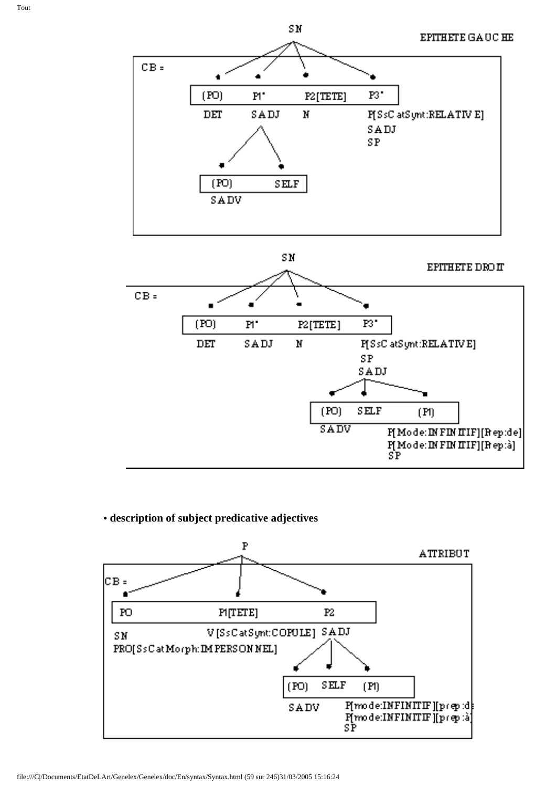

SN

### **• description of subject predicative adjectives**

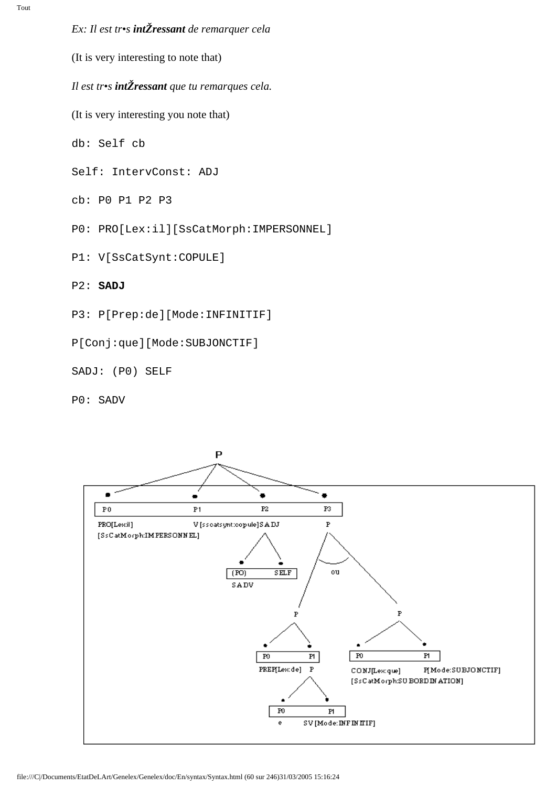### *Ex: Il est tr•s intŽressant de remarquer cela*

(It is very interesting to note that)

*Il est tr•s intŽressant que tu remarques cela.*

(It is very interesting you note that)

db: Self cb

Self: IntervConst: ADJ

cb: P0 P1 P2 P3

P0: PRO[Lex:il][SsCatMorph:IMPERSONNEL]

P1: V[SsCatSynt:COPULE]

P2: **SADJ**

P3: P[Prep:de][Mode:INFINITIF]

P[Conj:que][Mode:SUBJONCTIF]

SADJ: (P0) SELF

P0: SADV

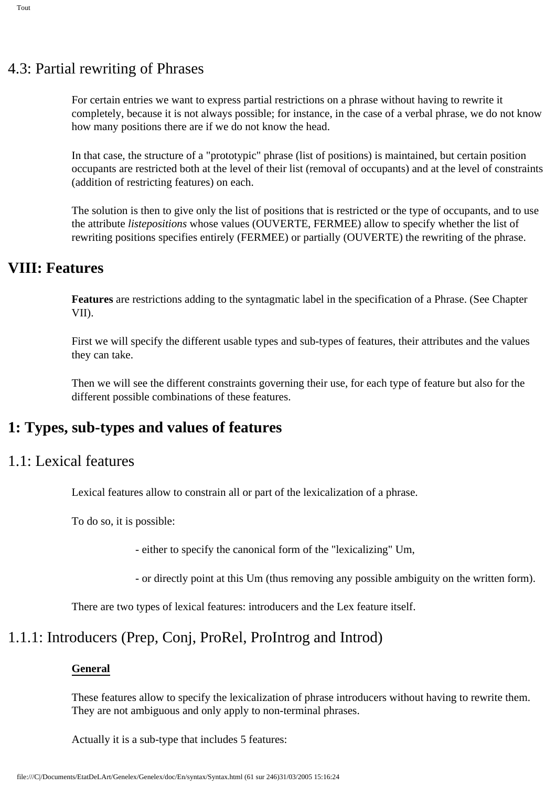# 4.3: Partial rewriting of Phrases

For certain entries we want to express partial restrictions on a phrase without having to rewrite it completely, because it is not always possible; for instance, in the case of a verbal phrase, we do not know how many positions there are if we do not know the head.

In that case, the structure of a "prototypic" phrase (list of positions) is maintained, but certain position occupants are restricted both at the level of their list (removal of occupants) and at the level of constraints (addition of restricting features) on each.

The solution is then to give only the list of positions that is restricted or the type of occupants, and to use the attribute *listepositions* whose values (OUVERTE, FERMEE) allow to specify whether the list of rewriting positions specifies entirely (FERMEE) or partially (OUVERTE) the rewriting of the phrase.

# **VIII: Features**

**Features** are restrictions adding to the syntagmatic label in the specification of a Phrase. (See Chapter VII).

First we will specify the different usable types and sub-types of features, their attributes and the values they can take.

Then we will see the different constraints governing their use, for each type of feature but also for the different possible combinations of these features.

# **1: Types, sub-types and values of features**

# 1.1: Lexical features

Lexical features allow to constrain all or part of the lexicalization of a phrase.

To do so, it is possible:

- either to specify the canonical form of the "lexicalizing" Um,

- or directly point at this Um (thus removing any possible ambiguity on the written form).

There are two types of lexical features: introducers and the Lex feature itself.

# 1.1.1: Introducers (Prep, Conj, ProRel, ProIntrog and Introd)

### **General**

These features allow to specify the lexicalization of phrase introducers without having to rewrite them. They are not ambiguous and only apply to non-terminal phrases.

Actually it is a sub-type that includes 5 features: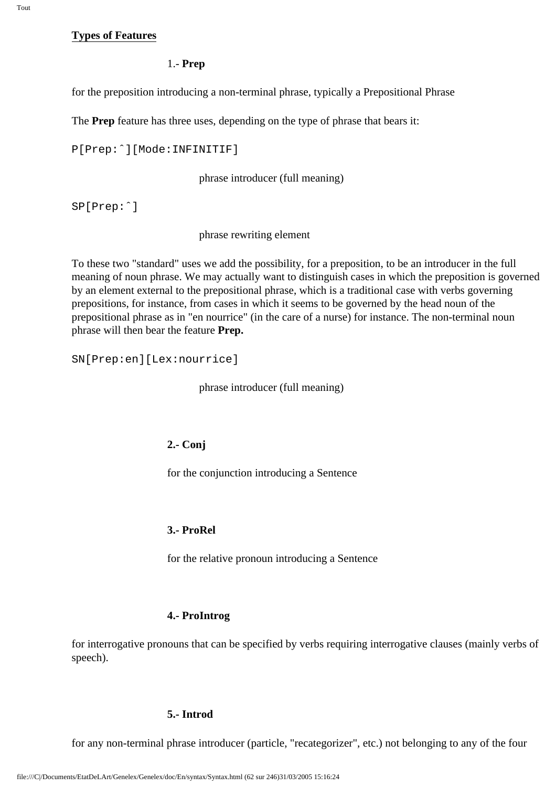#### **Types of Features**

#### 1.- **Prep**

for the preposition introducing a non-terminal phrase, typically a Prepositional Phrase

The **Prep** feature has three uses, depending on the type of phrase that bears it:

```
P[Prep:ˆ][Mode:INFINITIF]
```
phrase introducer (full meaning)

SP[Prep:ˆ]

phrase rewriting element

To these two "standard" uses we add the possibility, for a preposition, to be an introducer in the full meaning of noun phrase. We may actually want to distinguish cases in which the preposition is governed by an element external to the prepositional phrase, which is a traditional case with verbs governing prepositions, for instance, from cases in which it seems to be governed by the head noun of the prepositional phrase as in "en nourrice" (in the care of a nurse) for instance. The non-terminal noun phrase will then bear the feature **Prep.** 

SN[Prep:en][Lex:nourrice]

phrase introducer (full meaning)

#### **2.- Conj**

for the conjunction introducing a Sentence

#### **3.- ProRel**

for the relative pronoun introducing a Sentence

#### **4.- ProIntrog**

for interrogative pronouns that can be specified by verbs requiring interrogative clauses (mainly verbs of speech).

#### **5.- Introd**

for any non-terminal phrase introducer (particle, "recategorizer", etc.) not belonging to any of the four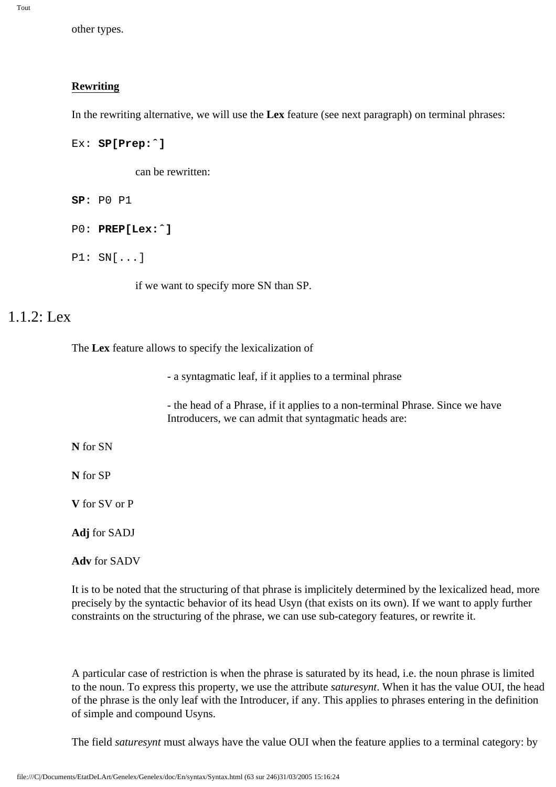other types.

#### **Rewriting**

In the rewriting alternative, we will use the **Lex** feature (see next paragraph) on terminal phrases:

```
Ex: SP[Prep:ˆ]
```
can be rewritten:

```
SP: P0 P1
```

```
P0: PREP[Lex:ˆ]
```
P1: SN[...]

if we want to specify more SN than SP.

### 1.1.2: Lex

The **Lex** feature allows to specify the lexicalization of

- a syntagmatic leaf, if it applies to a terminal phrase

- the head of a Phrase, if it applies to a non-terminal Phrase. Since we have Introducers, we can admit that syntagmatic heads are:

**N** for SN

**N** for SP

**V** for SV or P

**Adj** for SADJ

**Adv** for SADV

It is to be noted that the structuring of that phrase is implicitely determined by the lexicalized head, more precisely by the syntactic behavior of its head Usyn (that exists on its own). If we want to apply further constraints on the structuring of the phrase, we can use sub-category features, or rewrite it.

A particular case of restriction is when the phrase is saturated by its head, i.e. the noun phrase is limited to the noun. To express this property, we use the attribute *saturesynt*. When it has the value OUI, the head of the phrase is the only leaf with the Introducer, if any. This applies to phrases entering in the definition of simple and compound Usyns.

The field *saturesynt* must always have the value OUI when the feature applies to a terminal category: by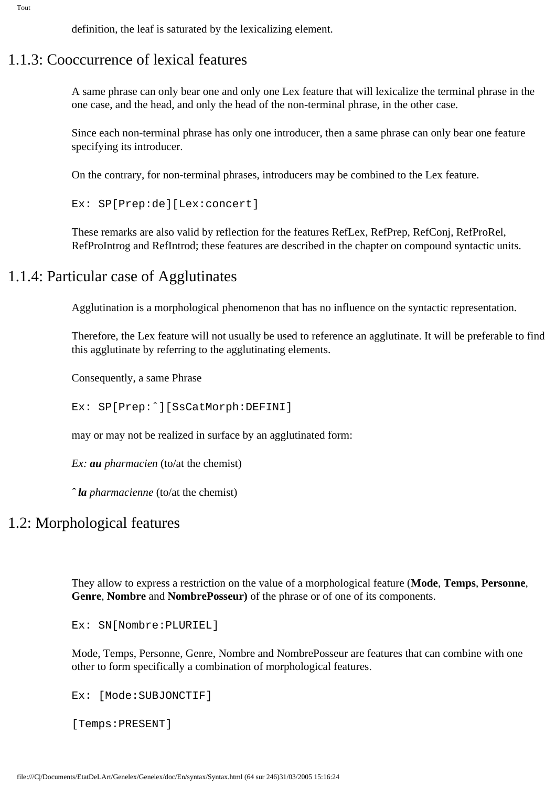definition, the leaf is saturated by the lexicalizing element.

### 1.1.3: Cooccurrence of lexical features

A same phrase can only bear one and only one Lex feature that will lexicalize the terminal phrase in the one case, and the head, and only the head of the non-terminal phrase, in the other case.

Since each non-terminal phrase has only one introducer, then a same phrase can only bear one feature specifying its introducer.

On the contrary, for non-terminal phrases, introducers may be combined to the Lex feature.

Ex: SP[Prep:de][Lex:concert]

These remarks are also valid by reflection for the features RefLex, RefPrep, RefConj, RefProRel, RefProIntrog and RefIntrod; these features are described in the chapter on compound syntactic units.

### 1.1.4: Particular case of Agglutinates

Agglutination is a morphological phenomenon that has no influence on the syntactic representation.

Therefore, the Lex feature will not usually be used to reference an agglutinate. It will be preferable to find this agglutinate by referring to the agglutinating elements.

Consequently, a same Phrase

Ex: SP[Prep:ˆ][SsCatMorph:DEFINI]

may or may not be realized in surface by an agglutinated form:

*Ex: au pharmacien* (to/at the chemist)

*ˆ la pharmacienne* (to/at the chemist)

### 1.2: Morphological features

They allow to express a restriction on the value of a morphological feature (**Mode**, **Temps**, **Personne**, **Genre**, **Nombre** and **NombrePosseur)** of the phrase or of one of its components.

Ex: SN[Nombre:PLURIEL]

Mode, Temps, Personne, Genre, Nombre and NombrePosseur are features that can combine with one other to form specifically a combination of morphological features.

Ex: [Mode:SUBJONCTIF]

[Temps:PRESENT]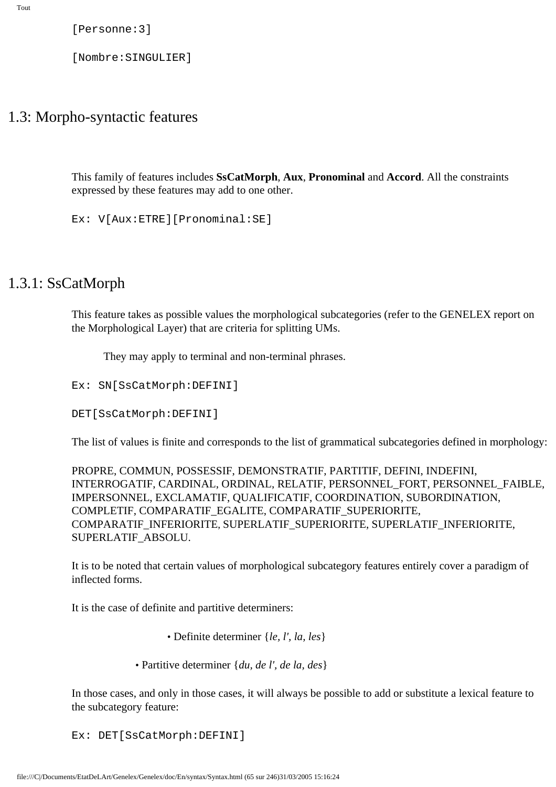[Personne:3]

[Nombre:SINGULIER]

### 1.3: Morpho-syntactic features

This family of features includes **SsCatMorph**, **Aux**, **Pronominal** and **Accord**. All the constraints expressed by these features may add to one other.

Ex: V[Aux:ETRE][Pronominal:SE]

## 1.3.1: SsCatMorph

This feature takes as possible values the morphological subcategories (refer to the GENELEX report on the Morphological Layer) that are criteria for splitting UMs.

They may apply to terminal and non-terminal phrases.

Ex: SN[SsCatMorph:DEFINI]

DET[SsCatMorph:DEFINI]

The list of values is finite and corresponds to the list of grammatical subcategories defined in morphology:

PROPRE, COMMUN, POSSESSIF, DEMONSTRATIF, PARTITIF, DEFINI, INDEFINI, INTERROGATIF, CARDINAL, ORDINAL, RELATIF, PERSONNEL\_FORT, PERSONNEL\_FAIBLE, IMPERSONNEL, EXCLAMATIF, QUALIFICATIF, COORDINATION, SUBORDINATION, COMPLETIF, COMPARATIF\_EGALITE, COMPARATIF\_SUPERIORITE, COMPARATIF\_INFERIORITE, SUPERLATIF\_SUPERIORITE, SUPERLATIF\_INFERIORITE, SUPERLATIF\_ABSOLU.

It is to be noted that certain values of morphological subcategory features entirely cover a paradigm of inflected forms.

It is the case of definite and partitive determiners:

- Definite determiner {*le, l', la, les*}
- Partitive determiner {*du, de l', de la, des*}

In those cases, and only in those cases, it will always be possible to add or substitute a lexical feature to the subcategory feature:

Ex: DET[SsCatMorph:DEFINI]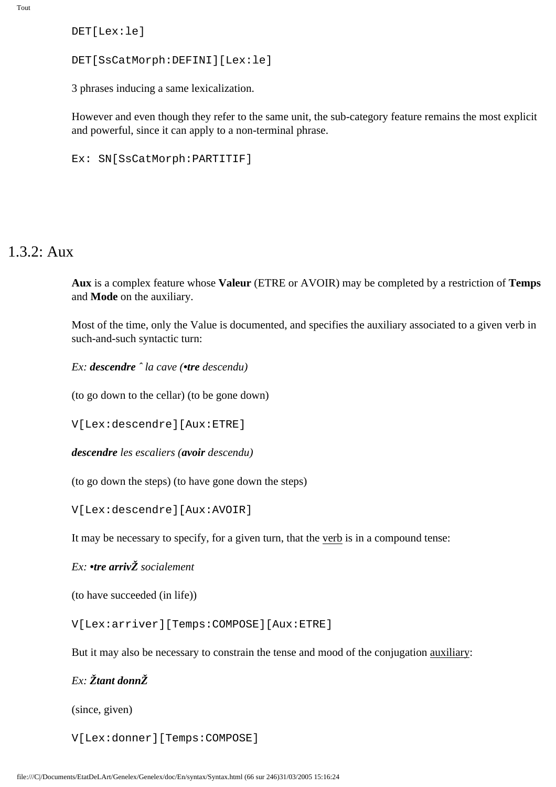DET[Lex:le]

```
DET[SsCatMorph:DEFINI][Lex:le]
```
3 phrases inducing a same lexicalization.

However and even though they refer to the same unit, the sub-category feature remains the most explicit and powerful, since it can apply to a non-terminal phrase.

```
Ex: SN[SsCatMorph:PARTITIF]
```
## 1.3.2: Aux

**Aux** is a complex feature whose **Valeur** (ETRE or AVOIR) may be completed by a restriction of **Temps** and **Mode** on the auxiliary.

Most of the time, only the Value is documented, and specifies the auxiliary associated to a given verb in such-and-such syntactic turn:

*Ex: descendre ˆ la cave (•tre descendu)*

(to go down to the cellar) (to be gone down)

V[Lex:descendre][Aux:ETRE]

*descendre les escaliers (avoir descendu)*

(to go down the steps) (to have gone down the steps)

V[Lex:descendre][Aux:AVOIR]

It may be necessary to specify, for a given turn, that the verb is in a compound tense:

### *Ex: •tre arrivŽ socialement*

(to have succeeded (in life))

V[Lex:arriver][Temps:COMPOSE][Aux:ETRE]

But it may also be necessary to constrain the tense and mood of the conjugation auxiliary:

### *Ex: Žtant donnŽ*

(since, given)

V[Lex:donner][Temps:COMPOSE]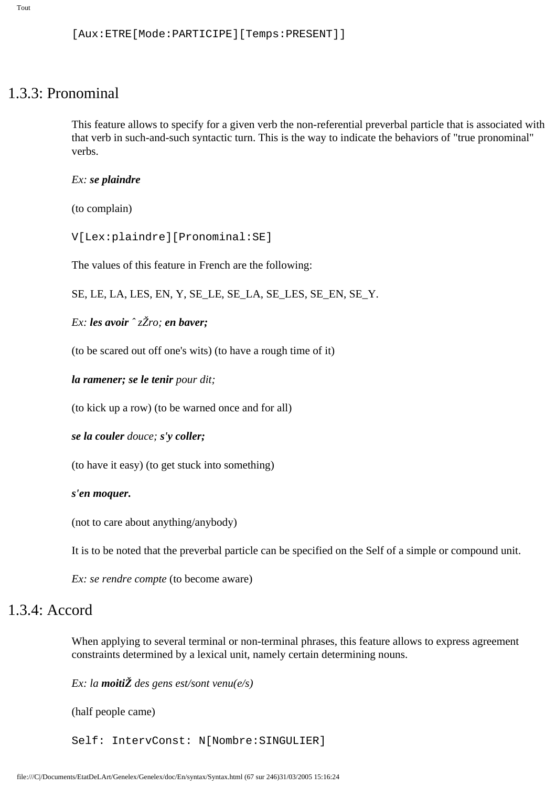```
[Aux:ETRE[Mode:PARTICIPE][Temps:PRESENT]]
```
### 1.3.3: Pronominal

This feature allows to specify for a given verb the non-referential preverbal particle that is associated with that verb in such-and-such syntactic turn. This is the way to indicate the behaviors of "true pronominal" verbs.

#### *Ex: se plaindre*

(to complain)

V[Lex:plaindre][Pronominal:SE]

The values of this feature in French are the following:

SE, LE, LA, LES, EN, Y, SE\_LE, SE\_LA, SE\_LES, SE\_EN, SE\_Y.

*Ex: les avoir ˆ zŽro; en baver;*

(to be scared out off one's wits) (to have a rough time of it)

*la ramener; se le tenir pour dit;*

(to kick up a row) (to be warned once and for all)

*se la couler douce; s'y coller;*

(to have it easy) (to get stuck into something)

#### *s'en moquer.*

(not to care about anything/anybody)

It is to be noted that the preverbal particle can be specified on the Self of a simple or compound unit.

*Ex: se rendre compte* (to become aware)

### 1.3.4: Accord

When applying to several terminal or non-terminal phrases, this feature allows to express agreement constraints determined by a lexical unit, namely certain determining nouns.

*Ex: la moitiŽ des gens est/sont venu(e/s)*

(half people came)

Self: IntervConst: N[Nombre:SINGULIER]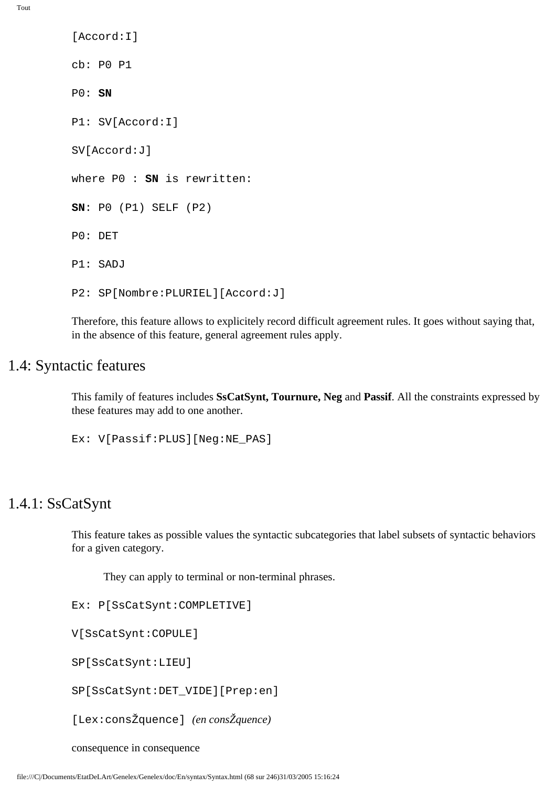```
[Accord:I]
cb: P0 P1
P0: SN
P1: SV[Accord:I]
SV[Accord:J]
where P0 : SN is rewritten:
SN: P0 (P1) SELF (P2)
P0: DET
P1: SADJ
P2: SP[Nombre:PLURIEL][Accord:J]
```
Therefore, this feature allows to explicitely record difficult agreement rules. It goes without saying that, in the absence of this feature, general agreement rules apply.

# 1.4: Syntactic features

This family of features includes **SsCatSynt, Tournure, Neg** and **Passif**. All the constraints expressed by these features may add to one another.

Ex: V[Passif:PLUS][Neg:NE\_PAS]

### 1.4.1: SsCatSynt

This feature takes as possible values the syntactic subcategories that label subsets of syntactic behaviors for a given category.

They can apply to terminal or non-terminal phrases.

Ex: P[SsCatSynt:COMPLETIVE]

V[SsCatSynt:COPULE]

SP[SsCatSynt:LIEU]

SP[SsCatSynt:DET\_VIDE][Prep:en]

[Lex:consŽquence] *(en consŽquence)*

consequence in consequence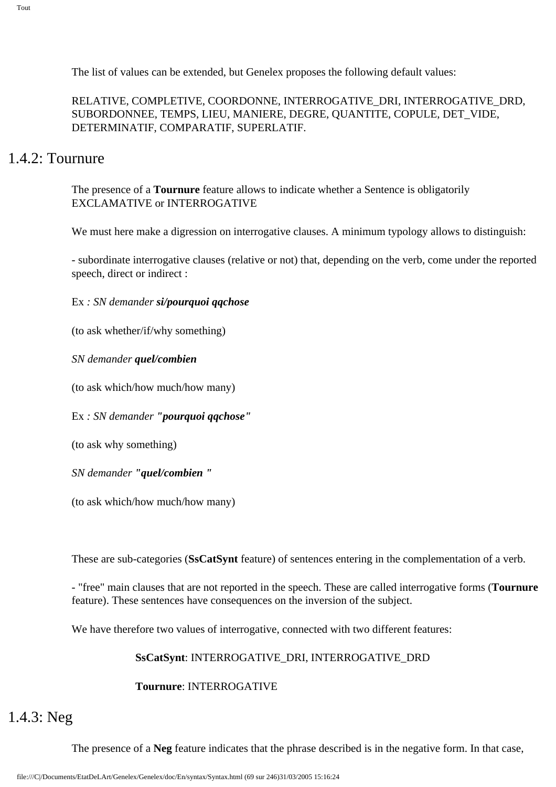The list of values can be extended, but Genelex proposes the following default values:

RELATIVE, COMPLETIVE, COORDONNE, INTERROGATIVE\_DRI, INTERROGATIVE\_DRD, SUBORDONNEE, TEMPS, LIEU, MANIERE, DEGRE, QUANTITE, COPULE, DET\_VIDE, DETERMINATIF, COMPARATIF, SUPERLATIF.

## 1.4.2: Tournure

The presence of a **Tournure** feature allows to indicate whether a Sentence is obligatorily EXCLAMATIVE or INTERROGATIVE

We must here make a digression on interrogative clauses. A minimum typology allows to distinguish:

- subordinate interrogative clauses (relative or not) that, depending on the verb, come under the reported speech, direct or indirect :

Ex *: SN demander si/pourquoi qqchose*

(to ask whether/if/why something)

*SN demander quel/combien* 

(to ask which/how much/how many)

Ex *: SN demander "pourquoi qqchose"*

(to ask why something)

*SN demander "quel/combien "*

(to ask which/how much/how many)

These are sub-categories (**SsCatSynt** feature) of sentences entering in the complementation of a verb.

- "free" main clauses that are not reported in the speech. These are called interrogative forms (**Tournure**  feature). These sentences have consequences on the inversion of the subject.

We have therefore two values of interrogative, connected with two different features:

### **SsCatSynt**: INTERROGATIVE\_DRI, INTERROGATIVE\_DRD

### **Tournure**: INTERROGATIVE

# 1.4.3: Neg

The presence of a **Neg** feature indicates that the phrase described is in the negative form. In that case,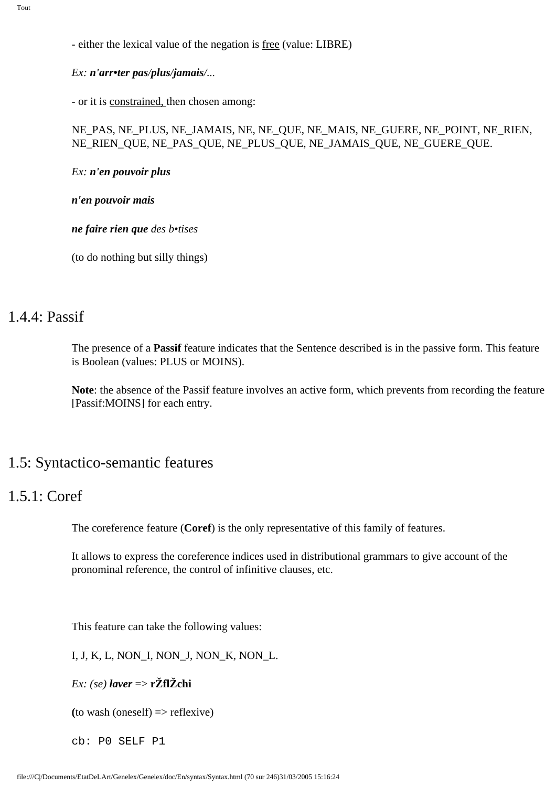- either the lexical value of the negation is free (value: LIBRE)

*Ex: n'arr•ter pas/plus/jamais/...*

- or it is constrained, then chosen among:

#### NE\_PAS, NE\_PLUS, NE\_JAMAIS, NE, NE\_QUE, NE\_MAIS, NE\_GUERE, NE\_POINT, NE\_RIEN, NE\_RIEN\_QUE, NE\_PAS\_QUE, NE\_PLUS\_QUE, NE\_JAMAIS\_QUE, NE\_GUERE\_QUE.

*Ex: n'en pouvoir plus*

*n'en pouvoir mais*

*ne faire rien que des b•tises* 

(to do nothing but silly things)

## 1.4.4: Passif

The presence of a **Passif** feature indicates that the Sentence described is in the passive form. This feature is Boolean (values: PLUS or MOINS).

**Note**: the absence of the Passif feature involves an active form, which prevents from recording the feature [Passif:MOINS] for each entry.

### 1.5: Syntactico-semantic features

## 1.5.1: Coref

The coreference feature (**Coref**) is the only representative of this family of features.

It allows to express the coreference indices used in distributional grammars to give account of the pronominal reference, the control of infinitive clauses, etc.

This feature can take the following values:

I, J, K, L, NON\_I, NON\_J, NON\_K, NON\_L.

*Ex: (se) laver* => **rŽflŽchi**

 $(to wash (oneself) \Rightarrow reflexive)$ 

cb: P0 SELF P1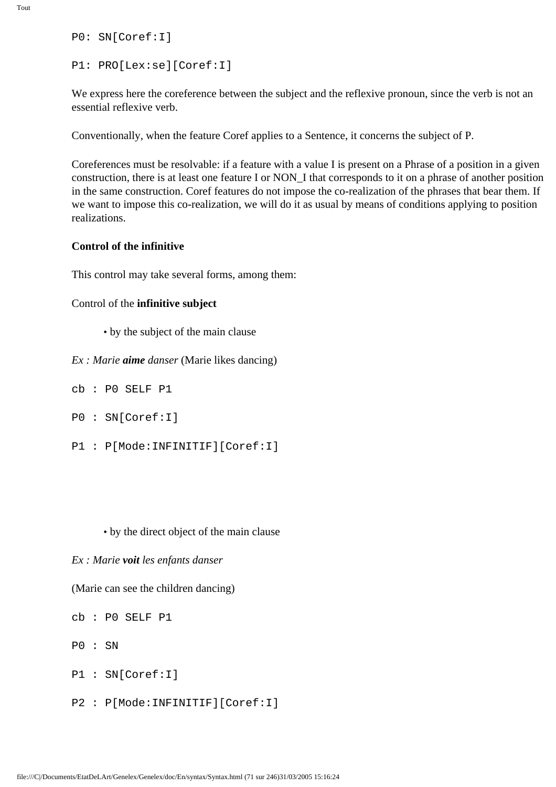P0: SN[Coref:I]

```
P1: PRO[Lex:se][Coref:I]
```
We express here the coreference between the subject and the reflexive pronoun, since the verb is not an essential reflexive verb.

Conventionally, when the feature Coref applies to a Sentence, it concerns the subject of P.

Coreferences must be resolvable: if a feature with a value I is present on a Phrase of a position in a given construction, there is at least one feature I or NON\_I that corresponds to it on a phrase of another position in the same construction. Coref features do not impose the co-realization of the phrases that bear them. If we want to impose this co-realization, we will do it as usual by means of conditions applying to position realizations.

#### **Control of the infinitive**

This control may take several forms, among them:

#### Control of the **infinitive subject**

- by the subject of the main clause
- *Ex : Marie aime danser* (Marie likes dancing)
- cb : P0 SELF P1
- P0 : SN[Coref:I]
- P1 : P[Mode:INFINITIF][Coref:I]

#### • by the direct object of the main clause

*Ex : Marie voit les enfants danser*

(Marie can see the children dancing)

cb : P0 SELF P1

P0 : SN

- P1 : SN[Coref:I]
- P2 : P[Mode:INFINITIF][Coref:I]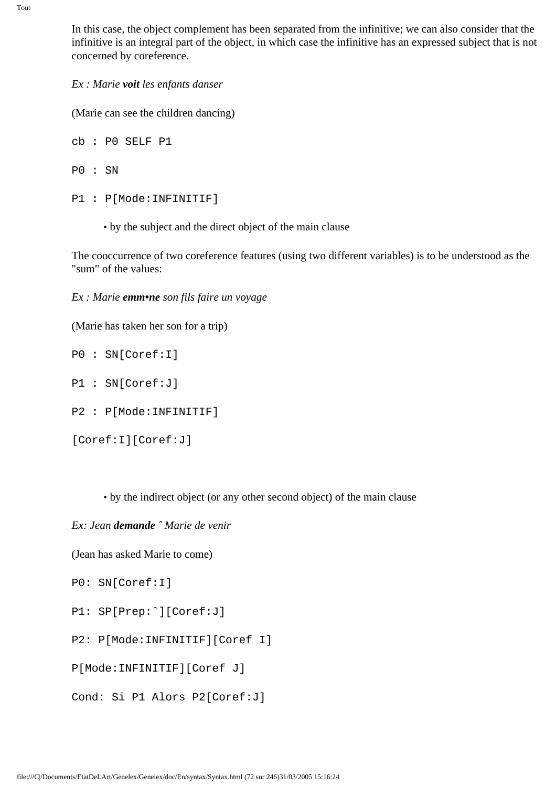In this case, the object complement has been separated from the infinitive; we can also consider that the infinitive is an integral part of the object, in which case the infinitive has an expressed subject that is not concerned by coreference.

*Ex : Marie voit les enfants danser*

(Marie can see the children dancing)

cb : P0 SELF P1

P0 : SN

```
P1 : P[Mode:INFINITIF]
```
• by the subject and the direct object of the main clause

The cooccurrence of two coreference features (using two different variables) is to be understood as the "sum" of the values:

*Ex : Marie emm•ne son fils faire un voyage*

(Marie has taken her son for a trip)

P0 : SN[Coref:I]

P1 : SN[Coref:J]

P2 : P[Mode:INFINITIF]

[Coref:I][Coref:J]

• by the indirect object (or any other second object) of the main clause

*Ex: Jean demande ˆ Marie de venir*

(Jean has asked Marie to come)

```
P0: SN[Coref:I]
```
P1: SP[Prep:ˆ][Coref:J]

P2: P[Mode:INFINITIF][Coref I]

P[Mode:INFINITIF][Coref J]

Cond: Si P1 Alors P2[Coref:J]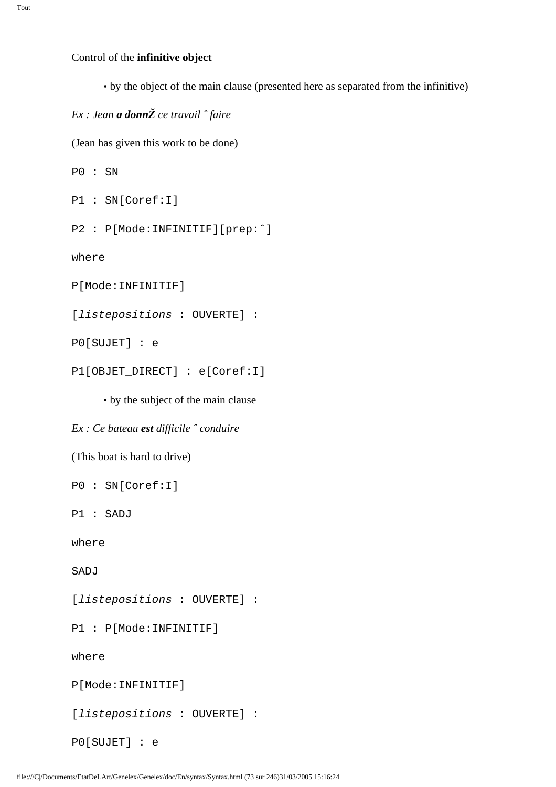#### Control of the **infinitive object**

• by the object of the main clause (presented here as separated from the infinitive)

### *Ex : Jean a donnŽ ce travail ˆ faire*

(Jean has given this work to be done)

```
P0 : SN
```

```
P1 : SN[Coref:I]
```

```
P2 : P[Mode:INFINITIF][prep:ˆ]
```
where

```
P[Mode:INFINITIF]
```
[listepositions : OUVERTE] :

P0[SUJET] : e

```
P1[OBJET_DIRECT] : e[Coref:I]
```
#### • by the subject of the main clause

#### *Ex : Ce bateau est difficile ˆ conduire*

```
(This boat is hard to drive)
```
P0 : SN[Coref:I]

P1 : SADJ

where

SADJ

[listepositions : OUVERTE] :

P1 : P[Mode:INFINITIF]

where

P[Mode:INFINITIF]

[listepositions : OUVERTE] :

P0[SUJET] : e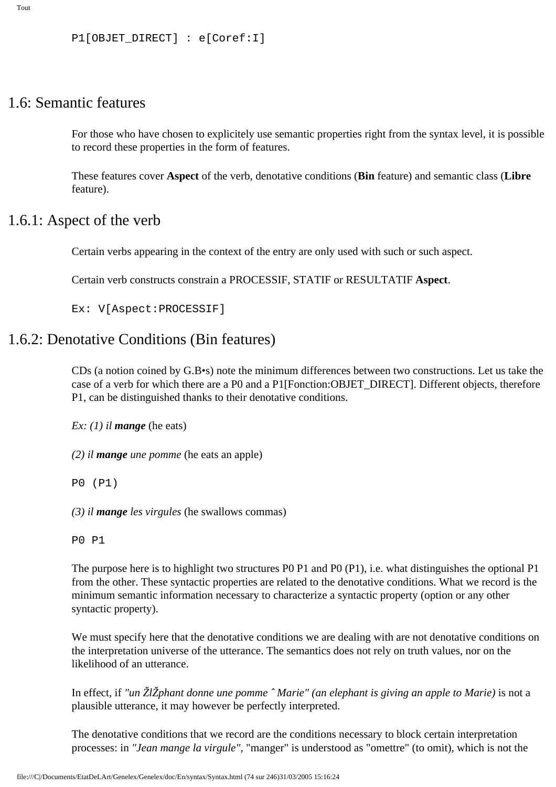```
P1[OBJET_DIRECT] : e[Coref:I]
```
### 1.6: Semantic features

For those who have chosen to explicitely use semantic properties right from the syntax level, it is possible to record these properties in the form of features.

These features cover **Aspect** of the verb, denotative conditions (**Bin** feature) and semantic class (**Libre**  feature).

### 1.6.1: Aspect of the verb

Certain verbs appearing in the context of the entry are only used with such or such aspect.

Certain verb constructs constrain a PROCESSIF, STATIF or RESULTATIF **Aspect**.

Ex: V[Aspect:PROCESSIF]

## 1.6.2: Denotative Conditions (Bin features)

CDs (a notion coined by G.B•s) note the minimum differences between two constructions. Let us take the case of a verb for which there are a P0 and a P1[Fonction:OBJET\_DIRECT]. Different objects, therefore P1, can be distinguished thanks to their denotative conditions.

*Ex: (1) il mange* (he eats)

*(2) il mange une pomme* (he eats an apple)

P0 (P1)

*(3) il mange les virgules* (he swallows commas)

P0 P1

The purpose here is to highlight two structures P0 P1 and P0 (P1), i.e. what distinguishes the optional P1 from the other. These syntactic properties are related to the denotative conditions. What we record is the minimum semantic information necessary to characterize a syntactic property (option or any other syntactic property).

We must specify here that the denotative conditions we are dealing with are not denotative conditions on the interpretation universe of the utterance. The semantics does not rely on truth values, nor on the likelihood of an utterance.

In effect, if *"un ŽlŽphant donne une pomme ˆ Marie" (an elephant is giving an apple to Marie)* is not a plausible utterance, it may however be perfectly interpreted.

The denotative conditions that we record are the conditions necessary to block certain interpretation processes: in *"Jean mange la virgule"*, "manger" is understood as "omettre" (to omit), which is not the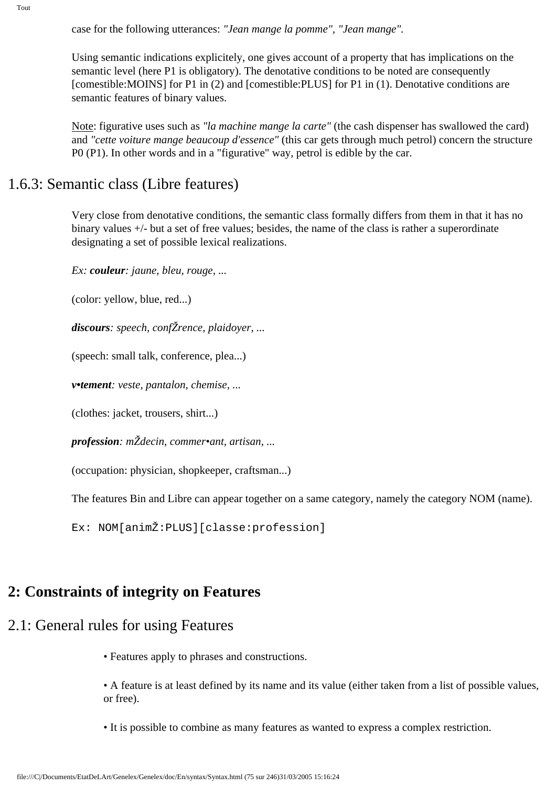case for the following utterances: *"Jean mange la pomme", "Jean mange".*

Using semantic indications explicitely, one gives account of a property that has implications on the semantic level (here P1 is obligatory). The denotative conditions to be noted are consequently [comestible:MOINS] for P1 in (2) and [comestible:PLUS] for P1 in (1). Denotative conditions are semantic features of binary values.

Note: figurative uses such as *"la machine mange la carte"* (the cash dispenser has swallowed the card) and *"cette voiture mange beaucoup d'essence"* (this car gets through much petrol) concern the structure P0 (P1). In other words and in a "figurative" way, petrol is edible by the car.

### 1.6.3: Semantic class (Libre features)

Very close from denotative conditions, the semantic class formally differs from them in that it has no binary values +/- but a set of free values; besides, the name of the class is rather a superordinate designating a set of possible lexical realizations.

*Ex: couleur: jaune, bleu, rouge, ...*

(color: yellow, blue, red...)

*discours: speech, confŽrence, plaidoyer, ...*

(speech: small talk, conference, plea...)

*v•tement: veste, pantalon, chemise, ...*

(clothes: jacket, trousers, shirt...)

*profession: mŽdecin, commer•ant, artisan, ...*

(occupation: physician, shopkeeper, craftsman...)

The features Bin and Libre can appear together on a same category, namely the category NOM (name).

Ex: NOM[animŽ:PLUS][classe:profession]

## **2: Constraints of integrity on Features**

## 2.1: General rules for using Features

• Features apply to phrases and constructions.

• A feature is at least defined by its name and its value (either taken from a list of possible values, or free).

• It is possible to combine as many features as wanted to express a complex restriction.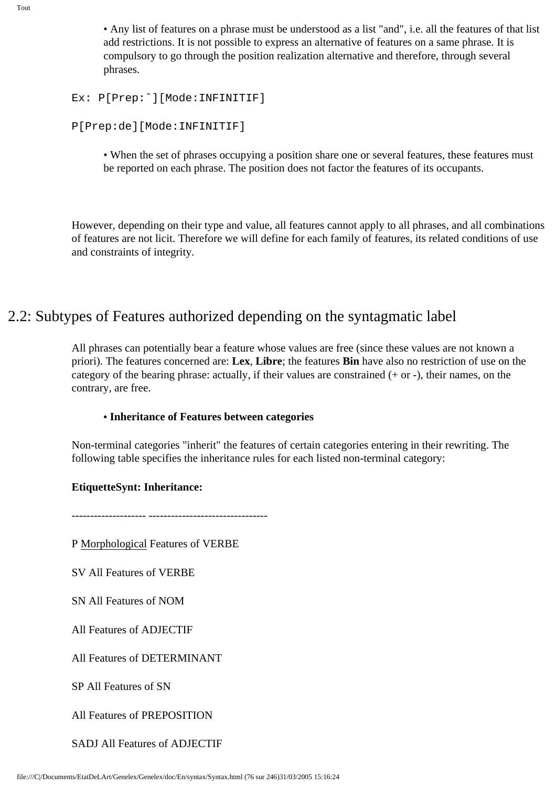• Any list of features on a phrase must be understood as a list "and", i.e. all the features of that list add restrictions. It is not possible to express an alternative of features on a same phrase. It is compulsory to go through the position realization alternative and therefore, through several phrases.

```
Ex: P[Prep:ˆ][Mode:INFINITIF]
```

```
P[Prep:de][Mode:INFINITIF]
```
• When the set of phrases occupying a position share one or several features, these features must be reported on each phrase. The position does not factor the features of its occupants.

However, depending on their type and value, all features cannot apply to all phrases, and all combinations of features are not licit. Therefore we will define for each family of features, its related conditions of use and constraints of integrity.

## 2.2: Subtypes of Features authorized depending on the syntagmatic label

All phrases can potentially bear a feature whose values are free (since these values are not known a priori). The features concerned are: **Lex**, **Libre**; the features **Bin** have also no restriction of use on the category of the bearing phrase: actually, if their values are constrained (+ or -), their names, on the contrary, are free.

#### **• Inheritance of Features between categories**

Non-terminal categories "inherit" the features of certain categories entering in their rewriting. The following table specifies the inheritance rules for each listed non-terminal category:

### **EtiquetteSynt: Inheritance:**

-------------------- --------------------------------

P Morphological Features of VERBE

SV All Features of VERBE

SN All Features of NOM

All Features of ADJECTIF

All Features of DETERMINANT

SP All Features of SN

All Features of PREPOSITION

SADJ All Features of ADJECTIF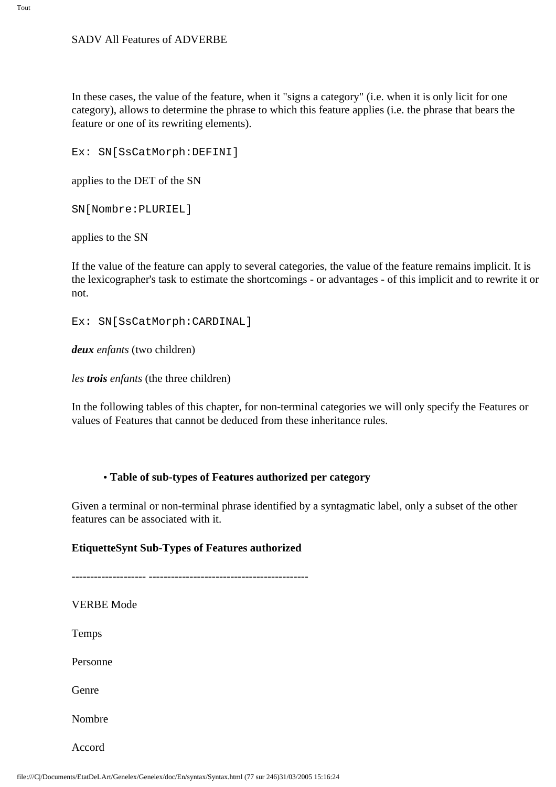In these cases, the value of the feature, when it "signs a category" (i.e. when it is only licit for one category), allows to determine the phrase to which this feature applies (i.e. the phrase that bears the feature or one of its rewriting elements).

Ex: SN[SsCatMorph:DEFINI]

applies to the DET of the SN

SN[Nombre:PLURIEL]

applies to the SN

If the value of the feature can apply to several categories, the value of the feature remains implicit. It is the lexicographer's task to estimate the shortcomings - or advantages - of this implicit and to rewrite it or not.

Ex: SN[SsCatMorph:CARDINAL]

*deux enfants* (two children)

*les trois enfants* (the three children)

In the following tables of this chapter, for non-terminal categories we will only specify the Features or values of Features that cannot be deduced from these inheritance rules.

#### **• Table of sub-types of Features authorized per category**

Given a terminal or non-terminal phrase identified by a syntagmatic label, only a subset of the other features can be associated with it.

#### **EtiquetteSynt Sub-Types of Features authorized**

-------------------- ------------------------------------------- VERBE Mode Temps Personne Genre Nombre Accord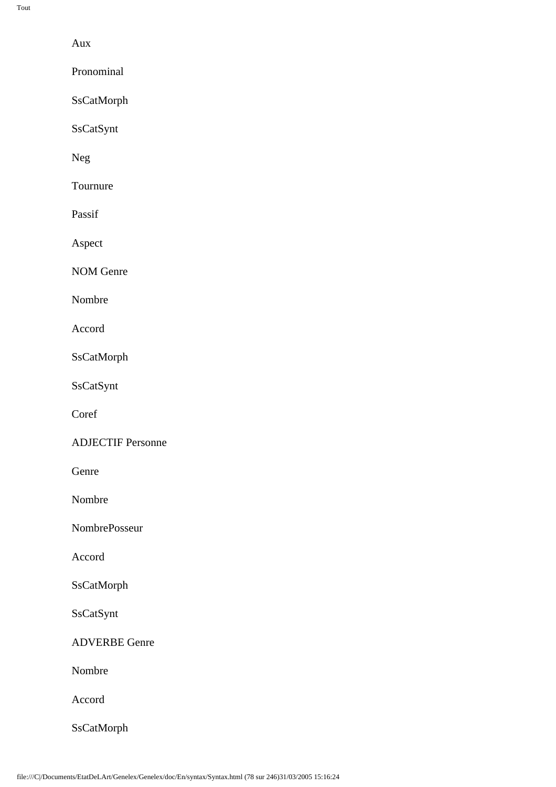Aux

Pronominal

SsCatMorph

SsCatSynt

Neg

Tournure

Passif

Aspect

NOM Genre

Nombre

Accord

SsCatMorph

SsCatSynt

Coref

ADJECTIF Personne

Genre

Nombre

NombrePosseur

Accord

SsCatMorph

SsCatSynt

ADVERBE Genre

Nombre

Accord

SsCatMorph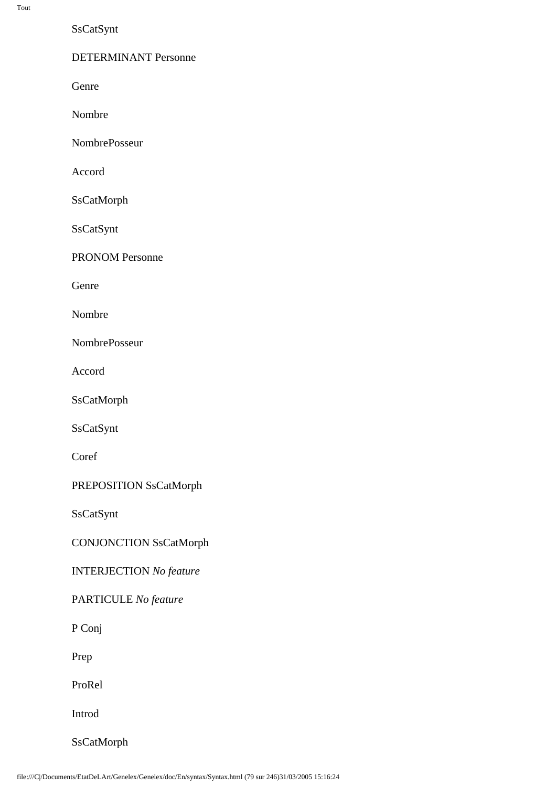SsCatSynt

DETERMINANT Personne

Genre

Nombre

NombrePosseur

Accord

SsCatMorph

SsCatSynt

PRONOM Personne

Genre

Nombre

NombrePosseur

Accord

SsCatMorph

SsCatSynt

Coref

PREPOSITION SsCatMorph

SsCatSynt

CONJONCTION SsCatMorph

INTERJECTION *No feature*

PARTICULE *No feature* 

P Conj

Prep

ProRel

Introd

SsCatMorph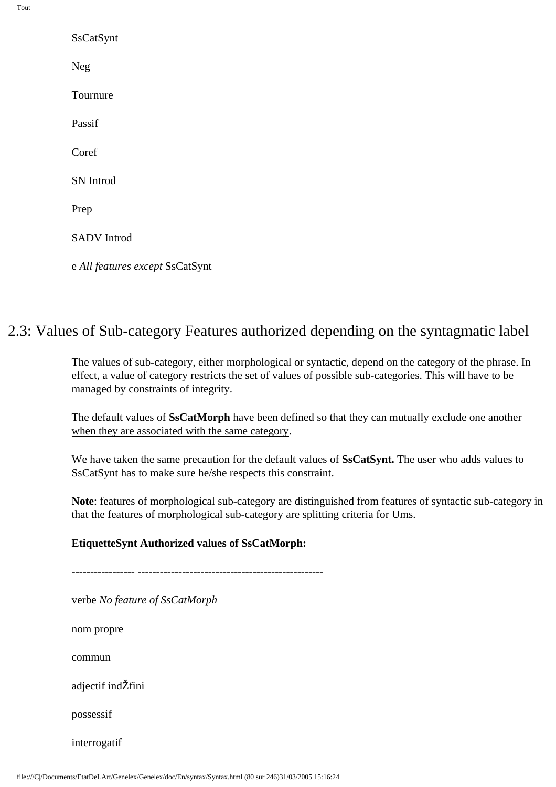| SsCatSynt                       |
|---------------------------------|
| Neg                             |
| Tournure                        |
| Passif                          |
| Coref                           |
| <b>SN</b> Introd                |
| Prep                            |
| <b>SADV</b> Introd              |
| e All features except SsCatSynt |

## 2.3: Values of Sub-category Features authorized depending on the syntagmatic label

The values of sub-category, either morphological or syntactic, depend on the category of the phrase. In effect, a value of category restricts the set of values of possible sub-categories. This will have to be managed by constraints of integrity.

The default values of **SsCatMorph** have been defined so that they can mutually exclude one another when they are associated with the same category.

We have taken the same precaution for the default values of **SsCatSynt.** The user who adds values to SsCatSynt has to make sure he/she respects this constraint.

**Note**: features of morphological sub-category are distinguished from features of syntactic sub-category in that the features of morphological sub-category are splitting criteria for Ums.

#### **EtiquetteSynt Authorized values of SsCatMorph:**

----------------- --------------------------------------------------

verbe *No feature of SsCatMorph*

nom propre

commun

adjectif indŽfini

possessif

interrogatif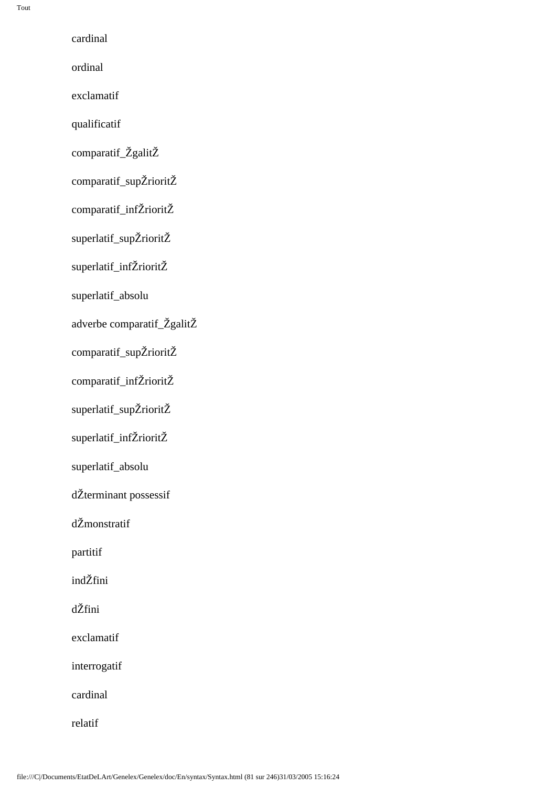cardinal

ordinal

exclamatif

qualificatif

comparatif\_ŽgalitŽ

comparatif\_supŽrioritŽ

comparatif\_infŽrioritŽ

superlatif\_supŽrioritŽ

superlatif\_infŽrioritŽ

superlatif\_absolu

adverbe comparatif\_ŽgalitŽ

comparatif\_supŽrioritŽ

comparatif\_infŽrioritŽ

superlatif\_supŽrioritŽ

superlatif\_infŽrioritŽ

superlatif\_absolu

dŽterminant possessif

dŽmonstratif

partitif

indŽfini

dŽfini

exclamatif

interrogatif

cardinal

relatif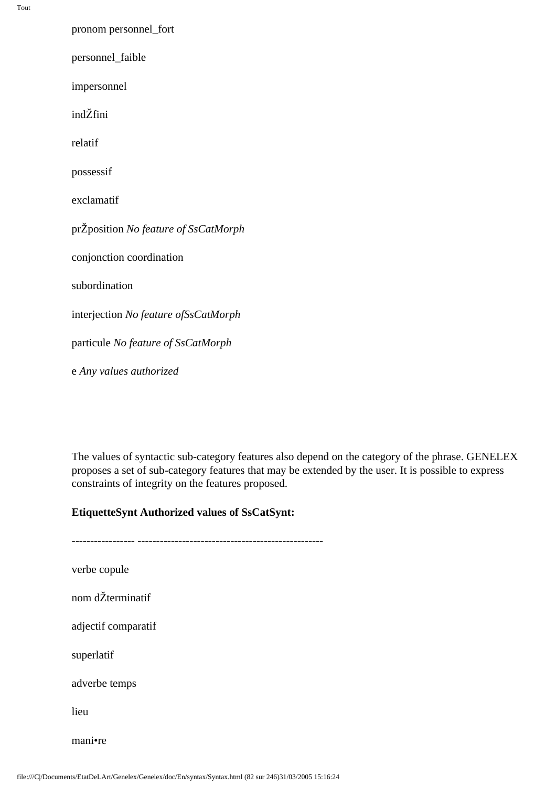| pronom personnel_fort                |
|--------------------------------------|
| personnel_faible                     |
| impersonnel                          |
| indŽfini                             |
| relatif                              |
| possessif                            |
| exclamatif                           |
| prŽposition No feature of SsCatMorph |
| conjonction coordination             |
| subordination                        |
| interjection No feature ofSsCatMorph |
| particule No feature of SsCatMorph   |
| e Any values authorized              |

The values of syntactic sub-category features also depend on the category of the phrase. GENELEX proposes a set of sub-category features that may be extended by the user. It is possible to express constraints of integrity on the features proposed.

#### **EtiquetteSynt Authorized values of SsCatSynt:**

----------------- ------------------------------------------------- verbe copule nom dŽterminatif adjectif comparatif superlatif adverbe temps lieu mani•re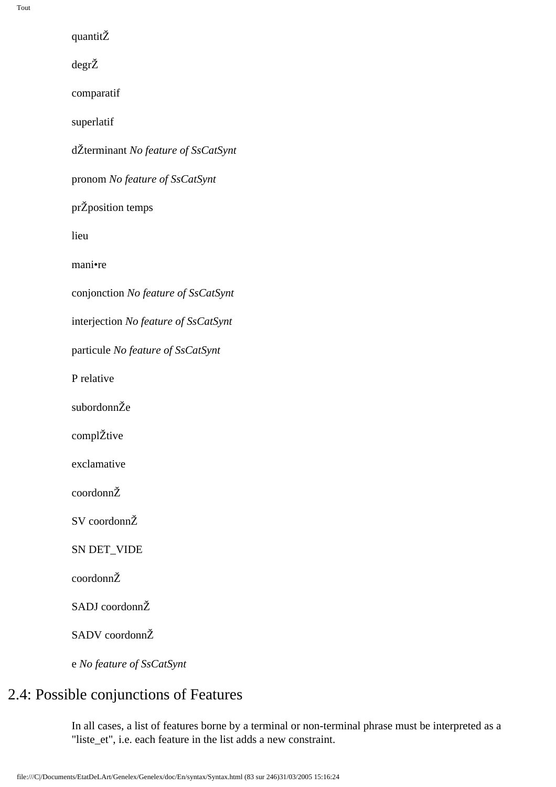quantitŽ

degrŽ

comparatif

superlatif

dŽterminant *No feature of SsCatSynt*

pronom *No feature of SsCatSynt*

prŽposition temps

lieu

mani•re

conjonction *No feature of SsCatSynt*

interjection *No feature of SsCatSynt*

particule *No feature of SsCatSynt*

P relative

subordonnŽe

complŽtive

exclamative

coordonnŽ

SV coordonnŽ

SN DET\_VIDE

coordonnŽ

SADJ coordonnŽ

SADV coordonnŽ

e *No feature of SsCatSynt*

## 2.4: Possible conjunctions of Features

In all cases, a list of features borne by a terminal or non-terminal phrase must be interpreted as a "liste\_et", i.e. each feature in the list adds a new constraint.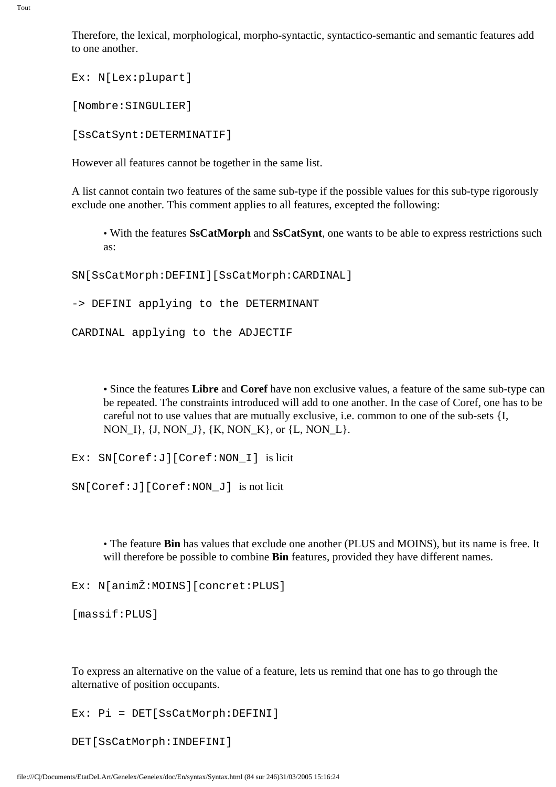Therefore, the lexical, morphological, morpho-syntactic, syntactico-semantic and semantic features add to one another.

Ex: N[Lex:plupart]

[Nombre:SINGULIER]

[SsCatSynt:DETERMINATIF]

However all features cannot be together in the same list.

A list cannot contain two features of the same sub-type if the possible values for this sub-type rigorously exclude one another. This comment applies to all features, excepted the following:

• With the features **SsCatMorph** and **SsCatSynt**, one wants to be able to express restrictions such as:

SN[SsCatMorph:DEFINI][SsCatMorph:CARDINAL]

-> DEFINI applying to the DETERMINANT

CARDINAL applying to the ADJECTIF

**•** Since the features **Libre** and **Coref** have non exclusive values, a feature of the same sub-type can be repeated. The constraints introduced will add to one another. In the case of Coref, one has to be careful not to use values that are mutually exclusive, i.e. common to one of the sub-sets {I, NON\_I}, {J, NON\_J}, {K, NON\_K}, or {L, NON\_L}.

Ex: SN[Coref:J][Coref:NON\_I] is licit

SN[Coref:J][Coref:NON\_J] is not licit

• The feature **Bin** has values that exclude one another (PLUS and MOINS), but its name is free. It will therefore be possible to combine **Bin** features, provided they have different names.

Ex: N[animŽ:MOINS][concret:PLUS]

[massif:PLUS]

To express an alternative on the value of a feature, lets us remind that one has to go through the alternative of position occupants.

Ex: Pi = DET[SsCatMorph:DEFINI]

DET[SsCatMorph:INDEFINI]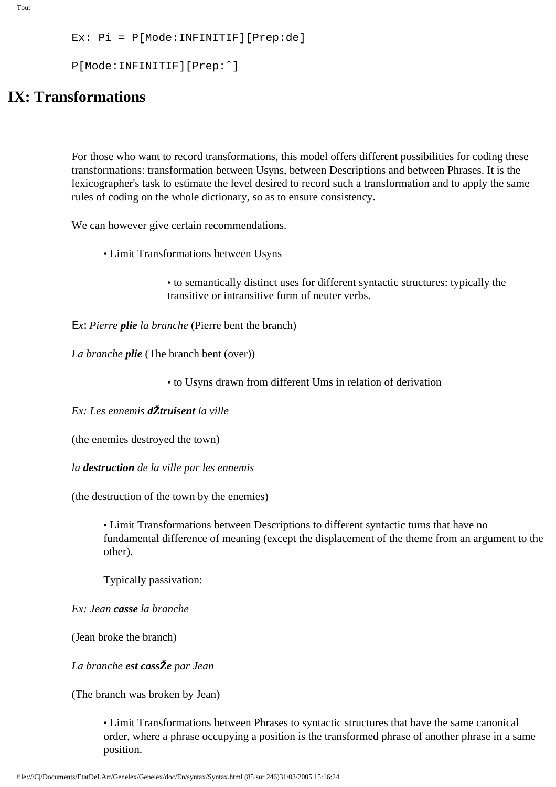```
Tout
```

```
Ex: Pi = P[Mode:INFINITIF][Prep:de]
```

```
P[Mode:INFINITIF][Prep:ˆ]
```
## **IX: Transformations**

For those who want to record transformations, this model offers different possibilities for coding these transformations: transformation between Usyns, between Descriptions and between Phrases. It is the lexicographer's task to estimate the level desired to record such a transformation and to apply the same rules of coding on the whole dictionary, so as to ensure consistency.

We can however give certain recommendations.

• Limit Transformations between Usyns

• to semantically distinct uses for different syntactic structures: typically the transitive or intransitive form of neuter verbs.

Ε*x*: *Pierre plie la branche* (Pierre bent the branch)

*La branche plie* (The branch bent (over))

• to Usyns drawn from different Ums in relation of derivation

*Ex: Les ennemis dŽtruisent la ville*

(the enemies destroyed the town)

*la destruction de la ville par les ennemis*

(the destruction of the town by the enemies)

• Limit Transformations between Descriptions to different syntactic turns that have no fundamental difference of meaning (except the displacement of the theme from an argument to the other).

Typically passivation:

*Ex: Jean casse la branche*

(Jean broke the branch)

*La branche est cassŽe par Jean*

(The branch was broken by Jean)

• Limit Transformations between Phrases to syntactic structures that have the same canonical order, where a phrase occupying a position is the transformed phrase of another phrase in a same position.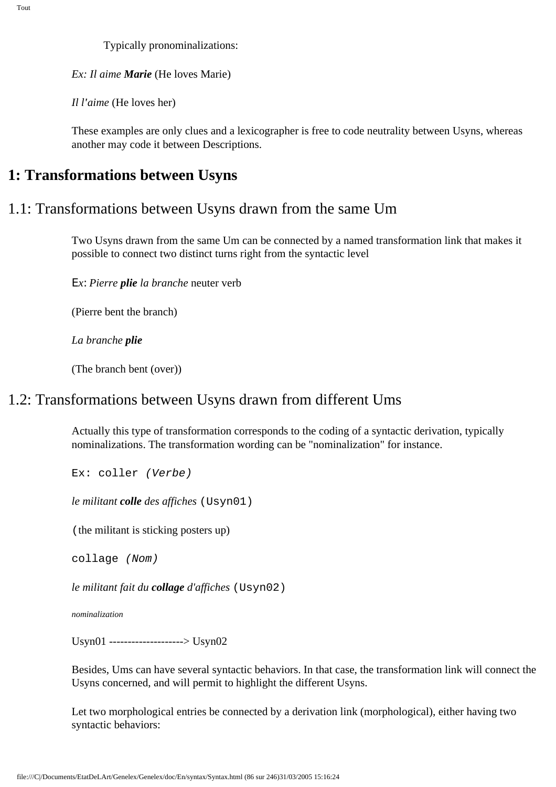Typically pronominalizations:

*Ex: Il aime Marie* (He loves Marie)

*Il l'aime* (He loves her)

These examples are only clues and a lexicographer is free to code neutrality between Usyns, whereas another may code it between Descriptions.

### **1: Transformations between Usyns**

### 1.1: Transformations between Usyns drawn from the same Um

Two Usyns drawn from the same Um can be connected by a named transformation link that makes it possible to connect two distinct turns right from the syntactic level

Ε*x*: *Pierre plie la branche* neuter verb

(Pierre bent the branch)

*La branche plie*

(The branch bent (over))

## 1.2: Transformations between Usyns drawn from different Ums

Actually this type of transformation corresponds to the coding of a syntactic derivation, typically nominalizations. The transformation wording can be "nominalization" for instance.

Ex: coller (Verbe)

*le militant colle des affiches* (Usyn01)

(the militant is sticking posters up)

collage (Nom)

*le militant fait du collage d'affiches* (Usyn02)

*nominalization*

Usyn01 --------------------> Usyn02

Besides, Ums can have several syntactic behaviors. In that case, the transformation link will connect the Usyns concerned, and will permit to highlight the different Usyns.

Let two morphological entries be connected by a derivation link (morphological), either having two syntactic behaviors: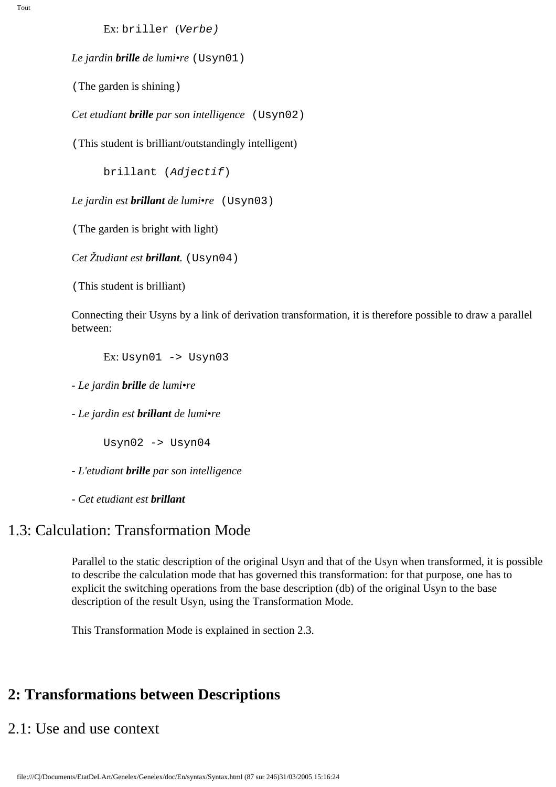Ex: briller (Verbe)

*Le jardin brille de lumi•re* (Usyn01)

(The garden is shining)

*Cet etudiant brille par son intelligence* (Usyn02)

(This student is brilliant/outstandingly intelligent)

brillant (Adjectif)

*Le jardin est brillant de lumi•re* (Usyn03)

(The garden is bright with light)

*Cet Žtudiant est brillant.* (Usyn04)

(This student is brilliant)

Connecting their Usyns by a link of derivation transformation, it is therefore possible to draw a parallel between:

Ex:  $Usyn01$  ->  $Usyn03$ 

*- Le jardin brille de lumi•re*

*- Le jardin est brillant de lumi•re*

Usyn02 -> Usyn04

*- L'etudiant brille par son intelligence*

*- Cet etudiant est brillant*

## 1.3: Calculation: Transformation Mode

Parallel to the static description of the original Usyn and that of the Usyn when transformed, it is possible to describe the calculation mode that has governed this transformation: for that purpose, one has to explicit the switching operations from the base description (db) of the original Usyn to the base description of the result Usyn, using the Transformation Mode.

This Transformation Mode is explained in section 2.3.

## **2: Transformations between Descriptions**

## 2.1: Use and use context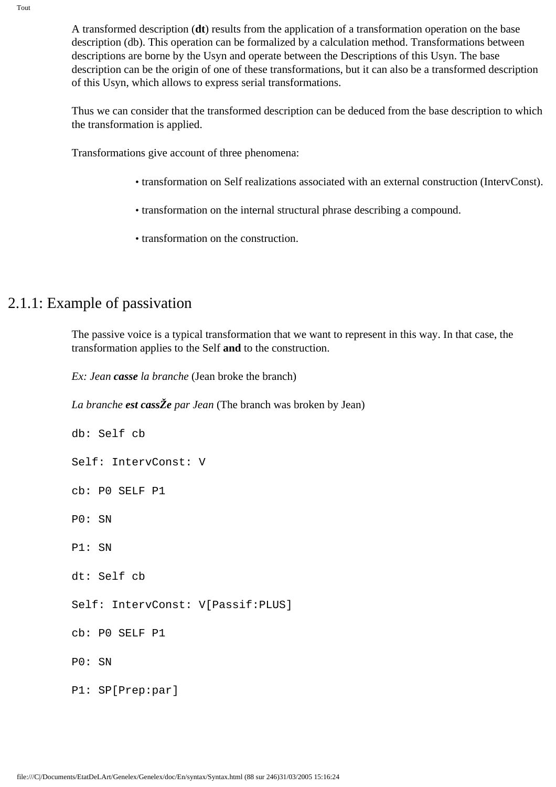A transformed description (**dt**) results from the application of a transformation operation on the base description (db). This operation can be formalized by a calculation method. Transformations between descriptions are borne by the Usyn and operate between the Descriptions of this Usyn. The base description can be the origin of one of these transformations, but it can also be a transformed description of this Usyn, which allows to express serial transformations.

Thus we can consider that the transformed description can be deduced from the base description to which the transformation is applied.

Transformations give account of three phenomena:

- transformation on Self realizations associated with an external construction (IntervConst).
- transformation on the internal structural phrase describing a compound.
- transformation on the construction.

## 2.1.1: Example of passivation

The passive voice is a typical transformation that we want to represent in this way. In that case, the transformation applies to the Self **and** to the construction.

*Ex: Jean casse la branche* (Jean broke the branch)

*La branche est cassŽe par Jean* (The branch was broken by Jean)

```
db: Self cb
Self: IntervConst: V
cb: P0 SELF P1
P0: SN
P1: SN
dt: Self cb
Self: IntervConst: V[Passif:PLUS]
cb: P0 SELF P1
P0: SN
P1: SP[Prep:par]
```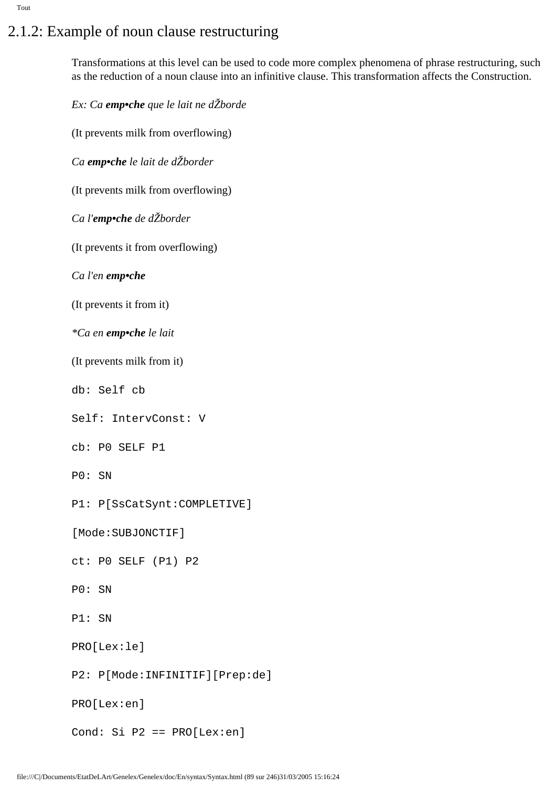# 2.1.2: Example of noun clause restructuring

Transformations at this level can be used to code more complex phenomena of phrase restructuring, such as the reduction of a noun clause into an infinitive clause. This transformation affects the Construction.

*Ex: Ca emp•che que le lait ne dŽborde* 

(It prevents milk from overflowing)

*Ca emp•che le lait de dŽborder*

(It prevents milk from overflowing)

*Ca l'emp•che de dŽborder*

(It prevents it from overflowing)

*Ca l'en emp•che*

(It prevents it from it)

*\*Ca en emp•che le lait*

(It prevents milk from it)

db: Self cb

Self: IntervConst: V

cb: P0 SELF P1

P0: SN

P1: P[SsCatSynt:COMPLETIVE]

[Mode:SUBJONCTIF]

ct: P0 SELF (P1) P2

P0: SN

P1: SN

PRO[Lex:le]

P2: P[Mode:INFINITIF][Prep:de]

PRO[Lex:en]

Cond: Si P2 == PRO[Lex:en]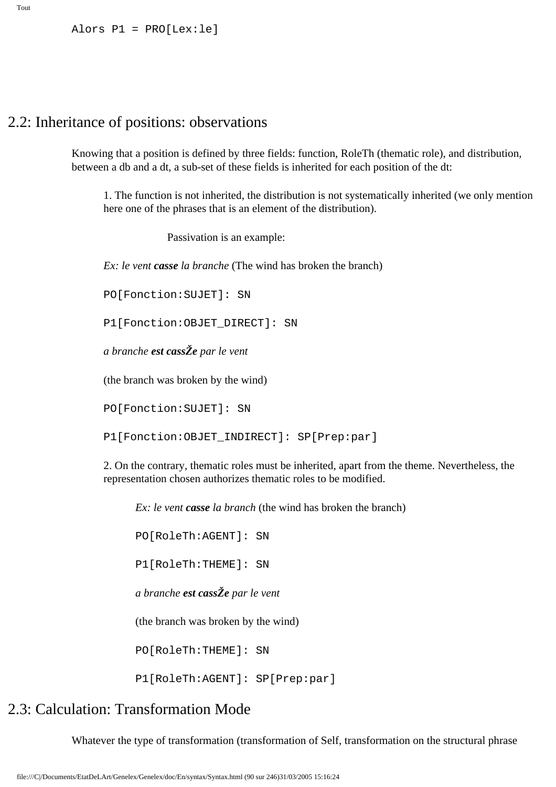Alors P1 = PRO[Lex:le]

## 2.2: Inheritance of positions: observations

Knowing that a position is defined by three fields: function, RoleTh (thematic role), and distribution, between a db and a dt, a sub-set of these fields is inherited for each position of the dt:

1. The function is not inherited, the distribution is not systematically inherited (we only mention here one of the phrases that is an element of the distribution).

Passivation is an example:

*Ex: le vent casse la branche* (The wind has broken the branch)

PO[Fonction:SUJET]: SN

P1[Fonction:OBJET\_DIRECT]: SN

*a branche est cassŽe par le vent*

(the branch was broken by the wind)

PO[Fonction:SUJET]: SN

P1[Fonction:OBJET\_INDIRECT]: SP[Prep:par]

2. On the contrary, thematic roles must be inherited, apart from the theme. Nevertheless, the representation chosen authorizes thematic roles to be modified.

*Ex: le vent casse la branch* (the wind has broken the branch)

PO[RoleTh:AGENT]: SN

P1[RoleTh:THEME]: SN

*a branche est cassŽe par le vent*

(the branch was broken by the wind)

PO[RoleTh:THEME]: SN

P1[RoleTh:AGENT]: SP[Prep:par]

## 2.3: Calculation: Transformation Mode

Whatever the type of transformation (transformation of Self, transformation on the structural phrase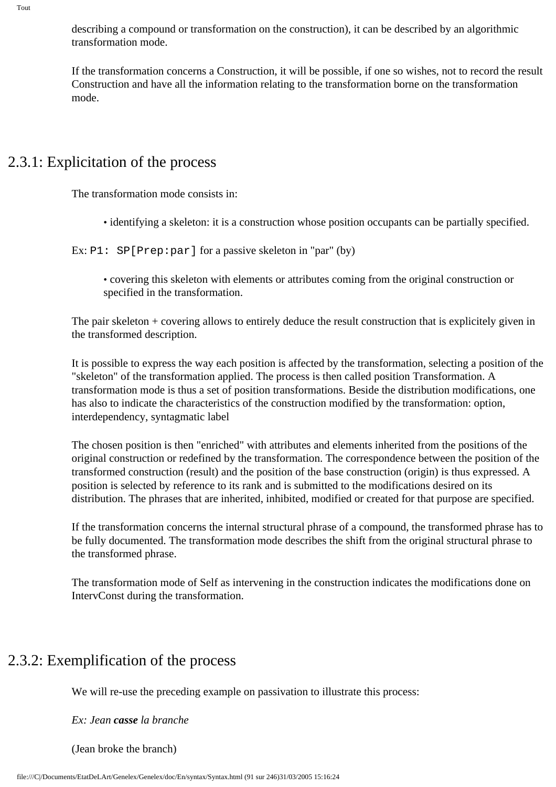describing a compound or transformation on the construction), it can be described by an algorithmic transformation mode.

If the transformation concerns a Construction, it will be possible, if one so wishes, not to record the result Construction and have all the information relating to the transformation borne on the transformation mode.

## 2.3.1: Explicitation of the process

The transformation mode consists in:

• identifying a skeleton: it is a construction whose position occupants can be partially specified.

Ex: P1: SP[Prep: par] for a passive skeleton in "par" (by)

• covering this skeleton with elements or attributes coming from the original construction or specified in the transformation.

The pair skeleton + covering allows to entirely deduce the result construction that is explicitely given in the transformed description.

It is possible to express the way each position is affected by the transformation, selecting a position of the "skeleton" of the transformation applied. The process is then called position Transformation. A transformation mode is thus a set of position transformations. Beside the distribution modifications, one has also to indicate the characteristics of the construction modified by the transformation: option, interdependency, syntagmatic label

The chosen position is then "enriched" with attributes and elements inherited from the positions of the original construction or redefined by the transformation. The correspondence between the position of the transformed construction (result) and the position of the base construction (origin) is thus expressed. A position is selected by reference to its rank and is submitted to the modifications desired on its distribution. The phrases that are inherited, inhibited, modified or created for that purpose are specified.

If the transformation concerns the internal structural phrase of a compound, the transformed phrase has to be fully documented. The transformation mode describes the shift from the original structural phrase to the transformed phrase.

The transformation mode of Self as intervening in the construction indicates the modifications done on IntervConst during the transformation.

## 2.3.2: Exemplification of the process

We will re-use the preceding example on passivation to illustrate this process:

*Ex: Jean casse la branche*

(Jean broke the branch)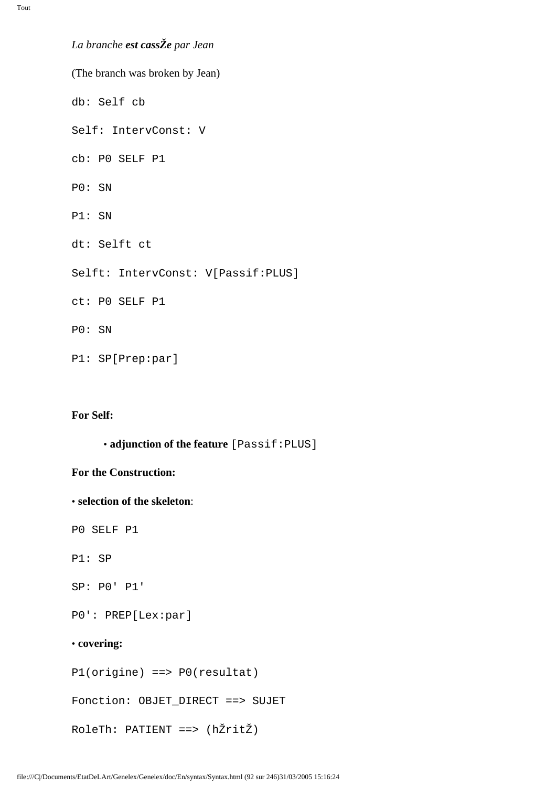*La branche est cassŽe par Jean*

(The branch was broken by Jean) db: Self cb Self: IntervConst: V cb: P0 SELF P1 P0: SN P1: SN dt: Selft ct Selft: IntervConst: V[Passif:PLUS] ct: P0 SELF P1 P0: SN P1: SP[Prep:par]

### **For Self:**

• **adjunction of the feature** [Passif:PLUS]

#### **For the Construction:**

• **selection of the skeleton**:

P0 SELF P1

P1: SP

SP: P0' P1'

P0': PREP[Lex:par]

#### • **covering:**

P1(origine) ==> P0(resultat)

Fonction: OBJET DIRECT ==> SUJET

RoleTh: PATIENT ==> (hŽritŽ)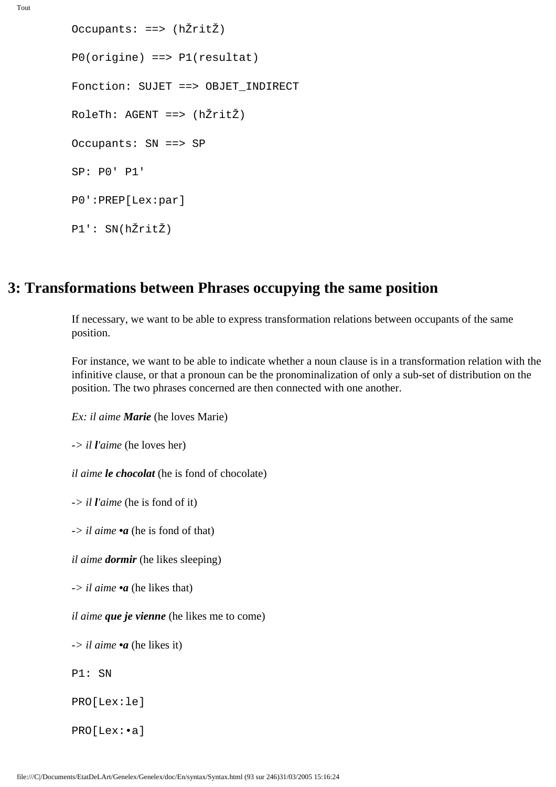```
Tout
```

```
Occupants: ==> (hŽritŽ)
P0(origine) ==> P1(resultat)
Fonction: SUJET ==> OBJET_INDIRECT
RoleTh: AGENT ==> (hŽritŽ)
Occupants: SN ==> SP
SP: P0' P1'
P0':PREP[Lex:par]
P1': SN(hŽritŽ)
```
## **3: Transformations between Phrases occupying the same position**

If necessary, we want to be able to express transformation relations between occupants of the same position.

For instance, we want to be able to indicate whether a noun clause is in a transformation relation with the infinitive clause, or that a pronoun can be the pronominalization of only a sub-set of distribution on the position. The two phrases concerned are then connected with one another.

*Ex: il aime Marie* (he loves Marie)

*-> il l'aime* (he loves her)

*il aime le chocolat* (he is fond of chocolate)

*-> il l'aime* (he is fond of it)

*-> il aime •a* (he is fond of that)

*il aime dormir* (he likes sleeping)

*-> il aime •a* (he likes that)

*il aime que je vienne* (he likes me to come)

*-> il aime •a* (he likes it)

P1: SN

PRO[Lex:le]

PRO[Lex:•a]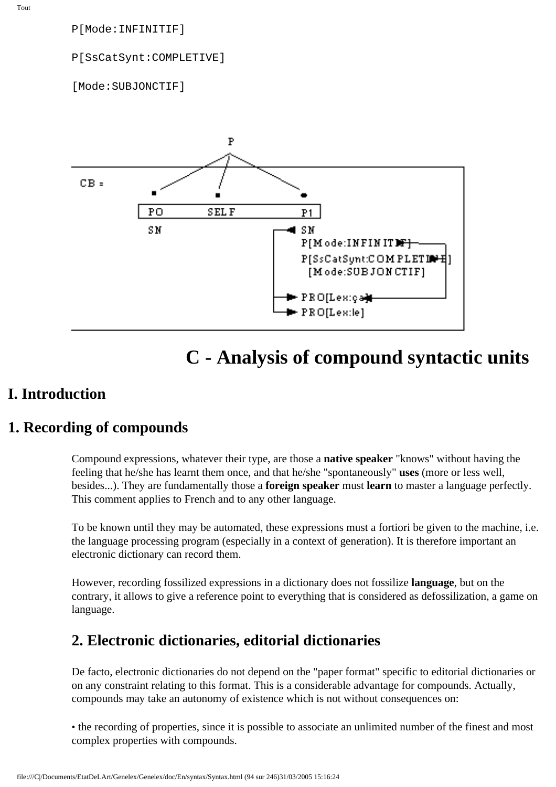P[Mode:INFINITIF]

P[SsCatSynt:COMPLETIVE]

[Mode:SUBJONCTIF]



# **C - Analysis of compound syntactic units**

### **I. Introduction**

## **1. Recording of compounds**

Compound expressions, whatever their type, are those a **native speaker** "knows" without having the feeling that he/she has learnt them once, and that he/she "spontaneously" **uses** (more or less well, besides...). They are fundamentally those a **foreign speaker** must **learn** to master a language perfectly. This comment applies to French and to any other language.

To be known until they may be automated, these expressions must a fortiori be given to the machine, i.e. the language processing program (especially in a context of generation). It is therefore important an electronic dictionary can record them.

However, recording fossilized expressions in a dictionary does not fossilize **language**, but on the contrary, it allows to give a reference point to everything that is considered as defossilization, a game on language.

## **2. Electronic dictionaries, editorial dictionaries**

De facto, electronic dictionaries do not depend on the "paper format" specific to editorial dictionaries or on any constraint relating to this format. This is a considerable advantage for compounds. Actually, compounds may take an autonomy of existence which is not without consequences on:

• the recording of properties, since it is possible to associate an unlimited number of the finest and most complex properties with compounds.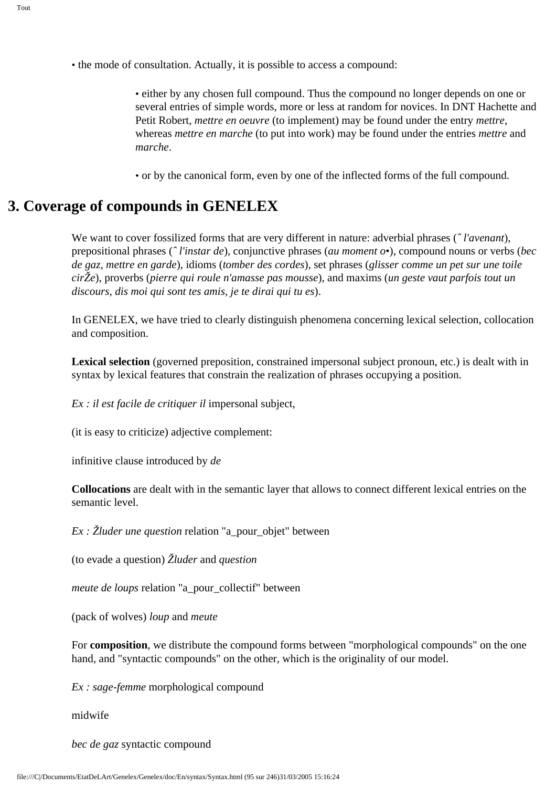• either by any chosen full compound. Thus the compound no longer depends on one or several entries of simple words, more or less at random for novices. In DNT Hachette and Petit Robert, *mettre en oeuvre* (to implement) may be found under the entry *mettre*, whereas *mettre en marche* (to put into work) may be found under the entries *mettre* and *marche*.

• or by the canonical form, even by one of the inflected forms of the full compound.

## **3. Coverage of compounds in GENELEX**

We want to cover fossilized forms that are very different in nature: adverbial phrases (*ˆ l'avenant*), prepositional phrases (*ˆ l'instar de*), conjunctive phrases (*au moment o•*), compound nouns or verbs (*bec de gaz, mettre en garde*), idioms (*tomber des cordes*), set phrases (*glisser comme un pet sur une toile cirŽe*), proverbs (*pierre qui roule n'amasse pas mousse*), and maxims (*un geste vaut parfois tout un discours*, *dis moi qui sont tes amis, je te dirai qui tu es*).

In GENELEX, we have tried to clearly distinguish phenomena concerning lexical selection, collocation and composition.

**Lexical selection** (governed preposition, constrained impersonal subject pronoun, etc.) is dealt with in syntax by lexical features that constrain the realization of phrases occupying a position.

*Ex : il est facile de critiquer il* impersonal subject,

(it is easy to criticize) adjective complement:

infinitive clause introduced by *de*

**Collocations** are dealt with in the semantic layer that allows to connect different lexical entries on the semantic level.

*Ex : Žluder une question* relation "a\_pour\_objet" between

(to evade a question) *Žluder* and *question*

*meute de loups* relation "a\_pour\_collectif" between

(pack of wolves) *loup* and *meute*

For **composition**, we distribute the compound forms between "morphological compounds" on the one hand, and "syntactic compounds" on the other, which is the originality of our model.

*Ex : sage-femme* morphological compound

midwife

*bec de gaz* syntactic compound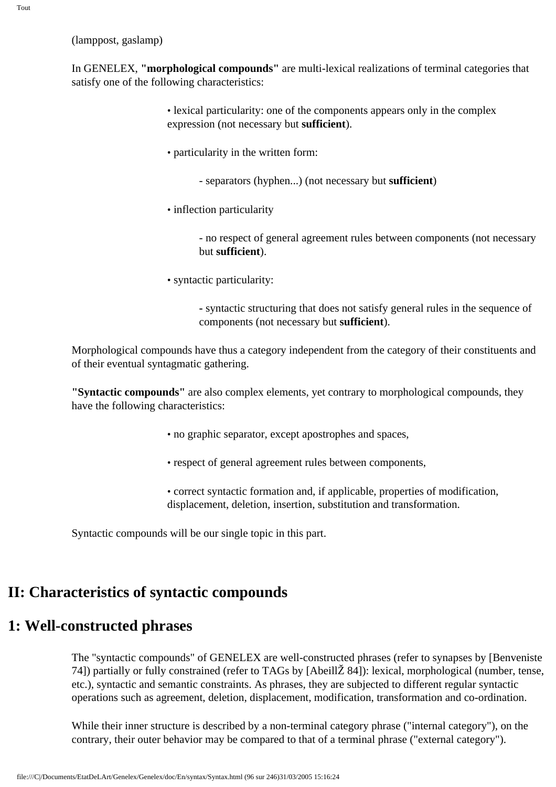(lamppost, gaslamp)

In GENELEX, **"morphological compounds"** are multi-lexical realizations of terminal categories that satisfy one of the following characteristics:

- lexical particularity: one of the components appears only in the complex expression (not necessary but **sufficient**).
- particularity in the written form:
	- separators (hyphen...) (not necessary but **sufficient**)
- inflection particularity

- no respect of general agreement rules between components (not necessary but **sufficient**).

• syntactic particularity:

**-** syntactic structuring that does not satisfy general rules in the sequence of components (not necessary but **sufficient**).

Morphological compounds have thus a category independent from the category of their constituents and of their eventual syntagmatic gathering.

**"Syntactic compounds"** are also complex elements, yet contrary to morphological compounds, they have the following characteristics:

- no graphic separator, except apostrophes and spaces,
- respect of general agreement rules between components,
- correct syntactic formation and, if applicable, properties of modification, displacement, deletion, insertion, substitution and transformation.

Syntactic compounds will be our single topic in this part.

## **II: Characteristics of syntactic compounds**

## **1: Well-constructed phrases**

The "syntactic compounds" of GENELEX are well-constructed phrases (refer to synapses by [Benveniste 74]) partially or fully constrained (refer to TAGs by [AbeillŽ 84]): lexical, morphological (number, tense, etc.), syntactic and semantic constraints. As phrases, they are subjected to different regular syntactic operations such as agreement, deletion, displacement, modification, transformation and co-ordination.

While their inner structure is described by a non-terminal category phrase ("internal category"), on the contrary, their outer behavior may be compared to that of a terminal phrase ("external category").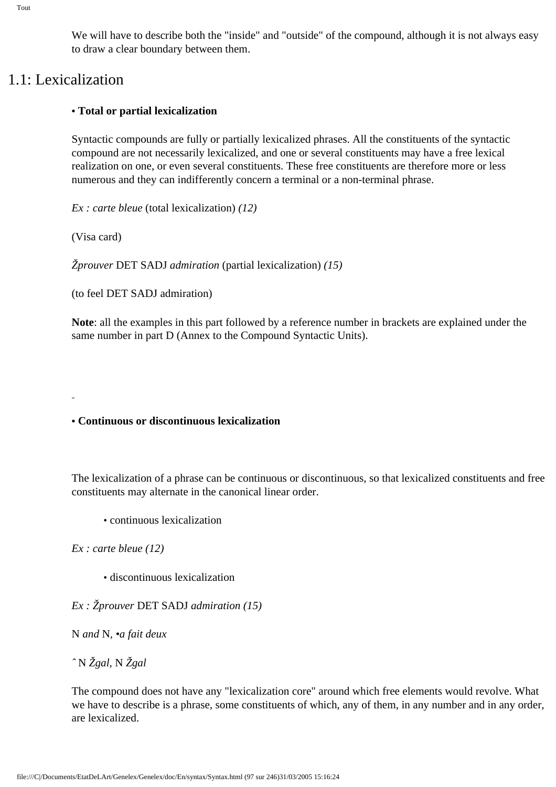We will have to describe both the "inside" and "outside" of the compound, although it is not always easy to draw a clear boundary between them.

## 1.1: Lexicalization

### **• Total or partial lexicalization**

Syntactic compounds are fully or partially lexicalized phrases. All the constituents of the syntactic compound are not necessarily lexicalized, and one or several constituents may have a free lexical realization on one, or even several constituents. These free constituents are therefore more or less numerous and they can indifferently concern a terminal or a non-terminal phrase.

*Ex : carte bleue* (total lexicalization) *(12)*

(Visa card)

*Žprouver* DET SADJ *admiration* (partial lexicalization) *(15)*

(to feel DET SADJ admiration)

**Note**: all the examples in this part followed by a reference number in brackets are explained under the same number in part D (Annex to the Compound Syntactic Units).

**• Continuous or discontinuous lexicalization** 

The lexicalization of a phrase can be continuous or discontinuous, so that lexicalized constituents and free constituents may alternate in the canonical linear order.

• continuous lexicalization

*Ex : carte bleue (12)*

• discontinuous lexicalization

*Ex : Žprouver* DET SADJ *admiration (15)*

N *and* N*, •a fait deux*

*ˆ* N *Žgal,* N *Žgal*

The compound does not have any "lexicalization core" around which free elements would revolve. What we have to describe is a phrase, some constituents of which, any of them, in any number and in any order, are lexicalized.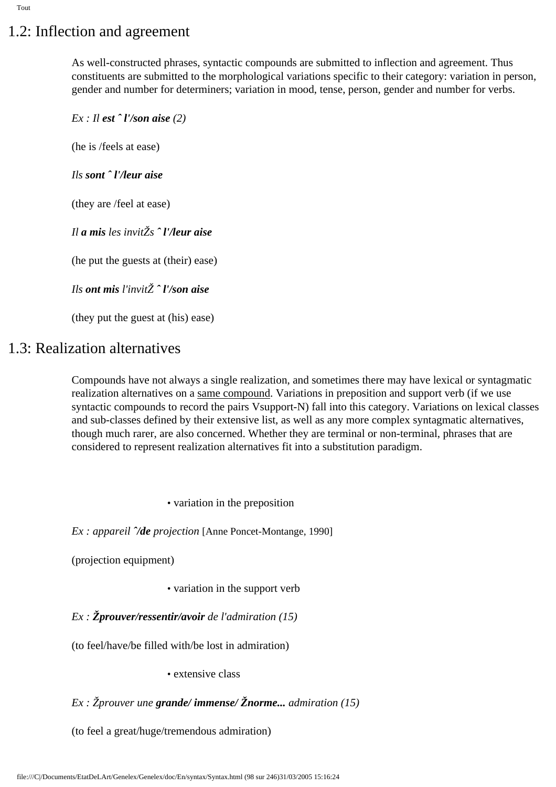# 1.2: Inflection and agreement

As well-constructed phrases, syntactic compounds are submitted to inflection and agreement. Thus constituents are submitted to the morphological variations specific to their category: variation in person, gender and number for determiners; variation in mood, tense, person, gender and number for verbs.

*Ex : Il est ˆ l'/son aise (2)* (he is /feels at ease) *Ils sont ˆ l'/leur aise* (they are /feel at ease) *Il a mis les invitŽs ˆ l'/leur aise* (he put the guests at (their) ease) *Ils ont mis l'invitŽ ˆ l'/son aise*

(they put the guest at (his) ease)

## 1.3: Realization alternatives

Compounds have not always a single realization, and sometimes there may have lexical or syntagmatic realization alternatives on a same compound. Variations in preposition and support verb (if we use syntactic compounds to record the pairs Vsupport-N) fall into this category. Variations on lexical classes and sub-classes defined by their extensive list, as well as any more complex syntagmatic alternatives, though much rarer, are also concerned. Whether they are terminal or non-terminal, phrases that are considered to represent realization alternatives fit into a substitution paradigm.

• variation in the preposition

*Ex : appareil ˆ/de projection* [Anne Poncet-Montange, 1990]

(projection equipment)

• variation in the support verb

*Ex : Žprouver/ressentir/avoir de l'admiration (15)*

(to feel/have/be filled with/be lost in admiration)

• extensive class

### *Ex : Žprouver une grande/ immense/ Žnorme... admiration (15)*

(to feel a great/huge/tremendous admiration)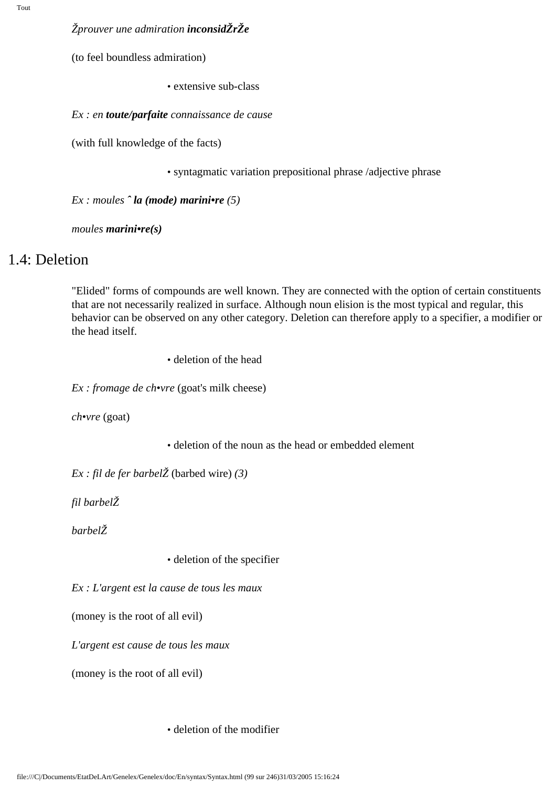#### *Žprouver une admiration inconsidŽrŽe*

(to feel boundless admiration)

• extensive sub-class

*Ex : en toute/parfaite connaissance de cause*

(with full knowledge of the facts)

• syntagmatic variation prepositional phrase /adjective phrase

*Ex : moules ˆ la (mode) marini•re (5)*

*moules marini•re(s)*

### 1.4: Deletion

"Elided" forms of compounds are well known. They are connected with the option of certain constituents that are not necessarily realized in surface. Although noun elision is the most typical and regular, this behavior can be observed on any other category. Deletion can therefore apply to a specifier, a modifier or the head itself.

• deletion of the head

*Ex : fromage de ch•vre* (goat's milk cheese)

*ch•vre* (goat)

• deletion of the noun as the head or embedded element

*Ex : fil de fer barbelŽ* (barbed wire) *(3)*

*fil barbelŽ*

*barbelŽ*

• deletion of the specifier

*Ex : L'argent est la cause de tous les maux* 

(money is the root of all evil)

*L'argent est cause de tous les maux*

(money is the root of all evil)

• deletion of the modifier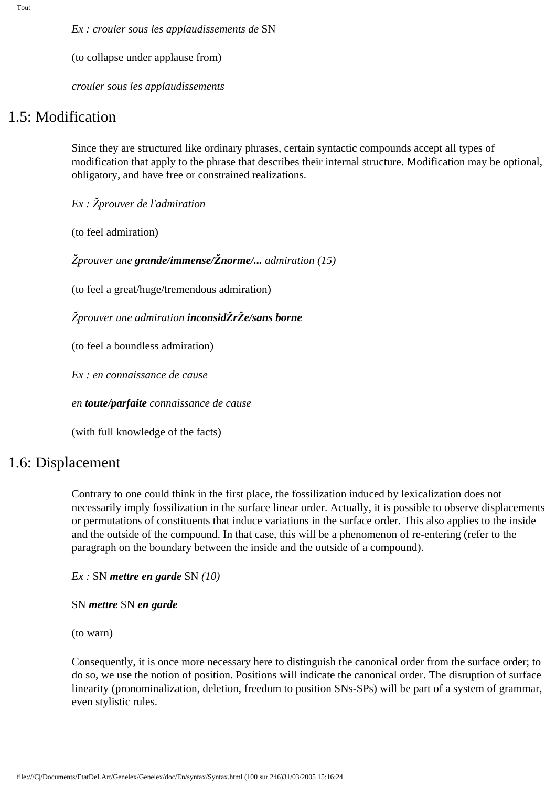*Ex : crouler sous les applaudissements de* SN

(to collapse under applause from)

*crouler sous les applaudissements*

### 1.5: Modification

Since they are structured like ordinary phrases, certain syntactic compounds accept all types of modification that apply to the phrase that describes their internal structure. Modification may be optional, obligatory, and have free or constrained realizations.

*Ex : Žprouver de l'admiration*

(to feel admiration)

*Žprouver une grande/immense/Žnorme/... admiration (15)*

(to feel a great/huge/tremendous admiration)

*Žprouver une admiration inconsidŽrŽe/sans borne*

(to feel a boundless admiration)

*Ex : en connaissance de cause*

*en toute/parfaite connaissance de cause*

(with full knowledge of the facts)

### 1.6: Displacement

Contrary to one could think in the first place, the fossilization induced by lexicalization does not necessarily imply fossilization in the surface linear order. Actually, it is possible to observe displacements or permutations of constituents that induce variations in the surface order. This also applies to the inside and the outside of the compound. In that case, this will be a phenomenon of re-entering (refer to the paragraph on the boundary between the inside and the outside of a compound).

*Ex :* SN *mettre en garde* SN *(10)*

SN *mettre* SN *en garde*

(to warn)

Consequently, it is once more necessary here to distinguish the canonical order from the surface order; to do so, we use the notion of position. Positions will indicate the canonical order. The disruption of surface linearity (pronominalization, deletion, freedom to position SNs-SPs) will be part of a system of grammar, even stylistic rules.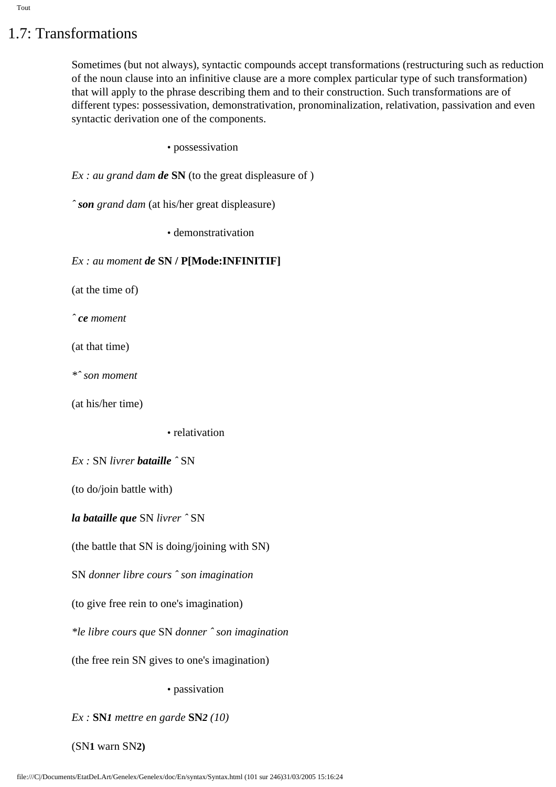# 1.7: Transformations

Sometimes (but not always), syntactic compounds accept transformations (restructuring such as reduction of the noun clause into an infinitive clause are a more complex particular type of such transformation) that will apply to the phrase describing them and to their construction. Such transformations are of different types: possessivation, demonstrativation, pronominalization, relativation, passivation and even syntactic derivation one of the components.

• possessivation

*Ex : au grand dam de* **SN** (to the great displeasure of )

*ˆ son grand dam* (at his/her great displeasure)

• demonstrativation

*Ex : au moment de* **SN / P[Mode:INFINITIF]**

(at the time of)

*ˆ ce moment*

(at that time)

*\*ˆ son moment* 

(at his/her time)

• relativation

*Ex :* SN *livrer bataille ˆ* SN

(to do/join battle with)

*la bataille que* SN *livrer ˆ* SN

(the battle that SN is doing/joining with SN)

SN *donner libre cours ˆ son imagination* 

(to give free rein to one's imagination)

*\*le libre cours que* SN *donner ˆ son imagination*

(the free rein SN gives to one's imagination)

• passivation

*Ex :* **SN***1 mettre en garde* **SN***2 (10)*

(SN**1** warn SN**2)**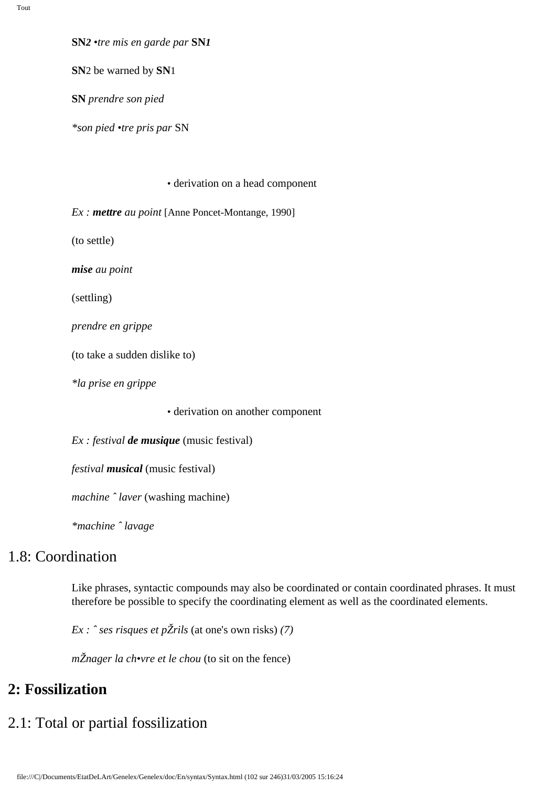**SN***2 •tre mis en garde par* **SN***1*

**SN**2 be warned by **SN**1

**SN** *prendre son pied*

*\*son pied •tre pris par* SN

• derivation on a head component

*Ex : mettre au point* [Anne Poncet-Montange, 1990]

(to settle)

*mise au point*

(settling)

*prendre en grippe*

(to take a sudden dislike to)

*\*la prise en grippe*

• derivation on another component

*Ex : festival de musique* (music festival)

*festival musical* (music festival)

*machine ˆ laver* (washing machine)

*\*machine ˆ lavage*

## 1.8: Coordination

Like phrases, syntactic compounds may also be coordinated or contain coordinated phrases. It must therefore be possible to specify the coordinating element as well as the coordinated elements.

*Ex : ˆ ses risques et pŽrils* (at one's own risks) *(7)*

*m*Žnager la ch•vre et le chou (to sit on the fence)

### **2: Fossilization**

# 2.1: Total or partial fossilization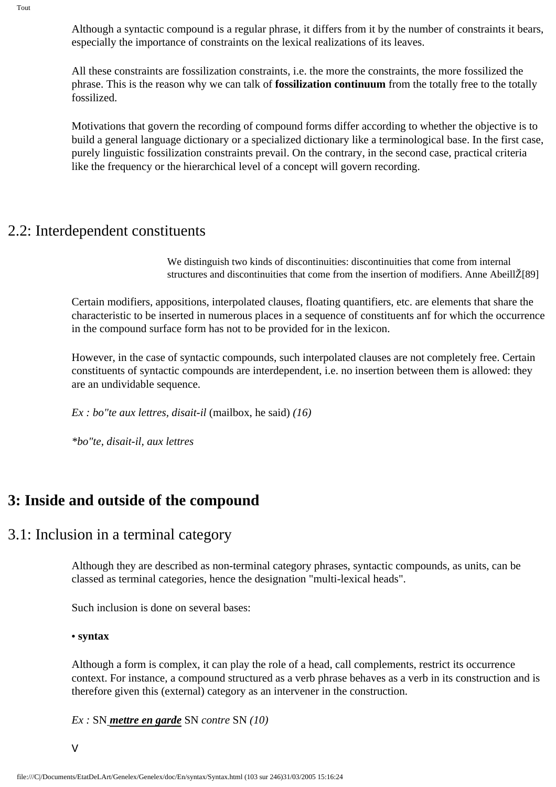Although a syntactic compound is a regular phrase, it differs from it by the number of constraints it bears, especially the importance of constraints on the lexical realizations of its leaves.

All these constraints are fossilization constraints, i.e. the more the constraints, the more fossilized the phrase. This is the reason why we can talk of **fossilization continuum** from the totally free to the totally fossilized.

Motivations that govern the recording of compound forms differ according to whether the objective is to build a general language dictionary or a specialized dictionary like a terminological base. In the first case, purely linguistic fossilization constraints prevail. On the contrary, in the second case, practical criteria like the frequency or the hierarchical level of a concept will govern recording.

### 2.2: Interdependent constituents

We distinguish two kinds of discontinuities: discontinuities that come from internal structures and discontinuities that come from the insertion of modifiers. Anne AbeillŽ[89]

Certain modifiers, appositions, interpolated clauses, floating quantifiers, etc. are elements that share the characteristic to be inserted in numerous places in a sequence of constituents anf for which the occurrence in the compound surface form has not to be provided for in the lexicon.

However, in the case of syntactic compounds, such interpolated clauses are not completely free. Certain constituents of syntactic compounds are interdependent, i.e. no insertion between them is allowed: they are an undividable sequence.

*Ex : bo"te aux lettres, disait-il* (mailbox, he said) *(16)*

*\*bo"te, disait-il, aux lettres*

## **3: Inside and outside of the compound**

### 3.1: Inclusion in a terminal category

Although they are described as non-terminal category phrases, syntactic compounds, as units, can be classed as terminal categories, hence the designation "multi-lexical heads".

Such inclusion is done on several bases:

#### **• syntax**

Although a form is complex, it can play the role of a head, call complements, restrict its occurrence context. For instance, a compound structured as a verb phrase behaves as a verb in its construction and is therefore given this (external) category as an intervener in the construction.

*Ex :* SN *mettre en garde* SN *contre* SN *(10)*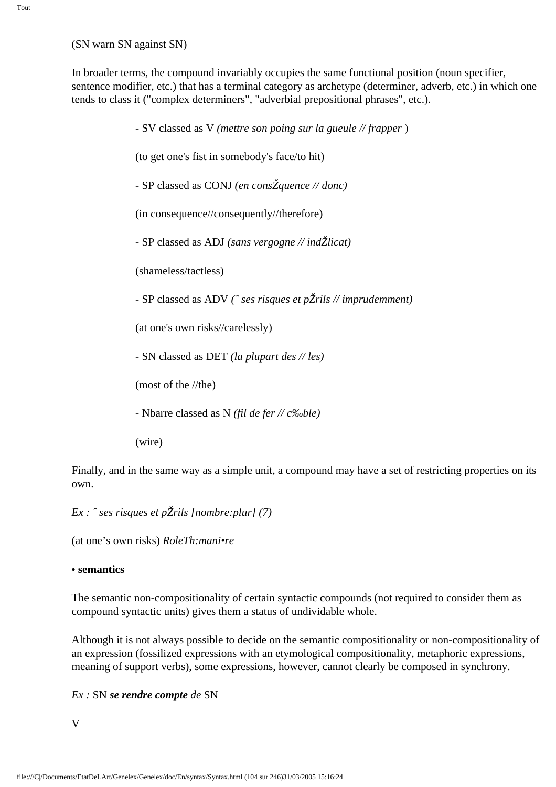(SN warn SN against SN)

In broader terms, the compound invariably occupies the same functional position (noun specifier, sentence modifier, etc.) that has a terminal category as archetype (determiner, adverb, etc.) in which one tends to class it ("complex determiners", "adverbial prepositional phrases", etc.).

> - SV classed as V *(mettre son poing sur la gueule // frapper* ) (to get one's fist in somebody's face/to hit) - SP classed as CONJ *(en consŽquence // donc)* (in consequence//consequently//therefore) - SP classed as ADJ *(sans vergogne // indŽlicat)*  (shameless/tactless) - SP classed as ADV *(ˆ ses risques et pŽrils // imprudemment)* (at one's own risks//carelessly) - SN classed as DET *(la plupart des // les)*  (most of the //the) - Nbarre classed as N *(fil de fer // c‰ble)*

(wire)

Finally, and in the same way as a simple unit, a compound may have a set of restricting properties on its own.

*Ex : ˆ ses risques et pŽrils [nombre:plur] (7)*

(at one's own risks) *RoleTh:mani•re*

#### **• semantics**

The semantic non-compositionality of certain syntactic compounds (not required to consider them as compound syntactic units) gives them a status of undividable whole.

Although it is not always possible to decide on the semantic compositionality or non-compositionality of an expression (fossilized expressions with an etymological compositionality, metaphoric expressions, meaning of support verbs), some expressions, however, cannot clearly be composed in synchrony.

*Ex :* SN *se rendre compte de* SN

V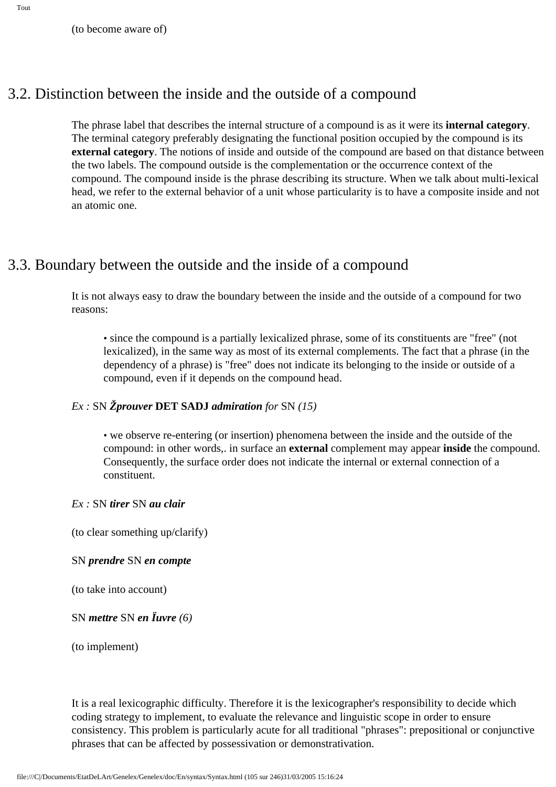## 3.2. Distinction between the inside and the outside of a compound

The phrase label that describes the internal structure of a compound is as it were its **internal category**. The terminal category preferably designating the functional position occupied by the compound is its **external category**. The notions of inside and outside of the compound are based on that distance between the two labels. The compound outside is the complementation or the occurrence context of the compound. The compound inside is the phrase describing its structure. When we talk about multi-lexical head, we refer to the external behavior of a unit whose particularity is to have a composite inside and not an atomic one.

## 3.3. Boundary between the outside and the inside of a compound

It is not always easy to draw the boundary between the inside and the outside of a compound for two reasons:

• since the compound is a partially lexicalized phrase, some of its constituents are "free" (not lexicalized), in the same way as most of its external complements. The fact that a phrase (in the dependency of a phrase) is "free" does not indicate its belonging to the inside or outside of a compound, even if it depends on the compound head.

### *Ex :* SN *Žprouver* **DET SADJ** *admiration for* SN *(15)*

• we observe re-entering (or insertion) phenomena between the inside and the outside of the compound: in other words,. in surface an **external** complement may appear **inside** the compound. Consequently, the surface order does not indicate the internal or external connection of a constituent.

#### *Ex :* SN *tirer* SN *au clair*

(to clear something up/clarify)

#### SN *prendre* SN *en compte*

(to take into account)

#### SN *mettre* SN *en Ïuvre (6)*

(to implement)

It is a real lexicographic difficulty. Therefore it is the lexicographer's responsibility to decide which coding strategy to implement, to evaluate the relevance and linguistic scope in order to ensure consistency. This problem is particularly acute for all traditional "phrases": prepositional or conjunctive phrases that can be affected by possessivation or demonstrativation.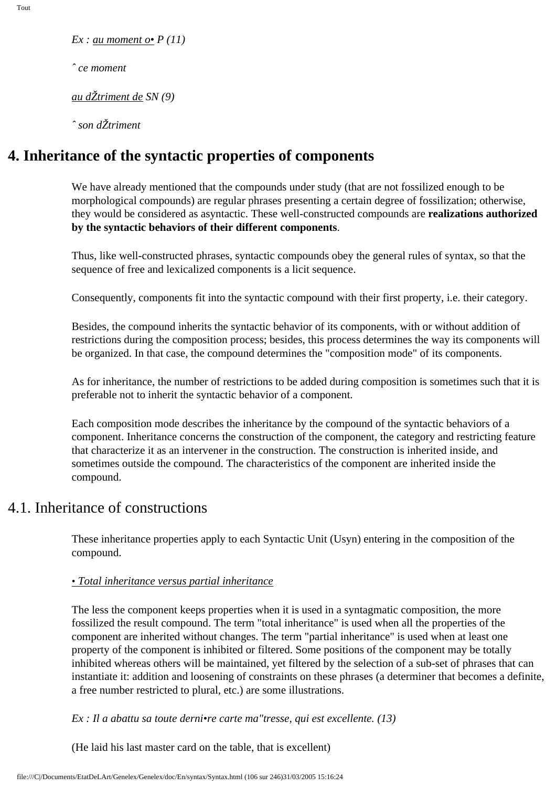*Ex : au moment o• P (11)*

*ˆ ce moment*

*au dŽtriment de SN (9)*

*ˆ son dŽtriment*

## **4. Inheritance of the syntactic properties of components**

We have already mentioned that the compounds under study (that are not fossilized enough to be morphological compounds) are regular phrases presenting a certain degree of fossilization; otherwise, they would be considered as asyntactic. These well-constructed compounds are **realizations authorized by the syntactic behaviors of their different components**.

Thus, like well-constructed phrases, syntactic compounds obey the general rules of syntax, so that the sequence of free and lexicalized components is a licit sequence.

Consequently, components fit into the syntactic compound with their first property, i.e. their category.

Besides, the compound inherits the syntactic behavior of its components, with or without addition of restrictions during the composition process; besides, this process determines the way its components will be organized. In that case, the compound determines the "composition mode" of its components.

As for inheritance, the number of restrictions to be added during composition is sometimes such that it is preferable not to inherit the syntactic behavior of a component.

Each composition mode describes the inheritance by the compound of the syntactic behaviors of a component. Inheritance concerns the construction of the component, the category and restricting feature that characterize it as an intervener in the construction. The construction is inherited inside, and sometimes outside the compound. The characteristics of the component are inherited inside the compound.

### 4.1. Inheritance of constructions

These inheritance properties apply to each Syntactic Unit (Usyn) entering in the composition of the compound.

#### *• Total inheritance versus partial inheritance*

The less the component keeps properties when it is used in a syntagmatic composition, the more fossilized the result compound. The term "total inheritance" is used when all the properties of the component are inherited without changes. The term "partial inheritance" is used when at least one property of the component is inhibited or filtered. Some positions of the component may be totally inhibited whereas others will be maintained, yet filtered by the selection of a sub-set of phrases that can instantiate it: addition and loosening of constraints on these phrases (a determiner that becomes a definite, a free number restricted to plural, etc.) are some illustrations.

*Ex : Il a abattu sa toute derni•re carte ma"tresse, qui est excellente. (13)*

(He laid his last master card on the table, that is excellent)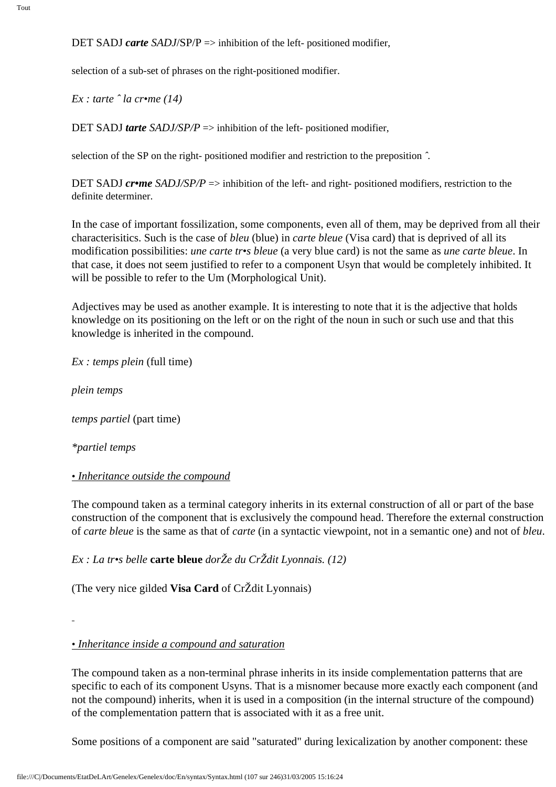selection of a sub-set of phrases on the right-positioned modifier.

*Ex : tarte ˆ la cr•me (14)*

DET SADJ *tarte SADJ/SP/P* => inhibition of the left- positioned modifier,

selection of the SP on the right- positioned modifier and restriction to the preposition *ˆ.*

DET SADJ *cr•me* SADJ/SP/P => inhibition of the left- and right- positioned modifiers, restriction to the definite determiner.

In the case of important fossilization, some components, even all of them, may be deprived from all their characterisitics. Such is the case of *bleu* (blue) in *carte bleue* (Visa card) that is deprived of all its modification possibilities: *une carte tr•s bleue* (a very blue card) is not the same as *une carte bleue*. In that case, it does not seem justified to refer to a component Usyn that would be completely inhibited. It will be possible to refer to the Um (Morphological Unit).

Adjectives may be used as another example. It is interesting to note that it is the adjective that holds knowledge on its positioning on the left or on the right of the noun in such or such use and that this knowledge is inherited in the compound.

*Ex : temps plein* (full time)

*plein temps* 

*temps partiel* (part time)

*\*partiel temps*

### *• Inheritance outside the compound*

The compound taken as a terminal category inherits in its external construction of all or part of the base construction of the component that is exclusively the compound head. Therefore the external construction of *carte bleue* is the same as that of *carte* (in a syntactic viewpoint, not in a semantic one) and not of *bleu*.

*Ex : La tr•s belle* **carte bleue** *dorŽe du CrŽdit Lyonnais. (12)*

(The very nice gilded **Visa Card** of CrŽdit Lyonnais)

### *• Inheritance inside a compound and saturation*

The compound taken as a non-terminal phrase inherits in its inside complementation patterns that are specific to each of its component Usyns. That is a misnomer because more exactly each component (and not the compound) inherits, when it is used in a composition (in the internal structure of the compound) of the complementation pattern that is associated with it as a free unit.

Some positions of a component are said "saturated" during lexicalization by another component: these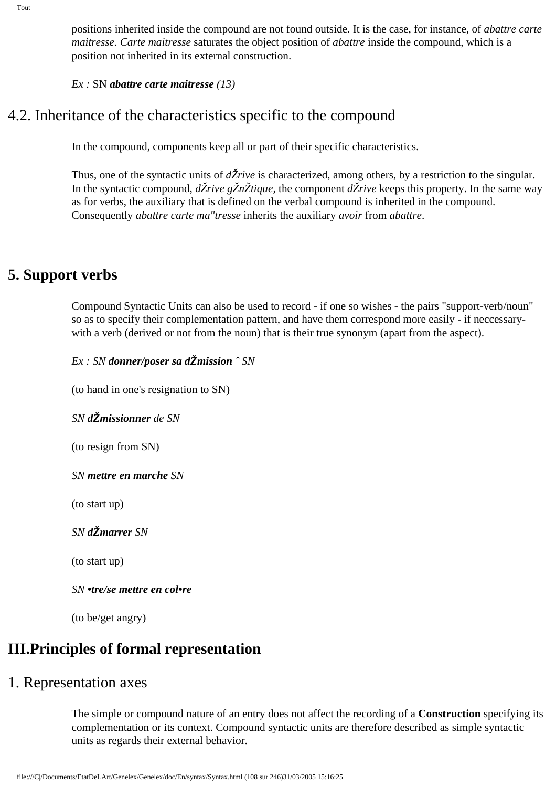positions inherited inside the compound are not found outside. It is the case, for instance, of *abattre carte maitresse. Carte maitresse* saturates the object position of *abattre* inside the compound, which is a position not inherited in its external construction.

*Ex :* SN *abattre carte maitresse (13)*

# 4.2. Inheritance of the characteristics specific to the compound

In the compound, components keep all or part of their specific characteristics.

Thus, one of the syntactic units of *dŽrive* is characterized, among others, by a restriction to the singular. In the syntactic compound, *dŽrive gŽnŽtique,* the component *dŽrive* keeps this property. In the same way as for verbs, the auxiliary that is defined on the verbal compound is inherited in the compound. Consequently *abattre carte ma"tresse* inherits the auxiliary *avoir* from *abattre*.

## **5. Support verbs**

Compound Syntactic Units can also be used to record - if one so wishes - the pairs "support-verb/noun" so as to specify their complementation pattern, and have them correspond more easily - if neccessarywith a verb (derived or not from the noun) that is their true synonym (apart from the aspect).

*Ex : SN donner/poser sa dŽmission ˆ SN* 

(to hand in one's resignation to SN)

*SN dŽmissionner de SN*

(to resign from SN)

*SN mettre en marche SN*

(to start up)

*SN dŽmarrer SN*

(to start up)

*SN •tre/se mettre en col•re*

(to be/get angry)

## **III.Principles of formal representation**

## 1. Representation axes

The simple or compound nature of an entry does not affect the recording of a **Construction** specifying its complementation or its context. Compound syntactic units are therefore described as simple syntactic units as regards their external behavior.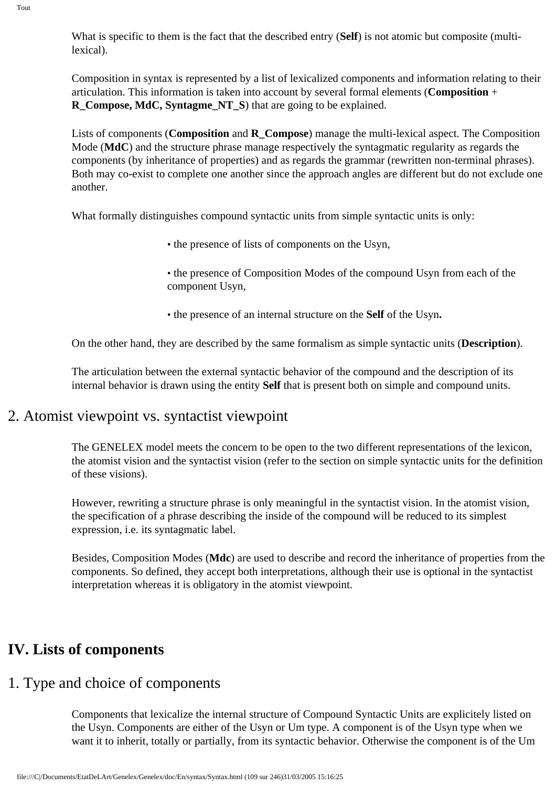What is specific to them is the fact that the described entry (**Self**) is not atomic but composite (multilexical).

Composition in syntax is represented by a list of lexicalized components and information relating to their articulation. This information is taken into account by several formal elements (**Composition** + **R\_Compose, MdC, Syntagme\_NT\_S**) that are going to be explained.

Lists of components (**Composition** and **R\_Compose**) manage the multi-lexical aspect. The Composition Mode (**MdC**) and the structure phrase manage respectively the syntagmatic regularity as regards the components (by inheritance of properties) and as regards the grammar (rewritten non-terminal phrases). Both may co-exist to complete one another since the approach angles are different but do not exclude one another.

What formally distinguishes compound syntactic units from simple syntactic units is only:

- the presence of lists of components on the Usyn,
- the presence of Composition Modes of the compound Usyn from each of the component Usyn,
- the presence of an internal structure on the **Self** of the Usyn**.**

On the other hand, they are described by the same formalism as simple syntactic units (**Description**).

The articulation between the external syntactic behavior of the compound and the description of its internal behavior is drawn using the entity **Self** that is present both on simple and compound units.

### 2. Atomist viewpoint vs. syntactist viewpoint

The GENELEX model meets the concern to be open to the two different representations of the lexicon, the atomist vision and the syntactist vision (refer to the section on simple syntactic units for the definition of these visions).

However, rewriting a structure phrase is only meaningful in the syntactist vision. In the atomist vision, the specification of a phrase describing the inside of the compound will be reduced to its simplest expression, i.e. its syntagmatic label.

Besides, Composition Modes (**Mdc**) are used to describe and record the inheritance of properties from the components. So defined, they accept both interpretations, although their use is optional in the syntactist interpretation whereas it is obligatory in the atomist viewpoint.

## **IV. Lists of components**

## 1. Type and choice of components

Components that lexicalize the internal structure of Compound Syntactic Units are explicitely listed on the Usyn. Components are either of the Usyn or Um type. A component is of the Usyn type when we want it to inherit, totally or partially, from its syntactic behavior. Otherwise the component is of the Um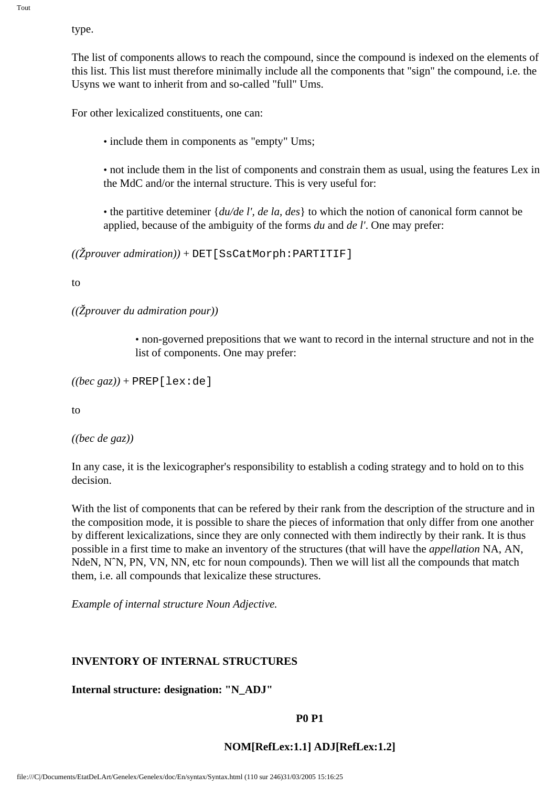type.

The list of components allows to reach the compound, since the compound is indexed on the elements of this list. This list must therefore minimally include all the components that "sign" the compound, i.e. the Usyns we want to inherit from and so-called "full" Ums.

For other lexicalized constituents, one can:

• include them in components as "empty" Ums;

• not include them in the list of components and constrain them as usual, using the features Lex in the MdC and/or the internal structure. This is very useful for:

• the partitive deteminer {*du/de l', de la, des*} to which the notion of canonical form cannot be applied, because of the ambiguity of the forms *du* and *de l'*. One may prefer:

 $((\check{Z}prouver \ administration))$  + DET [SsCatMorph: PARTITIF]

to

*((Žprouver du admiration pour))*

• non-governed prepositions that we want to record in the internal structure and not in the list of components. One may prefer:

 $((bec\, gaz))$  + PREP[lex:de]

to

*((bec de gaz))*

In any case, it is the lexicographer's responsibility to establish a coding strategy and to hold on to this decision.

With the list of components that can be refered by their rank from the description of the structure and in the composition mode, it is possible to share the pieces of information that only differ from one another by different lexicalizations, since they are only connected with them indirectly by their rank. It is thus possible in a first time to make an inventory of the structures (that will have the *appellation* NA, AN, NdeN, N<sup>o</sup>N, PN, VN, NN, etc for noun compounds). Then we will list all the compounds that match them, i.e. all compounds that lexicalize these structures.

*Example of internal structure Noun Adjective.*

#### **INVENTORY OF INTERNAL STRUCTURES**

**Internal structure: designation: "N\_ADJ"**

#### **P0 P1**

#### **NOM[RefLex:1.1] ADJ[RefLex:1.2]**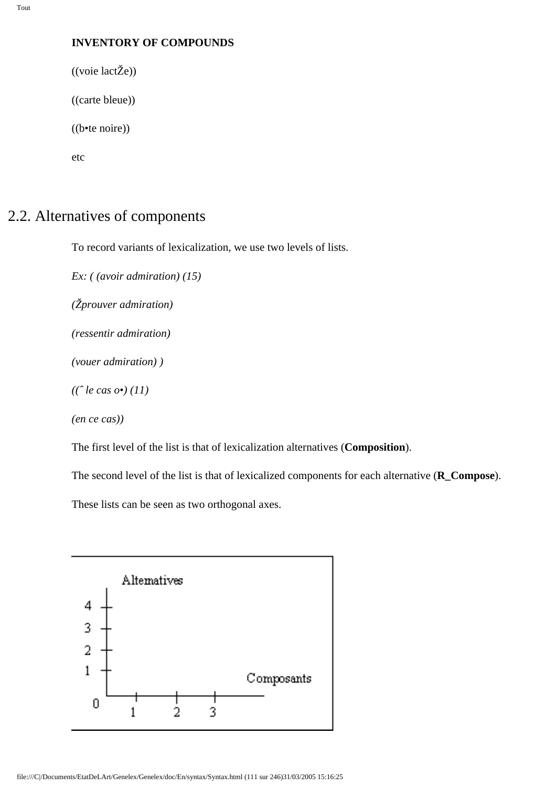### **INVENTORY OF COMPOUNDS**

((voie lactŽe))

((carte bleue))

((b•te noire))

etc

## 2.2. Alternatives of components

To record variants of lexicalization, we use two levels of lists.

*Ex: ( (avoir admiration) (15) (Žprouver admiration) (ressentir admiration) (vouer admiration) ) ((ˆ le cas o•) (11) (en ce cas))*

The first level of the list is that of lexicalization alternatives (**Composition**).

The second level of the list is that of lexicalized components for each alternative (**R\_Compose**).

These lists can be seen as two orthogonal axes.

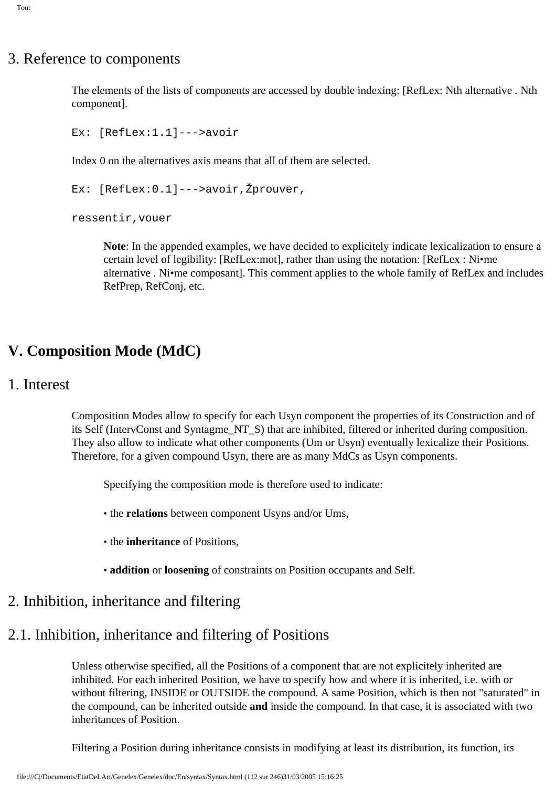## 3. Reference to components

The elements of the lists of components are accessed by double indexing: [RefLex: Nth alternative . Nth component].

```
Ex: [RefLex:1.1]--->avoir
```
Index 0 on the alternatives axis means that all of them are selected.

Ex: [RefLex:0.1]--->avoir,Žprouver,

ressentir,vouer

**Note**: In the appended examples, we have decided to explicitely indicate lexicalization to ensure a certain level of legibility: [RefLex:mot], rather than using the notation: [RefLex : Ni•me alternative . Ni•me composant]. This comment applies to the whole family of RefLex and includes RefPrep, RefConj, etc.

## **V. Composition Mode (MdC)**

### 1. Interest

Composition Modes allow to specify for each Usyn component the properties of its Construction and of its Self (IntervConst and Syntagme\_NT\_S) that are inhibited, filtered or inherited during composition. They also allow to indicate what other components (Um or Usyn) eventually lexicalize their Positions. Therefore, for a given compound Usyn, there are as many MdCs as Usyn components.

Specifying the composition mode is therefore used to indicate:

- the **relations** between component Usyns and/or Ums,
- the **inheritance** of Positions,
- **addition** or **loosening** of constraints on Position occupants and Self.

## 2. Inhibition, inheritance and filtering

## 2.1. Inhibition, inheritance and filtering of Positions

Unless otherwise specified, all the Positions of a component that are not explicitely inherited are inhibited. For each inherited Position, we have to specify how and where it is inherited, i.e. with or without filtering, INSIDE or OUTSIDE the compound. A same Position, which is then not "saturated" in the compound, can be inherited outside **and** inside the compound. In that case, it is associated with two inheritances of Position.

Filtering a Position during inheritance consists in modifying at least its distribution, its function, its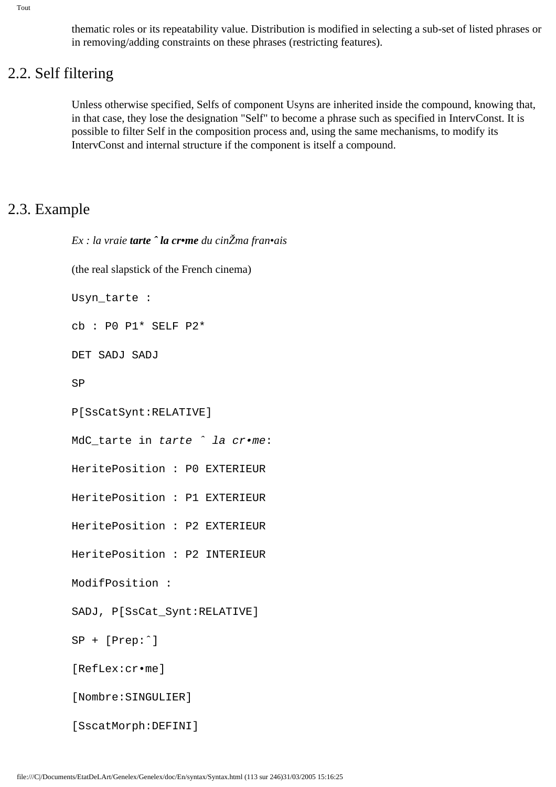Tout

thematic roles or its repeatability value. Distribution is modified in selecting a sub-set of listed phrases or in removing/adding constraints on these phrases (restricting features).

## 2.2. Self filtering

Unless otherwise specified, Selfs of component Usyns are inherited inside the compound, knowing that, in that case, they lose the designation "Self" to become a phrase such as specified in IntervConst. It is possible to filter Self in the composition process and, using the same mechanisms, to modify its IntervConst and internal structure if the component is itself a compound.

## 2.3. Example

```
Ex : la vraie tarte ˆ la cr•me du cinŽma fran•ais
(the real slapstick of the French cinema)
Usyn_tarte :
cb : P0 P1* SELF P2*
DET SADJ SADJ
SP
P[SsCatSynt:RELATIVE]
MdC_tarte in tarte \hat{ } la cr•me:
HeritePosition : P0 EXTERIEUR
HeritePosition : P1 EXTERIEUR
HeritePosition : P2 EXTERIEUR
HeritePosition : P2 INTERIEUR
ModifPosition :
SADJ, P[SsCat_Synt:RELATIVE]
SP + [Prep:ˆ]
[RefLex:cr•me]
[Nombre:SINGULIER]
[SscatMorph:DEFINI]
```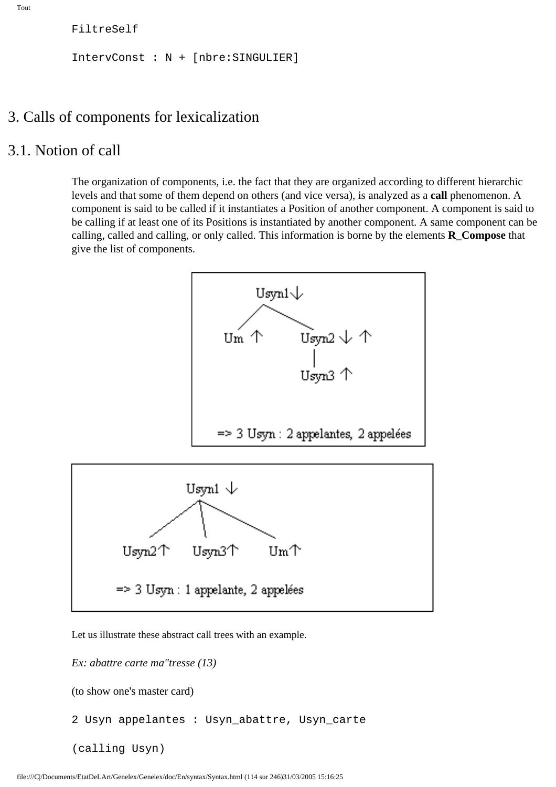FiltreSelf

IntervConst : N + [nbre:SINGULIER]

### 3. Calls of components for lexicalization

### 3.1. Notion of call

The organization of components, i.e. the fact that they are organized according to different hierarchic levels and that some of them depend on others (and vice versa), is analyzed as a **call** phenomenon. A component is said to be called if it instantiates a Position of another component. A component is said to be calling if at least one of its Positions is instantiated by another component. A same component can be calling, called and calling, or only called. This information is borne by the elements  $\bf{R}$  Compose that give the list of components.



Let us illustrate these abstract call trees with an example.

*Ex: abattre carte ma"tresse (13)*

(to show one's master card)

2 Usyn appelantes : Usyn\_abattre, Usyn\_carte

(calling Usyn)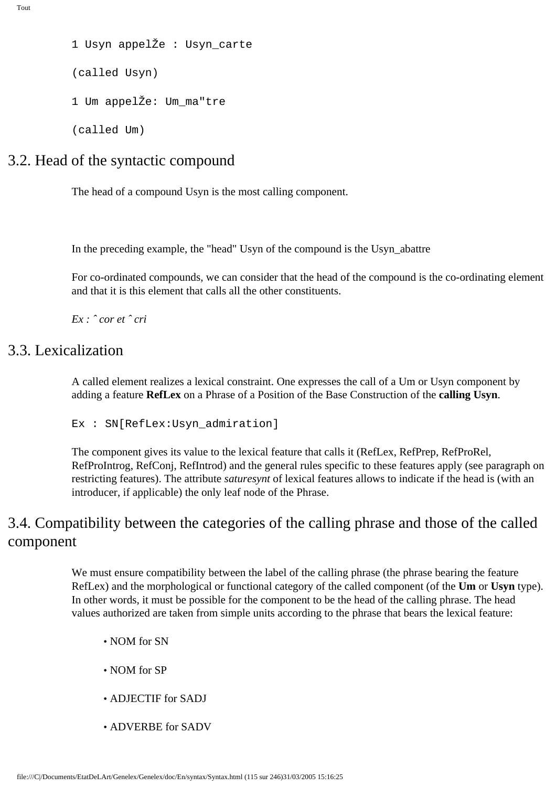```
Tout
```

```
1 Usyn appelŽe : Usyn_carte
(called Usyn)
1 Um appelŽe: Um_ma"tre
(called Um)
```
## 3.2. Head of the syntactic compound

The head of a compound Usyn is the most calling component.

In the preceding example, the "head" Usyn of the compound is the Usyn\_abattre

For co-ordinated compounds, we can consider that the head of the compound is the co-ordinating element and that it is this element that calls all the other constituents.

*Ex : ˆ cor et ˆ cri*

## 3.3. Lexicalization

A called element realizes a lexical constraint. One expresses the call of a Um or Usyn component by adding a feature **RefLex** on a Phrase of a Position of the Base Construction of the **calling Usyn**.

Ex : SN[RefLex:Usyn\_admiration]

The component gives its value to the lexical feature that calls it (RefLex, RefPrep, RefProRel, RefProIntrog, RefConj, RefIntrod) and the general rules specific to these features apply (see paragraph on restricting features). The attribute *saturesynt* of lexical features allows to indicate if the head is (with an introducer, if applicable) the only leaf node of the Phrase.

## 3.4. Compatibility between the categories of the calling phrase and those of the called component

We must ensure compatibility between the label of the calling phrase (the phrase bearing the feature RefLex) and the morphological or functional category of the called component (of the **Um** or **Usyn** type). In other words, it must be possible for the component to be the head of the calling phrase. The head values authorized are taken from simple units according to the phrase that bears the lexical feature:

- NOM for SN
- NOM for SP
- ADJECTIF for SADJ
- ADVERBE for SADV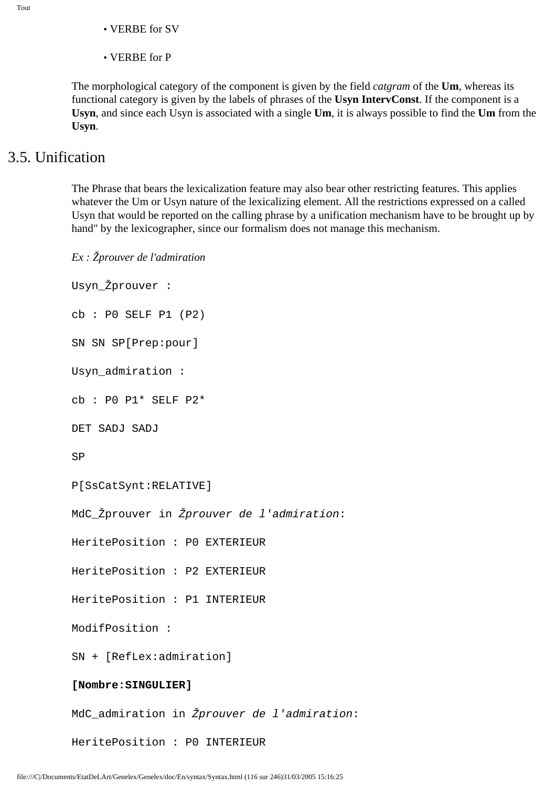- VERBE for SV
- VERBE for P

The morphological category of the component is given by the field *catgram* of the **Um**, whereas its functional category is given by the labels of phrases of the **Usyn IntervConst**. If the component is a **Usyn**, and since each Usyn is associated with a single **Um**, it is always possible to find the **Um** from the **Usyn**.

### 3.5. Unification

The Phrase that bears the lexicalization feature may also bear other restricting features. This applies whatever the Um or Usyn nature of the lexicalizing element. All the restrictions expressed on a called Usyn that would be reported on the calling phrase by a unification mechanism have to be brought up by hand" by the lexicographer, since our formalism does not manage this mechanism.

*Ex : Žprouver de l'admiration* Usyn\_Žprouver : cb : P0 SELF P1 (P2) SN SN SP[Prep:pour] Usyn\_admiration : cb : P0 P1\* SELF P2\* DET SADJ SADJ SP P[SsCatSynt:RELATIVE] MdC\_Žprouver in Žprouver de l'admiration: HeritePosition : P0 EXTERIEUR HeritePosition : P2 EXTERIEUR HeritePosition : P1 INTERIEUR ModifPosition : SN + [RefLex:admiration] **[Nombre:SINGULIER]** MdC\_admiration in Žprouver de l'admiration: HeritePosition : P0 INTERIEUR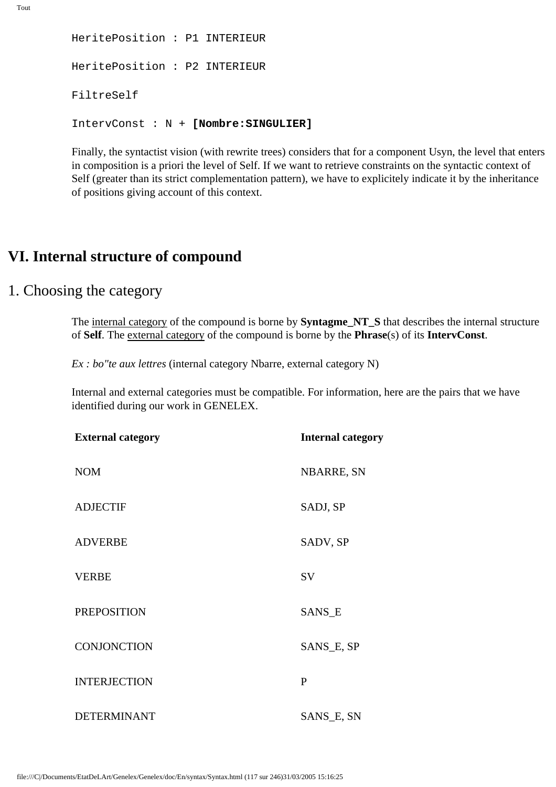```
HeritePosition : P1 INTERIEUR
HeritePosition : P2 INTERIEUR
FiltreSelf
IntervConst : N + [Nombre:SINGULIER]
```
Finally, the syntactist vision (with rewrite trees) considers that for a component Usyn, the level that enters in composition is a priori the level of Self. If we want to retrieve constraints on the syntactic context of Self (greater than its strict complementation pattern), we have to explicitely indicate it by the inheritance of positions giving account of this context.

## **VI. Internal structure of compound**

### 1. Choosing the category

The internal category of the compound is borne by **Syntagme\_NT\_S** that describes the internal structure of **Self**. The external category of the compound is borne by the **Phrase**(s) of its **IntervConst**.

*Ex : bo"te aux lettres* (internal category Nbarre, external category N)

Internal and external categories must be compatible. For information, here are the pairs that we have identified during our work in GENELEX.

| <b>External category</b> | <b>Internal category</b> |  |  |
|--------------------------|--------------------------|--|--|
| <b>NOM</b>               | <b>NBARRE, SN</b>        |  |  |
| <b>ADJECTIF</b>          | SADJ, SP                 |  |  |
| <b>ADVERBE</b>           | SADV, SP                 |  |  |
| <b>VERBE</b>             | SV                       |  |  |
| <b>PREPOSITION</b>       | SANS_E                   |  |  |
| <b>CONJONCTION</b>       | SANS_E, SP               |  |  |
| <b>INTERJECTION</b>      | $\mathbf{P}$             |  |  |
| <b>DETERMINANT</b>       | SANS_E, SN               |  |  |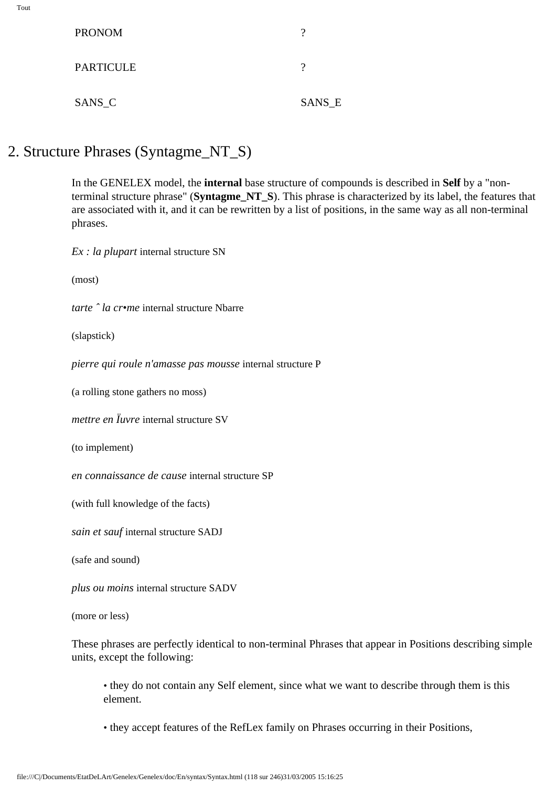| I<br>٧ |  |
|--------|--|

| <b>PRONOM</b>    |        |
|------------------|--------|
| <b>PARTICULE</b> |        |
| SANS_C           | SANS_E |

## 2. Structure Phrases (Syntagme\_NT\_S)

In the GENELEX model, the **internal** base structure of compounds is described in **Self** by a "nonterminal structure phrase" (**Syntagme\_NT\_S**). This phrase is characterized by its label, the features that are associated with it, and it can be rewritten by a list of positions, in the same way as all non-terminal phrases.

*Ex : la plupart* internal structure SN

(most)

*tarte ˆ la cr•me* internal structure Nbarre

(slapstick)

*pierre qui roule n'amasse pas mousse* internal structure P

(a rolling stone gathers no moss)

*mettre en Ïuvre* internal structure SV

(to implement)

*en connaissance de cause* internal structure SP

(with full knowledge of the facts)

*sain et sauf* internal structure SADJ

(safe and sound)

*plus ou moins* internal structure SADV

(more or less)

These phrases are perfectly identical to non-terminal Phrases that appear in Positions describing simple units, except the following:

• they do not contain any Self element, since what we want to describe through them is this element.

• they accept features of the RefLex family on Phrases occurring in their Positions,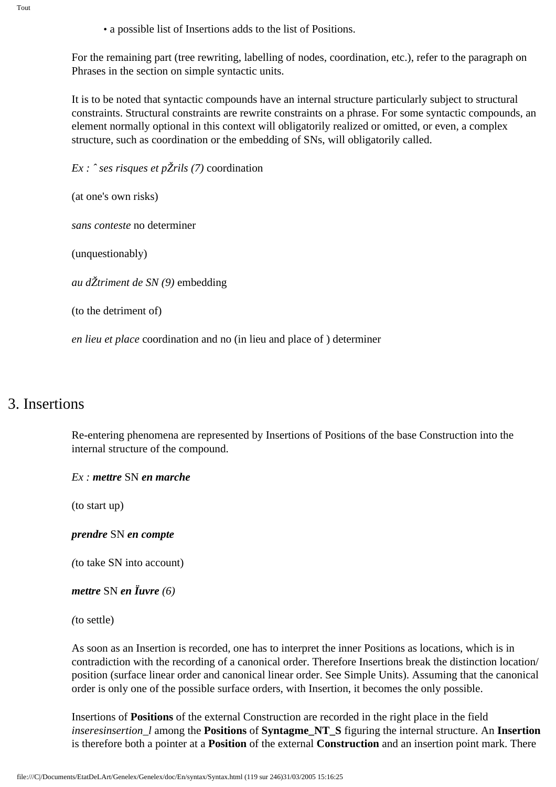Tout

• a possible list of Insertions adds to the list of Positions.

For the remaining part (tree rewriting, labelling of nodes, coordination, etc.), refer to the paragraph on Phrases in the section on simple syntactic units.

It is to be noted that syntactic compounds have an internal structure particularly subject to structural constraints. Structural constraints are rewrite constraints on a phrase. For some syntactic compounds, an element normally optional in this context will obligatorily realized or omitted, or even, a complex structure, such as coordination or the embedding of SNs, will obligatorily called.

*Ex : ˆ ses risques et pŽrils (7)* coordination

(at one's own risks)

*sans conteste* no determiner

(unquestionably)

*au dŽtriment de SN (9)* embedding

(to the detriment of)

*en lieu et place* coordination and no (in lieu and place of ) determiner

## 3. Insertions

Re-entering phenomena are represented by Insertions of Positions of the base Construction into the internal structure of the compound.

*Ex : mettre* SN *en marche*

(to start up)

*prendre* SN *en compte*

*(*to take SN into account)

```
mettre SN en Ïuvre (6)
```
*(*to settle)

As soon as an Insertion is recorded, one has to interpret the inner Positions as locations, which is in contradiction with the recording of a canonical order. Therefore Insertions break the distinction location/ position (surface linear order and canonical linear order. See Simple Units). Assuming that the canonical order is only one of the possible surface orders, with Insertion, it becomes the only possible.

Insertions of **Positions** of the external Construction are recorded in the right place in the field *inseresinsertion\_l* among the **Positions** of **Syntagme\_NT\_S** figuring the internal structure. An **Insertion** is therefore both a pointer at a **Position** of the external **Construction** and an insertion point mark. There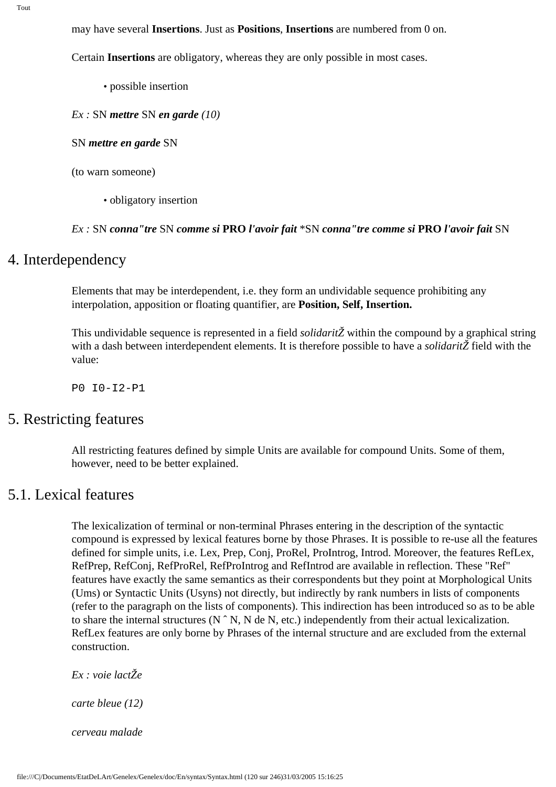may have several **Insertions**. Just as **Positions**, **Insertions** are numbered from 0 on.

Certain **Insertions** are obligatory, whereas they are only possible in most cases.

- possible insertion
- *Ex :* SN *mettre* SN *en garde (10)*

SN *mettre en garde* SN

- (to warn someone)
	- obligatory insertion

#### *Ex :* SN *conna"tre* SN *comme si* **PRO** *l'avoir fait* \*SN *conna"tre comme si* **PRO** *l'avoir fait* SN

### 4. Interdependency

Elements that may be interdependent, i.e. they form an undividable sequence prohibiting any interpolation, apposition or floating quantifier, are **Position, Self, Insertion.**

This undividable sequence is represented in a field *solidaritŽ* within the compound by a graphical string with a dash between interdependent elements. It is therefore possible to have a *solidaritŽ* field with the value:

P0 I0-I2-P1

### 5. Restricting features

All restricting features defined by simple Units are available for compound Units. Some of them, however, need to be better explained.

## 5.1. Lexical features

The lexicalization of terminal or non-terminal Phrases entering in the description of the syntactic compound is expressed by lexical features borne by those Phrases. It is possible to re-use all the features defined for simple units, i.e. Lex, Prep, Conj, ProRel, ProIntrog, Introd. Moreover, the features RefLex, RefPrep, RefConj, RefProRel, RefProIntrog and RefIntrod are available in reflection. These "Ref" features have exactly the same semantics as their correspondents but they point at Morphological Units (Ums) or Syntactic Units (Usyns) not directly, but indirectly by rank numbers in lists of components (refer to the paragraph on the lists of components). This indirection has been introduced so as to be able to share the internal structures (N ˆ N, N de N, etc.) independently from their actual lexicalization. RefLex features are only borne by Phrases of the internal structure and are excluded from the external construction.

*Ex : voie lactŽe*

*carte bleue (12)*

*cerveau malade*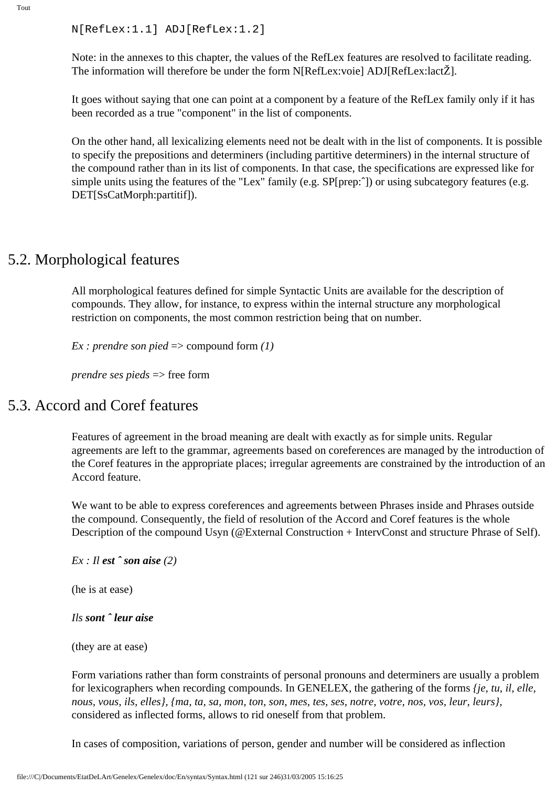```
N[RefLex:1.1] ADJ[RefLex:1.2]
```
Note: in the annexes to this chapter, the values of the RefLex features are resolved to facilitate reading. The information will therefore be under the form N[RefLex:voie] ADJ[RefLex:lactŽ].

It goes without saying that one can point at a component by a feature of the RefLex family only if it has been recorded as a true "component" in the list of components.

On the other hand, all lexicalizing elements need not be dealt with in the list of components. It is possible to specify the prepositions and determiners (including partitive determiners) in the internal structure of the compound rather than in its list of components. In that case, the specifications are expressed like for simple units using the features of the "Lex" family (e.g. SP[prep:^]) or using subcategory features (e.g. DET[SsCatMorph:partitif]).

### 5.2. Morphological features

All morphological features defined for simple Syntactic Units are available for the description of compounds. They allow, for instance, to express within the internal structure any morphological restriction on components, the most common restriction being that on number.

*Ex : prendre son pied* => compound form *(1)* 

*prendre ses pieds* => free form

### 5.3. Accord and Coref features

Features of agreement in the broad meaning are dealt with exactly as for simple units. Regular agreements are left to the grammar, agreements based on coreferences are managed by the introduction of the Coref features in the appropriate places; irregular agreements are constrained by the introduction of an Accord feature.

We want to be able to express coreferences and agreements between Phrases inside and Phrases outside the compound. Consequently, the field of resolution of the Accord and Coref features is the whole Description of the compound Usyn (@External Construction + IntervConst and structure Phrase of Self).

```
Ex : Il est ˆ son aise (2)
```
(he is at ease)

#### *Ils sont ˆ leur aise*

(they are at ease)

Form variations rather than form constraints of personal pronouns and determiners are usually a problem for lexicographers when recording compounds. In GENELEX, the gathering of the forms *{je, tu, il, elle, nous, vous, ils, elles}, {ma, ta, sa, mon, ton, son, mes, tes, ses, notre, votre, nos, vos, leur, leurs}*, considered as inflected forms, allows to rid oneself from that problem.

In cases of composition, variations of person, gender and number will be considered as inflection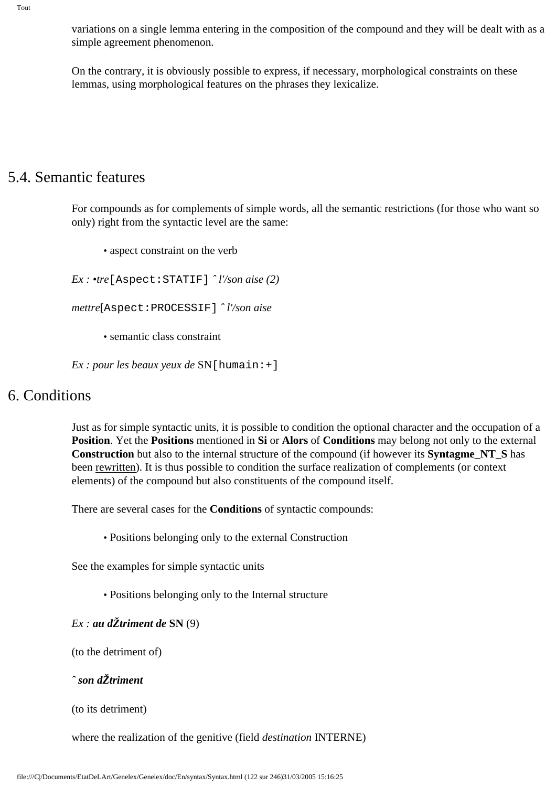variations on a single lemma entering in the composition of the compound and they will be dealt with as a simple agreement phenomenon.

On the contrary, it is obviously possible to express, if necessary, morphological constraints on these lemmas, using morphological features on the phrases they lexicalize.

### 5.4. Semantic features

For compounds as for complements of simple words, all the semantic restrictions (for those who want so only) right from the syntactic level are the same:

• aspect constraint on the verb

*Ex : •tre*[Aspect:STATIF] *ˆ l'/son aise (2)*

*mettre*[Aspect:PROCESSIF] *ˆ l'/son aise* 

• semantic class constraint

*Ex : pour les beaux yeux de* SN[humain:+]

### 6. Conditions

Just as for simple syntactic units, it is possible to condition the optional character and the occupation of a **Position**. Yet the **Positions** mentioned in **Si** or **Alors** of **Conditions** may belong not only to the external **Construction** but also to the internal structure of the compound (if however its **Syntagme\_NT\_S** has been rewritten). It is thus possible to condition the surface realization of complements (or context elements) of the compound but also constituents of the compound itself.

There are several cases for the **Conditions** of syntactic compounds:

• Positions belonging only to the external Construction

See the examples for simple syntactic units

• Positions belonging only to the Internal structure

 $Ex:$  *au d* $\check{Z}$ *triment de* SN (9)

(to the detriment of)

*ˆ son dŽtriment*

```
(to its detriment)
```
where the realization of the genitive (field *destination* INTERNE)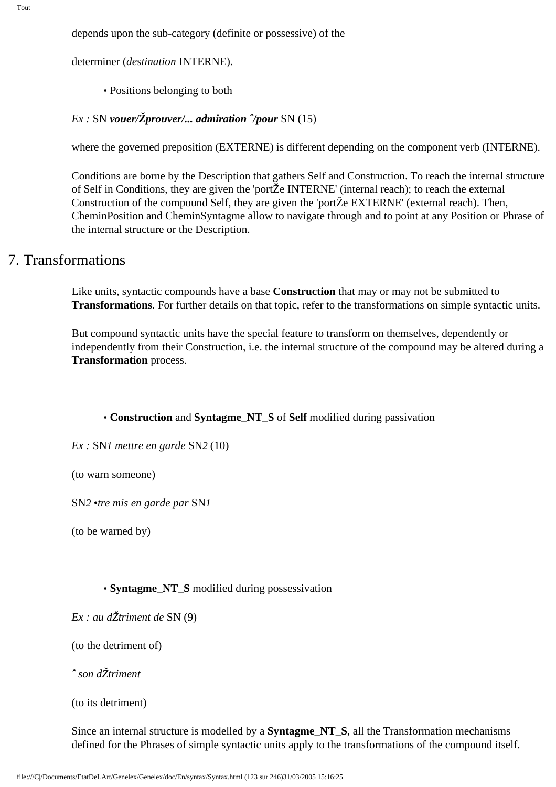depends upon the sub-category (definite or possessive) of the

determiner (*destination* INTERNE).

• Positions belonging to both

#### *Ex :* SN *vouer/Žprouver/... admiration ˆ/pour* SN (15)

where the governed preposition (EXTERNE) is different depending on the component verb (INTERNE).

Conditions are borne by the Description that gathers Self and Construction. To reach the internal structure of Self in Conditions, they are given the 'portŽe INTERNE' (internal reach); to reach the external Construction of the compound Self, they are given the 'portŽe EXTERNE' (external reach). Then, CheminPosition and CheminSyntagme allow to navigate through and to point at any Position or Phrase of the internal structure or the Description.

## 7. Transformations

Like units, syntactic compounds have a base **Construction** that may or may not be submitted to **Transformations**. For further details on that topic, refer to the transformations on simple syntactic units.

But compound syntactic units have the special feature to transform on themselves, dependently or independently from their Construction, i.e. the internal structure of the compound may be altered during a **Transformation** process.

#### • **Construction** and **Syntagme\_NT\_S** of **Self** modified during passivation

*Ex :* SN*1 mettre en garde* SN*2* (10)

(to warn someone)

SN*2 •tre mis en garde par* SN*1*

(to be warned by)

#### • **Syntagme\_NT\_S** modified during possessivation

*Ex : au dŽtriment de* SN (9)

(to the detriment of)

*ˆ son dŽtriment*

(to its detriment)

Since an internal structure is modelled by a **Syntagme\_NT\_S**, all the Transformation mechanisms defined for the Phrases of simple syntactic units apply to the transformations of the compound itself.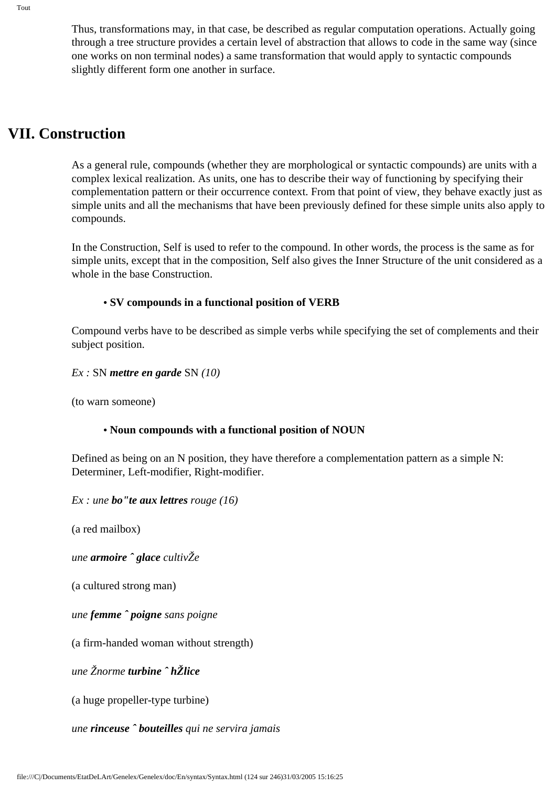Thus, transformations may, in that case, be described as regular computation operations. Actually going through a tree structure provides a certain level of abstraction that allows to code in the same way (since one works on non terminal nodes) a same transformation that would apply to syntactic compounds slightly different form one another in surface.

## **VII. Construction**

As a general rule, compounds (whether they are morphological or syntactic compounds) are units with a complex lexical realization. As units, one has to describe their way of functioning by specifying their complementation pattern or their occurrence context. From that point of view, they behave exactly just as simple units and all the mechanisms that have been previously defined for these simple units also apply to compounds.

In the Construction, Self is used to refer to the compound. In other words, the process is the same as for simple units, except that in the composition, Self also gives the Inner Structure of the unit considered as a whole in the base Construction.

### **• SV compounds in a functional position of VERB**

Compound verbs have to be described as simple verbs while specifying the set of complements and their subject position.

*Ex :* SN *mettre en garde* SN *(10)*

(to warn someone)

### **• Noun compounds with a functional position of NOUN**

Defined as being on an N position, they have therefore a complementation pattern as a simple N: Determiner, Left-modifier, Right-modifier.

*Ex : une bo"te aux lettres rouge (16)*

(a red mailbox)

*une armoire ˆ glace cultivŽe* 

(a cultured strong man)

*une femme ˆ poigne sans poigne* 

(a firm-handed woman without strength)

*une Žnorme turbine ˆ hŽlice*

(a huge propeller-type turbine)

*une rinceuse ˆ bouteilles qui ne servira jamais*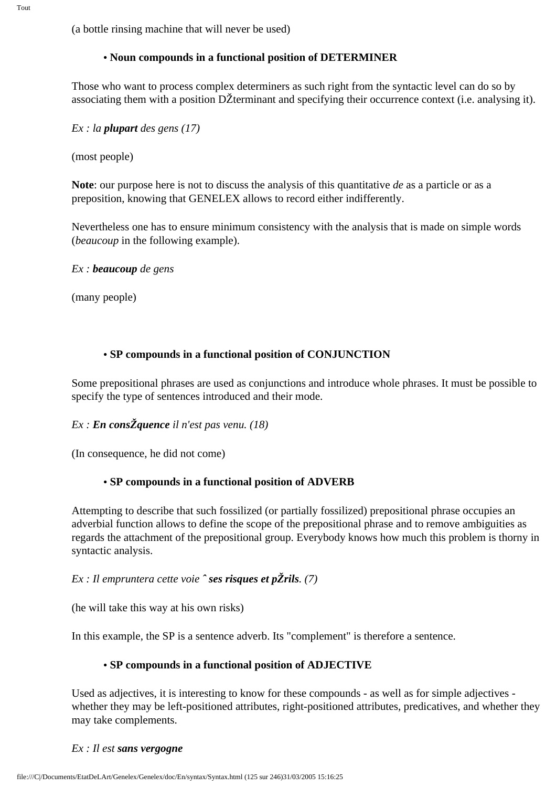Tout

(a bottle rinsing machine that will never be used)

### **• Noun compounds in a functional position of DETERMINER**

Those who want to process complex determiners as such right from the syntactic level can do so by associating them with a position DŽterminant and specifying their occurrence context (i.e. analysing it).

*Ex : la plupart des gens (17)*

(most people)

**Note**: our purpose here is not to discuss the analysis of this quantitative *de* as a particle or as a preposition, knowing that GENELEX allows to record either indifferently.

Nevertheless one has to ensure minimum consistency with the analysis that is made on simple words (*beaucoup* in the following example).

*Ex : beaucoup de gens* 

(many people)

### **• SP compounds in a functional position of CONJUNCTION**

Some prepositional phrases are used as conjunctions and introduce whole phrases. It must be possible to specify the type of sentences introduced and their mode.

### *Ex : En consŽquence il n'est pas venu. (18)*

(In consequence, he did not come)

### **• SP compounds in a functional position of ADVERB**

Attempting to describe that such fossilized (or partially fossilized) prepositional phrase occupies an adverbial function allows to define the scope of the prepositional phrase and to remove ambiguities as regards the attachment of the prepositional group. Everybody knows how much this problem is thorny in syntactic analysis.

### *Ex : Il empruntera cette voie ˆ ses risques et pŽrils. (7)*

(he will take this way at his own risks)

In this example, the SP is a sentence adverb. Its "complement" is therefore a sentence.

### **• SP compounds in a functional position of ADJECTIVE**

Used as adjectives, it is interesting to know for these compounds - as well as for simple adjectives whether they may be left-positioned attributes, right-positioned attributes, predicatives, and whether they may take complements.

#### *Ex : Il est sans vergogne*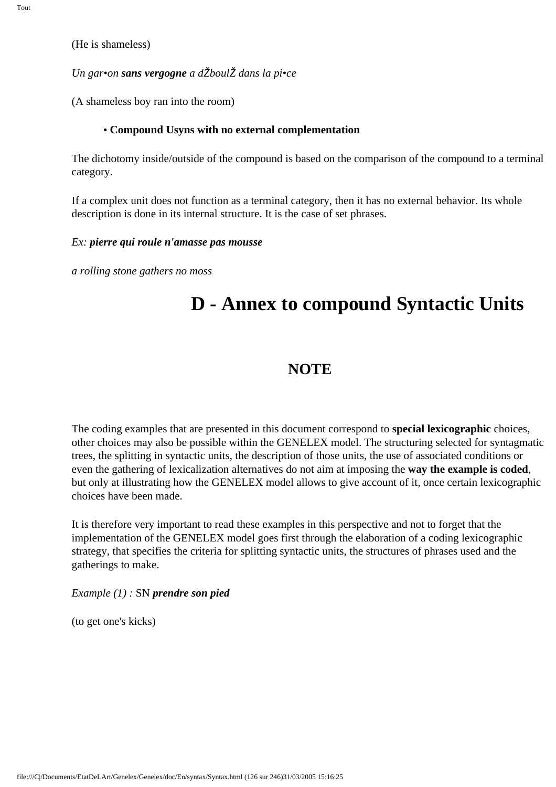(He is shameless)

#### *Un gar•on sans vergogne a dŽboulŽ dans la pi•ce*

(A shameless boy ran into the room)

#### **• Compound Usyns with no external complementation**

The dichotomy inside/outside of the compound is based on the comparison of the compound to a terminal category.

If a complex unit does not function as a terminal category, then it has no external behavior. Its whole description is done in its internal structure. It is the case of set phrases.

#### *Ex: pierre qui roule n'amasse pas mousse*

*a rolling stone gathers no moss*

# **D - Annex to compound Syntactic Units**

### **NOTE**

The coding examples that are presented in this document correspond to **special lexicographic** choices, other choices may also be possible within the GENELEX model. The structuring selected for syntagmatic trees, the splitting in syntactic units, the description of those units, the use of associated conditions or even the gathering of lexicalization alternatives do not aim at imposing the **way the example is coded**, but only at illustrating how the GENELEX model allows to give account of it, once certain lexicographic choices have been made.

It is therefore very important to read these examples in this perspective and not to forget that the implementation of the GENELEX model goes first through the elaboration of a coding lexicographic strategy, that specifies the criteria for splitting syntactic units, the structures of phrases used and the gatherings to make.

*Example (1) :* SN *prendre son pied* 

(to get one's kicks)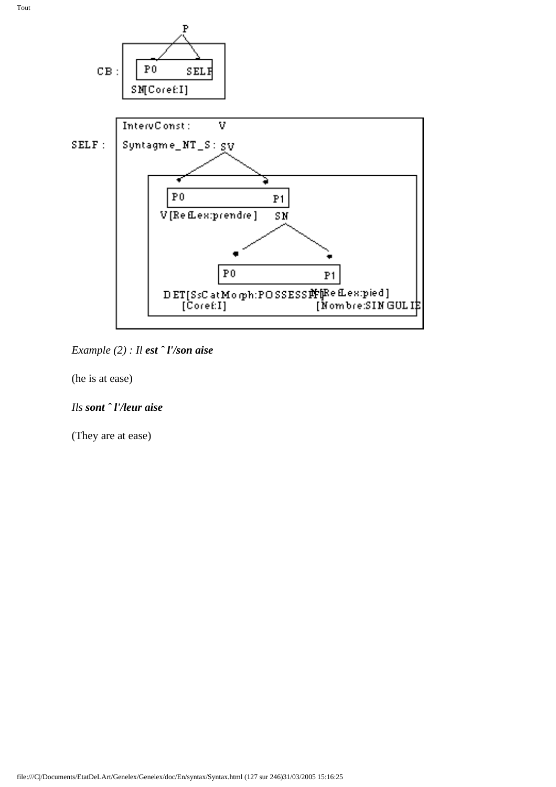

*Example (2) : Il est ˆ l'/son aise*

(he is at ease)

### *Ils sont ˆ l'/leur aise*

(They are at ease)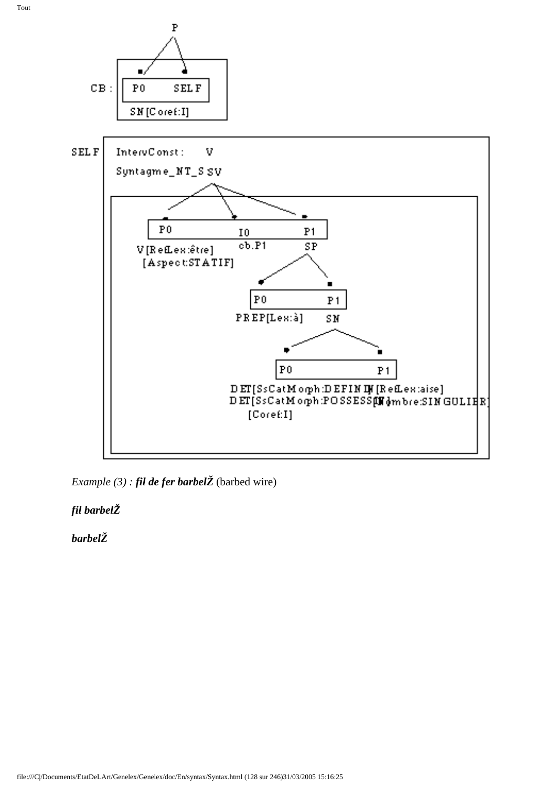

*Example (3) : fil de fer barbelŽ* (barbed wire)

*fil barbelŽ* 

*barbelŽ*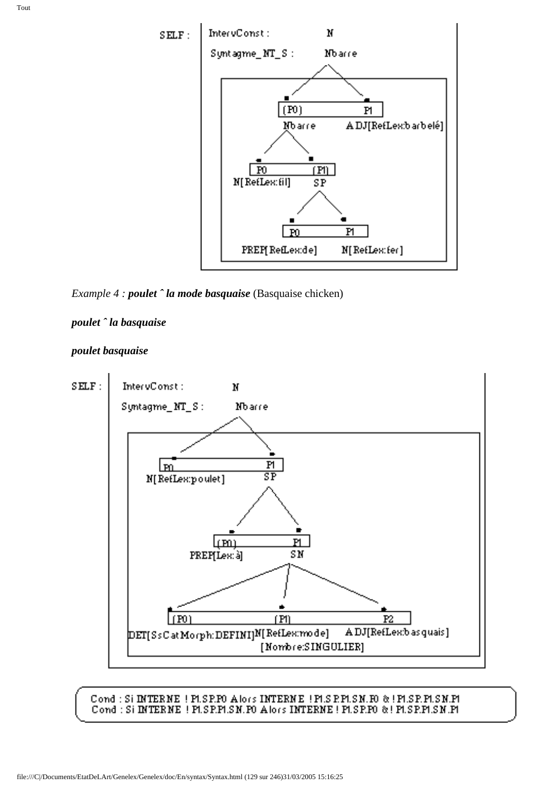

*Example 4 : poulet ˆ la mode basquaise* (Basquaise chicken)

#### *poulet ˆ la basquaise*





#### Cond : Si INTERNE ! PLSP.FO Alors INTERNE ! PLS P.PLSN.FO & ! PLSP.FLSN.PL Cond: Si INTERNE | PLSP.PLSN.PO Alors INTERNE | PLSP.PO & | PLSP.PLSN.PL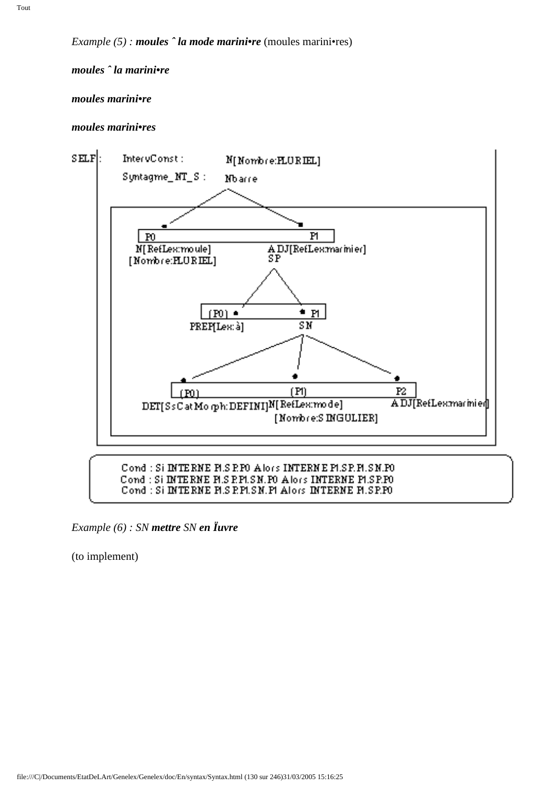### *moules ˆ la marini•re*

#### *moules marini•re*

#### *moules marini•res*



*Example (6) : SN mettre SN en Ïuvre*

(to implement)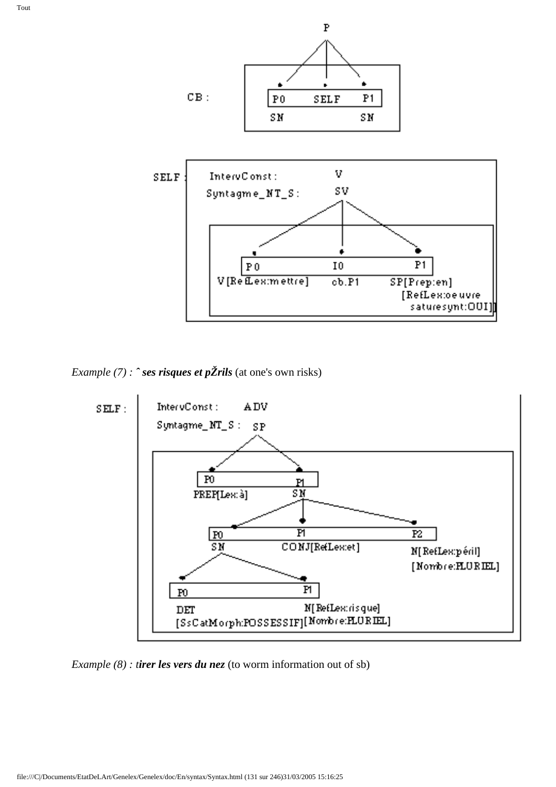

*Example (7) : ˆ ses risques et pŽrils* (at one's own risks)



*Example (8) : tirer les vers du nez* (to worm information out of sb)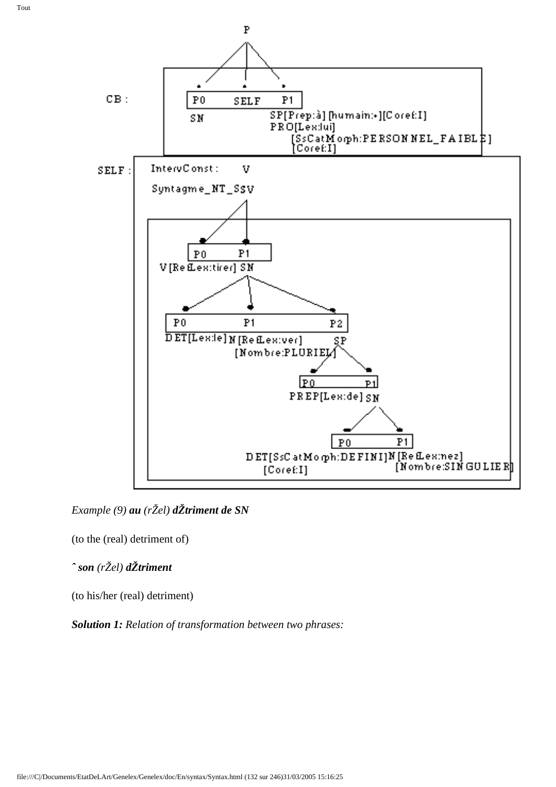

*Example (9) au (rŽel) dŽtriment de SN*

(to the (real) detriment of)

*ˆ son (rŽel) dŽtriment* 

(to his/her (real) detriment)

*Solution 1: Relation of transformation between two phrases:*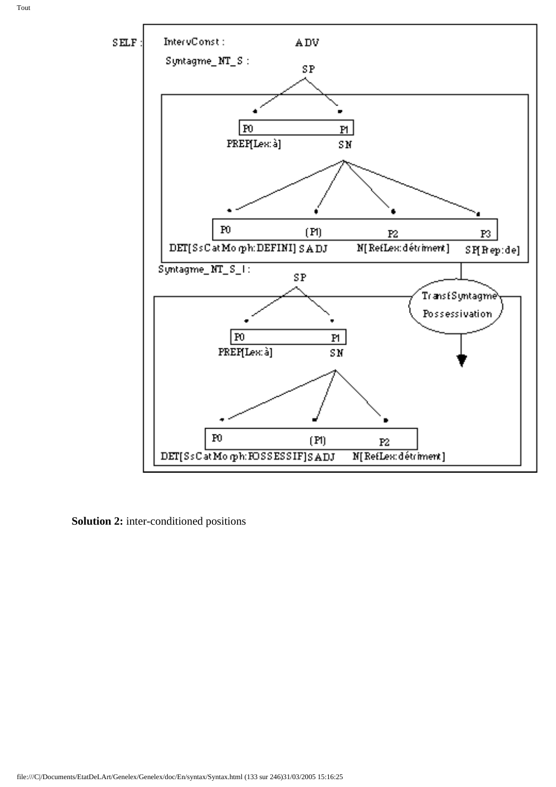

**Solution 2:** inter-conditioned positions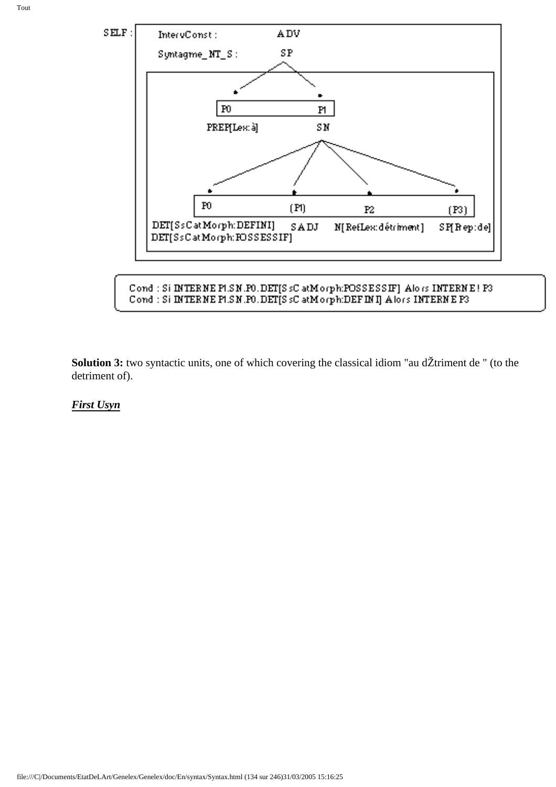

Cond : Si INTERNE PLSN.FO.DET[SsCatMorph:POSSESSIF] Alors INTERNE! P3 Cond : Si INTERNE PLSN.PO.DET[S sC atMorph:DEFINI] Alors INTERNE P3.

**Solution 3:** two syntactic units, one of which covering the classical idiom "au dŽtriment de " (to the detriment of).

*First Usyn*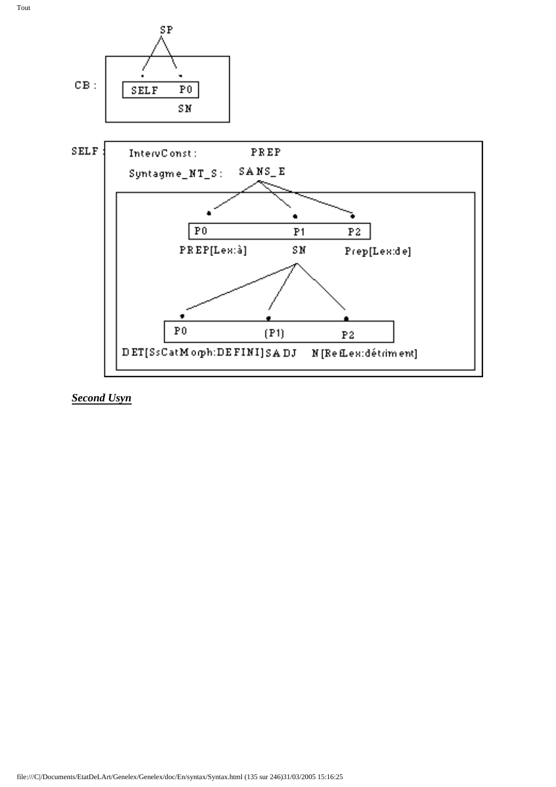



### *Second Usyn*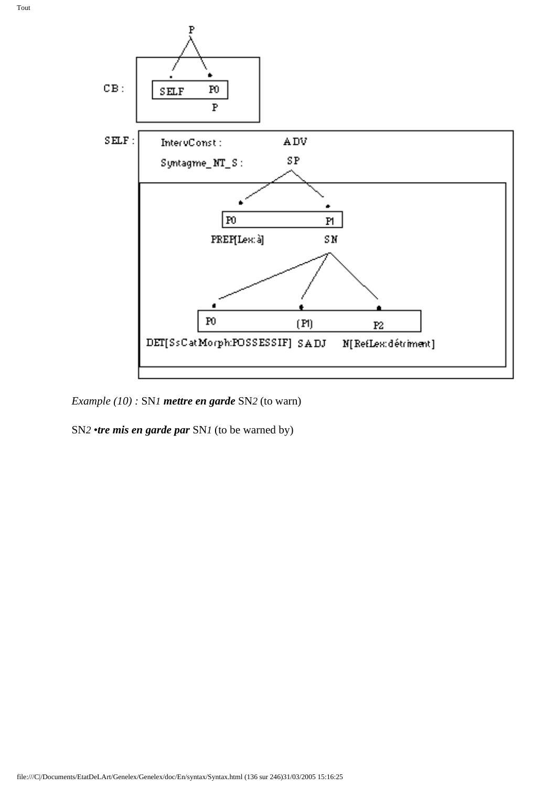



*Example (10) :* SN*1 mettre en garde* SN*2* (to warn)

SN*2 •tre mis en garde par* SN*1* (to be warned by)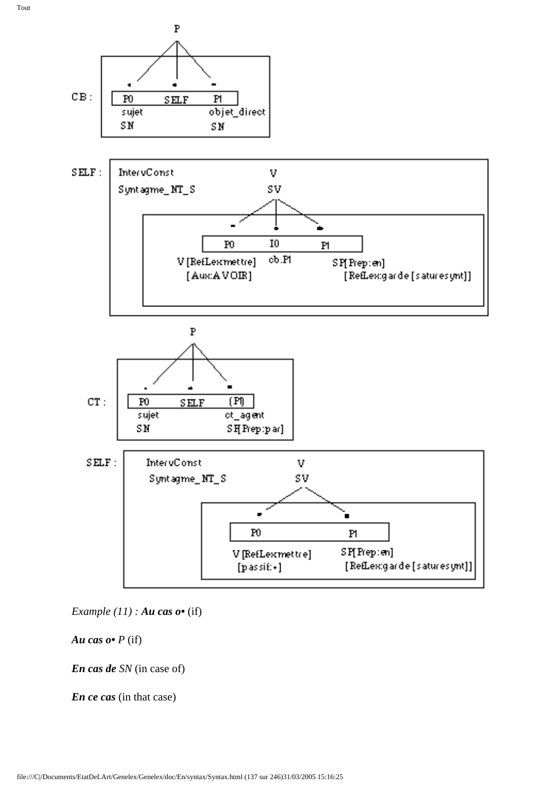

*Example (11) : Au cas o* (if)

*Au cas o• P* (if)

*En cas de SN* (in case of)

*En ce cas* (in that case)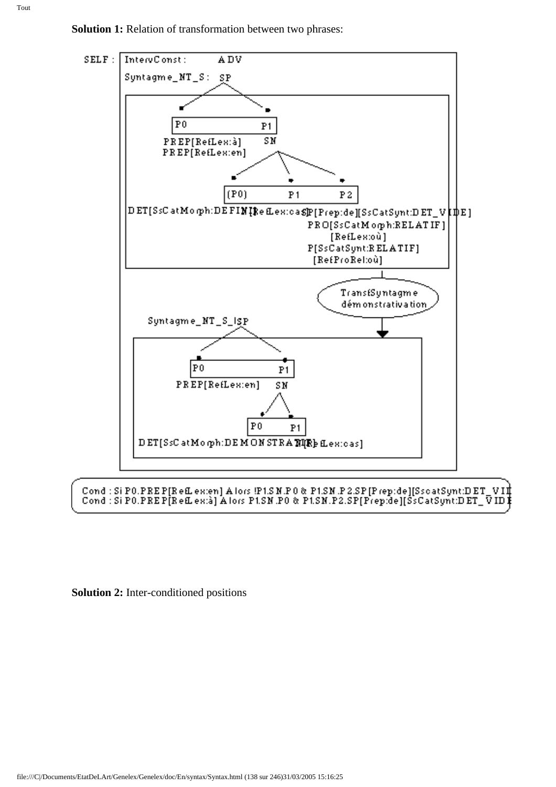



**Solution 2:** Inter-conditioned positions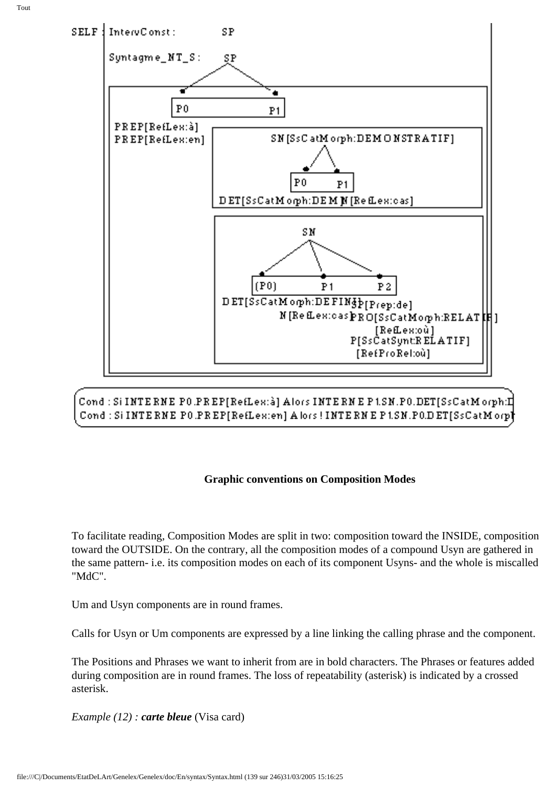

Cond : Si INTE RNE PO.PREP[RefLex:à] Alors INTE RNE P 1.SN.PO.DET[SsCatMorph:I] Cond: Si INTERNE PO.PREP[RefLex:en] A lors! INTERNE P1.SN.PO.DET[SsCatMorp]

### **Graphic conventions on Composition Modes**

To facilitate reading, Composition Modes are split in two: composition toward the INSIDE, composition toward the OUTSIDE. On the contrary, all the composition modes of a compound Usyn are gathered in the same pattern- i.e. its composition modes on each of its component Usyns- and the whole is miscalled "MdC".

Um and Usyn components are in round frames.

Calls for Usyn or Um components are expressed by a line linking the calling phrase and the component.

The Positions and Phrases we want to inherit from are in bold characters. The Phrases or features added during composition are in round frames. The loss of repeatability (asterisk) is indicated by a crossed asterisk.

*Example (12) : carte bleue* (Visa card)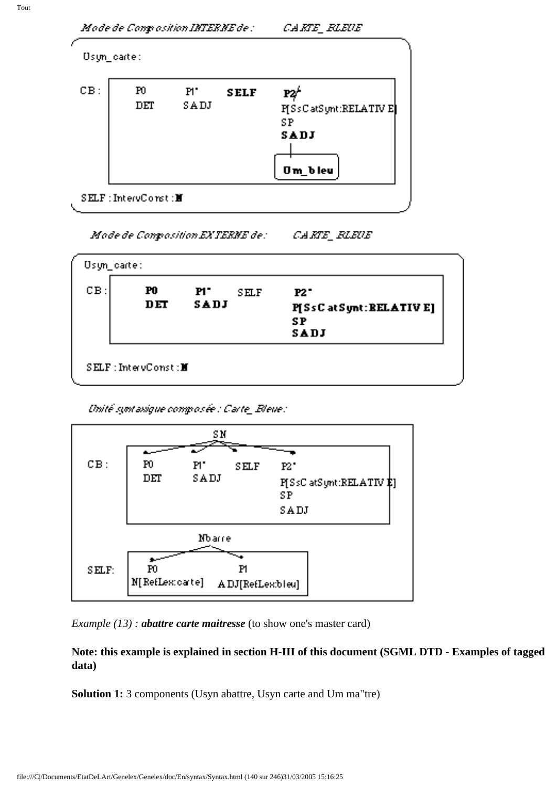

Mode de Congrosition EXTERNE de: CARTE FLEUE

| $CB$ : | P0<br>DET | P1<br>SELF<br>SADJ | <b>P2"</b><br>P[SsC at Synt: BELATIV E]<br><b>SP</b><br>SADJ |
|--------|-----------|--------------------|--------------------------------------------------------------|
|--------|-----------|--------------------|--------------------------------------------------------------|

Unité syntaxique composée : Carte\_Bleue :



*Example (13) : abattre carte maitresse* (to show one's master card)

**Note: this example is explained in section H-III of this document (SGML DTD - Examples of tagged data)**

**Solution 1:** 3 components (Usyn abattre, Usyn carte and Um ma"tre)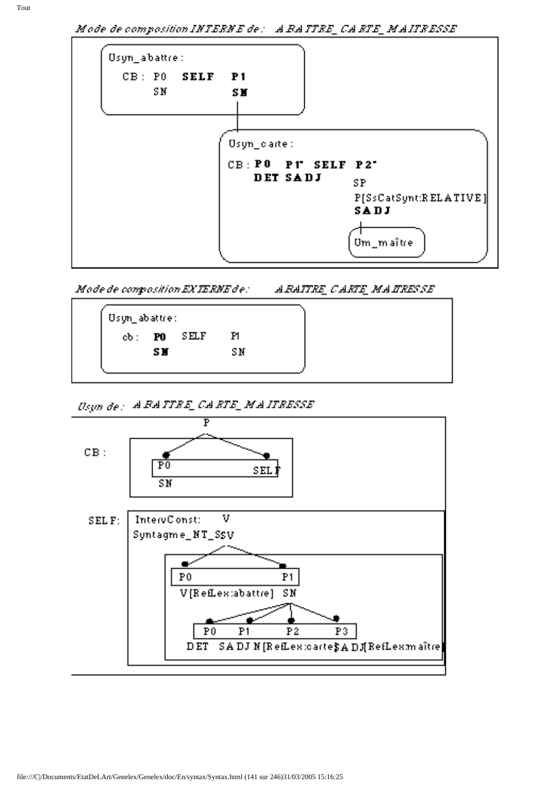| CB: PO SELF P1 |                    |                       |
|----------------|--------------------|-----------------------|
| S <sub>M</sub> | <b>SM</b>          |                       |
|                |                    |                       |
|                |                    |                       |
|                | Usyn_carte:        |                       |
|                | CB: PO PT SELF P2" |                       |
|                | DET SADJ           | <b>SP</b>             |
|                |                    | P[SsCatSynt:RELATIVE] |
|                |                    | SADJ                  |
|                |                    |                       |

Mode de composition EXTERNE de: . *ARAITRE CARTE MAIRESSE* 



Doyn de: A BATTEE CA ETE\_MAITEESSE

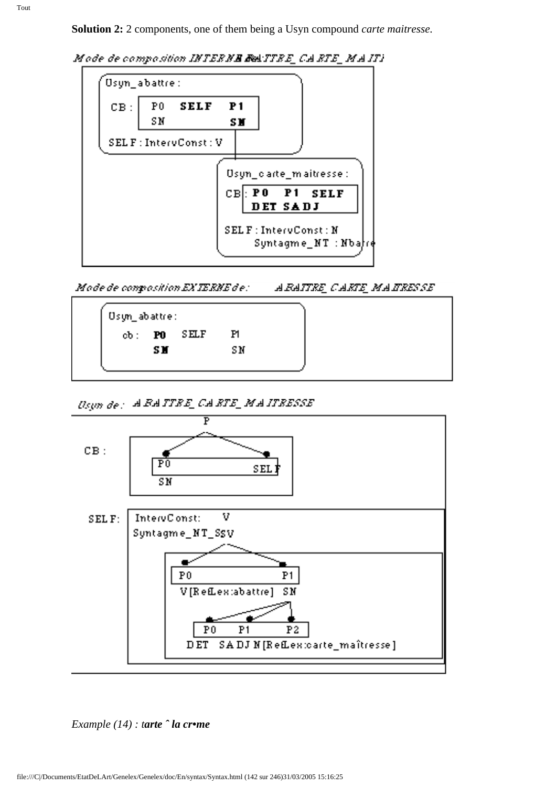**Solution 2:** 2 components, one of them being a Usyn compound *carte maitresse.* 





Mode de composition EXTERNE de: : *ARAITRE CARTE MAITRESSE* 



Dogm de : A FATTEE CA ETE\_MA ITEESSE



*Example (14) : tarte ˆ la cr•me*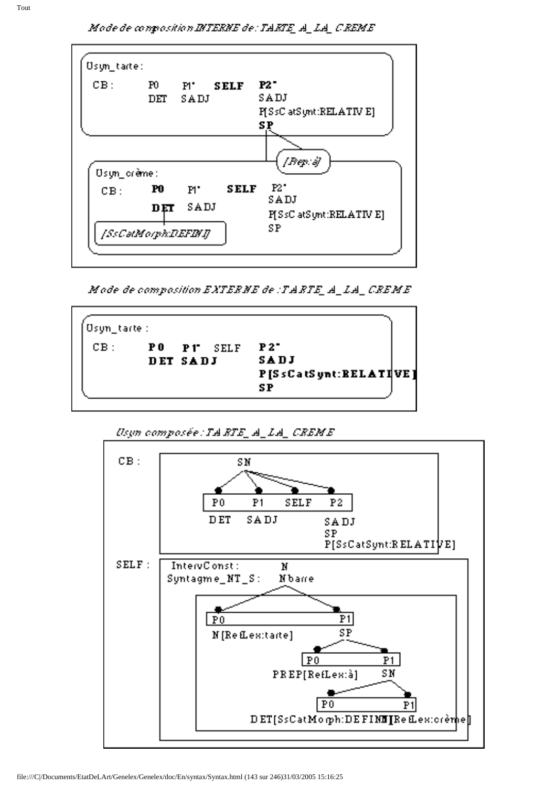Mode de conposition INTERNE de: TARTE\_A\_LA\_CREME

| CB:          | Ю<br>$\mathbf{DFT}$ | $P'$ SELF<br>SADJ |      | <b>P2 "</b><br>SADJ             |
|--------------|---------------------|-------------------|------|---------------------------------|
|              |                     |                   |      | P[SsC atSunt:RELATIV E]<br>S P  |
| Usyn_crème : |                     |                   |      | $ Bep\rangle$ of                |
| CB:          | $1$                 | $P^{\bullet}$     | SELF | $P2^{\bullet}$                  |
|              |                     | DET SADJ          |      | SADJ<br>P[SsC atSynt:RELATIV E] |
|              | [SsCatMorph:DEFINI] |                   |      | SP                              |

Mode de composition EXTERNE de : TARTE\_A\_LA\_CREME

| Usyn_tarte: |                        |                                           |  |
|-------------|------------------------|-------------------------------------------|--|
| $CB$ :      | PO PT SELF<br>DET SADJ | P2<br>SADJ<br>P[SsCatSynt:RELATIVE]<br>SP |  |



Usyn composée : TA RTE\_A\_LA\_CREME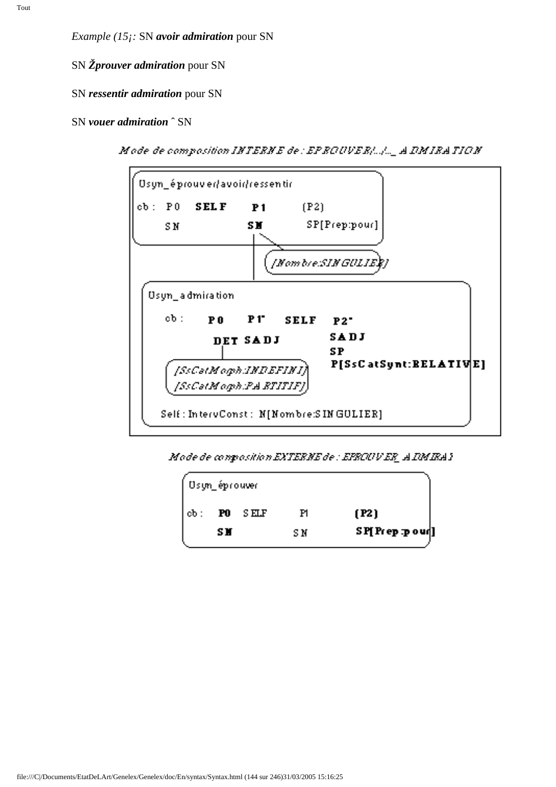SN *Žprouver admiration* pour SN

SN *ressentir admiration* pour SN

SN *vouer admiration* ˆ SN

Mode de composition INTERNE de : EPROUVER[...]... A DMIRATION



Mode de composition EXTERNE de : EFECUVER A IMIRA)

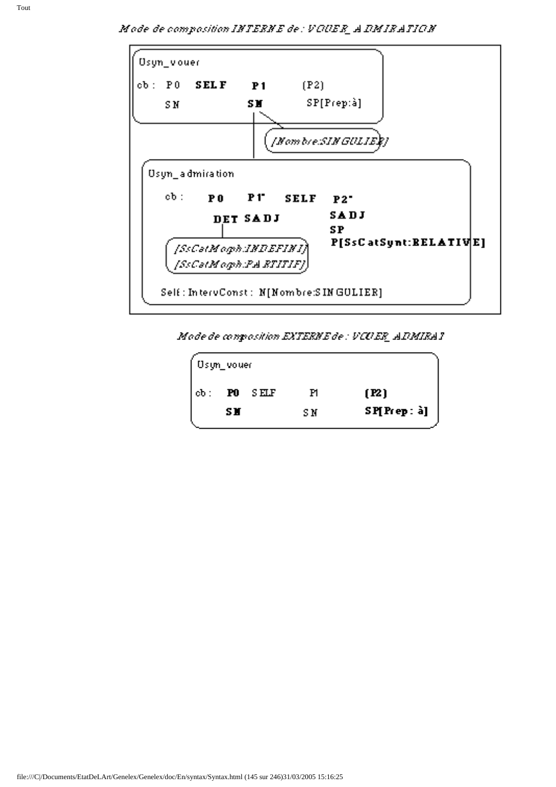Mode de composition INTERNE de : VOUER\_A DMIRATION



Mode de composition EXTERNE de : VCUER\_ADMIRA1

| Usyn_vouer |     |       |     |              |
|------------|-----|-------|-----|--------------|
| $cb$ :     | FO  | S ELF | Ħ   | [ <b>R</b> ] |
|            | s N |       | S N | SP[Prep: à]  |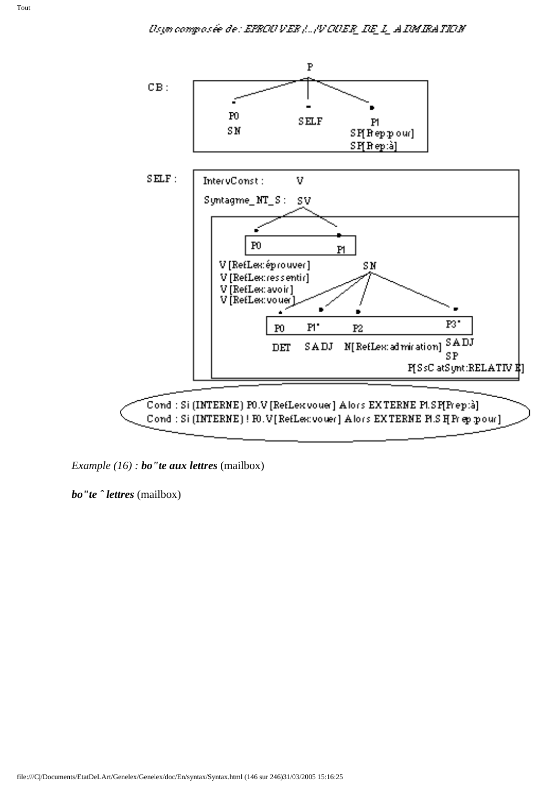

*Example (16) : bo"te aux lettres* (mailbox)

*bo"te ˆ lettres* (mailbox)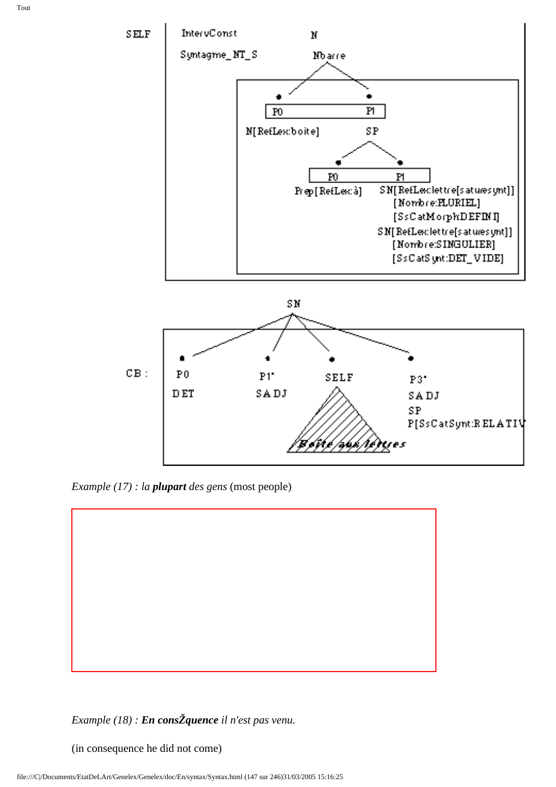



*Example (17) : la plupart des gens* (most people)



#### *Example (18) : En consŽquence il n'est pas venu.*

(in consequence he did not come)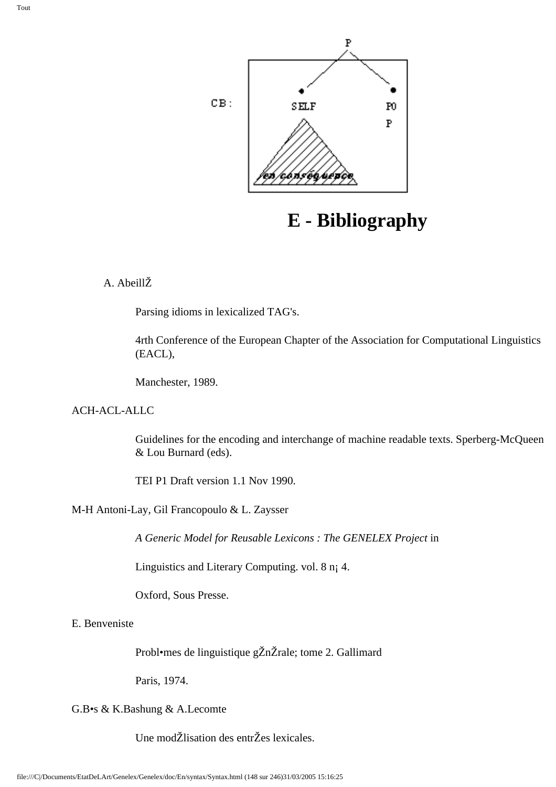

# **E - Bibliography**

#### A. AbeillŽ

Parsing idioms in lexicalized TAG's.

4rth Conference of the European Chapter of the Association for Computational Linguistics (EACL),

Manchester, 1989.

#### ACH-ACL-ALLC

Guidelines for the encoding and interchange of machine readable texts. Sperberg-McQueen & Lou Burnard (eds).

TEI P1 Draft version 1.1 Nov 1990.

#### M-H Antoni-Lay, Gil Francopoulo & L. Zaysser

*A Generic Model for Reusable Lexicons : The GENELEX Project* in

Linguistics and Literary Computing. vol. 8 n¡ 4.

Oxford, Sous Presse.

#### E. Benveniste

Probl•mes de linguistique gŽnŽrale; tome 2. Gallimard

Paris, 1974.

#### G.B•s & K.Bashung & A.Lecomte

Une modŽlisation des entrŽes lexicales.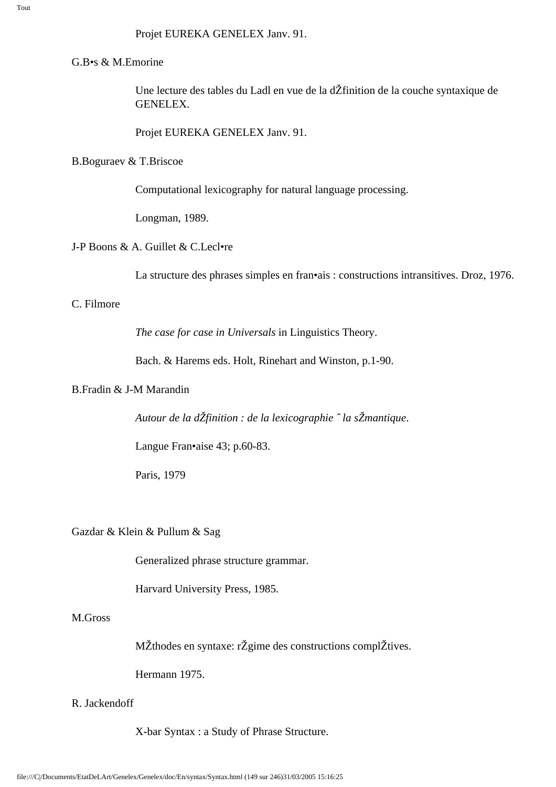#### G.B•s & M.Emorine

Une lecture des tables du Ladl en vue de la dŽfinition de la couche syntaxique de GENELEX.

Projet EUREKA GENELEX Janv. 91.

#### B.Boguraev & T.Briscoe

Computational lexicography for natural language processing.

Longman, 1989.

#### J-P Boons & A. Guillet & C.Lecl•re

La structure des phrases simples en fran•ais : constructions intransitives. Droz, 1976.

#### C. Filmore

*The case for case in Universals* in Linguistics Theory.

Bach. & Harems eds. Holt, Rinehart and Winston, p.1-90.

#### B.Fradin & J-M Marandin

*Autour de la dŽfinition : de la lexicographie ˆ la sŽmantique*.

Langue Fran•aise 43; p.60-83.

Paris, 1979

#### Gazdar & Klein & Pullum & Sag

Generalized phrase structure grammar.

Harvard University Press, 1985.

#### M.Gross

MŽthodes en syntaxe: rŽgime des constructions complŽtives.

Hermann 1975.

#### R. Jackendoff

X-bar Syntax : a Study of Phrase Structure.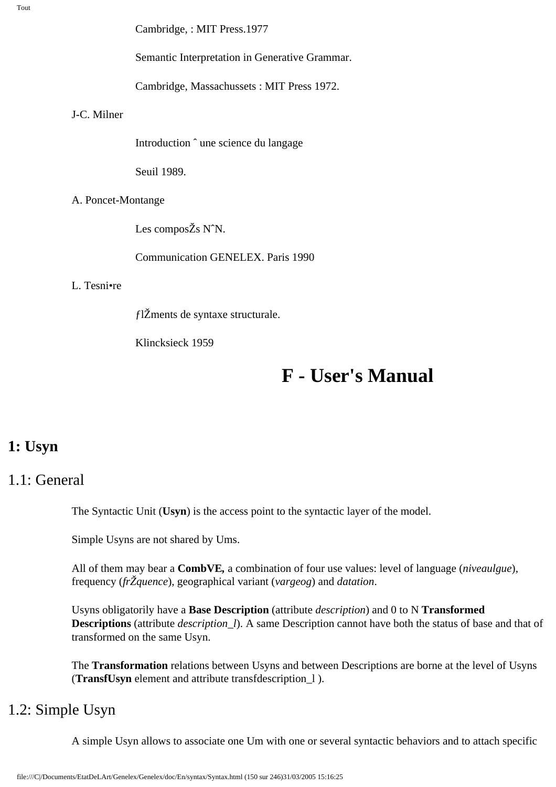Tout

Cambridge, : MIT Press.1977

Semantic Interpretation in Generative Grammar.

Cambridge, Massachussets : MIT Press 1972.

#### J-C. Milner

Introduction ˆ une science du langage

Seuil 1989.

#### A. Poncet-Montange

Les composŽs NˆN.

Communication GENELEX. Paris 1990

#### L. Tesni•re

ƒlŽments de syntaxe structurale.

Klincksieck 1959

# **F - User's Manual**

## **1: Usyn**

## 1.1: General

The Syntactic Unit (**Usyn**) is the access point to the syntactic layer of the model.

Simple Usyns are not shared by Ums.

All of them may bear a **CombVE***,* a combination of four use values: level of language (*niveaulgue*), frequency (*frŽquence*), geographical variant (*vargeog*) and *datation*.

Usyns obligatorily have a **Base Description** (attribute *description*) and 0 to N **Transformed Descriptions** (attribute *description\_l*). A same Description cannot have both the status of base and that of transformed on the same Usyn.

The **Transformation** relations between Usyns and between Descriptions are borne at the level of Usyns (**TransfUsyn** element and attribute transfdescription\_l ).

## 1.2: Simple Usyn

A simple Usyn allows to associate one Um with one or several syntactic behaviors and to attach specific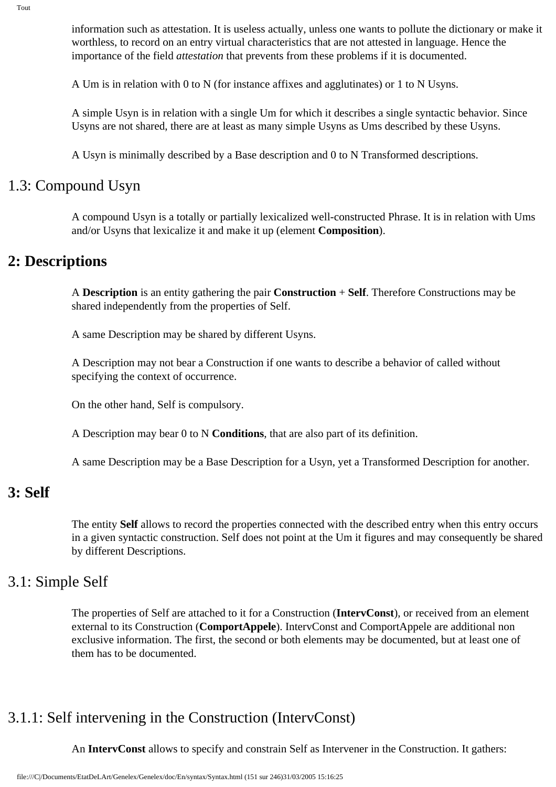information such as attestation. It is useless actually, unless one wants to pollute the dictionary or make it worthless, to record on an entry virtual characteristics that are not attested in language. Hence the importance of the field *attestation* that prevents from these problems if it is documented.

A Um is in relation with 0 to N (for instance affixes and agglutinates) or 1 to N Usyns.

A simple Usyn is in relation with a single Um for which it describes a single syntactic behavior. Since Usyns are not shared, there are at least as many simple Usyns as Ums described by these Usyns.

A Usyn is minimally described by a Base description and 0 to N Transformed descriptions.

### 1.3: Compound Usyn

A compound Usyn is a totally or partially lexicalized well-constructed Phrase. It is in relation with Ums and/or Usyns that lexicalize it and make it up (element **Composition**).

## **2: Descriptions**

A **Description** is an entity gathering the pair **Construction** + **Self**. Therefore Constructions may be shared independently from the properties of Self.

A same Description may be shared by different Usyns.

A Description may not bear a Construction if one wants to describe a behavior of called without specifying the context of occurrence.

On the other hand, Self is compulsory.

A Description may bear 0 to N **Conditions**, that are also part of its definition.

A same Description may be a Base Description for a Usyn, yet a Transformed Description for another.

## **3: Self**

The entity **Self** allows to record the properties connected with the described entry when this entry occurs in a given syntactic construction. Self does not point at the Um it figures and may consequently be shared by different Descriptions.

### 3.1: Simple Self

The properties of Self are attached to it for a Construction (**IntervConst**), or received from an element external to its Construction (**ComportAppele**). IntervConst and ComportAppele are additional non exclusive information. The first, the second or both elements may be documented, but at least one of them has to be documented.

## 3.1.1: Self intervening in the Construction (IntervConst)

An **IntervConst** allows to specify and constrain Self as Intervener in the Construction. It gathers: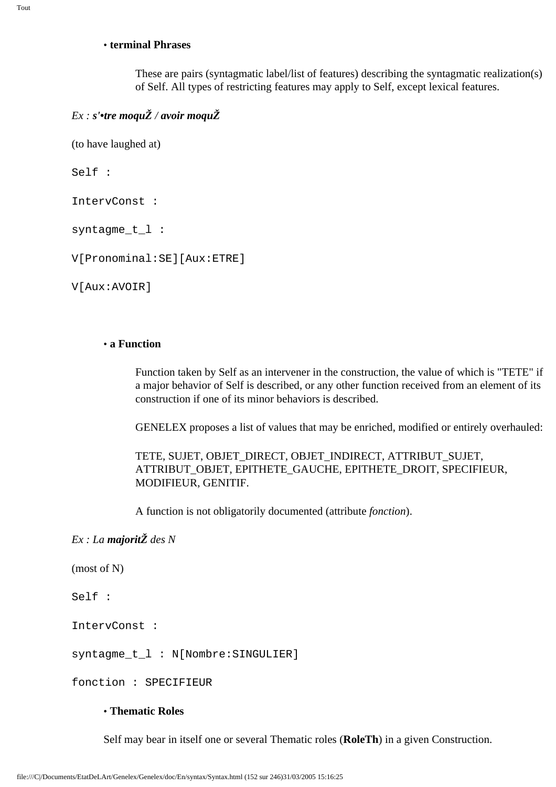#### • **terminal Phrases**

These are pairs (syntagmatic label/list of features) describing the syntagmatic realization(s) of Self. All types of restricting features may apply to Self, except lexical features.

#### *Ex : s'•tre moquŽ / avoir moquŽ*

(to have laughed at)

Self :

IntervConst :

syntagme\_t\_l :

V[Pronominal:SE][Aux:ETRE]

V[Aux:AVOIR]

#### • **a Function**

Function taken by Self as an intervener in the construction, the value of which is "TETE" if a major behavior of Self is described, or any other function received from an element of its construction if one of its minor behaviors is described.

GENELEX proposes a list of values that may be enriched, modified or entirely overhauled:

TETE, SUJET, OBJET\_DIRECT, OBJET\_INDIRECT, ATTRIBUT\_SUJET, ATTRIBUT\_OBJET, EPITHETE\_GAUCHE, EPITHETE\_DROIT, SPECIFIEUR, MODIFIEUR, GENITIF.

A function is not obligatorily documented (attribute *fonction*).

#### *Ex : La majoritŽ des N*

(most of N)

Self :

IntervConst :

syntagme t l : N[Nombre:SINGULIER]

fonction : SPECIFIEUR

#### • **Thematic Roles**

Self may bear in itself one or several Thematic roles (**RoleTh**) in a given Construction.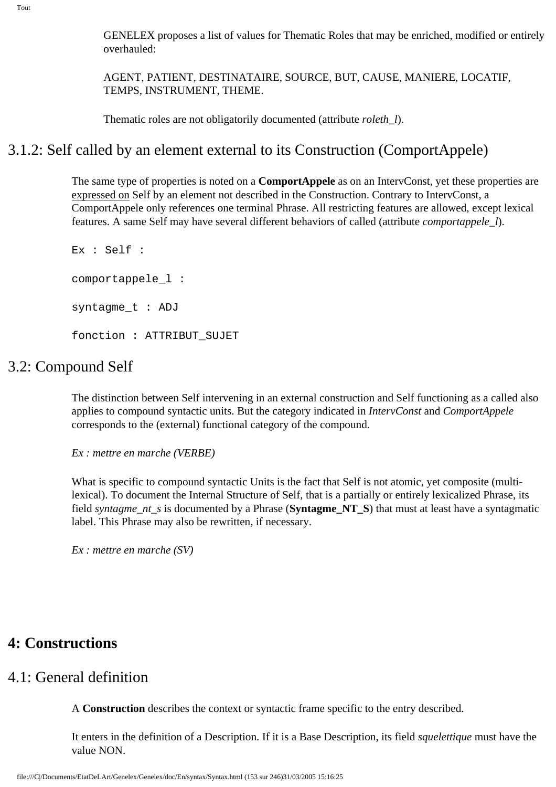GENELEX proposes a list of values for Thematic Roles that may be enriched, modified or entirely overhauled:

AGENT, PATIENT, DESTINATAIRE, SOURCE, BUT, CAUSE, MANIERE, LOCATIF, TEMPS, INSTRUMENT, THEME.

Thematic roles are not obligatorily documented (attribute *roleth\_l*).

## 3.1.2: Self called by an element external to its Construction (ComportAppele)

The same type of properties is noted on a **ComportAppele** as on an IntervConst, yet these properties are expressed on Self by an element not described in the Construction. Contrary to IntervConst, a ComportAppele only references one terminal Phrase. All restricting features are allowed, except lexical features. A same Self may have several different behaviors of called (attribute *comportappele\_l*).

Ex : Self : comportappele\_l : syntagme\_t : ADJ fonction : ATTRIBUT\_SUJET

### 3.2: Compound Self

The distinction between Self intervening in an external construction and Self functioning as a called also applies to compound syntactic units. But the category indicated in *IntervConst* and *ComportAppele*  corresponds to the (external) functional category of the compound.

*Ex : mettre en marche (VERBE)* 

What is specific to compound syntactic Units is the fact that Self is not atomic, yet composite (multilexical). To document the Internal Structure of Self, that is a partially or entirely lexicalized Phrase, its field *syntagme\_nt\_s* is documented by a Phrase (**Syntagme\_NT\_S**) that must at least have a syntagmatic label. This Phrase may also be rewritten, if necessary.

*Ex : mettre en marche (SV)* 

## **4: Constructions**

## 4.1: General definition

A **Construction** describes the context or syntactic frame specific to the entry described.

It enters in the definition of a Description. If it is a Base Description, its field *squelettique* must have the value NON.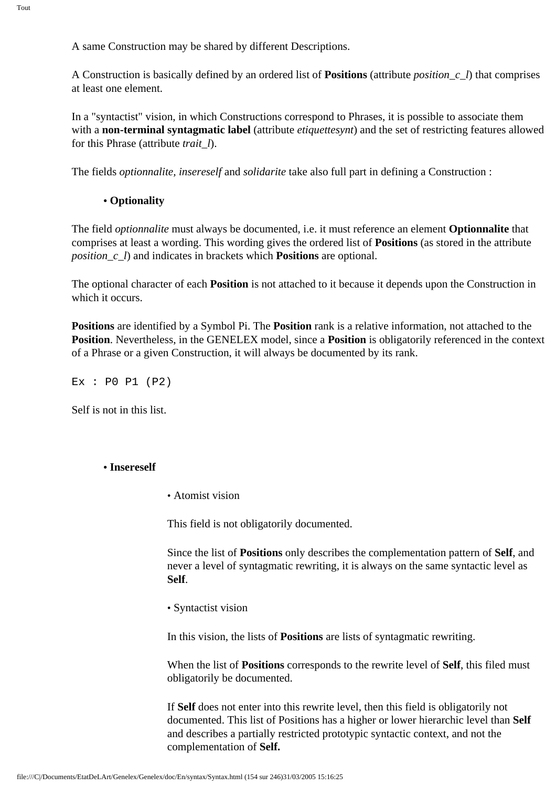A same Construction may be shared by different Descriptions.

A Construction is basically defined by an ordered list of **Positions** (attribute *position\_c\_l*) that comprises at least one element.

In a "syntactist" vision, in which Constructions correspond to Phrases, it is possible to associate them with a **non-terminal syntagmatic label** (attribute *etiquettesynt*) and the set of restricting features allowed for this Phrase (attribute *trait\_l*).

The fields *optionnalite, insereself* and *solidarite* take also full part in defining a Construction :

#### **• Optionality**

The field *optionnalite* must always be documented, i.e. it must reference an element **Optionnalite** that comprises at least a wording. This wording gives the ordered list of **Positions** (as stored in the attribute *position\_c\_l*) and indicates in brackets which **Positions** are optional.

The optional character of each **Position** is not attached to it because it depends upon the Construction in which it occurs.

**Positions** are identified by a Symbol Pi. The **Position** rank is a relative information, not attached to the **Position**. Nevertheless, in the GENELEX model, since a **Position** is obligatorily referenced in the context of a Phrase or a given Construction, it will always be documented by its rank.

Ex : P0 P1 (P2)

Self is not in this list.

#### **• Insereself**

• Atomist vision

This field is not obligatorily documented.

Since the list of **Positions** only describes the complementation pattern of **Self**, and never a level of syntagmatic rewriting, it is always on the same syntactic level as **Self**.

• Syntactist vision

In this vision, the lists of **Positions** are lists of syntagmatic rewriting.

When the list of **Positions** corresponds to the rewrite level of **Self**, this filed must obligatorily be documented.

If **Self** does not enter into this rewrite level, then this field is obligatorily not documented. This list of Positions has a higher or lower hierarchic level than **Self** and describes a partially restricted prototypic syntactic context, and not the complementation of **Self.**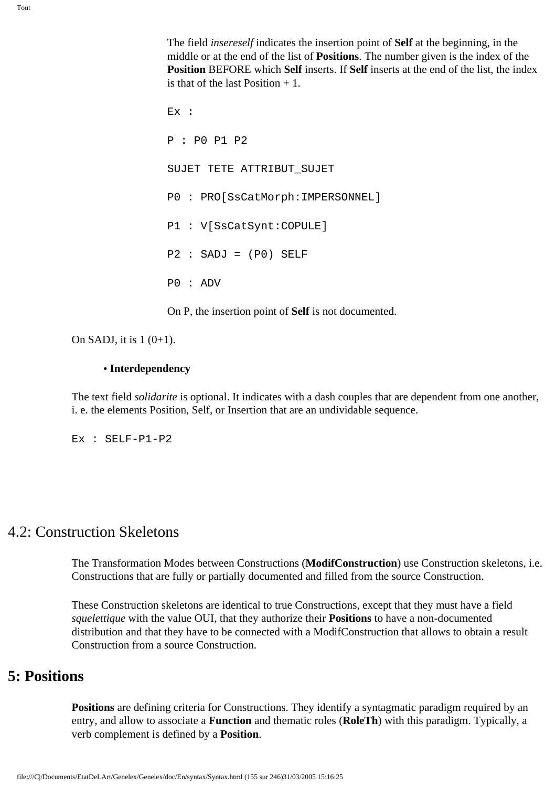The field *insereself* indicates the insertion point of **Self** at the beginning, in the middle or at the end of the list of **Positions**. The number given is the index of the **Position** BEFORE which **Self** inserts. If **Self** inserts at the end of the list, the index is that of the last Position  $+1$ .

Ex : P : P0 P1 P2 SUJET TETE ATTRIBUT\_SUJET P0 : PRO[SsCatMorph:IMPERSONNEL] P1 : V[SsCatSynt:COPULE]  $P2 : SADJ = (P0) SELF$ P0 : ADV

On P, the insertion point of **Self** is not documented.

On SADJ, it is  $1(0+1)$ .

#### **• Interdependency**

The text field *solidarite* is optional. It indicates with a dash couples that are dependent from one another, i. e. the elements Position, Self, or Insertion that are an undividable sequence.

Ex : SELF-P1-P2

### 4.2: Construction Skeletons

The Transformation Modes between Constructions (**ModifConstruction**) use Construction skeletons, i.e. Constructions that are fully or partially documented and filled from the source Construction.

These Construction skeletons are identical to true Constructions, except that they must have a field *squelettique* with the value OUI, that they authorize their **Positions** to have a non-documented distribution and that they have to be connected with a ModifConstruction that allows to obtain a result Construction from a source Construction.

## **5: Positions**

**Positions** are defining criteria for Constructions. They identify a syntagmatic paradigm required by an entry, and allow to associate a **Function** and thematic roles (**RoleTh**) with this paradigm. Typically, a verb complement is defined by a **Position**.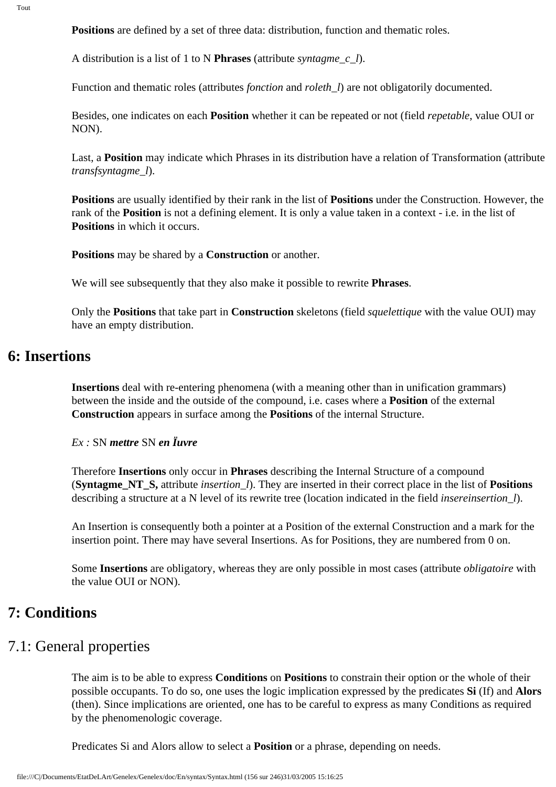**Positions** are defined by a set of three data: distribution, function and thematic roles.

A distribution is a list of 1 to N **Phrases** (attribute *syntagme\_c\_l*).

Function and thematic roles (attributes *fonction* and *roleth\_l*) are not obligatorily documented.

Besides, one indicates on each **Position** whether it can be repeated or not (field *repetable*, value OUI or NON).

Last, a **Position** may indicate which Phrases in its distribution have a relation of Transformation (attribute *transfsyntagme\_l*).

**Positions** are usually identified by their rank in the list of **Positions** under the Construction. However, the rank of the **Position** is not a defining element. It is only a value taken in a context - i.e. in the list of **Positions** in which it occurs.

**Positions** may be shared by a **Construction** or another.

We will see subsequently that they also make it possible to rewrite **Phrases**.

Only the **Positions** that take part in **Construction** skeletons (field *squelettique* with the value OUI) may have an empty distribution.

## **6: Insertions**

**Insertions** deal with re-entering phenomena (with a meaning other than in unification grammars) between the inside and the outside of the compound, i.e. cases where a **Position** of the external **Construction** appears in surface among the **Positions** of the internal Structure.

*Ex :* SN *mettre* SN *en Ïuvre*

Therefore **Insertions** only occur in **Phrases** describing the Internal Structure of a compound (**Syntagme\_NT\_S,** attribute *insertion\_l*). They are inserted in their correct place in the list of **Positions** describing a structure at a N level of its rewrite tree (location indicated in the field *insereinsertion\_l*).

An Insertion is consequently both a pointer at a Position of the external Construction and a mark for the insertion point. There may have several Insertions. As for Positions, they are numbered from 0 on.

Some **Insertions** are obligatory, whereas they are only possible in most cases (attribute *obligatoire* with the value OUI or NON).

## **7: Conditions**

### 7.1: General properties

The aim is to be able to express **Conditions** on **Positions** to constrain their option or the whole of their possible occupants. To do so, one uses the logic implication expressed by the predicates **Si** (If) and **Alors**  (then). Since implications are oriented, one has to be careful to express as many Conditions as required by the phenomenologic coverage.

Predicates Si and Alors allow to select a **Position** or a phrase, depending on needs.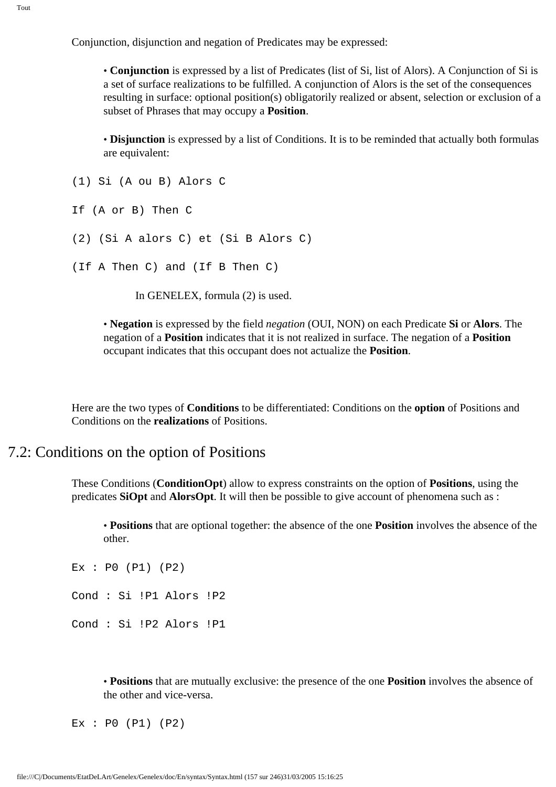Conjunction, disjunction and negation of Predicates may be expressed:

• **Conjunction** is expressed by a list of Predicates (list of Si, list of Alors). A Conjunction of Si is a set of surface realizations to be fulfilled. A conjunction of Alors is the set of the consequences resulting in surface: optional position(s) obligatorily realized or absent, selection or exclusion of a subset of Phrases that may occupy a **Position**.

• **Disjunction** is expressed by a list of Conditions. It is to be reminded that actually both formulas are equivalent:

```
(1) Si (A ou B) Alors C
```

```
If (A or B) Then C
```

```
(2) (Si A alors C) et (Si B Alors C)
```

```
(If A Then C) and (If B Then C)
```
In GENELEX, formula (2) is used.

• **Negation** is expressed by the field *negation* (OUI, NON) on each Predicate **Si** or **Alors**. The negation of a **Position** indicates that it is not realized in surface. The negation of a **Position** occupant indicates that this occupant does not actualize the **Position**.

Here are the two types of **Conditions** to be differentiated: Conditions on the **option** of Positions and Conditions on the **realizations** of Positions.

### 7.2: Conditions on the option of Positions

These Conditions (**ConditionOpt**) allow to express constraints on the option of **Positions**, using the predicates **SiOpt** and **AlorsOpt**. It will then be possible to give account of phenomena such as :

• **Positions** that are optional together: the absence of the one **Position** involves the absence of the other.

```
Ex : P0 (P1) (P2)
Cond : Si !P1 Alors !P2
Cond : Si !P2 Alors !P1
```
• **Positions** that are mutually exclusive: the presence of the one **Position** involves the absence of the other and vice-versa.

Ex : P0 (P1) (P2)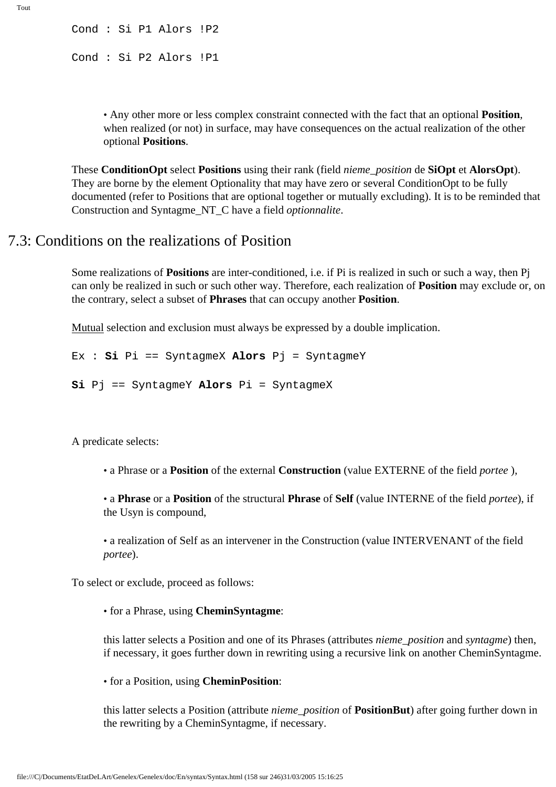Cond : Si P1 Alors !P2 Cond : Si P2 Alors !P1

> • Any other more or less complex constraint connected with the fact that an optional **Position**, when realized (or not) in surface, may have consequences on the actual realization of the other optional **Positions**.

These **ConditionOpt** select **Positions** using their rank (field *nieme\_position* de **SiOpt** et **AlorsOpt**). They are borne by the element Optionality that may have zero or several ConditionOpt to be fully documented (refer to Positions that are optional together or mutually excluding). It is to be reminded that Construction and Syntagme\_NT\_C have a field *optionnalite*.

## 7.3: Conditions on the realizations of Position

Some realizations of **Positions** are inter-conditioned, i.e. if Pi is realized in such or such a way, then Pj can only be realized in such or such other way. Therefore, each realization of **Position** may exclude or, on the contrary, select a subset of **Phrases** that can occupy another **Position**.

Mutual selection and exclusion must always be expressed by a double implication.

```
Ex : Si Pi == SyntagmeX Alors Pj = SyntagmeY
```

```
Si Pj == SyntagmeY Alors Pi = SyntagmeX
```
A predicate selects:

• a Phrase or a **Position** of the external **Construction** (value EXTERNE of the field *portee* ),

• a **Phrase** or a **Position** of the structural **Phrase** of **Self** (value INTERNE of the field *portee*), if the Usyn is compound,

• a realization of Self as an intervener in the Construction (value INTERVENANT of the field *portee*).

To select or exclude, proceed as follows:

• for a Phrase, using **CheminSyntagme**:

this latter selects a Position and one of its Phrases (attributes *nieme\_position* and *syntagme*) then, if necessary, it goes further down in rewriting using a recursive link on another CheminSyntagme.

#### • for a Position, using **CheminPosition**:

this latter selects a Position (attribute *nieme\_position* of **PositionBut**) after going further down in the rewriting by a CheminSyntagme, if necessary.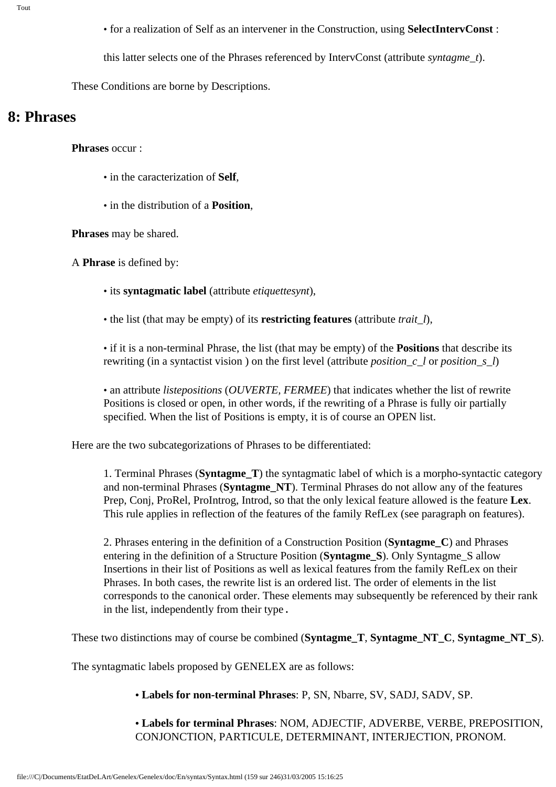- for a realization of Self as an intervener in the Construction, using **SelectIntervConst** :
- this latter selects one of the Phrases referenced by IntervConst (attribute *syntagme\_t*).

These Conditions are borne by Descriptions.

## **8: Phrases**

**Phrases** occur :

- in the caracterization of **Self**,
- in the distribution of a **Position**,

**Phrases** may be shared.

A **Phrase** is defined by:

- its **syntagmatic label** (attribute *etiquettesynt*),
- the list (that may be empty) of its **restricting features** (attribute *trait\_l*),

• if it is a non-terminal Phrase, the list (that may be empty) of the **Positions** that describe its rewriting (in a syntactist vision ) on the first level (attribute *position\_c\_l* or *position\_s\_l*)

• an attribute *listepositions* (*OUVERTE, FERMEE*) that indicates whether the list of rewrite Positions is closed or open, in other words, if the rewriting of a Phrase is fully oir partially specified. When the list of Positions is empty, it is of course an OPEN list.

Here are the two subcategorizations of Phrases to be differentiated:

1. Terminal Phrases (**Syntagme\_T**) the syntagmatic label of which is a morpho-syntactic category and non-terminal Phrases (**Syntagme\_NT**). Terminal Phrases do not allow any of the features Prep, Conj, ProRel, ProIntrog, Introd, so that the only lexical feature allowed is the feature **Lex**. This rule applies in reflection of the features of the family RefLex (see paragraph on features).

2. Phrases entering in the definition of a Construction Position (**Syntagme\_C**) and Phrases entering in the definition of a Structure Position (**Syntagme\_S**). Only Syntagme\_S allow Insertions in their list of Positions as well as lexical features from the family RefLex on their Phrases. In both cases, the rewrite list is an ordered list. The order of elements in the list corresponds to the canonical order. These elements may subsequently be referenced by their rank in the list, independently from their type.

These two distinctions may of course be combined (**Syntagme\_T**, **Syntagme\_NT\_C**, **Syntagme\_NT\_S**).

The syntagmatic labels proposed by GENELEX are as follows:

**• Labels for non-terminal Phrases**: P, SN, Nbarre, SV, SADJ, SADV, SP.

**• Labels for terminal Phrases**: NOM, ADJECTIF, ADVERBE, VERBE, PREPOSITION, CONJONCTION, PARTICULE, DETERMINANT, INTERJECTION, PRONOM.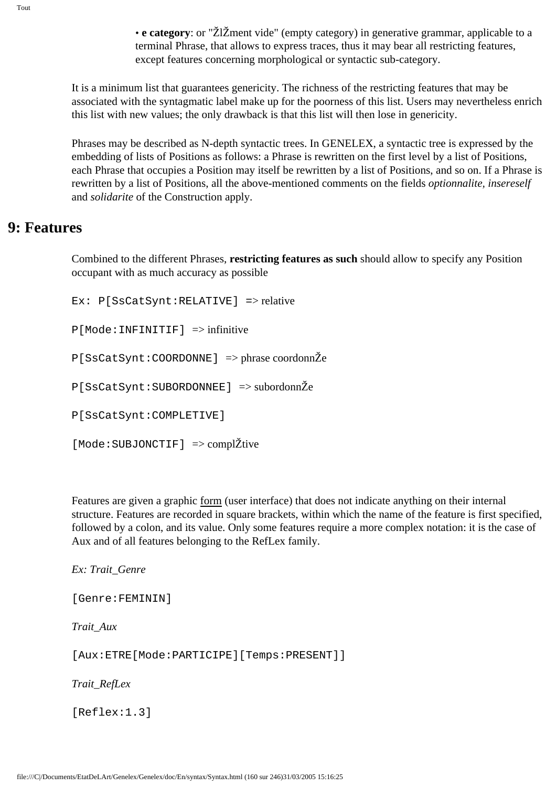• **e category**: or "ŽlŽment vide" (empty category) in generative grammar, applicable to a terminal Phrase, that allows to express traces, thus it may bear all restricting features, except features concerning morphological or syntactic sub-category.

It is a minimum list that guarantees genericity. The richness of the restricting features that may be associated with the syntagmatic label make up for the poorness of this list. Users may nevertheless enrich this list with new values; the only drawback is that this list will then lose in genericity.

Phrases may be described as N-depth syntactic trees. In GENELEX, a syntactic tree is expressed by the embedding of lists of Positions as follows: a Phrase is rewritten on the first level by a list of Positions, each Phrase that occupies a Position may itself be rewritten by a list of Positions, and so on. If a Phrase is rewritten by a list of Positions, all the above-mentioned comments on the fields *optionnalite, insereself*  and *solidarite* of the Construction apply.

## **9: Features**

Combined to the different Phrases, **restricting features as such** should allow to specify any Position occupant with as much accuracy as possible

Ex: P[SsCatSynt:RELATIVE] => relative

 $P[Mode:INFINITE]$  => infinitive

P[SsCatSynt:COORDONNE] => phrase coordonnŽe

P[SsCatSynt:SUBORDONNEE] => subordonnŽe

P[SsCatSynt:COMPLETIVE]

[Mode:SUBJONCTIF] => complŽtive

Features are given a graphic form (user interface) that does not indicate anything on their internal structure. Features are recorded in square brackets, within which the name of the feature is first specified, followed by a colon, and its value. Only some features require a more complex notation: it is the case of Aux and of all features belonging to the RefLex family.

*Ex: Trait\_Genre*

[Genre:FEMININ]

*Trait\_Aux*

[Aux:ETRE[Mode:PARTICIPE][Temps:PRESENT]]

*Trait\_RefLex*

[Reflex:1.3]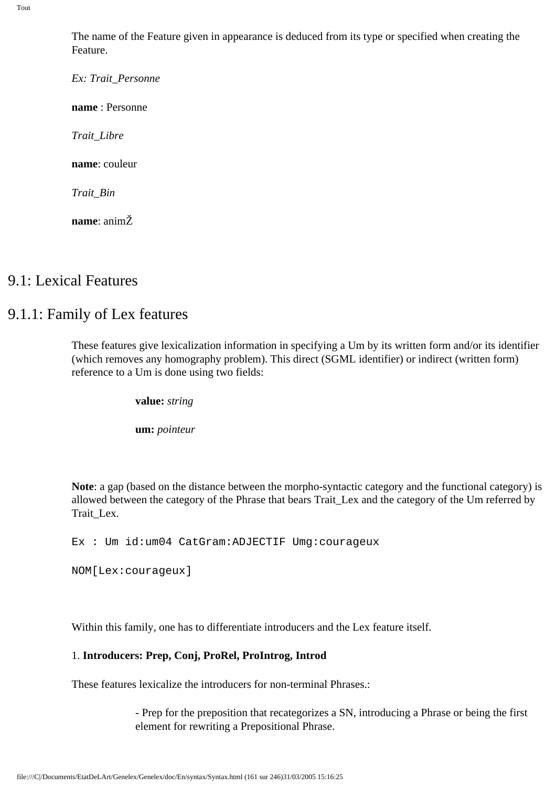The name of the Feature given in appearance is deduced from its type or specified when creating the Feature.

*Ex: Trait\_Personne* **name** : Personne

*Trait\_Libre*

**name**: couleur

*Trait\_Bin*

**name**: animŽ

### 9.1: Lexical Features

## 9.1.1: Family of Lex features

These features give lexicalization information in specifying a Um by its written form and/or its identifier (which removes any homography problem). This direct (SGML identifier) or indirect (written form) reference to a Um is done using two fields:

**value:** *string*

**um:** *pointeur*

**Note**: a gap (based on the distance between the morpho-syntactic category and the functional category) is allowed between the category of the Phrase that bears Trait\_Lex and the category of the Um referred by Trait\_Lex.

Ex : Um id:um04 CatGram:ADJECTIF Umg:courageux

NOM[Lex:courageux]

Within this family, one has to differentiate introducers and the Lex feature itself.

#### 1. **Introducers: Prep, Conj, ProRel, ProIntrog, Introd**

These features lexicalize the introducers for non-terminal Phrases.:

- Prep for the preposition that recategorizes a SN, introducing a Phrase or being the first element for rewriting a Prepositional Phrase.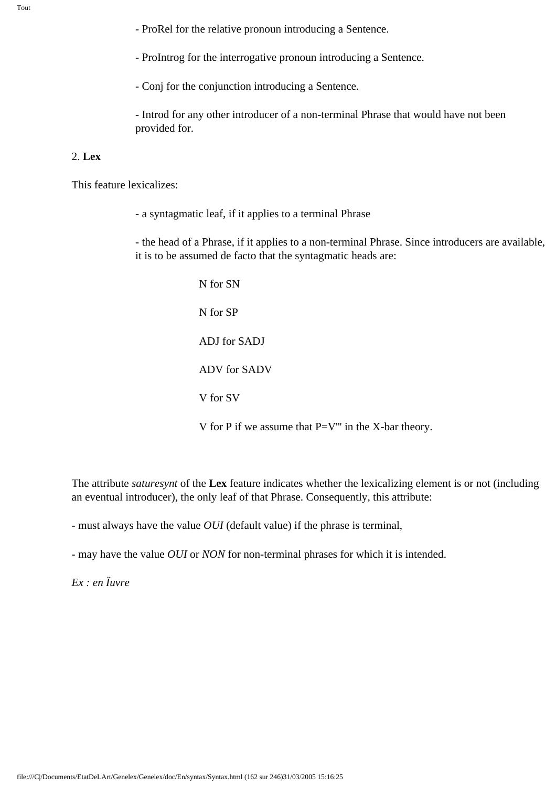- ProRel for the relative pronoun introducing a Sentence.

- ProIntrog for the interrogative pronoun introducing a Sentence.

- Conj for the conjunction introducing a Sentence.

- Introd for any other introducer of a non-terminal Phrase that would have not been provided for.

#### 2. **Lex**

This feature lexicalizes:

- a syntagmatic leaf, if it applies to a terminal Phrase

- the head of a Phrase, if it applies to a non-terminal Phrase. Since introducers are available, it is to be assumed de facto that the syntagmatic heads are:

> N for SN N for SP ADJ for SADJ ADV for SADV V for SV V for P if we assume that P=V''' in the X-bar theory.

The attribute *saturesynt* of the **Lex** feature indicates whether the lexicalizing element is or not (including an eventual introducer), the only leaf of that Phrase. Consequently, this attribute:

- must always have the value *OUI* (default value) if the phrase is terminal,

- may have the value *OUI* or *NON* for non-terminal phrases for which it is intended.

*Ex : en Ïuvre*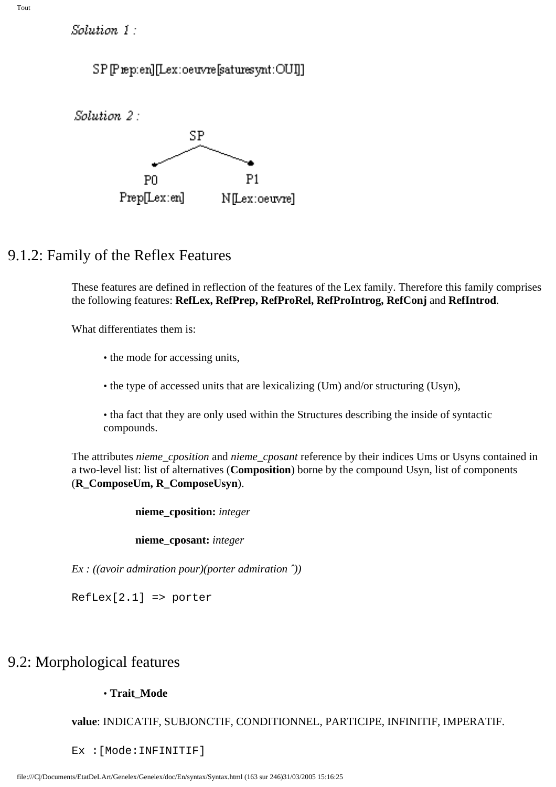Solution 1:

SP[Prep:en][Lex:oeuvre[saturesynt:OUI]]





## 9.1.2: Family of the Reflex Features

These features are defined in reflection of the features of the Lex family. Therefore this family comprises the following features: **RefLex, RefPrep, RefProRel, RefProIntrog, RefConj** and **RefIntrod**.

What differentiates them is:

- the mode for accessing units,
- the type of accessed units that are lexicalizing (Um) and/or structuring (Usyn),
- tha fact that they are only used within the Structures describing the inside of syntactic compounds.

The attributes *nieme\_cposition* and *nieme\_cposant* reference by their indices Ums or Usyns contained in a two-level list: list of alternatives (**Composition**) borne by the compound Usyn, list of components (**R\_ComposeUm, R\_ComposeUsyn**).

**nieme\_cposition:** *integer*

**nieme\_cposant:** *integer*

*Ex : ((avoir admiration pour)(porter admiration ˆ))*

RefLex[2.1] => porter

## 9.2: Morphological features

### • **Trait\_Mode**

**value**: INDICATIF, SUBJONCTIF, CONDITIONNEL, PARTICIPE, INFINITIF, IMPERATIF.

Ex :[Mode:INFINITIF]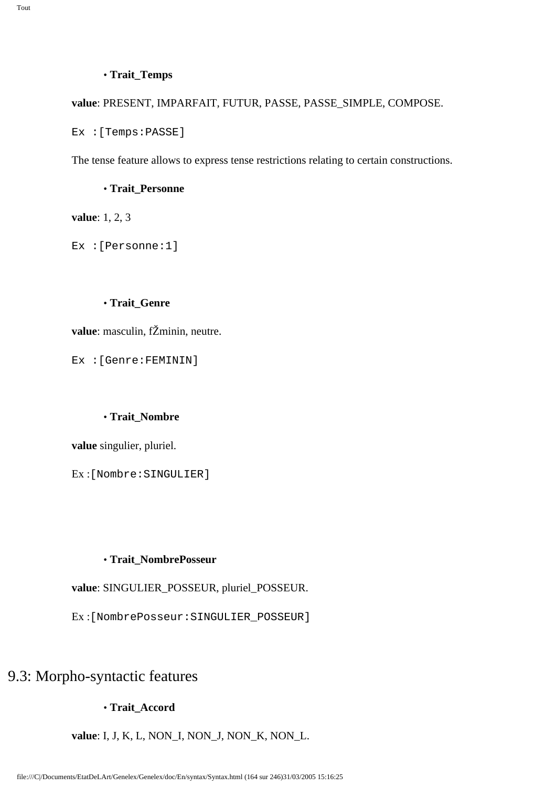#### • **Trait\_Temps**

**value**: PRESENT, IMPARFAIT, FUTUR, PASSE, PASSE\_SIMPLE, COMPOSE.

Ex :[Temps:PASSE]

The tense feature allows to express tense restrictions relating to certain constructions.

#### • **Trait\_Personne**

**value**: 1, 2, 3

Ex :[Personne:1]

#### • **Trait\_Genre**

**value**: masculin, fŽminin, neutre.

Ex :[Genre:FEMININ]

#### • **Trait\_Nombre**

**value** singulier, pluriel.

Ex :[Nombre:SINGULIER]

#### • **Trait\_NombrePosseur**

**value**: SINGULIER\_POSSEUR, pluriel\_POSSEUR.

Ex :[NombrePosseur:SINGULIER\_POSSEUR]

## 9.3: Morpho-syntactic features

#### • **Trait\_Accord**

**value**: I, J, K, L, NON\_I, NON\_J, NON\_K, NON\_L.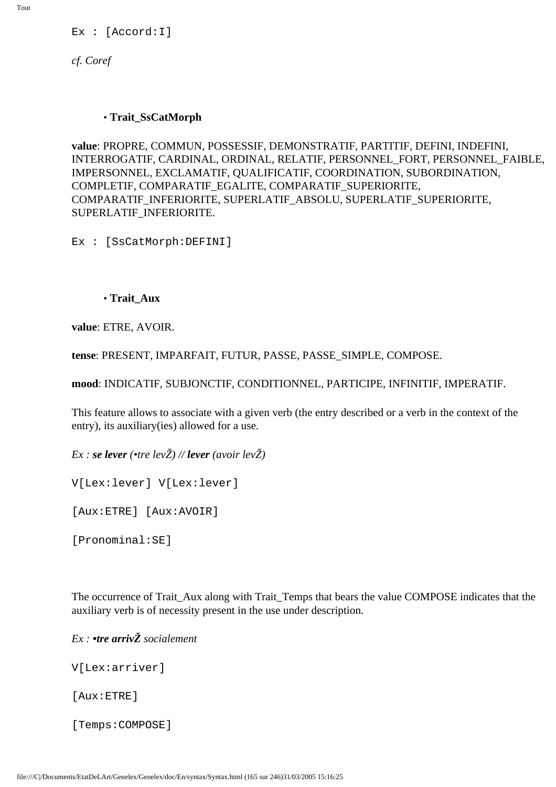Tout

Ex : [Accord:I]

*cf. Coref*

#### • **Trait\_SsCatMorph**

**value**: PROPRE, COMMUN, POSSESSIF, DEMONSTRATIF, PARTITIF, DEFINI, INDEFINI, INTERROGATIF, CARDINAL, ORDINAL, RELATIF, PERSONNEL\_FORT, PERSONNEL\_FAIBLE, IMPERSONNEL, EXCLAMATIF, QUALIFICATIF, COORDINATION, SUBORDINATION, COMPLETIF, COMPARATIF\_EGALITE, COMPARATIF\_SUPERIORITE, COMPARATIF\_INFERIORITE, SUPERLATIF\_ABSOLU, SUPERLATIF\_SUPERIORITE, SUPERLATIF\_INFERIORITE.

Ex : [SsCatMorph:DEFINI]

• **Trait\_Aux**

**value**: ETRE, AVOIR.

**tense**: PRESENT, IMPARFAIT, FUTUR, PASSE, PASSE\_SIMPLE, COMPOSE.

**mood**: INDICATIF, SUBJONCTIF, CONDITIONNEL, PARTICIPE, INFINITIF, IMPERATIF.

This feature allows to associate with a given verb (the entry described or a verb in the context of the entry), its auxiliary(ies) allowed for a use.

*Ex : se lever (•tre levŽ) // lever (avoir levŽ)*

V[Lex:lever] V[Lex:lever]

[Aux:ETRE] [Aux:AVOIR]

[Pronominal:SE]

The occurrence of Trait\_Aux along with Trait\_Temps that bears the value COMPOSE indicates that the auxiliary verb is of necessity present in the use under description.

*Ex : •tre arrivŽ socialement*

V[Lex:arriver]

[Aux:ETRE]

[Temps:COMPOSE]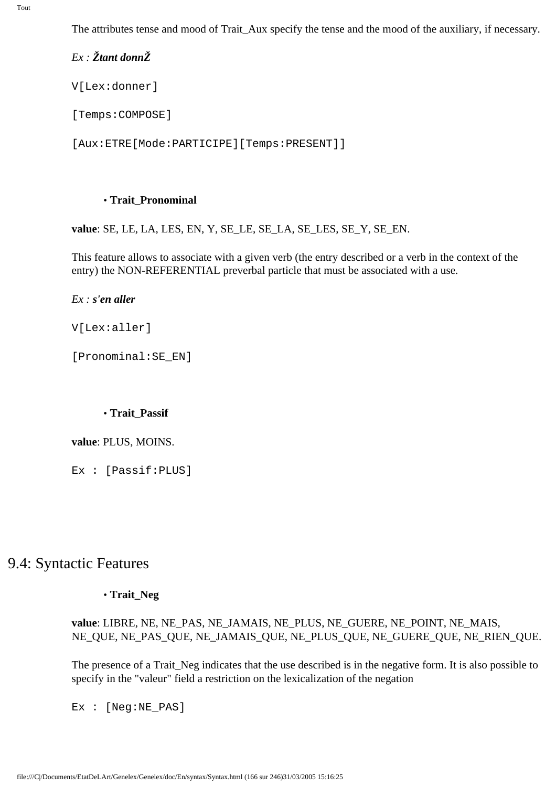The attributes tense and mood of Trait\_Aux specify the tense and the mood of the auxiliary, if necessary.

*Ex : Žtant donnŽ*

V[Lex:donner]

[Temps:COMPOSE]

[Aux:ETRE[Mode:PARTICIPE][Temps:PRESENT]]

#### • **Trait\_Pronominal**

**value**: SE, LE, LA, LES, EN, Y, SE\_LE, SE\_LA, SE\_LES, SE\_Y, SE\_EN.

This feature allows to associate with a given verb (the entry described or a verb in the context of the entry) the NON-REFERENTIAL preverbal particle that must be associated with a use.

#### *Ex : s'en aller*

V[Lex:aller]

[Pronominal:SE\_EN]

#### • **Trait\_Passif**

#### **value**: PLUS, MOINS.

Ex : [Passif:PLUS]

## 9.4: Syntactic Features

#### • **Trait\_Neg**

#### **value**: LIBRE, NE, NE\_PAS, NE\_JAMAIS, NE\_PLUS, NE\_GUERE, NE\_POINT, NE\_MAIS, NE\_QUE, NE\_PAS\_QUE, NE\_JAMAIS\_QUE, NE\_PLUS\_QUE, NE\_GUERE\_QUE, NE\_RIEN\_QUE.

The presence of a Trait\_Neg indicates that the use described is in the negative form. It is also possible to specify in the "valeur" field a restriction on the lexicalization of the negation

Ex : [Neq:NE PAS]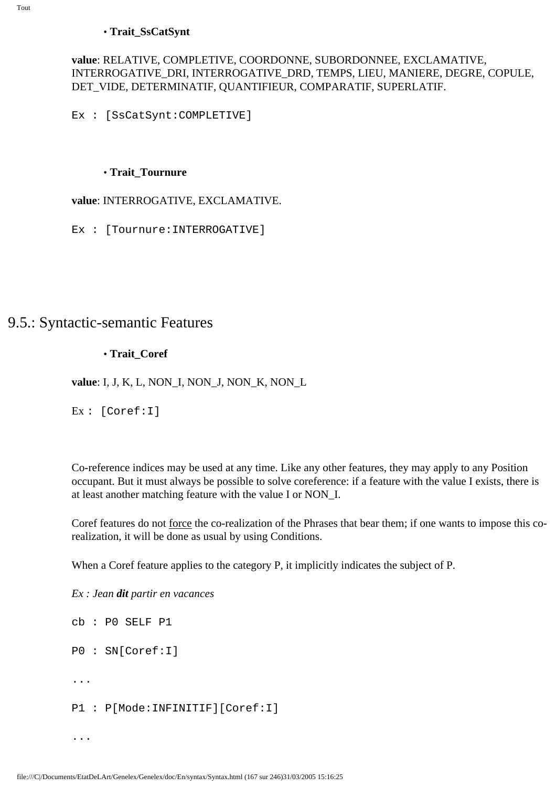#### • **Trait\_SsCatSynt**

#### **value**: RELATIVE, COMPLETIVE, COORDONNE, SUBORDONNEE, EXCLAMATIVE, INTERROGATIVE\_DRI, INTERROGATIVE\_DRD, TEMPS, LIEU, MANIERE, DEGRE, COPULE, DET\_VIDE, DETERMINATIF, QUANTIFIEUR, COMPARATIF, SUPERLATIF.

Ex : [SsCatSynt:COMPLETIVE]

#### • **Trait\_Tournure**

#### **value**: INTERROGATIVE, EXCLAMATIVE.

Ex : [Tournure:INTERROGATIVE]

## 9.5.: Syntactic-semantic Features

#### • **Trait\_Coref**

**value**: I, J, K, L, NON\_I, NON\_J, NON\_K, NON\_L

Ex : [Coref:I]

Co-reference indices may be used at any time. Like any other features, they may apply to any Position occupant. But it must always be possible to solve coreference: if a feature with the value I exists, there is at least another matching feature with the value I or NON\_I.

Coref features do not force the co-realization of the Phrases that bear them; if one wants to impose this corealization, it will be done as usual by using Conditions.

When a Coref feature applies to the category P, it implicitly indicates the subject of P.

*Ex : Jean dit partir en vacances*

...

cb : P0 SELF P1 P0 : SN[Coref:I] ... P1 : P[Mode:INFINITIF][Coref:I]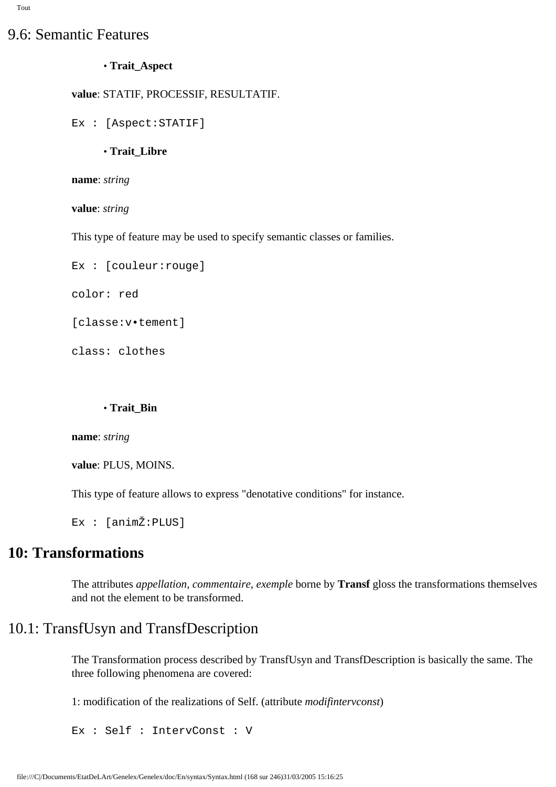## 9.6: Semantic Features

#### • **Trait\_Aspect**

#### **value**: STATIF, PROCESSIF, RESULTATIF.

```
Ex : [Aspect:STATIF]
```
• **Trait\_Libre**

**name**: *string*

**value**: *string*

This type of feature may be used to specify semantic classes or families.

```
Ex : [couleur:rouge]
```
color: red

[classe:v•tement]

class: clothes

#### • **Trait\_Bin**

**name**: *string*

**value**: PLUS, MOINS.

This type of feature allows to express "denotative conditions" for instance.

Ex : [animŽ:PLUS]

## **10: Transformations**

The attributes *appellation, commentaire, exemple* borne by **Transf** gloss the transformations themselves and not the element to be transformed.

## 10.1: TransfUsyn and TransfDescription

The Transformation process described by TransfUsyn and TransfDescription is basically the same. The three following phenomena are covered:

1: modification of the realizations of Self. (attribute *modifintervconst*)

Ex : Self : IntervConst : V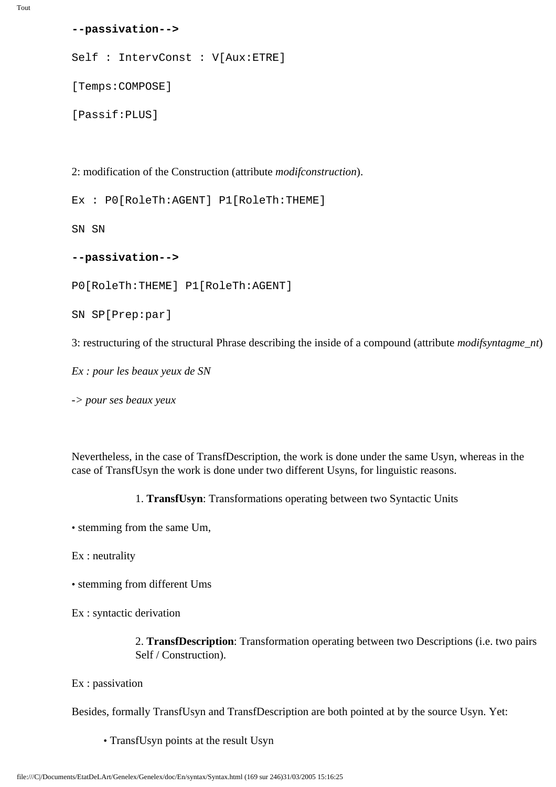#### **--passivation-->**

Self : IntervConst : V[Aux:ETRE]

[Temps:COMPOSE]

```
[Passif:PLUS]
```
2: modification of the Construction (attribute *modifconstruction*).

Ex : P0[RoleTh:AGENT] P1[RoleTh:THEME]

SN SN

**--passivation-->**

P0[RoleTh:THEME] P1[RoleTh:AGENT]

SN SP[Prep:par]

3: restructuring of the structural Phrase describing the inside of a compound (attribute *modifsyntagme\_nt*)

*Ex : pour les beaux yeux de SN*

*-> pour ses beaux yeux*

Nevertheless, in the case of TransfDescription, the work is done under the same Usyn, whereas in the case of TransfUsyn the work is done under two different Usyns, for linguistic reasons.

1. **TransfUsyn**: Transformations operating between two Syntactic Units

• stemming from the same Um,

Ex : neutrality

• stemming from different Ums

Ex : syntactic derivation

2. **TransfDescription**: Transformation operating between two Descriptions (i.e. two pairs Self / Construction).

Ex : passivation

Besides, formally TransfUsyn and TransfDescription are both pointed at by the source Usyn. Yet:

• TransfUsyn points at the result Usyn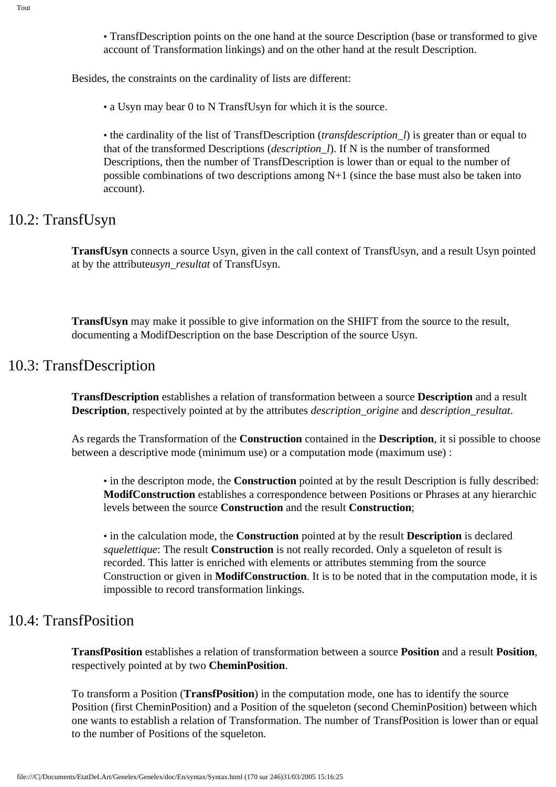• TransfDescription points on the one hand at the source Description (base or transformed to give account of Transformation linkings) and on the other hand at the result Description.

Besides, the constraints on the cardinality of lists are different:

• a Usyn may bear 0 to N TransfUsyn for which it is the source.

• the cardinality of the list of TransfDescription (*transfdescription\_l*) is greater than or equal to that of the transformed Descriptions (*description\_l*). If N is the number of transformed Descriptions, then the number of TransfDescription is lower than or equal to the number of possible combinations of two descriptions among  $N+1$  (since the base must also be taken into account).

## 10.2: TransfUsyn

**TransfUsyn** connects a source Usyn, given in the call context of TransfUsyn, and a result Usyn pointed at by the attribute*usyn\_resultat* of TransfUsyn.

**TransfUsyn** may make it possible to give information on the SHIFT from the source to the result, documenting a ModifDescription on the base Description of the source Usyn.

## 10.3: TransfDescription

**TransfDescription** establishes a relation of transformation between a source **Description** and a result **Description**, respectively pointed at by the attributes *description\_origine* and *description\_resultat*.

As regards the Transformation of the **Construction** contained in the **Description**, it si possible to choose between a descriptive mode (minimum use) or a computation mode (maximum use) :

• in the descripton mode, the **Construction** pointed at by the result Description is fully described: **ModifConstruction** establishes a correspondence between Positions or Phrases at any hierarchic levels between the source **Construction** and the result **Construction**;

• in the calculation mode, the **Construction** pointed at by the result **Description** is declared *squelettique*: The result **Construction** is not really recorded. Only a squeleton of result is recorded. This latter is enriched with elements or attributes stemming from the source Construction or given in **ModifConstruction**. It is to be noted that in the computation mode, it is impossible to record transformation linkings.

## 10.4: TransfPosition

**TransfPosition** establishes a relation of transformation between a source **Position** and a result **Position**, respectively pointed at by two **CheminPosition**.

To transform a Position (**TransfPosition**) in the computation mode, one has to identify the source Position (first CheminPosition) and a Position of the squeleton (second CheminPosition) between which one wants to establish a relation of Transformation. The number of TransfPosition is lower than or equal to the number of Positions of the squeleton.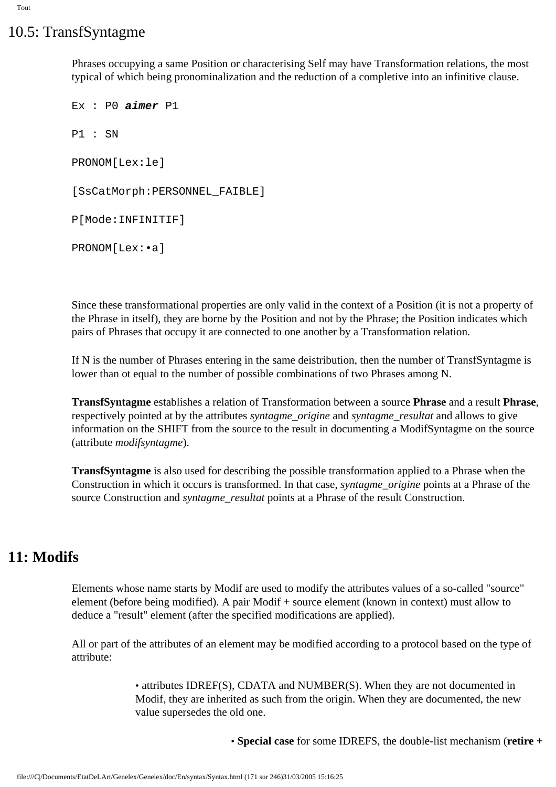## 10.5: TransfSyntagme

Phrases occupying a same Position or characterising Self may have Transformation relations, the most typical of which being pronominalization and the reduction of a completive into an infinitive clause.

```
Ex : P0 aimer P1
P1 : SN
PRONOM[Lex:le]
[SsCatMorph:PERSONNEL_FAIBLE]
P[Mode:INFINITIF]
PRONOM[Lex:•a]
```
Since these transformational properties are only valid in the context of a Position (it is not a property of the Phrase in itself), they are borne by the Position and not by the Phrase; the Position indicates which pairs of Phrases that occupy it are connected to one another by a Transformation relation.

If N is the number of Phrases entering in the same deistribution, then the number of TransfSyntagme is lower than ot equal to the number of possible combinations of two Phrases among N.

**TransfSyntagme** establishes a relation of Transformation between a source **Phrase** and a result **Phrase**, respectively pointed at by the attributes *syntagme\_origine* and *syntagme\_resultat* and allows to give information on the SHIFT from the source to the result in documenting a ModifSyntagme on the source (attribute *modifsyntagme*).

**TransfSyntagme** is also used for describing the possible transformation applied to a Phrase when the Construction in which it occurs is transformed. In that case, *syntagme\_origine* points at a Phrase of the source Construction and *syntagme\_resultat* points at a Phrase of the result Construction.

## **11: Modifs**

Elements whose name starts by Modif are used to modify the attributes values of a so-called "source" element (before being modified). A pair Modif + source element (known in context) must allow to deduce a "result" element (after the specified modifications are applied).

All or part of the attributes of an element may be modified according to a protocol based on the type of attribute:

> • attributes IDREF(S), CDATA and NUMBER(S). When they are not documented in Modif, they are inherited as such from the origin. When they are documented, the new value supersedes the old one.

> > • **Special case** for some IDREFS, the double-list mechanism (**retire +**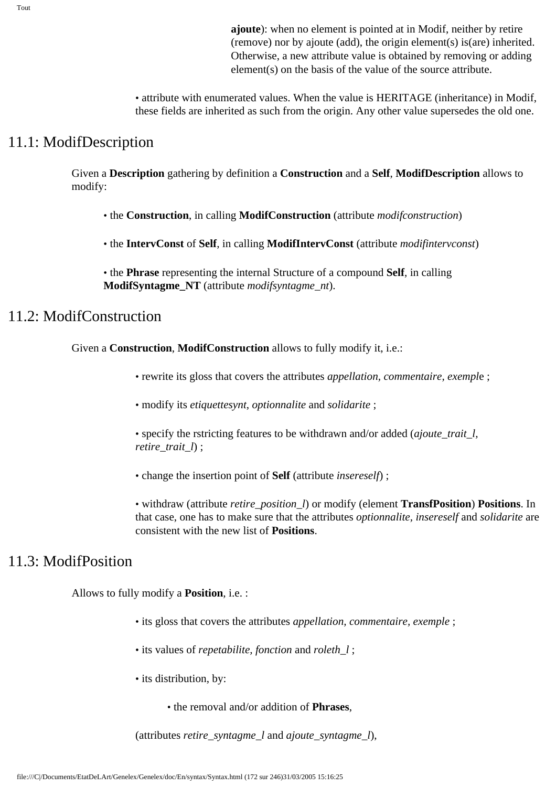• attribute with enumerated values. When the value is HERITAGE (inheritance) in Modif, these fields are inherited as such from the origin. Any other value supersedes the old one.

## 11.1: ModifDescription

Given a **Description** gathering by definition a **Construction** and a **Self**, **ModifDescription** allows to modify:

• the **Construction**, in calling **ModifConstruction** (attribute *modifconstruction*)

• the **IntervConst** of **Self**, in calling **ModifIntervConst** (attribute *modifintervconst*)

• the **Phrase** representing the internal Structure of a compound **Self**, in calling **ModifSyntagme\_NT** (attribute *modifsyntagme\_nt*).

## 11.2: ModifConstruction

Given a **Construction**, **ModifConstruction** allows to fully modify it, i.e.:

• rewrite its gloss that covers the attributes *appellation, commentaire, exempl*e ;

• modify its *etiquettesynt*, *optionnalite* and *solidarite* ;

• specify the rstricting features to be withdrawn and/or added (*ajoute\_trait\_l, retire\_trait\_l*) ;

• change the insertion point of **Self** (attribute *insereself*) ;

• withdraw (attribute *retire\_position\_l*) or modify (element **TransfPosition**) **Positions**. In that case, one has to make sure that the attributes *optionnalite, insereself* and *solidarite* are consistent with the new list of **Positions**.

## 11.3: ModifPosition

Allows to fully modify a **Position**, i.e. :

- its gloss that covers the attributes *appellation, commentaire, exemple* ;
- its values of *repetabilite, fonction* and *roleth\_l* ;
- its distribution, by:
	- the removal and/or addition of **Phrases**,

(attributes *retire\_syntagme\_l* and *ajoute\_syntagme\_l*),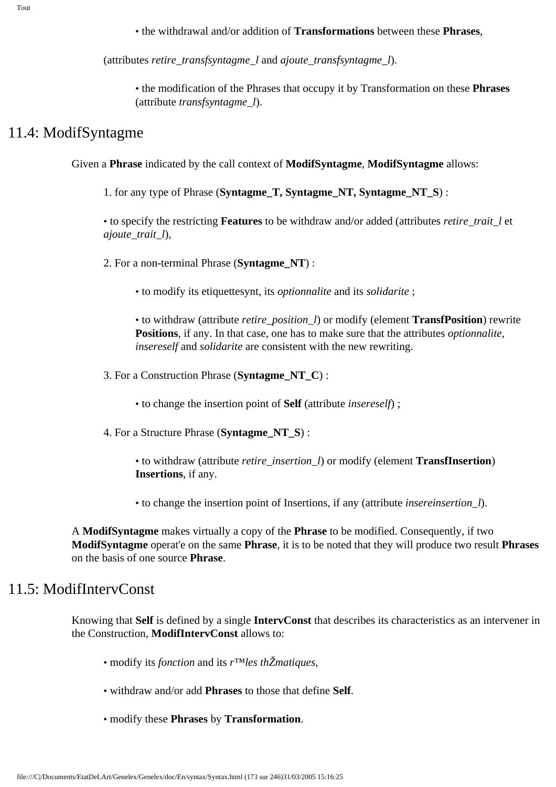• the withdrawal and/or addition of **Transformations** between these **Phrases**,

(attributes *retire\_transfsyntagme\_l* and *ajoute\_transfsyntagme\_l*).

• the modification of the Phrases that occupy it by Transformation on these **Phrases**  (attribute *transfsyntagme\_l*).

### 11.4: ModifSyntagme

Given a **Phrase** indicated by the call context of **ModifSyntagme**, **ModifSyntagme** allows:

1. for any type of Phrase (**Syntagme\_T, Syntagme\_NT, Syntagme\_NT\_S**) :

• to specify the restricting **Features** to be withdraw and/or added (attributes *retire\_trait\_l* et *ajoute\_trait\_l*),

2. For a non-terminal Phrase (**Syntagme\_NT**) :

• to modify its etiquettesynt, its *optionnalite* and its *solidarite* ;

• to withdraw (attribute *retire\_position\_l*) or modify (element **TransfPosition**) rewrite **Positions**, if any. In that case, one has to make sure that the attributes *optionnalite, insereself* and *solidarite* are consistent with the new rewriting.

3. For a Construction Phrase (**Syntagme\_NT\_C**) :

• to change the insertion point of **Self** (attribute *insereself*) ;

4. For a Structure Phrase (**Syntagme\_NT\_S**) :

• to withdraw (attribute *retire\_insertion\_l*) or modify (element **TransfInsertion**) **Insertions**, if any.

• to change the insertion point of Insertions, if any (attribute *insereinsertion\_l*).

A **ModifSyntagme** makes virtually a copy of the **Phrase** to be modified. Consequently, if two **ModifSyntagme** operat'e on the same **Phrase**, it is to be noted that they will produce two result **Phrases** on the basis of one source **Phrase**.

## 11.5: ModifIntervConst

Knowing that **Self** is defined by a single **IntervConst** that describes its characteristics as an intervener in the Construction, **ModifIntervConst** allows to:

- modify its *fonction* and its *r™les thŽmatiques*,
- withdraw and/or add **Phrases** to those that define **Self**.
- modify these **Phrases** by **Transformation**.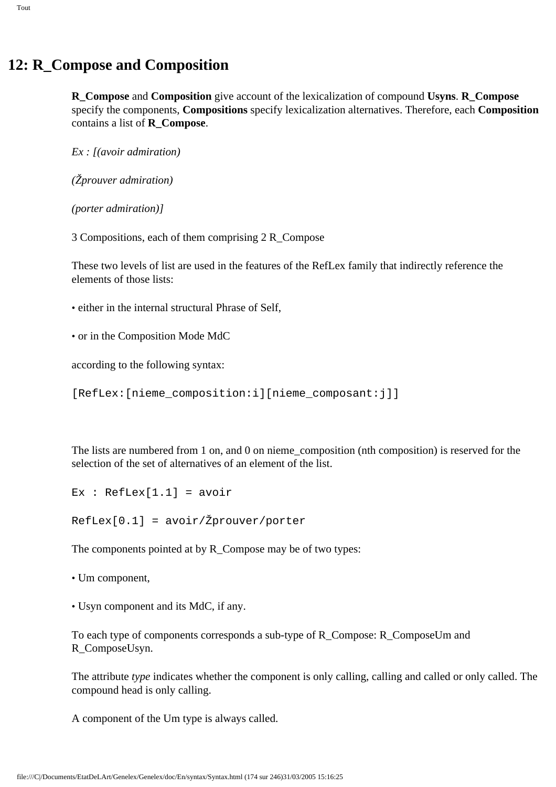## **12: R\_Compose and Composition**

**R\_Compose** and **Composition** give account of the lexicalization of compound **Usyns**. **R\_Compose** specify the components, **Compositions** specify lexicalization alternatives. Therefore, each **Composition** contains a list of **R\_Compose**.

*Ex : [(avoir admiration)*

*(Žprouver admiration)*

*(porter admiration)]*

3 Compositions, each of them comprising 2 R\_Compose

These two levels of list are used in the features of the RefLex family that indirectly reference the elements of those lists:

- either in the internal structural Phrase of Self,
- or in the Composition Mode MdC

according to the following syntax:

[RefLex:[nieme\_composition:i][nieme\_composant:j]]

The lists are numbered from 1 on, and 0 on nieme\_composition (nth composition) is reserved for the selection of the set of alternatives of an element of the list.

```
Ex : RefLex[1.1] = avoir
```
RefLex[0.1] = avoir/Žprouver/porter

The components pointed at by R\_Compose may be of two types:

• Um component,

• Usyn component and its MdC, if any.

To each type of components corresponds a sub-type of R\_Compose: R\_ComposeUm and R\_ComposeUsyn.

The attribute *type* indicates whether the component is only calling, calling and called or only called. The compound head is only calling.

A component of the Um type is always called.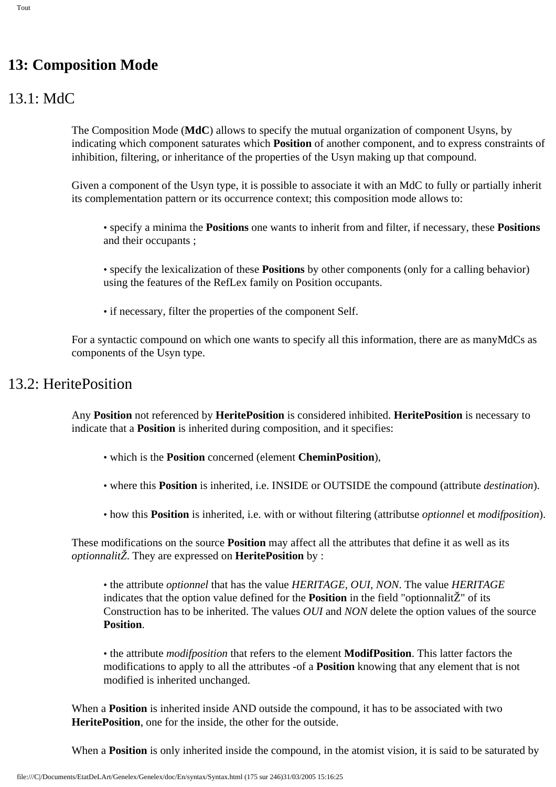## **13: Composition Mode**

## 13.1: MdC

The Composition Mode (**MdC**) allows to specify the mutual organization of component Usyns, by indicating which component saturates which **Position** of another component, and to express constraints of inhibition, filtering, or inheritance of the properties of the Usyn making up that compound.

Given a component of the Usyn type, it is possible to associate it with an MdC to fully or partially inherit its complementation pattern or its occurrence context; this composition mode allows to:

- specify a minima the **Positions** one wants to inherit from and filter, if necessary, these **Positions** and their occupants ;
- specify the lexicalization of these **Positions** by other components (only for a calling behavior) using the features of the RefLex family on Position occupants.
- if necessary, filter the properties of the component Self.

For a syntactic compound on which one wants to specify all this information, there are as manyMdCs as components of the Usyn type.

## 13.2: HeritePosition

Any **Position** not referenced by **HeritePosition** is considered inhibited. **HeritePosition** is necessary to indicate that a **Position** is inherited during composition, and it specifies:

- which is the **Position** concerned (element **CheminPosition**),
- where this **Position** is inherited, i.e. INSIDE or OUTSIDE the compound (attribute *destination*).
- how this **Position** is inherited, i.e. with or without filtering (attributse *optionnel* et *modifposition*).

These modifications on the source **Position** may affect all the attributes that define it as well as its *optionnalitŽ*. They are expressed on **HeritePosition** by :

• the attribute *optionnel* that has the value *HERITAGE, OUI, NON*. The value *HERITAGE* indicates that the option value defined for the **Position** in the field "optionnalitŽ" of its Construction has to be inherited. The values *OUI* and *NON* delete the option values of the source **Position**.

• the attribute *modifposition* that refers to the element **ModifPosition**. This latter factors the modifications to apply to all the attributes -of a **Position** knowing that any element that is not modified is inherited unchanged.

When a **Position** is inherited inside AND outside the compound, it has to be associated with two **HeritePosition**, one for the inside, the other for the outside.

When a **Position** is only inherited inside the compound, in the atomist vision, it is said to be saturated by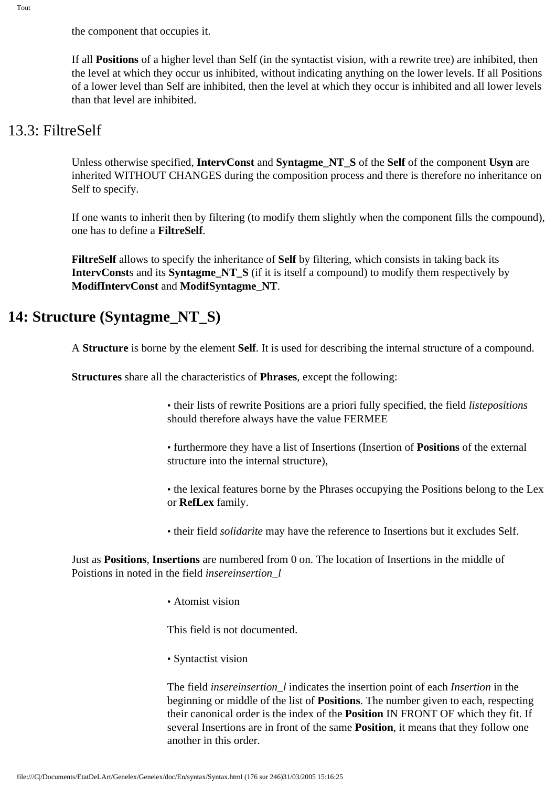the component that occupies it.

If all **Positions** of a higher level than Self (in the syntactist vision, with a rewrite tree) are inhibited, then the level at which they occur us inhibited, without indicating anything on the lower levels. If all Positions of a lower level than Self are inhibited, then the level at which they occur is inhibited and all lower levels than that level are inhibited.

## 13.3: FiltreSelf

Unless otherwise specified, **IntervConst** and **Syntagme\_NT\_S** of the **Self** of the component **Usyn** are inherited WITHOUT CHANGES during the composition process and there is therefore no inheritance on Self to specify.

If one wants to inherit then by filtering (to modify them slightly when the component fills the compound), one has to define a **FiltreSelf**.

**FiltreSelf** allows to specify the inheritance of **Self** by filtering, which consists in taking back its **IntervConst**s and its **Syntagme\_NT\_S** (if it is itself a compound) to modify them respectively by **ModifIntervConst** and **ModifSyntagme\_NT**.

## **14: Structure (Syntagme\_NT\_S)**

A **Structure** is borne by the element **Self**. It is used for describing the internal structure of a compound.

**Structures** share all the characteristics of **Phrases**, except the following:

• their lists of rewrite Positions are a priori fully specified, the field *listepositions* should therefore always have the value FERMEE

- furthermore they have a list of Insertions (Insertion of **Positions** of the external structure into the internal structure),
- the lexical features borne by the Phrases occupying the Positions belong to the Lex or **RefLex** family.
- their field *solidarite* may have the reference to Insertions but it excludes Self.

Just as **Positions**, **Insertions** are numbered from 0 on. The location of Insertions in the middle of Poistions in noted in the field *insereinsertion\_l*

• Atomist vision

This field is not documented.

• Syntactist vision

The field *insereinsertion\_l* indicates the insertion point of each *Insertion* in the beginning or middle of the list of **Positions**. The number given to each, respecting their canonical order is the index of the **Position** IN FRONT OF which they fit. If several Insertions are in front of the same **Position**, it means that they follow one another in this order.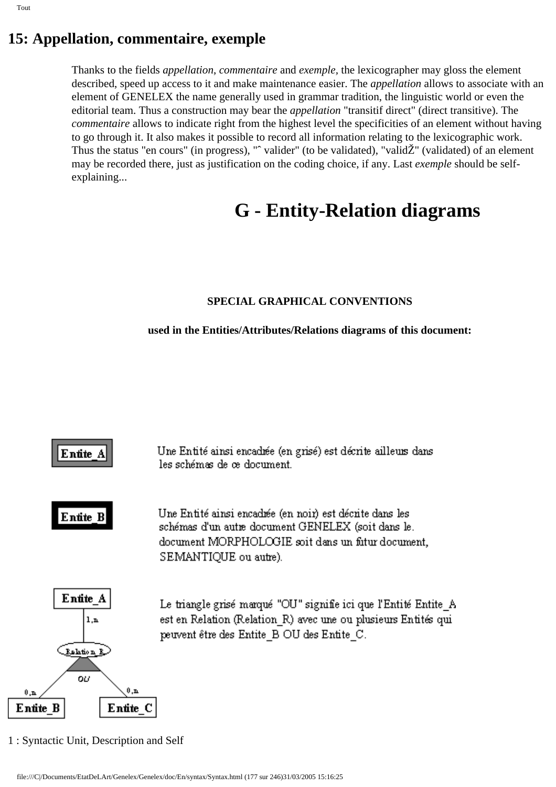Thanks to the fields *appellation*, *commentaire* and *exemple,* the lexicographer may gloss the element described, speed up access to it and make maintenance easier. The *appellation* allows to associate with an element of GENELEX the name generally used in grammar tradition, the linguistic world or even the editorial team. Thus a construction may bear the *appellation* "transitif direct" (direct transitive). The *commentaire* allows to indicate right from the highest level the specificities of an element without having to go through it. It also makes it possible to record all information relating to the lexicographic work. Thus the status "en cours" (in progress), "ˆ valider" (to be validated), "validŽ" (validated) of an element may be recorded there, just as justification on the coding choice, if any. Last *exemple* should be selfexplaining...

# **G - Entity-Relation diagrams**

#### **SPECIAL GRAPHICAL CONVENTIONS**

#### **used in the Entities/Attributes/Relations diagrams of this document:**



1 : Syntactic Unit, Description and Self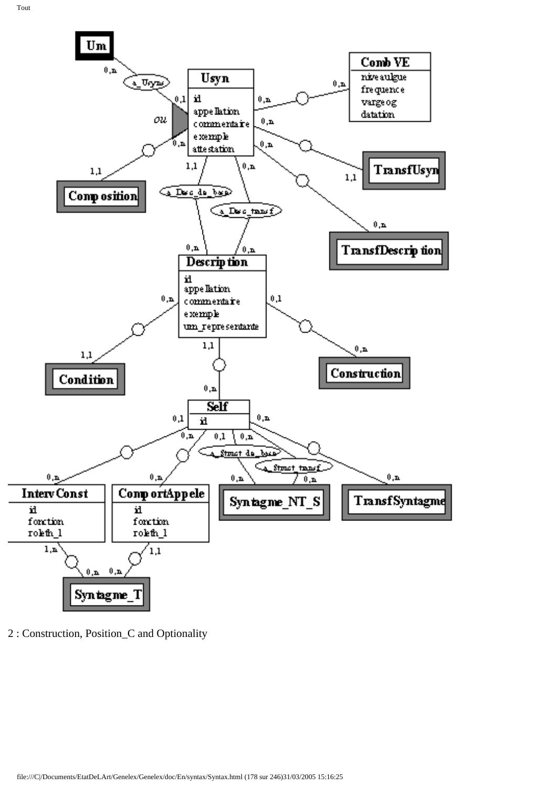

2 : Construction, Position\_C and Optionality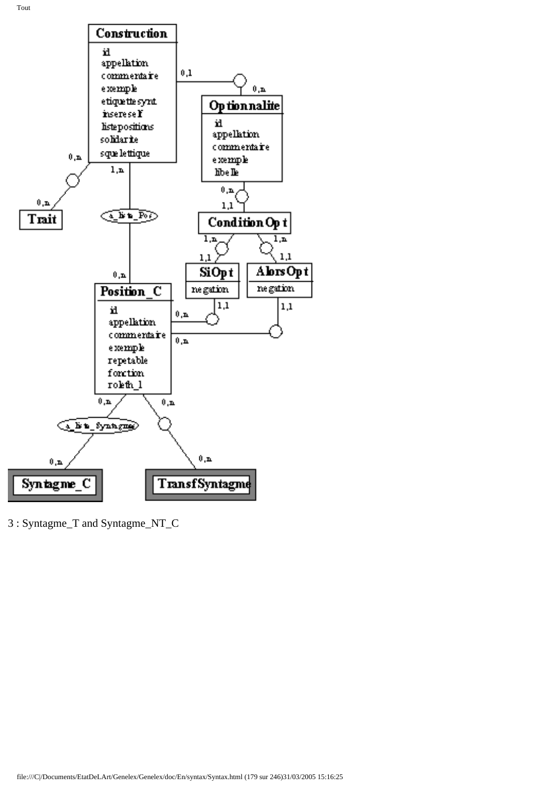

3 : Syntagme\_T and Syntagme\_NT\_C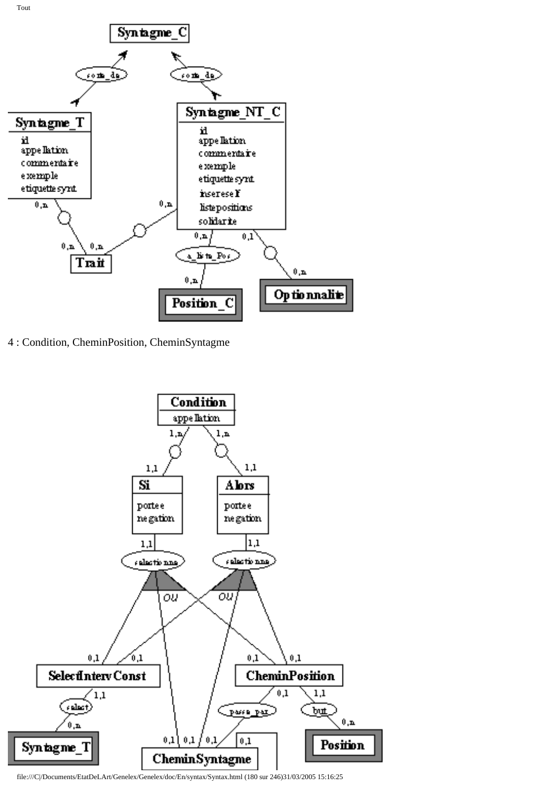

4 : Condition, CheminPosition, CheminSyntagme



file:///C|/Documents/EtatDeLArt/Genelex/Genelex/doc/En/syntax/Syntax.html (180 sur 246)31/03/2005 15:16:25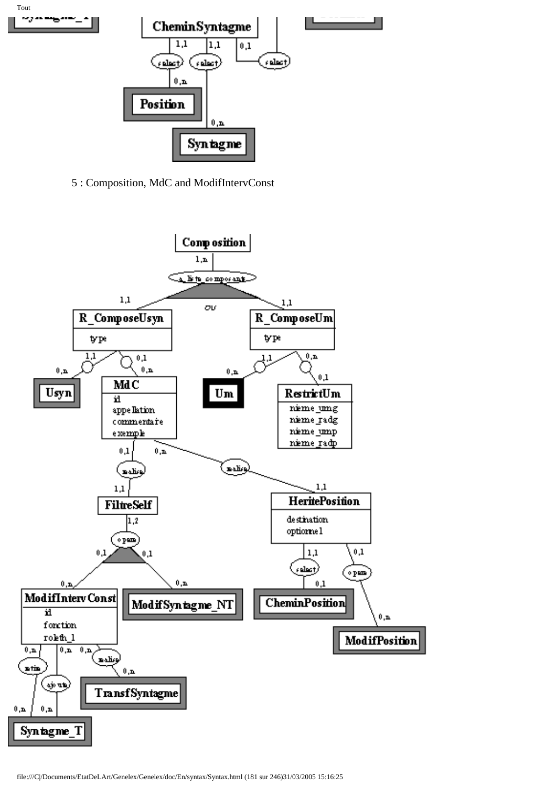

5 : Composition, MdC and ModifIntervConst

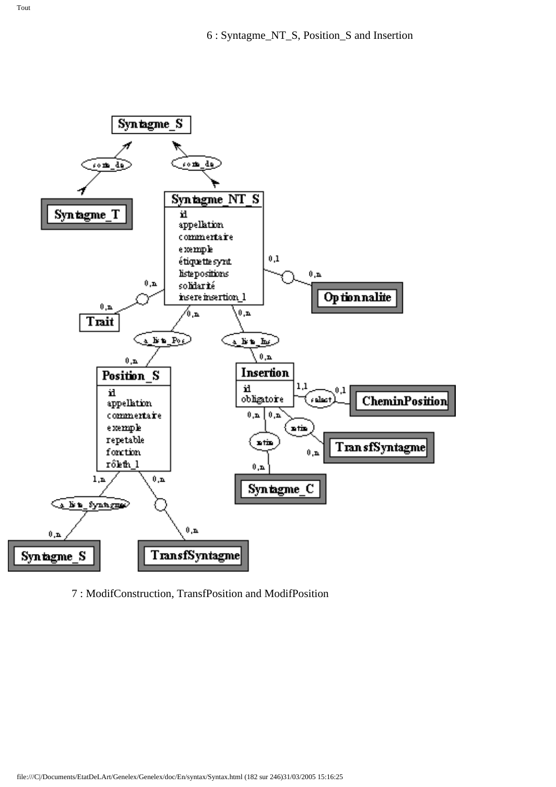

7 : ModifConstruction, TransfPosition and ModifPosition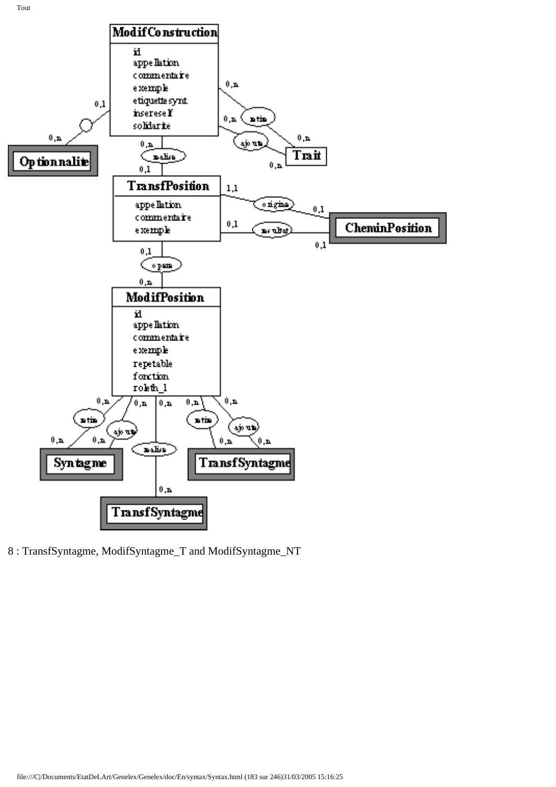

8 : TransfSyntagme, ModifSyntagme\_T and ModifSyntagme\_NT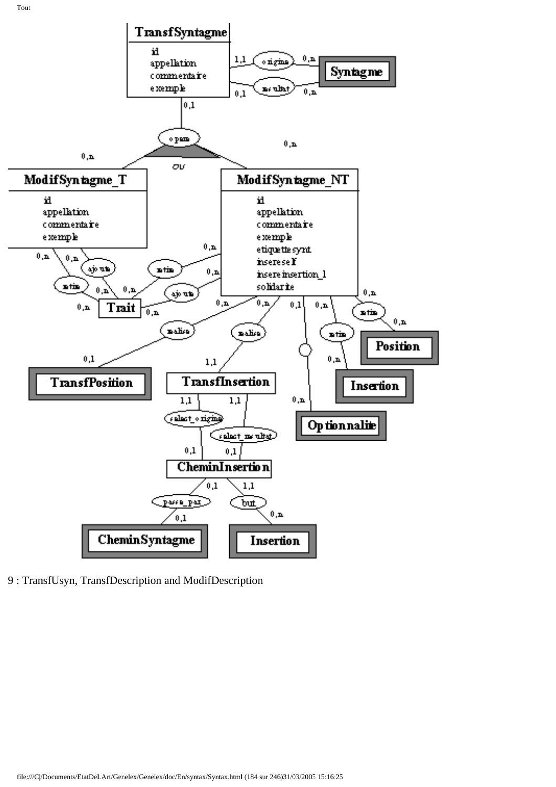

9 : TransfUsyn, TransfDescription and ModifDescription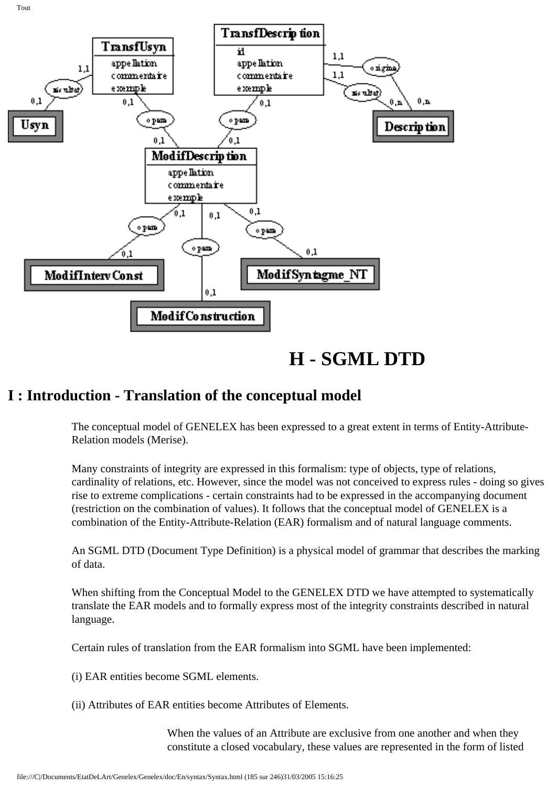

**H - SGML DTD**

# **I : Introduction - Translation of the conceptual model**

The conceptual model of GENELEX has been expressed to a great extent in terms of Entity-Attribute-Relation models (Merise).

Many constraints of integrity are expressed in this formalism: type of objects, type of relations, cardinality of relations, etc. However, since the model was not conceived to express rules - doing so gives rise to extreme complications - certain constraints had to be expressed in the accompanying document (restriction on the combination of values). It follows that the conceptual model of GENELEX is a combination of the Entity-Attribute-Relation (EAR) formalism and of natural language comments.

An SGML DTD (Document Type Definition) is a physical model of grammar that describes the marking of data.

When shifting from the Conceptual Model to the GENELEX DTD we have attempted to systematically translate the EAR models and to formally express most of the integrity constraints described in natural language.

Certain rules of translation from the EAR formalism into SGML have been implemented:

(i) EAR entities become SGML elements.

(ii) Attributes of EAR entities become Attributes of Elements.

When the values of an Attribute are exclusive from one another and when they constitute a closed vocabulary, these values are represented in the form of listed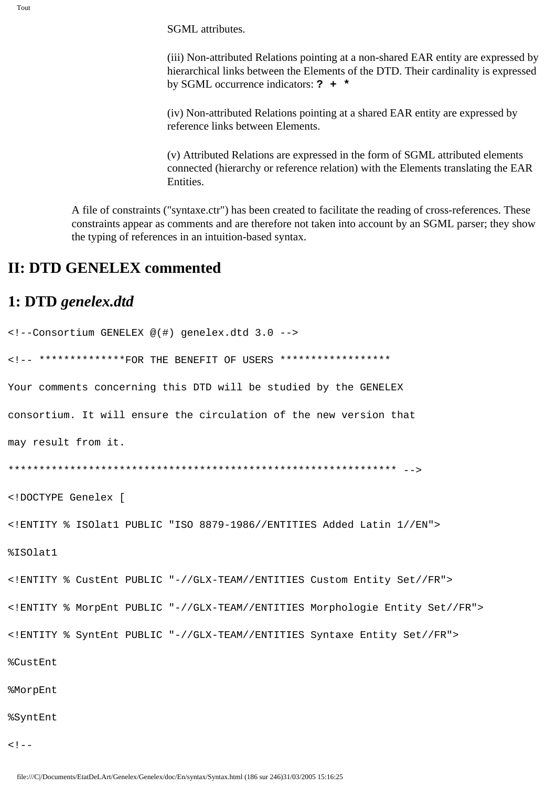**SGML** attributes.

(iii) Non-attributed Relations pointing at a non-shared EAR entity are expressed by hierarchical links between the Elements of the DTD. Their cardinality is expressed by SGML occurrence indicators:  $?$  + \*

(iv) Non-attributed Relations pointing at a shared EAR entity are expressed by reference links between Elements.

(v) Attributed Relations are expressed in the form of SGML attributed elements connected (hierarchy or reference relation) with the Elements translating the EAR **Entities** 

A file of constraints ("syntaxe.ctr") has been created to facilitate the reading of cross-references. These constraints appear as comments and are therefore not taken into account by an SGML parser; they show the typing of references in an intuition-based syntax.

## **II: DTD GENELEX commented**

### 1: DTD genelex.dtd

```
<!--Consortium GENELEX @(#) genelex.dtd 3.0 -->
<!-- **************FOR THE BENEFIT OF USERS ******************
Your comments concerning this DTD will be studied by the GENELEX
consortium. It will ensure the circulation of the new version that
may result from it.
<!DOCTYPE Genelex [
<! ENTITY % ISOlat1 PUBLIC "ISO 8879-1986//ENTITIES Added Latin 1//EN">
%ISOlat1
<! ENTITY % CustEnt PUBLIC "-//GLX-TEAM//ENTITIES Custom Entity Set//FR">
<! ENTITY % MorpEnt PUBLIC "-//GLX-TEAM//ENTITIES Morphologie Entity Set//FR">
<!ENTITY % SyntEnt PUBLIC "-//GLX-TEAM//ENTITIES Syntaxe Entity Set//FR">
```
%CustEnt

%MorpEnt

#### **%SyntEnt**

 $<$ ! --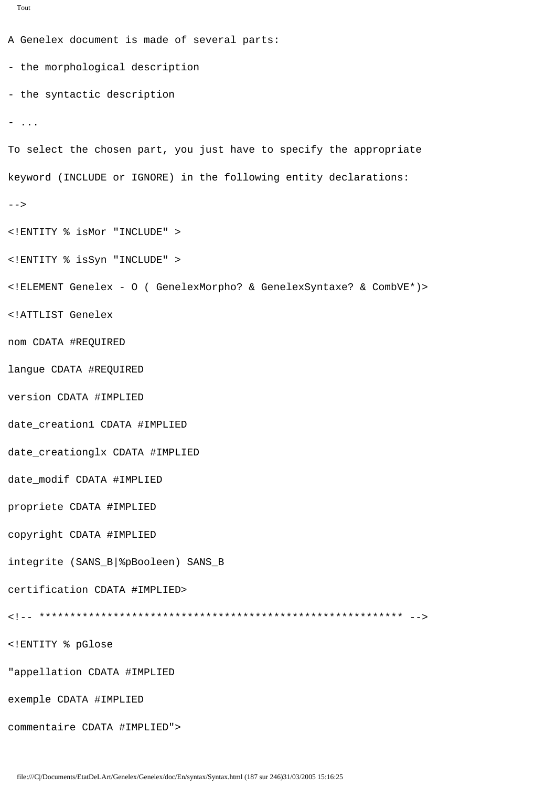```
Tout
```

```
A Genelex document is made of several parts:
- the morphological description
- the syntactic description
- ...
To select the chosen part, you just have to specify the appropriate
keyword (INCLUDE or IGNORE) in the following entity declarations:
--&><!ENTITY % isMor "INCLUDE" >
<! ENTITY % isSyn "INCLUDE" >
<!ELEMENT Genelex - 0 ( GenelexMorpho? & GenelexSyntaxe? & CombVE*)>
<!ATTLIST Genelex
nom CDATA #REQUIRED
langue CDATA #REQUIRED
version CDATA #IMPLIED
date creation1 CDATA #IMPLIED
date_creationglx CDATA #IMPLIED
date_modif CDATA #IMPLIED
propriete CDATA #IMPLIED
copyright CDATA #IMPLIED
integrite (SANS_B|%pBooleen) SANS_B
certification CDATA #IMPLIED>
<!ENTITY % pGlose
"appellation CDATA #IMPLIED
exemple CDATA #IMPLIED
commentaire CDATA #IMPLIED">
```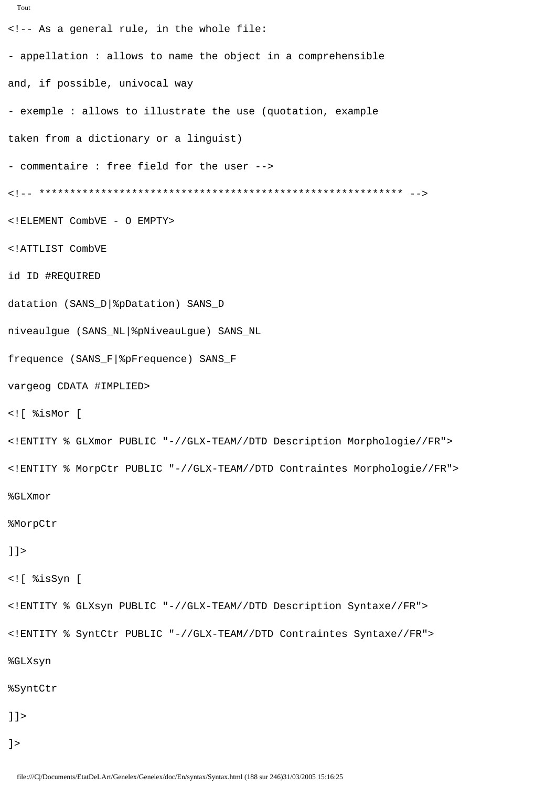```
Tout
<!-- As a general rule, in the whole file:
- appellation : allows to name the object in a comprehensible
and, if possible, univocal way
- exemple : allows to illustrate the use (quotation, example
taken from a dictionary or a linguist)
- commentaire : free field for the user -->
<!ELEMENT CombVE - O EMPTY>
<!ATTLIST CombVE
id ID #REQUIRED
datation (SANS_D|%pDatation) SANS_D
niveaulgue (SANS_NL | %pNiveauLgue) SANS_NL
frequence (SANS_F|%pFrequence) SANS_F
vargeog CDATA #IMPLIED>
<![ %isMor [
<! ENTITY % GLXmor PUBLIC "-//GLX-TEAM//DTD Description Morphologie//FR">
<!ENTITY % MorpCtr PUBLIC "-//GLX-TEAM//DTD Contraintes Morphologie//FR">
%GLXmor
%MorpCtr
]] >
<![ %isSyn [
<! ENTITY % GLXsyn PUBLIC "-//GLX-TEAM//DTD Description Syntaxe//FR">
<!ENTITY % SyntCtr PUBLIC "-//GLX-TEAM//DTD Contraintes Syntaxe//FR">
%GLXsyn
%SyntCtr
]] >
] >
```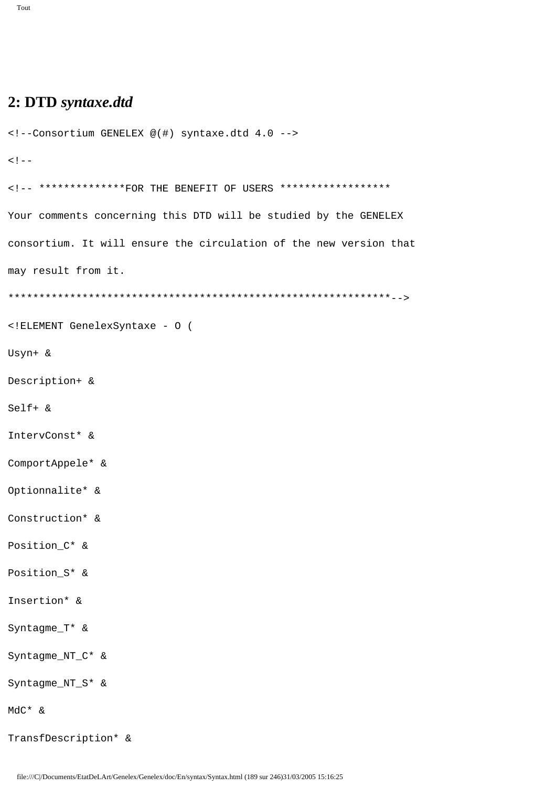```
<!--Consortium GENELEX @(#) syntaxe.dtd 4.0 -->
1 - -<!-- **************FOR THE BENEFIT OF USERS *******************
Your comments concerning this DTD will be studied by the GENELEX
consortium. It will ensure the circulation of the new version that
may result from it.
<!ELEMENT GenelexSyntaxe - 0 (
Usyn+ &
Description+ &
Self+ \&IntervConst* &
ComportAppele* &
Optionnalite* &
Construction* &
Position C* &
Position_S* &
Insertion* &
Syntagme_T* &
Syntagme_NT_C* &
Syntagme_NT_S* &
MdC* &
TransfDescription* &
```
file:///C|/Documents/EtatDeLArt/Genelex/Genelex/doc/En/syntax/Syntax.html (189 sur 246)31/03/2005 15:16:25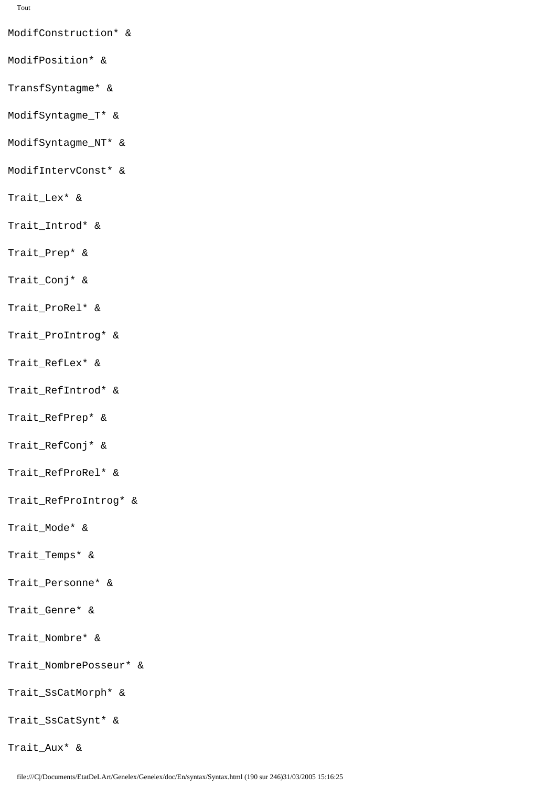ModifConstruction\* &

- ModifPosition\* &
- TransfSyntagme\* &
- ModifSyntagme\_T\* &
- ModifSyntagme\_NT\* &
- ModifIntervConst\* &
- Trait\_Lex\* &
- Trait\_Introd\* &
- Trait\_Prep\* &
- Trait\_Conj\* &
- Trait\_ProRel\* &
- Trait ProIntrog\* &
- Trait\_RefLex\* &
- Trait\_RefIntrod\* &
- Trait\_RefPrep\* &
- Trait RefConj\* &
- Trait\_RefProRel\* &
- Trait\_RefProIntrog\* &
- Trait\_Mode\* &
- Trait\_Temps\* &
- Trait\_Personne\* &
- Trait\_Genre\* &
- Trait\_Nombre\* &
- Trait\_NombrePosseur\* &
- Trait\_SsCatMorph\* &
- Trait\_SsCatSynt\* &
- Trait\_Aux\* &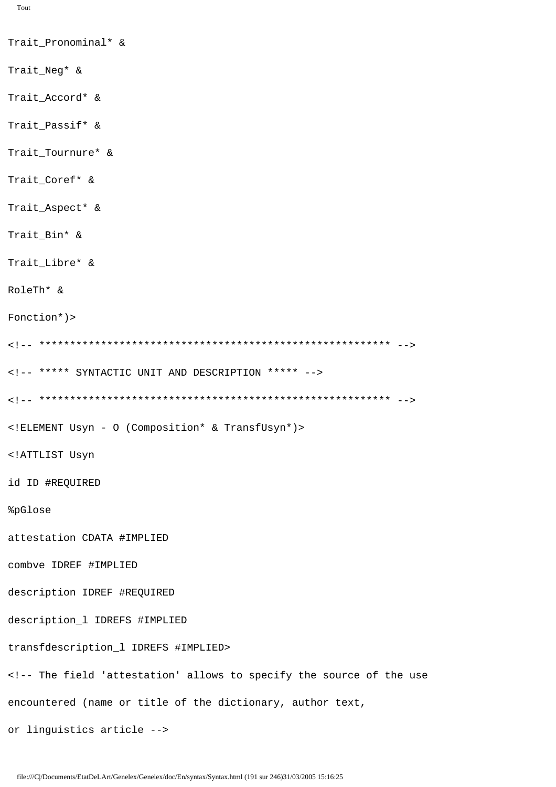```
Tout
```
Trait\_Pronominal\* & Trait\_Neg\* & Trait\_Accord\* & Trait Passif\* & Trait\_Tournure\* & Trait\_Coref\* & Trait\_Aspect\* & Trait\_Bin\* & Trait\_Libre\* & RoleTh\* &  $Fontion*)$ <!-- \*\*\*\*\* SYNTACTIC UNIT AND DESCRIPTION \*\*\*\*\* --> <! ELEMENT Usyn - 0 (Composition\* & TransfUsyn\*)> <!ATTLIST Usyn id ID #REQUIRED %pGlose attestation CDATA #IMPLIED combve IDREF #IMPLIED description IDREF #REQUIRED description\_1 IDREFS #IMPLIED transfdescription\_1 IDREFS #IMPLIED> <!-- The field 'attestation' allows to specify the source of the use encountered (name or title of the dictionary, author text, or linguistics article -->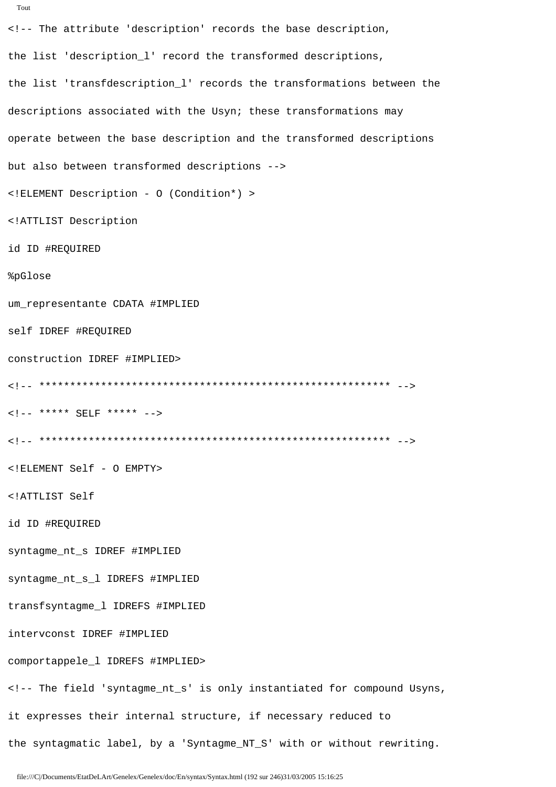```
<!-- The attribute 'description' records the base description,
the list 'description_1' record the transformed descriptions,
the list 'transfdescription_l' records the transformations between the
descriptions associated with the Usyn; these transformations may
operate between the base description and the transformed descriptions
but also between transformed descriptions -->
<! ELEMENT Description - 0 (Condition*) >
<!ATTLIST Description
id ID #REQUIRED
%pGlose
um_representante CDATA #IMPLIED
self IDREF #REQUIRED
construction IDREF #IMPLIED>
\langle!-- ***** SELF ***** -->
<! ELEMENT Self - O EMPTY>
<!ATTLIST Self
id ID #REQUIRED
syntagme_nt_s IDREF #IMPLIED
syntagme nt s 1 IDREFS #IMPLIED
transfsyntagme_1 IDREFS #IMPLIED
intervconst IDREF #IMPLIED
comportappele_1 IDREFS #IMPLIED>
<!-- The field 'syntagme_nt_s' is only instantiated for compound Usyns,
it expresses their internal structure, if necessary reduced to
```
the syntagmatic label, by a 'Syntagme\_NT\_S' with or without rewriting.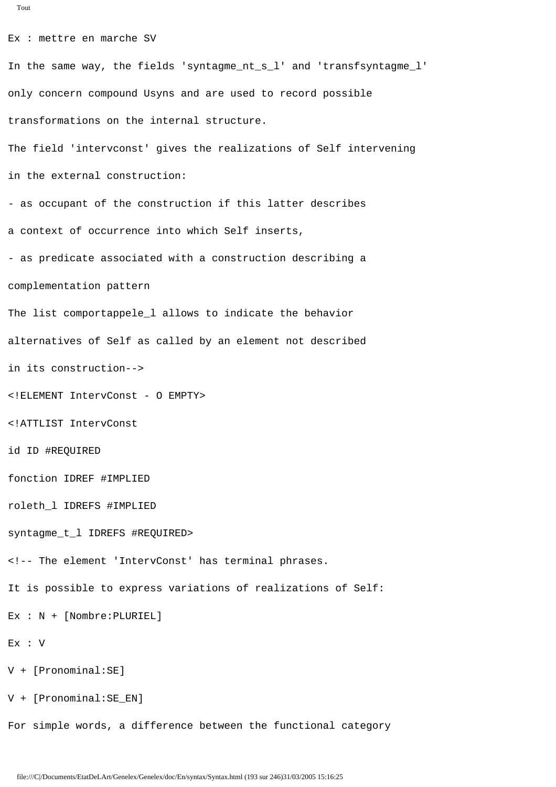```
Tout
Ex : mettre en marche SV
In the same way, the fields 'syntagme_nt_s_l' and 'transfsyntagme_l' 
only concern compound Usyns and are used to record possible 
transformations on the internal structure.
The field 'intervconst' gives the realizations of Self intervening
in the external construction:
- as occupant of the construction if this latter describes
a context of occurrence into which Self inserts,
complementation pattern
```
- as predicate associated with a construction describing a The list comportappele\_l allows to indicate the behavior alternatives of Self as called by an element not described

in its construction-->

<!ELEMENT IntervConst - O EMPTY>

<!ATTLIST IntervConst

id ID #REQUIRED

fonction IDREF #IMPLIED

roleth\_l IDREFS #IMPLIED

syntagme\_t\_l IDREFS #REQUIRED>

<!-- The element 'IntervConst' has terminal phrases.

It is possible to express variations of realizations of Self:

```
Ex : N + [Nombre:PLURIEL]
```

```
Ex : V
```
V + [Pronominal:SE]

V + [Pronominal:SE\_EN]

For simple words, a difference between the functional category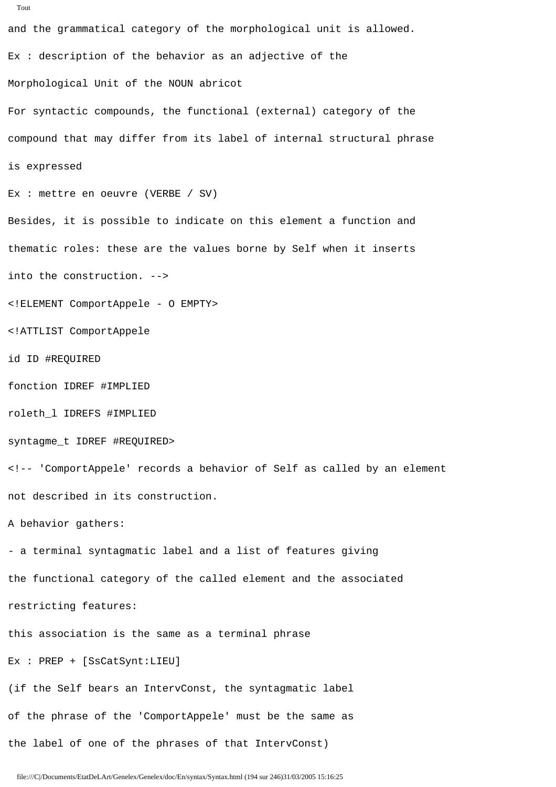```
and the grammatical category of the morphological unit is allowed.
Ex : description of the behavior as an adjective of the 
Morphological Unit of the NOUN abricot
For syntactic compounds, the functional (external) category of the 
compound that may differ from its label of internal structural phrase
is expressed
Ex : mettre en oeuvre (VERBE / SV)
Besides, it is possible to indicate on this element a function and
thematic roles: these are the values borne by Self when it inserts 
into the construction. -->
<!ELEMENT ComportAppele - O EMPTY>
<!ATTLIST ComportAppele
id ID #REQUIRED
fonction IDREF #IMPLIED
roleth_l IDREFS #IMPLIED
syntagme_t IDREF #REQUIRED>
<!-- 'ComportAppele' records a behavior of Self as called by an element 
not described in its construction.
A behavior gathers:
- a terminal syntagmatic label and a list of features giving
the functional category of the called element and the associated
restricting features:
this association is the same as a terminal phrase
Ex : PREP + [SsCatSynt:LIEU]
(if the Self bears an IntervConst, the syntagmatic label
of the phrase of the 'ComportAppele' must be the same as 
the label of one of the phrases of that IntervConst)
```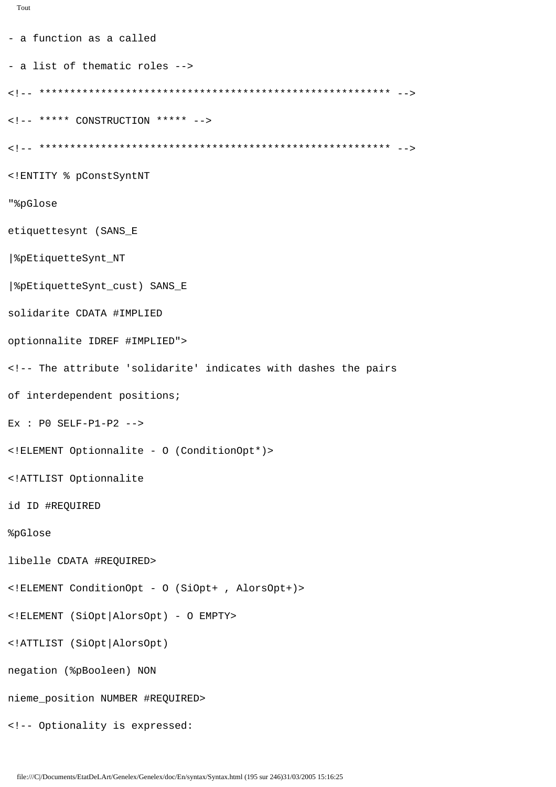```
Tout
```

```
- a function as a called
- a list of thematic roles -->
\leq 1 - - ***** CONSTRUCTION ***** -->
<! ENTITY % pConstSyntNT
"%pGlose
etiquettesynt (SANS_E
8pEtiquetteSynt_NT
| &pEtiquetteSynt_cust) SANS_E
solidarite CDATA #IMPLIED
optionnalite IDREF #IMPLIED">
<!-- The attribute 'solidarite' indicates with dashes the pairs
of interdependent positions;
Ex : PO SELF-P1-P2 -->
<! ELEMENT Optionnalite - 0 (ConditionOpt*)>
<!ATTLIST Optionnalite
id ID #REQUIRED
%pGlose
libelle CDATA #REQUIRED>
<!ELEMENT ConditionOpt - 0 (SiOpt+, AlorsOpt+)>
<!ELEMENT (SiOpt AlorsOpt) - O EMPTY>
<!ATTLIST (SiOpt | AlorsOpt)
negation (%pBooleen) NON
nieme_position NUMBER #REQUIRED>
<!-- Optionality is expressed:
```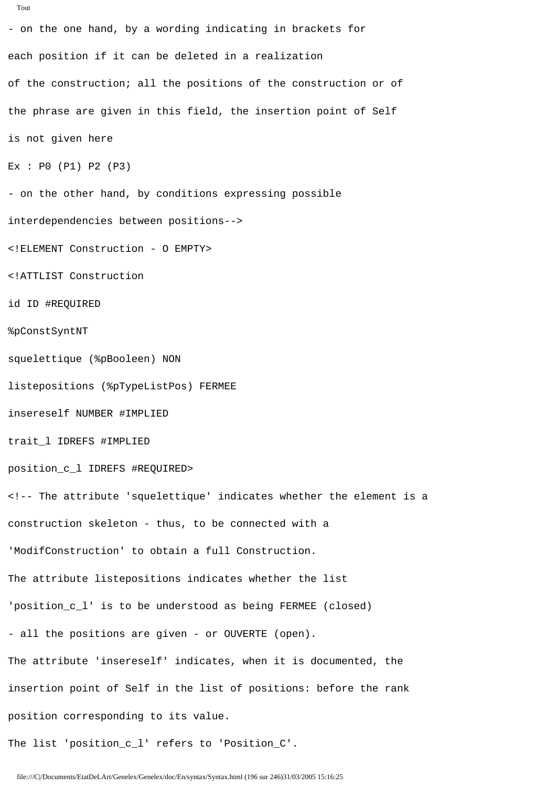```
- on the one hand, by a wording indicating in brackets for 
each position if it can be deleted in a realization 
of the construction; all the positions of the construction or of 
the phrase are given in this field, the insertion point of Self
is not given here
Ex : P0 (P1) P2 (P3)
- on the other hand, by conditions expressing possible 
interdependencies between positions-->
<!ELEMENT Construction - O EMPTY>
<!ATTLIST Construction
id ID #REQUIRED
%pConstSyntNT
squelettique (%pBooleen) NON
listepositions (%pTypeListPos) FERMEE
insereself NUMBER #IMPLIED
trait_l IDREFS #IMPLIED
position_c_l IDREFS #REQUIRED>
<!-- The attribute 'squelettique' indicates whether the element is a
construction skeleton - thus, to be connected with a 
'ModifConstruction' to obtain a full Construction.
The attribute listepositions indicates whether the list 
'position_c_l' is to be understood as being FERMEE (closed) 
- all the positions are given - or OUVERTE (open).
The attribute 'insereself' indicates, when it is documented, the
insertion point of Self in the list of positions: before the rank
position corresponding to its value.
The list 'position_c_l' refers to 'Position_C'.
```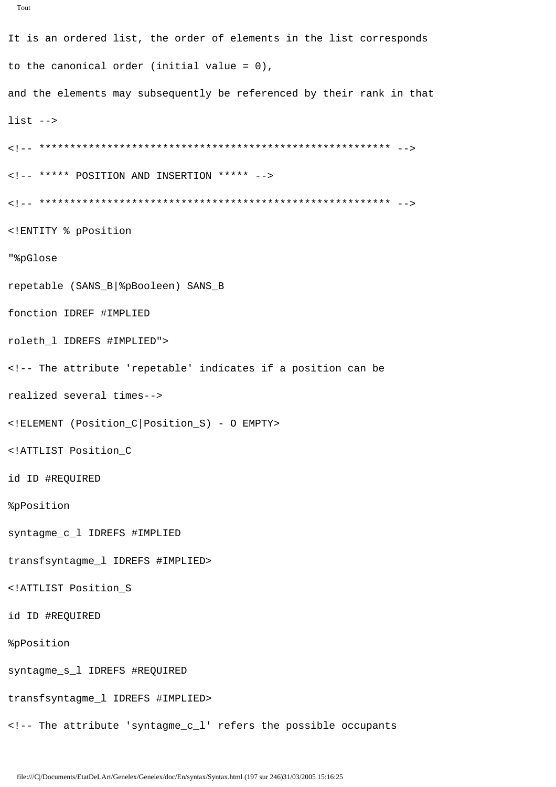```
Tout
```

```
It is an ordered list, the order of elements in the list corresponds
to the canonical order (initial value = 0),
and the elements may subsequently be referenced by their rank in that
list --\langle!-- ***** POSITION AND INSERTION ***** -->
<! ENTITY % pPosition
"%pGlose
repetable (SANS_B|%pBooleen) SANS_B
fonction IDREF #IMPLIED
roleth_1 IDREFS #IMPLIED">
<!-- The attribute 'repetable' indicates if a position can be
realized several times-->
<! ELEMENT (Position_C | Position_S) - O EMPTY>
<!ATTLIST Position_C
id ID #REQUIRED
%pPosition
syntagme_c_l IDREFS #IMPLIED
transfsyntagme_1 IDREFS #IMPLIED>
<!ATTLIST Position S
id ID #REQUIRED
%pPosition
syntagme_s_l IDREFS #REQUIRED
transfsyntagme_1 IDREFS #IMPLIED>
<!-- The attribute 'syntagme c l' refers the possible occupants
```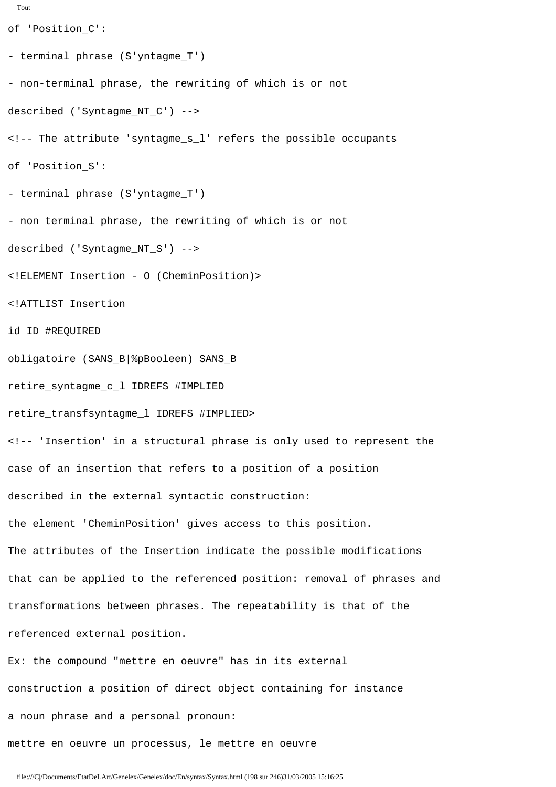```
Tout
of 'Position_C':
- terminal phrase (S'yntagme_T')
- non-terminal phrase, the rewriting of which is or not 
described ('Syntagme_NT_C') -->
<!-- The attribute 'syntagme_s_l' refers the possible occupants
of 'Position_S':
- terminal phrase (S'yntagme_T')
- non terminal phrase, the rewriting of which is or not 
described ('Syntagme_NT_S') -->
<!ELEMENT Insertion - O (CheminPosition)>
<!ATTLIST Insertion
id ID #REQUIRED
obligatoire (SANS_B|%pBooleen) SANS_B
retire_syntagme_c_l IDREFS #IMPLIED
retire_transfsyntagme_l IDREFS #IMPLIED>
<!-- 'Insertion' in a structural phrase is only used to represent the 
case of an insertion that refers to a position of a position 
described in the external syntactic construction:
the element 'CheminPosition' gives access to this position.
The attributes of the Insertion indicate the possible modifications
that can be applied to the referenced position: removal of phrases and 
transformations between phrases. The repeatability is that of the 
referenced external position.
Ex: the compound "mettre en oeuvre" has in its external
construction a position of direct object containing for instance
```
mettre en oeuvre un processus, le mettre en oeuvre

a noun phrase and a personal pronoun: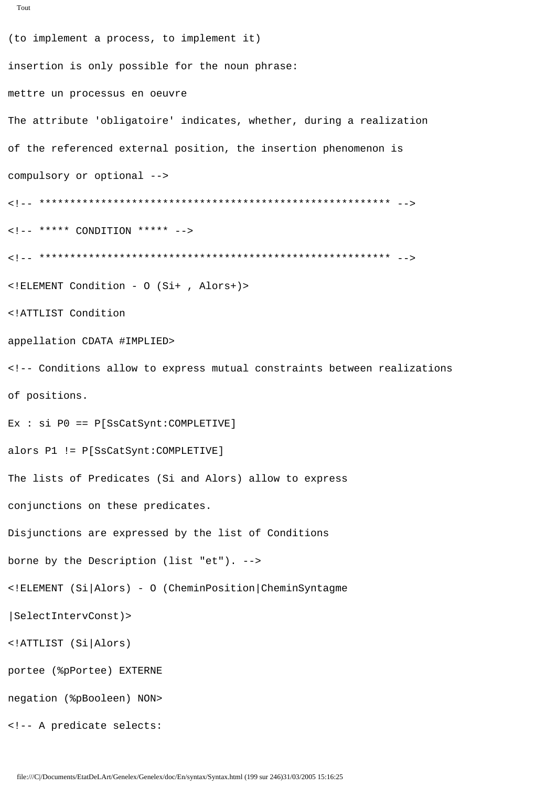```
(to implement a process, to implement it)
insertion is only possible for the noun phrase:
mettre un processus en oeuvre
The attribute 'obligatoire' indicates, whether, during a realization
of the referenced external position, the insertion phenomenon is
compulsory or optional -->
\langle!-- ***** CONDITION ***** -->
<! ELEMENT Condition - 0 (Si+, Alors+)>
<!ATTLIST Condition
appellation CDATA #IMPLIED>
<!-- Conditions allow to express mutual constraints between realizations
of positions.
Ex : si P0 == P[SSCatsynt:COMPLETIVE]alors P1 != P[SsCatSynt:COMPLETIVE]
The lists of Predicates (Si and Alors) allow to express
conjunctions on these predicates.
Disjunctions are expressed by the list of Conditions
borne by the Description (list "et"). -->
<!ELEMENT (Si|Alors) - 0 (CheminPosition|CheminSyntagme
|SelectIntervConst)>
<!ATTLIST (Si|Alors)
portee (%pPortee) EXTERNE
negation (%pBooleen) NON>
```
file:///C|/Documents/EtatDeLArt/Genelex/Genelex/doc/En/syntax/Syntax.html (199 sur 246)31/03/2005 15:16:25

<!-- A predicate selects: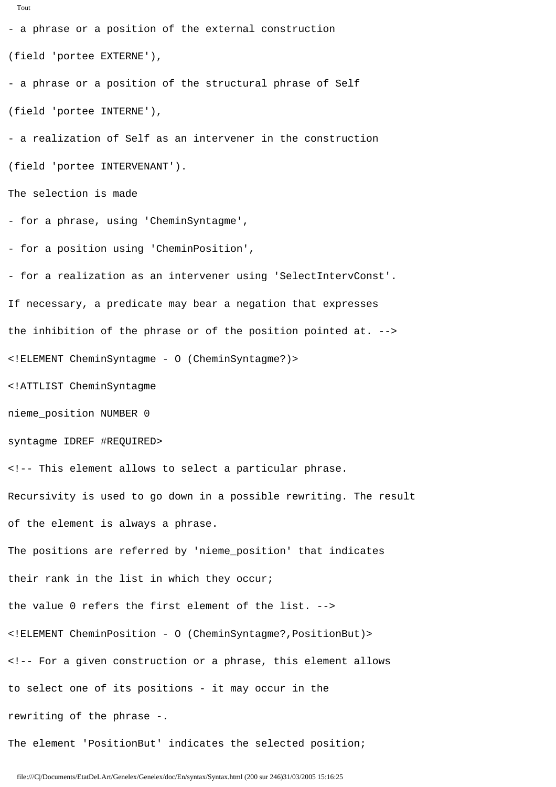```
- a phrase or a position of the external construction
(field 'portee EXTERNE'),
- a phrase or a position of the structural phrase of Self
(field 'portee INTERNE'),
- a realization of Self as an intervener in the construction 
(field 'portee INTERVENANT').
The selection is made
- for a phrase, using 'CheminSyntagme',
- for a position using 'CheminPosition',
- for a realization as an intervener using 'SelectIntervConst'.
If necessary, a predicate may bear a negation that expresses
the inhibition of the phrase or of the position pointed at. -->
<!ELEMENT CheminSyntagme - O (CheminSyntagme?)>
<!ATTLIST CheminSyntagme
nieme_position NUMBER 0
syntagme IDREF #REQUIRED>
<!-- This element allows to select a particular phrase.
Recursivity is used to go down in a possible rewriting. The result
of the element is always a phrase.
The positions are referred by 'nieme_position' that indicates 
their rank in the list in which they occur;
the value 0 refers the first element of the list. -->
<!ELEMENT CheminPosition - O (CheminSyntagme?,PositionBut)>
<!-- For a given construction or a phrase, this element allows
to select one of its positions - it may occur in the
rewriting of the phrase -.
The element 'PositionBut' indicates the selected position;
```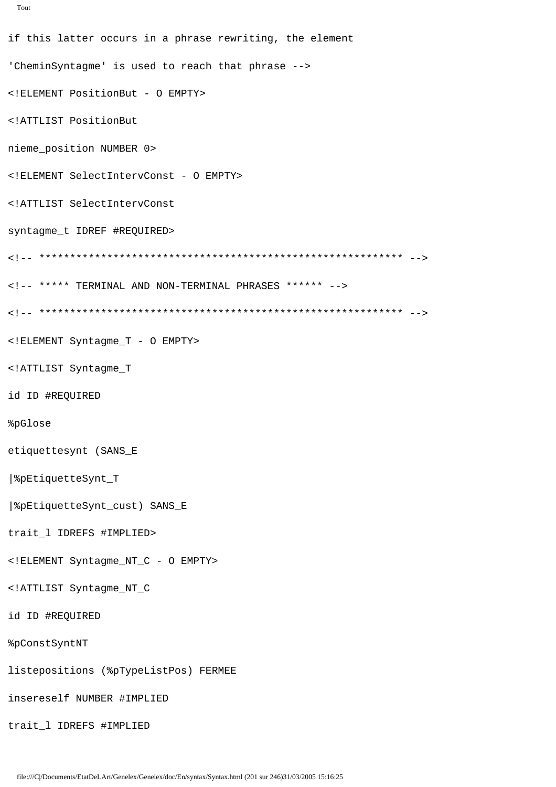```
Tout
```

```
if this latter occurs in a phrase rewriting, the element
'CheminSyntagme' is used to reach that phrase -->
<! ELEMENT PositionBut - 0 EMPTY>
<!ATTLIST PositionBut
nieme_position NUMBER 0>
<! ELEMENT SelectIntervConst - 0 EMPTY>
<!ATTLIST SelectIntervConst
syntagme_t IDREF #REQUIRED>
<!-- ***** TERMINAL AND NON-TERMINAL PHRASES ****** -->
<! ELEMENT Syntagme_T - O EMPTY>
<!ATTLIST Syntagme_T
id ID #REQUIRED
%pGlose
etiquettesynt (SANS_E
8pEtiquetteSynt_T
| &pEtiquetteSynt_cust) SANS_E
trait_1 IDREFS #IMPLIED>
<! ELEMENT Syntagme_NT_C - 0 EMPTY>
<!ATTLIST Syntaqme NT C
id ID #REQUIRED
%pConstSyntNT
listepositions (%pTypeListPos) FERMEE
insereself NUMBER #IMPLIED
trait 1 IDREFS #IMPLIED
```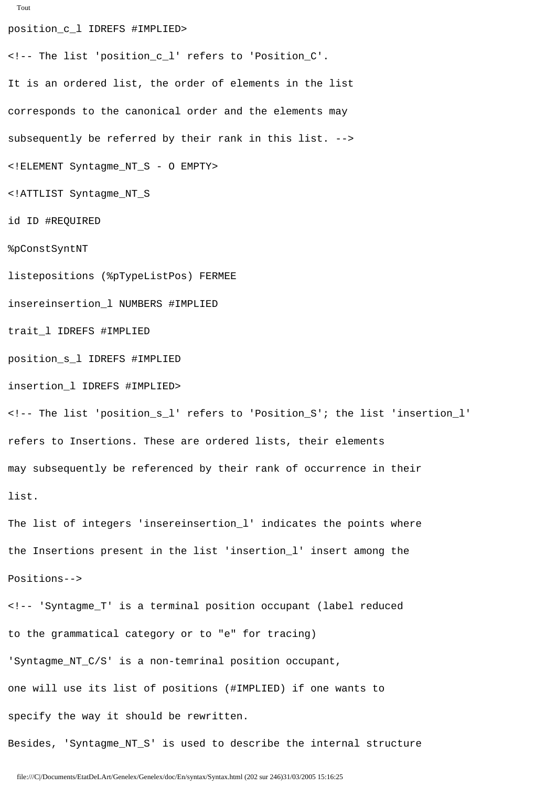```
Tout
```
position\_c\_l IDREFS #IMPLIED> <!-- The list 'position\_c\_l' refers to 'Position\_C'. It is an ordered list, the order of elements in the list corresponds to the canonical order and the elements may subsequently be referred by their rank in this list. --> <!ELEMENT Syntagme\_NT\_S - O EMPTY> <!ATTLIST Syntagme\_NT\_S id ID #REQUIRED %pConstSyntNT listepositions (%pTypeListPos) FERMEE insereinsertion\_l NUMBERS #IMPLIED trait\_l IDREFS #IMPLIED position\_s\_l IDREFS #IMPLIED insertion\_l IDREFS #IMPLIED> <!-- The list 'position\_s\_l' refers to 'Position\_S'; the list 'insertion\_l' refers to Insertions. These are ordered lists, their elements may subsequently be referenced by their rank of occurrence in their list. The list of integers 'insereinsertion\_l' indicates the points where the Insertions present in the list 'insertion\_l' insert among the Positions--> <!-- 'Syntagme\_T' is a terminal position occupant (label reduced to the grammatical category or to "e" for tracing) 'Syntagme\_NT\_C/S' is a non-temrinal position occupant, one will use its list of positions (#IMPLIED) if one wants to specify the way it should be rewritten. Besides, 'Syntagme\_NT\_S' is used to describe the internal structure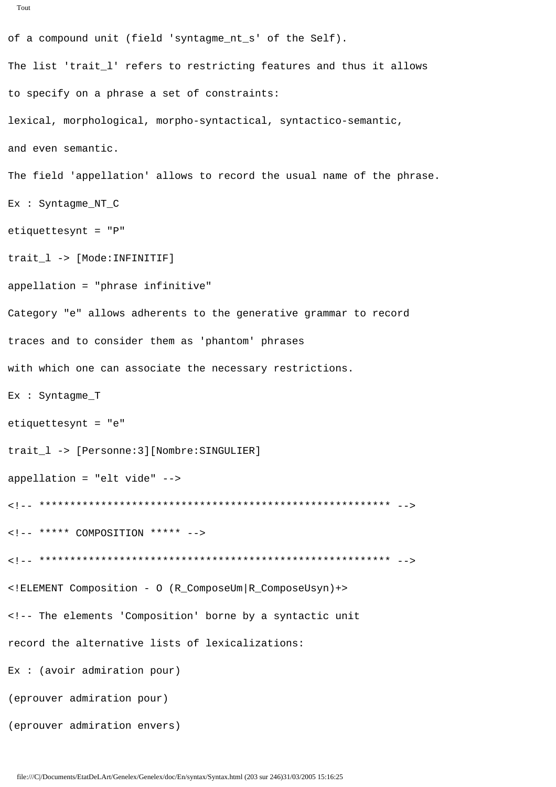```
of a compound unit (field 'syntagme_nt_s' of the Self).
The list 'trait_l' refers to restricting features and thus it allows
to specify on a phrase a set of constraints:
lexical, morphological, morpho-syntactical, syntactico-semantic,
and even semantic.
The field 'appellation' allows to record the usual name of the phrase.
Ex : Syntagme_NT_C
etiquettesynt = "P"trait_1 -> [Mode: INFINITIF]
appellation = "phrase infinitive"
Category "e" allows adherents to the generative grammar to record
traces and to consider them as 'phantom' phrases
with which one can associate the necessary restrictions.
Ex : Syntagme_T
etiquettesynt = "e"
trait_1 -> [Personne:3][Nombre:SINGULIER]
appellation = "elt vide" \leftarrow\leftarrow !-- ***** COMPOSITION ***** -->
<!ELEMENT Composition - 0 (R ComposeUm|R ComposeUsyn)+>
<!-- The elements 'Composition' borne by a syntactic unit
record the alternative lists of lexicalizations:
Ex: (avoir administration pour)(eprouver admiration pour)
```
(eprouver admiration envers)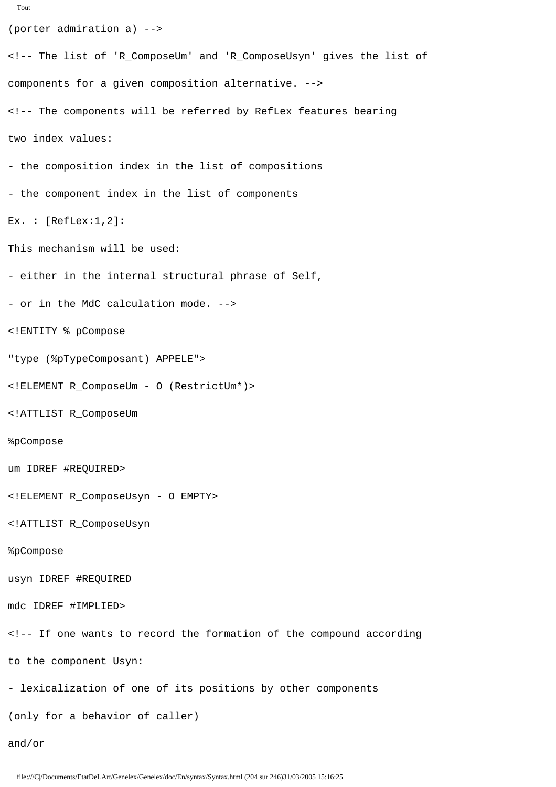```
Tout
```

```
(porter admiration a) -->
<!-- The list of 'R_ComposeUm' and 'R_ComposeUsyn' gives the list of
components for a given composition alternative. -->
<!-- The components will be referred by RefLex features bearing
two index values:
- the composition index in the list of compositions
- the component index in the list of components
Ex. : [RefLex:1,2]:This mechanism will be used:
- either in the internal structural phrase of Self,
- or in the MdC calculation mode. -->
<!ENTITY % pCompose
"type (%pTypeComposant) APPELE">
<!ELEMENT R_ComposeUm - O (RestrictUm*)>
<!ATTLIST R_ComposeUm
%pCompose
um IDREF #REQUIRED>
<!ELEMENT R_ComposeUsyn - O EMPTY>
<!ATTLIST R_ComposeUsyn
%pCompose
usyn IDREF #REQUIRED
mdc IDREF #IMPLIED>
<!-- If one wants to record the formation of the compound according 
to the component Usyn:
- lexicalization of one of its positions by other components
(only for a behavior of caller)
and/or
```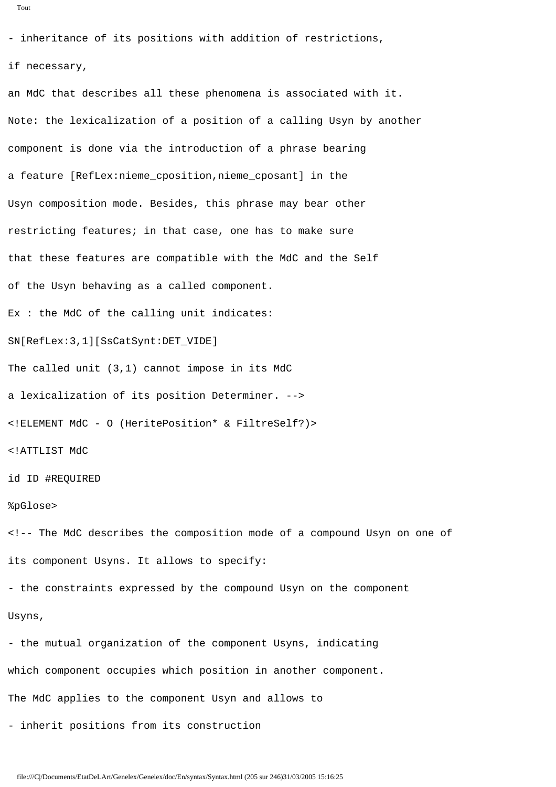```
Tout
```
- inheritance of its positions with addition of restrictions,

#### if necessary,

an MdC that describes all these phenomena is associated with it. Note: the lexicalization of a position of a calling Usyn by another component is done via the introduction of a phrase bearing a feature [RefLex:nieme\_cposition,nieme\_cposant] in the Usyn composition mode. Besides, this phrase may bear other restricting features; in that case, one has to make sure that these features are compatible with the MdC and the Self of the Usyn behaving as a called component. Ex : the MdC of the calling unit indicates: SN[RefLex:3,1][SsCatSynt:DET\_VIDE] The called unit (3,1) cannot impose in its MdC a lexicalization of its position Determiner. --> <!ELEMENT MdC - O (HeritePosition\* & FiltreSelf?)> <!ATTLIST MdC id ID #REQUIRED %pGlose> <!-- The MdC describes the composition mode of a compound Usyn on one of its component Usyns. It allows to specify: - the constraints expressed by the compound Usyn on the component Usyns, - the mutual organization of the component Usyns, indicating which component occupies which position in another component. The MdC applies to the component Usyn and allows to - inherit positions from its construction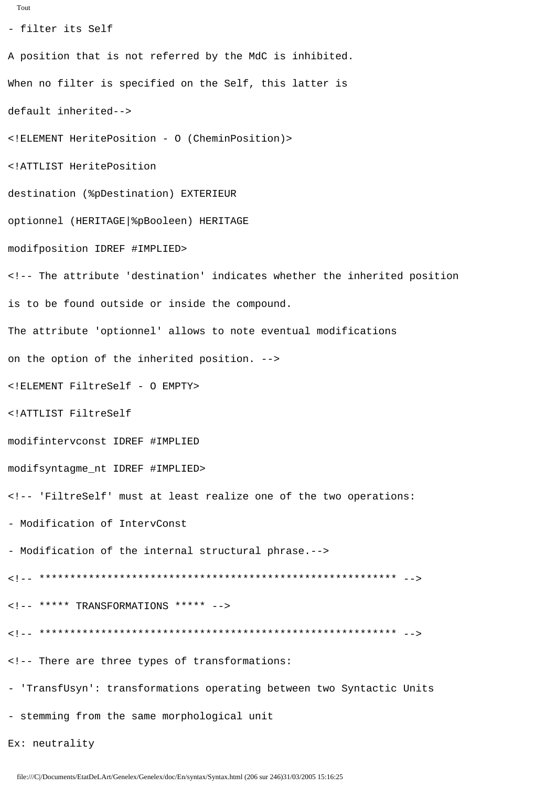```
- filter its Self
A position that is not referred by the MdC is inhibited.
When no filter is specified on the Self, this latter is
default inherited-->
<! ELEMENT HeritePosition - 0 (CheminPosition)>
<!ATTLIST HeritePosition
destination (%pDestination) EXTERIEUR
optionnel (HERITAGE | %pBooleen) HERITAGE
modifposition IDREF #IMPLIED>
<!-- The attribute 'destination' indicates whether the inherited position
is to be found outside or inside the compound.
The attribute 'optionnel' allows to note eventual modifications
on the option of the inherited position. -->
<! ELEMENT FiltreSelf - O EMPTY>
<!ATTLIST FiltreSelf
modifintervconst IDREF #IMPLIED
modifsyntagme_nt IDREF #IMPLIED>
<!-- 'FiltreSelf' must at least realize one of the two operations:
- Modification of IntervConst
- Modification of the internal structural phrase.-->
\langle!-- ***** TRANSFORMATIONS ***** -->
<!-- There are three types of transformations:
- 'TransfUsyn': transformations operating between two Syntactic Units
- stemming from the same morphological unit
```
Ex: neutrality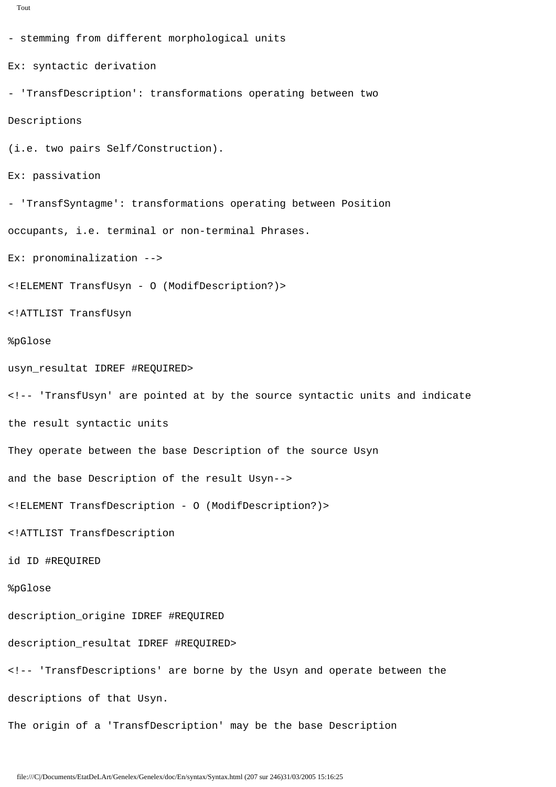```
Tout
```

```
- stemming from different morphological units
Ex: syntactic derivation 
- 'TransfDescription': transformations operating between two
Descriptions
(i.e. two pairs Self/Construction).
Ex: passivation
- 'TransfSyntagme': transformations operating between Position 
occupants, i.e. terminal or non-terminal Phrases.
Ex: pronominalization -->
<!ELEMENT TransfUsyn - O (ModifDescription?)>
<!ATTLIST TransfUsyn
%pGlose
usyn_resultat IDREF #REQUIRED>
<!-- 'TransfUsyn' are pointed at by the source syntactic units and indicate
the result syntactic units
They operate between the base Description of the source Usyn 
and the base Description of the result Usyn-->
<!ELEMENT TransfDescription - O (ModifDescription?)>
<!ATTLIST TransfDescription
id ID #REQUIRED
%pGlose
description_origine IDREF #REQUIRED
description_resultat IDREF #REQUIRED>
<!-- 'TransfDescriptions' are borne by the Usyn and operate between the 
descriptions of that Usyn.
The origin of a 'TransfDescription' may be the base Description
```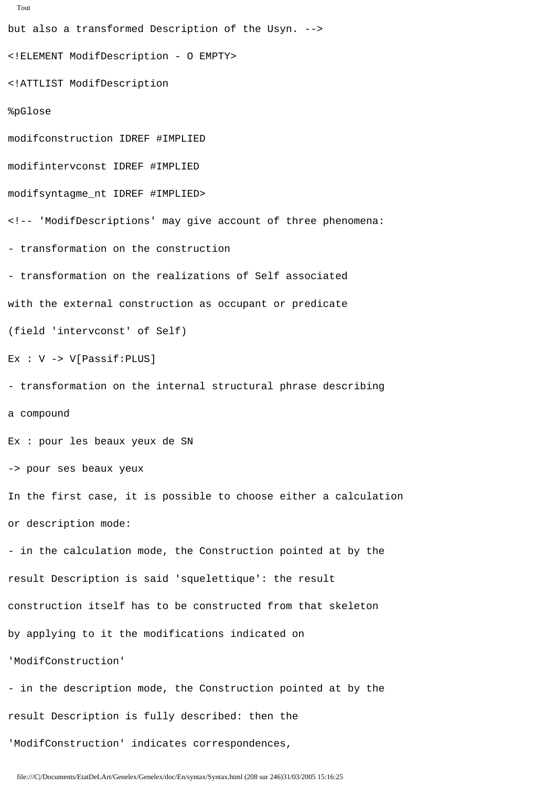```
but also a transformed Description of the Usyn. -->
<!ELEMENT ModifDescription - O EMPTY>
<!ATTLIST ModifDescription
%pGlose
modifconstruction IDREF #IMPLIED
modifintervconst IDREF #IMPLIED
modifsyntagme_nt IDREF #IMPLIED>
<!-- 'ModifDescriptions' may give account of three phenomena:
- transformation on the construction
- transformation on the realizations of Self associated
with the external construction as occupant or predicate
(field 'intervconst' of Self)
Ex : V -> V[Passif:PLUS]
- transformation on the internal structural phrase describing 
a compound
Ex : pour les beaux yeux de SN
-> pour ses beaux yeux
In the first case, it is possible to choose either a calculation 
or description mode:
- in the calculation mode, the Construction pointed at by the
result Description is said 'squelettique': the result
construction itself has to be constructed from that skeleton
by applying to it the modifications indicated on 
'ModifConstruction'
- in the description mode, the Construction pointed at by the
result Description is fully described: then the
'ModifConstruction' indicates correspondences,
```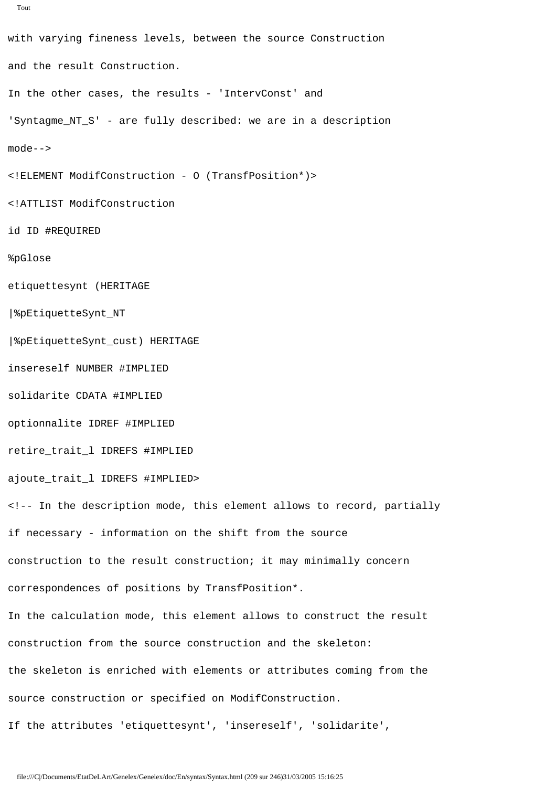```
Tout
```
with varying fineness levels, between the source Construction and the result Construction. In the other cases, the results - 'IntervConst' and 'Syntagme NT S' - are fully described: we are in a description mode--> <!ELEMENT ModifConstruction - O (TransfPosition\*)> <!ATTLIST ModifConstruction id ID #REQUIRED %pGlose etiquettesynt (HERITAGE |%pEtiquetteSynt\_NT |%pEtiquetteSynt\_cust) HERITAGE insereself NUMBER #IMPLIED solidarite CDATA #IMPLIED optionnalite IDREF #IMPLIED retire\_trait\_l IDREFS #IMPLIED ajoute trait 1 IDREFS #IMPLIED> <!-- In the description mode, this element allows to record, partially if necessary - information on the shift from the source construction to the result construction; it may minimally concern correspondences of positions by TransfPosition\*. In the calculation mode, this element allows to construct the result construction from the source construction and the skeleton: the skeleton is enriched with elements or attributes coming from the source construction or specified on ModifConstruction. If the attributes 'etiquettesynt', 'insereself', 'solidarite',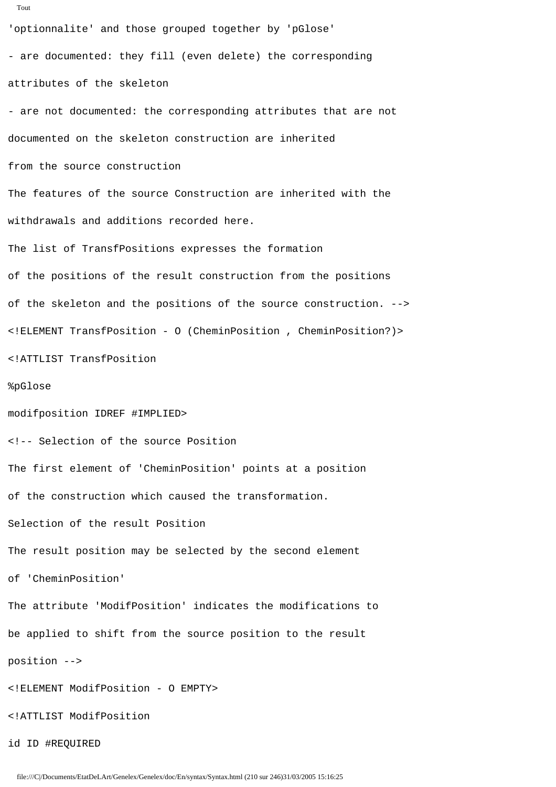```
Tout
'optionnalite' and those grouped together by 'pGlose'
- are documented: they fill (even delete) the corresponding 
attributes of the skeleton
- are not documented: the corresponding attributes that are not 
documented on the skeleton construction are inherited
from the source construction
The features of the source Construction are inherited with the
withdrawals and additions recorded here.
The list of TransfPositions expresses the formation
of the positions of the result construction from the positions
of the skeleton and the positions of the source construction. -->
<!ELEMENT TransfPosition - O (CheminPosition , CheminPosition?)>
<!ATTLIST TransfPosition
%pGlose
modifposition IDREF #IMPLIED>
<!-- Selection of the source Position 
The first element of 'CheminPosition' points at a position
of the construction which caused the transformation.
Selection of the result Position 
The result position may be selected by the second element 
of 'CheminPosition'
The attribute 'ModifPosition' indicates the modifications to 
be applied to shift from the source position to the result 
position -->
<!ELEMENT ModifPosition - O EMPTY>
```
<!ATTLIST ModifPosition

id ID #REQUIRED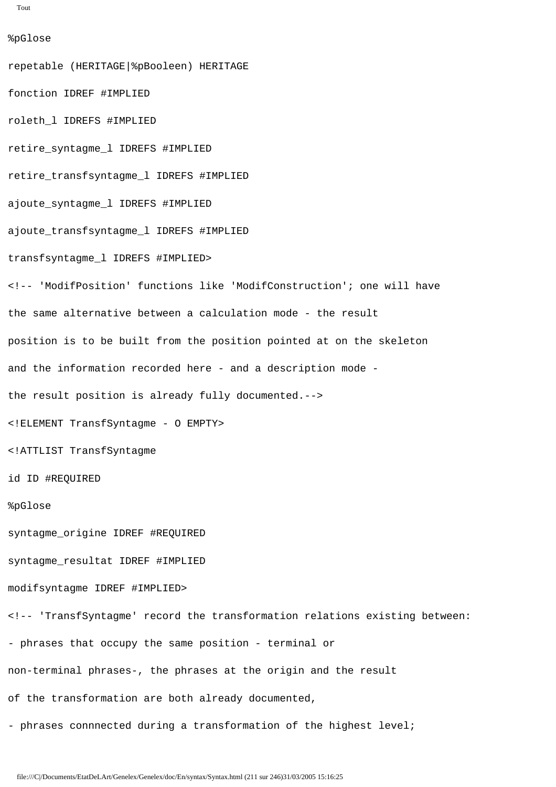```
Tout
```
%pGlose repetable (HERITAGE|%pBooleen) HERITAGE fonction IDREF #IMPLIED roleth\_l IDREFS #IMPLIED retire\_syntagme\_l IDREFS #IMPLIED retire\_transfsyntagme\_l IDREFS #IMPLIED ajoute\_syntagme\_l IDREFS #IMPLIED ajoute\_transfsyntagme\_l IDREFS #IMPLIED transfsyntagme\_l IDREFS #IMPLIED> <!-- 'ModifPosition' functions like 'ModifConstruction'; one will have the same alternative between a calculation mode - the result position is to be built from the position pointed at on the skeleton and the information recorded here - and a description mode the result position is already fully documented.--> <!ELEMENT TransfSyntagme - O EMPTY> <!ATTLIST TransfSyntagme id ID #REQUIRED %pGlose syntagme\_origine IDREF #REQUIRED syntagme\_resultat IDREF #IMPLIED modifsyntagme IDREF #IMPLIED> <!-- 'TransfSyntagme' record the transformation relations existing between: - phrases that occupy the same position - terminal or non-terminal phrases-, the phrases at the origin and the result of the transformation are both already documented, - phrases connnected during a transformation of the highest level;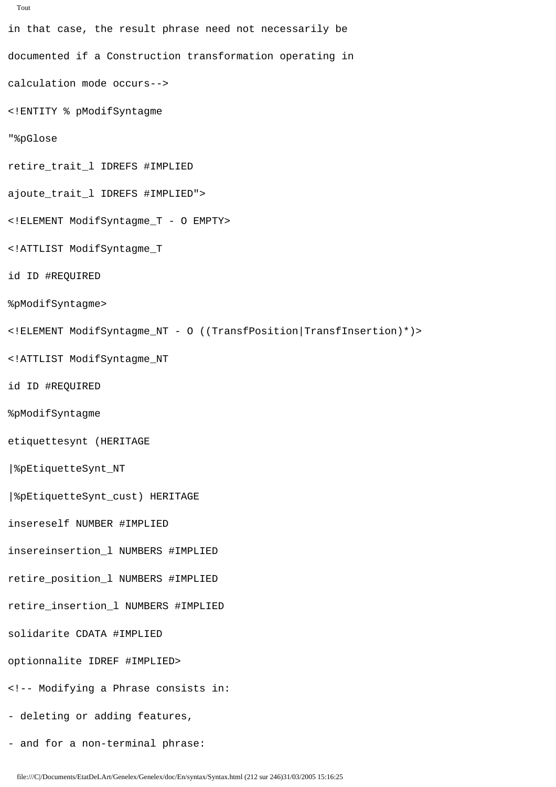```
in that case, the result phrase need not necessarily be 
documented if a Construction transformation operating in 
calculation mode occurs-->
<!ENTITY % pModifSyntagme
"%pGlose
retire_trait_l IDREFS #IMPLIED
ajoute_trait_l IDREFS #IMPLIED">
<!ELEMENT ModifSyntagme_T - O EMPTY>
<!ATTLIST ModifSyntagme_T
id ID #REQUIRED
%pModifSyntagme>
<!ELEMENT ModifSyntagme_NT - O ((TransfPosition|TransfInsertion)*)>
<!ATTLIST ModifSyntagme_NT
id ID #REQUIRED
%pModifSyntagme
etiquettesynt (HERITAGE
|%pEtiquetteSynt_NT
|%pEtiquetteSynt_cust) HERITAGE
insereself NUMBER #IMPLIED
insereinsertion_l NUMBERS #IMPLIED
retire_position_l NUMBERS #IMPLIED
retire_insertion_l NUMBERS #IMPLIED
solidarite CDATA #IMPLIED
optionnalite IDREF #IMPLIED>
<!-- Modifying a Phrase consists in:
- deleting or adding features,
```

```
- and for a non-terminal phrase:
```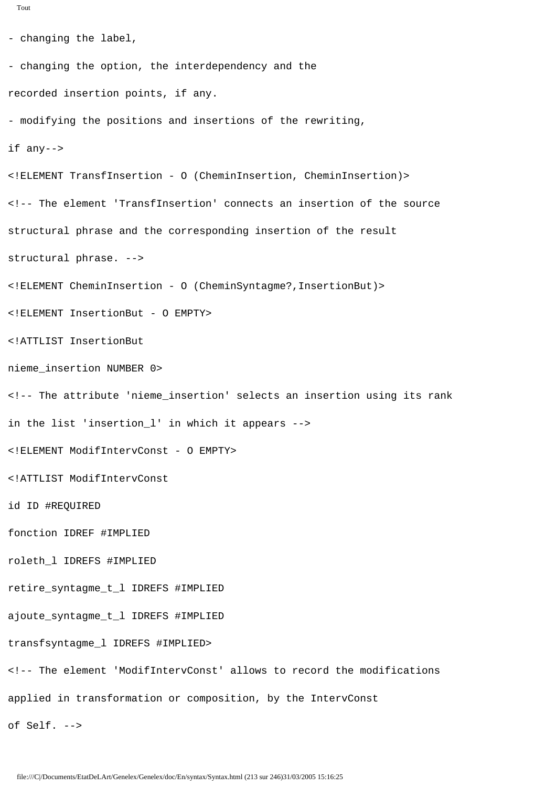```
Tout
```

```
- changing the label,
- changing the option, the interdependency and the
recorded insertion points, if any.
- modifying the positions and insertions of the rewriting,
if any-->
<!ELEMENT TransfInsertion - O (CheminInsertion, CheminInsertion)>
<!-- The element 'TransfInsertion' connects an insertion of the source
structural phrase and the corresponding insertion of the result
structural phrase. -->
<!ELEMENT CheminInsertion - O (CheminSyntagme?,InsertionBut)>
<!ELEMENT InsertionBut - O EMPTY>
<!ATTLIST InsertionBut
nieme_insertion NUMBER 0>
<!-- The attribute 'nieme_insertion' selects an insertion using its rank
in the list 'insertion_l' in which it appears -->
<!ELEMENT ModifIntervConst - O EMPTY>
<!ATTLIST ModifIntervConst
id ID #REQUIRED
fonction IDREF #IMPLIED
roleth_l IDREFS #IMPLIED
retire_syntagme_t_l IDREFS #IMPLIED
ajoute_syntagme_t_l IDREFS #IMPLIED
transfsyntagme_l IDREFS #IMPLIED>
<!-- The element 'ModifIntervConst' allows to record the modifications
applied in transformation or composition, by the IntervConst
of Self. -->
```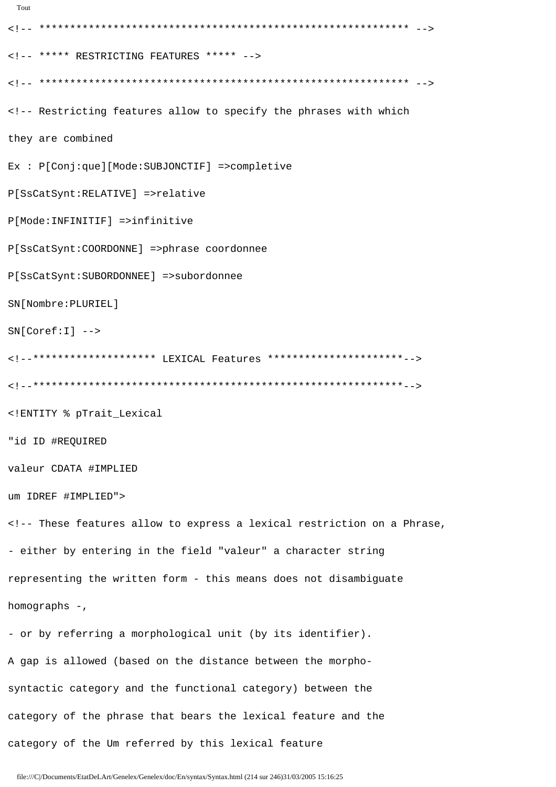```
Tout
<!-- ***** RESTRICTING FEATURES ***** -->
<!-- Restricting features allow to specify the phrases with which
they are combined
Ex : P[Conj:que][Mode:SUBJONCTIF] =>completive
P[SsCatSynt:RELATIVE] =>relative
P[Mode: INFINITIF] =>infinitive
P[SsCatSynt: COORDONNE] =>phrase coordonnee
P[SsCatSynt:SUBORDONNEE] =>subordonnee
SN[Nombre: PLURIEL]
SN[Coref:I] -->
<!--******************* LEXICAL Features **********************-->
<!ENTITY % pTrait_Lexical
"id ID #REQUIRED
valeur CDATA #IMPLIED
um IDREF #IMPLIED">
<!-- These features allow to express a lexical restriction on a Phrase,
- either by entering in the field "valeur" a character string
representing the written form - this means does not disambiguate
homographs -,
- or by referring a morphological unit (by its identifier).
A gap is allowed (based on the distance between the morpho-
syntactic category and the functional category) between the
category of the phrase that bears the lexical feature and the
```
category of the Um referred by this lexical feature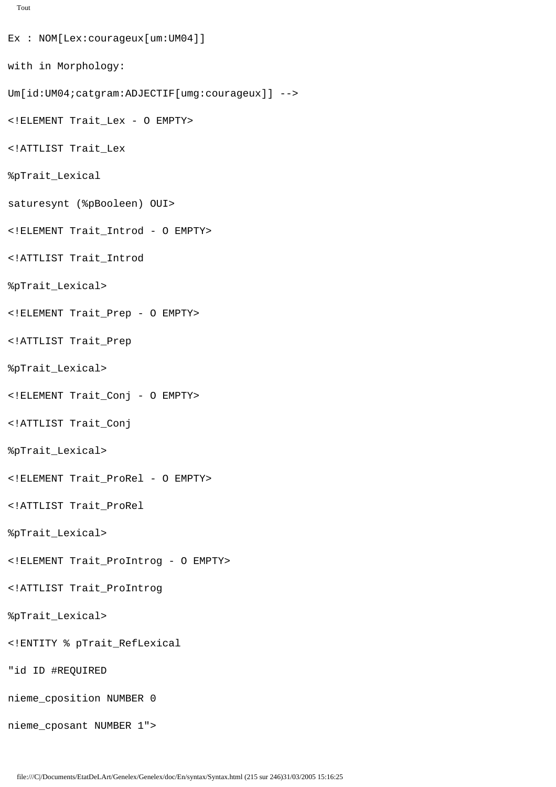```
Tout
Ex : NOM[Lex:courageux[um:UM04]]
with in Morphology:
Um[id:UM04;catgram:ADJECTIF[umg:courageux]] -->
<!ELEMENT Trait_Lex - O EMPTY>
<!ATTLIST Trait_Lex
%pTrait_Lexical
saturesynt (%pBooleen) OUI>
<!ELEMENT Trait_Introd - O EMPTY>
<!ATTLIST Trait_Introd
%pTrait_Lexical>
<!ELEMENT Trait_Prep - O EMPTY>
<!ATTLIST Trait_Prep
%pTrait_Lexical>
<!ELEMENT Trait_Conj - O EMPTY>
<!ATTLIST Trait_Conj
%pTrait_Lexical>
<!ELEMENT Trait_ProRel - O EMPTY>
<!ATTLIST Trait_ProRel
%pTrait_Lexical>
<!ELEMENT Trait_ProIntrog - O EMPTY>
<!ATTLIST Trait_ProIntrog
%pTrait_Lexical>
<!ENTITY % pTrait_RefLexical
"id ID #REQUIRED
nieme_cposition NUMBER 0
nieme_cposant NUMBER 1">
```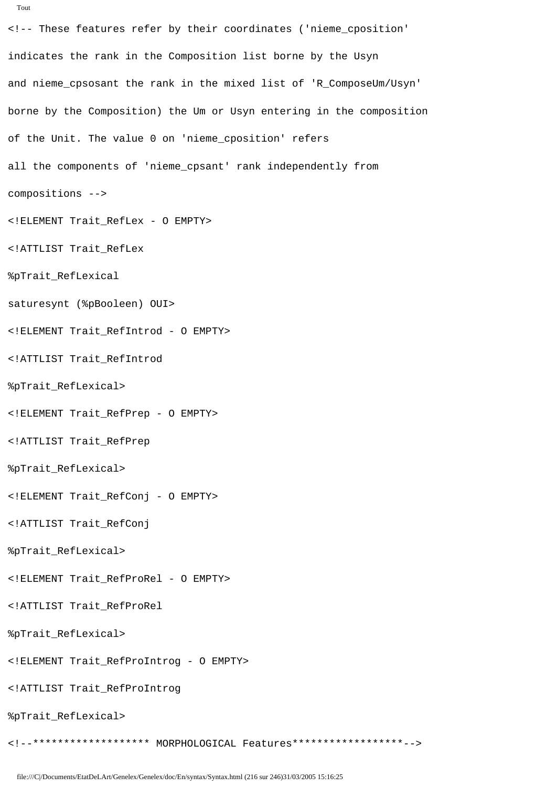```
<!-- These features refer by their coordinates ('nieme_cposition'
indicates the rank in the Composition list borne by the Usyn
and nieme_cpsosant the rank in the mixed list of 'R_ComposeUm/Usyn'
borne by the Composition) the Um or Usyn entering in the composition
of the Unit. The value 0 on 'nieme_cposition' refers
all the components of 'nieme_cpsant' rank independently from
compositions -->
<!ELEMENT Trait RefLex - 0 EMPTY>
<!ATTLIST Trait_RefLex
%pTrait_RefLexical
saturesynt (%pBooleen) OUI>
<!ELEMENT Trait RefIntrod - 0 EMPTY>
<!ATTLIST Trait_RefIntrod
%pTrait_RefLexical>
<!ELEMENT Trait_RefPrep - 0 EMPTY>
<!ATTLIST Trait_RefPrep
%pTrait_RefLexical>
<!ELEMENT Trait_RefConj - 0 EMPTY>
<!ATTLIST Trait_RefConj
%pTrait_RefLexical>
<!ELEMENT Trait RefProRel - 0 EMPTY>
<!ATTLIST Trait_RefProRel
%pTrait_RefLexical>
<!ELEMENT Trait_RefProIntrog - 0 EMPTY>
<!ATTLIST Trait_RefProIntrog
%pTrait_RefLexical>
```
<!--\*\*\*\*\*\*\*\*\*\*\*\*\*\*\*\*\*\* MORPHOLOGICAL Features\*\*\*\*\*\*\*\*\*\*\*\*\*\*\*\*\*-->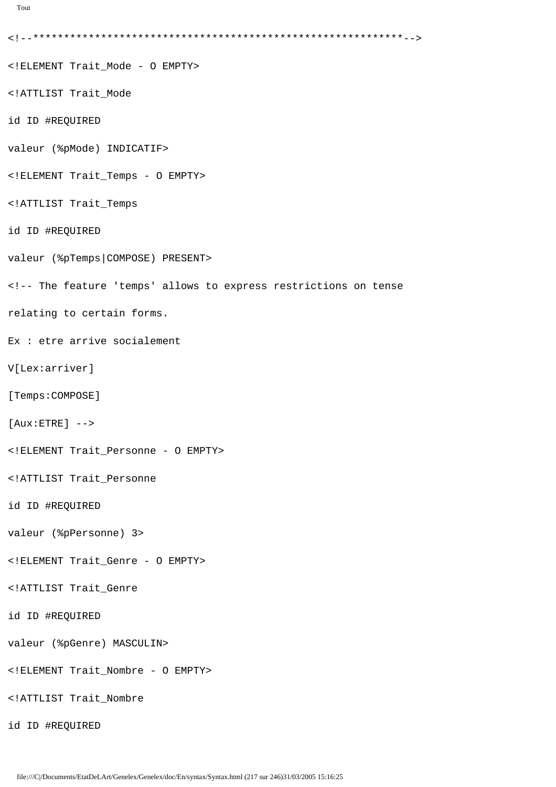```
Tout
```

```
<!--************************************************************-->
<!ELEMENT Trait_Mode - O EMPTY>
<!ATTLIST Trait_Mode
id ID #REQUIRED
valeur (%pMode) INDICATIF>
<!ELEMENT Trait_Temps - O EMPTY>
<!ATTLIST Trait_Temps
id ID #REQUIRED
valeur (%pTemps|COMPOSE) PRESENT>
<!-- The feature 'temps' allows to express restrictions on tense 
relating to certain forms.
Ex : etre arrive socialement
V[Lex:arriver]
[Temps:COMPOSE]
[Aux:ETRE] -->
<!ELEMENT Trait_Personne - O EMPTY>
<!ATTLIST Trait_Personne
id ID #REQUIRED
valeur (%pPersonne) 3>
<!ELEMENT Trait_Genre - O EMPTY>
<!ATTLIST Trait_Genre
id ID #REQUIRED
valeur (%pGenre) MASCULIN>
<!ELEMENT Trait_Nombre - O EMPTY>
<!ATTLIST Trait_Nombre
id ID #REQUIRED
```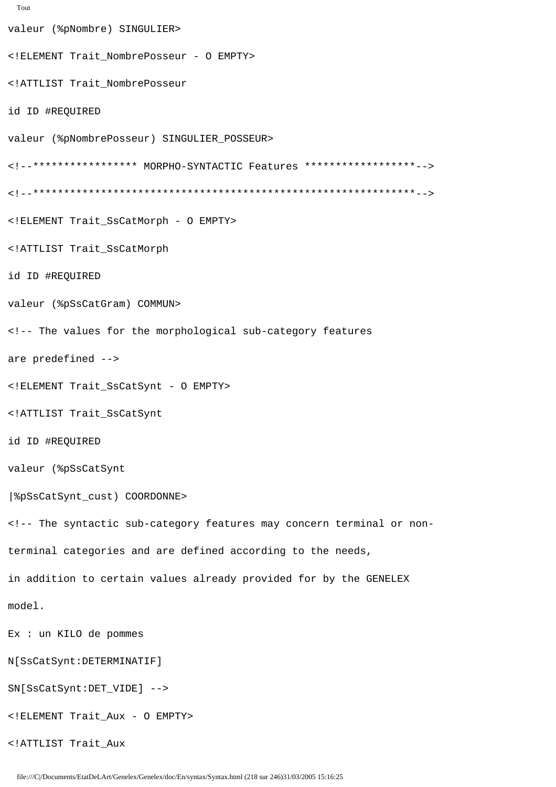```
Tout
```

```
valeur (%pNombre) SINGULIER>
<! ELEMENT Trait_NombrePosseur - 0 EMPTY>
<!ATTLIST Trait NombrePosseur
id ID #REQUIRED
valeur (%pNombrePosseur) SINGULIER_POSSEUR>
<!--***************** MORPHO-SYNTACTIC Features ******************-->
<! ELEMENT Trait SsCatMorph - 0 EMPTY>
<!ATTLIST Trait_SsCatMorph
id ID #REQUIRED
valeur (%pSsCatGram) COMMUN>
<!-- The values for the morphological sub-category features
are predefined -->
<! ELEMENT Trait_SsCatSynt - 0 EMPTY>
<!ATTLIST Trait_SsCatSynt
id ID #REQUIRED
valeur (%pSsCatSynt
| $pSsCatSynt_cust) COORDONNE>
<!-- The syntactic sub-category features may concern terminal or non-
terminal categories and are defined according to the needs,
in addition to certain values already provided for by the GENELEX
model.
Ex : un KILO de pommes
N[SsCatSynt:DETERMINATIF]
SN[SsCatSynt:DET_VIDE] -->
<! ELEMENT Trait_Aux - O EMPTY>
<!ATTLIST Trait_Aux
```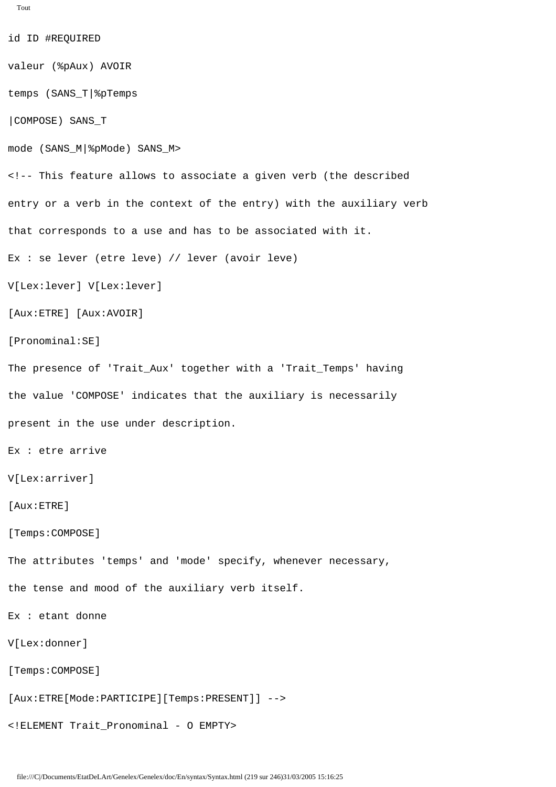```
Tout
```
id ID #REQUIRED valeur (%pAux) AVOIR temps (SANS\_T|%pTemps |COMPOSE) SANS\_T mode (SANS\_M|%pMode) SANS\_M> <!-- This feature allows to associate a given verb (the described entry or a verb in the context of the entry) with the auxiliary verb that corresponds to a use and has to be associated with it. Ex : se lever (etre leve) // lever (avoir leve) V[Lex:lever] V[Lex:lever] [Aux:ETRE] [Aux:AVOIR] [Pronominal:SE] The presence of 'Trait\_Aux' together with a 'Trait\_Temps' having the value 'COMPOSE' indicates that the auxiliary is necessarily present in the use under description. Ex : etre arrive V[Lex:arriver] [Aux:ETRE] [Temps:COMPOSE] The attributes 'temps' and 'mode' specify, whenever necessary, the tense and mood of the auxiliary verb itself. Ex : etant donne V[Lex:donner] [Temps:COMPOSE] [Aux:ETRE[Mode:PARTICIPE][Temps:PRESENT]] --> <!ELEMENT Trait\_Pronominal - O EMPTY>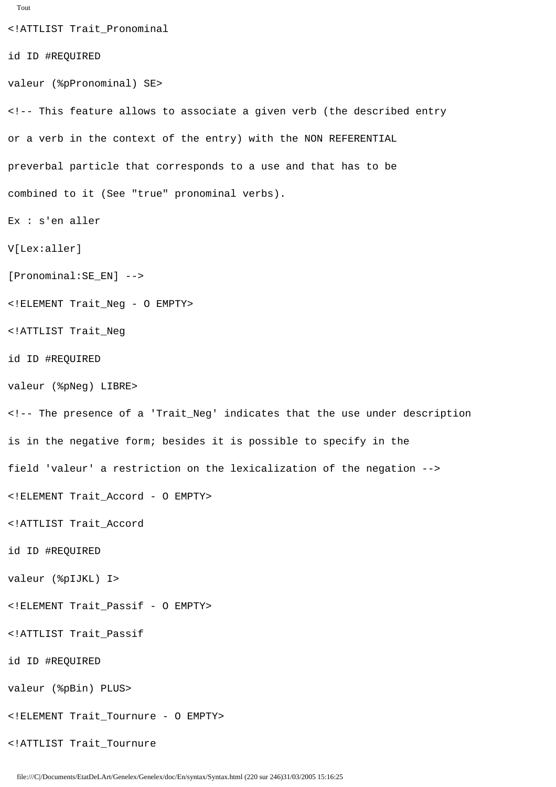```
<!ATTLIST Trait_Pronominal
id ID #REQUIRED
valeur (%pPronominal) SE>
<!-- This feature allows to associate a given verb (the described entry
or a verb in the context of the entry) with the NON REFERENTIAL 
preverbal particle that corresponds to a use and that has to be 
combined to it (See "true" pronominal verbs).
Ex : s'en aller
V[Lex:aller]
[Pronominal:SE_EN] -->
<!ELEMENT Trait_Neg - O EMPTY>
<!ATTLIST Trait_Neg
id ID #REQUIRED
valeur (%pNeg) LIBRE>
<!-- The presence of a 'Trait_Neg' indicates that the use under description
is in the negative form; besides it is possible to specify in the 
field 'valeur' a restriction on the lexicalization of the negation -->
<!ELEMENT Trait_Accord - O EMPTY>
<!ATTLIST Trait_Accord
id ID #REQUIRED
valeur (%pIJKL) I>
<!ELEMENT Trait_Passif - O EMPTY>
<!ATTLIST Trait_Passif
id ID #REQUIRED
valeur (%pBin) PLUS>
<!ELEMENT Trait_Tournure - O EMPTY>
<!ATTLIST Trait_Tournure
```
Tout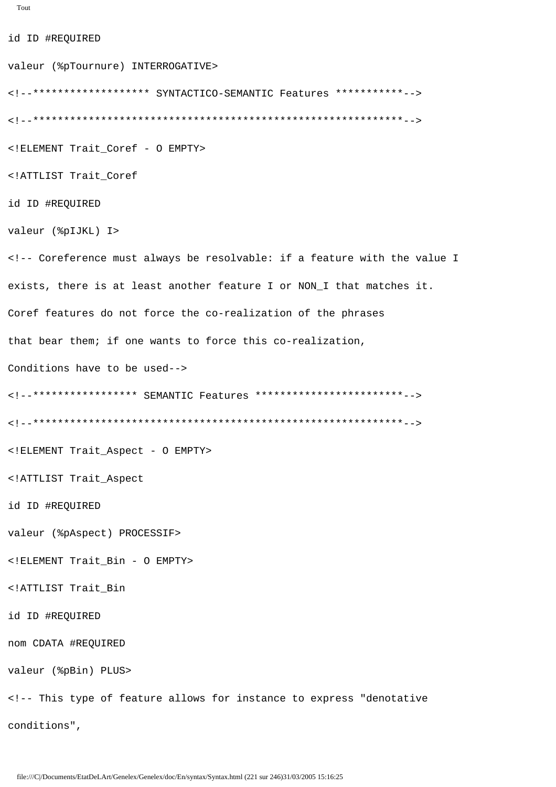```
Tout
```
id ID #REQUIRED valeur (%pTournure) INTERROGATIVE> <!--\*\*\*\*\*\*\*\*\*\*\*\*\*\*\*\*\*\*\* SYNTACTICO-SEMANTIC Features \*\*\*\*\*\*\*\*\*\*\*--> <!ELEMENT Trait\_Coref - 0 EMPTY> <!ATTLIST Trait\_Coref id ID #REQUIRED valeur (%pIJKL) I> <!-- Coreference must always be resolvable: if a feature with the value I exists, there is at least another feature I or NON\_I that matches it. Coref features do not force the co-realization of the phrases that bear them; if one wants to force this co-realization, Conditions have to be used--> <!--\*\*\*\*\*\*\*\*\*\*\*\*\*\*\*\*\* SEMANTIC Features \*\*\*\*\*\*\*\*\*\*\*\*\*\*\*\*\*\*\*\*\*\*\*\*--> <! ELEMENT Trait\_Aspect - O EMPTY> <!ATTLIST Trait Aspect id ID #REQUIRED valeur (%pAspect) PROCESSIF> <!ELEMENT Trait\_Bin - O EMPTY> <!ATTLIST Trait Bin id ID #REQUIRED nom CDATA #REQUIRED valeur (%pBin) PLUS> <!-- This type of feature allows for instance to express "denotative conditions",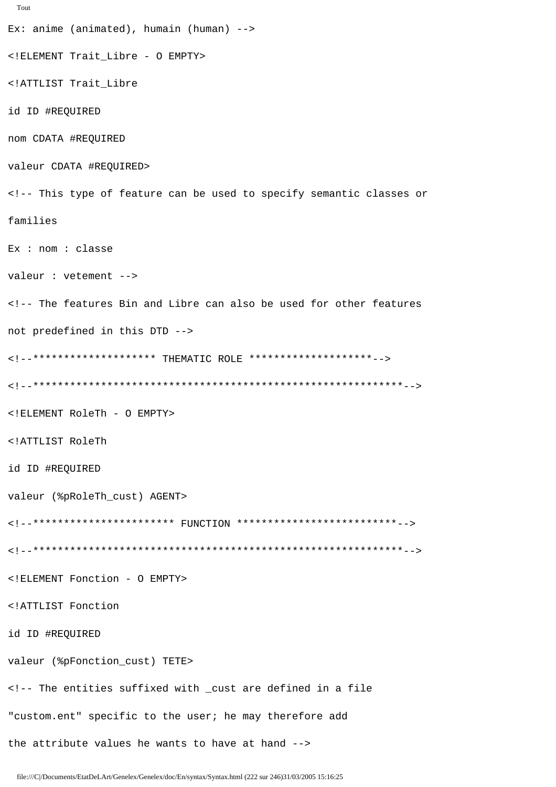```
Tout
Ex: anime (animated), humain (human) --<!ELEMENT Trait_Libre - 0 EMPTY>
<!ATTLIST Trait Libre
id ID #REQUIRED
nom CDATA #REQUIRED
valeur CDATA #REQUIRED>
<!-- This type of feature can be used to specify semantic classes or
families
Ex : nom : classe
valeur : vetement -->
<!-- The features Bin and Libre can also be used for other features
not predefined in this DTD -->
<!ELEMENT RoleTh - O EMPTY>
<!ATTLIST RoleTh
id ID #REQUIRED
valeur (%pRoleTh_cust) AGENT>
<!--*********************** FUNCTION **************************-->
<!ELEMENT Fonction - 0 EMPTY>
<!ATTLIST Fonction
id ID #REQUIRED
valeur (%pFonction_cust) TETE>
<!-- The entities suffixed with _cust are defined in a file
"custom.ent" specific to the user; he may therefore add
the attribute values he wants to have at hand -->
```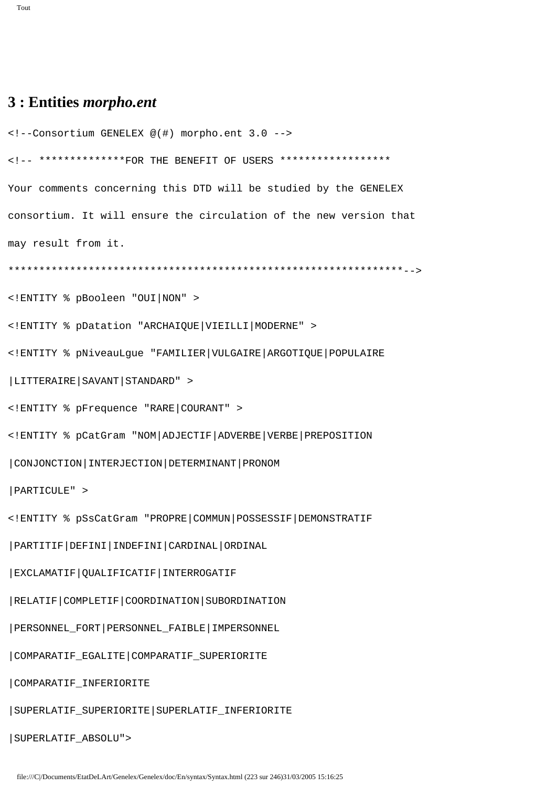## **3 : Entities** *morpho.ent*

```
<!--Consortium GENELEX @(#) morpho.ent 3.0 -->
<!-- **************FOR THE BENEFIT OF USERS ******************
Your comments concerning this DTD will be studied by the GENELEX
consortium. It will ensure the circulation of the new version that 
may result from it.
****************************************************************-->
<!ENTITY % pBooleen "OUI|NON" >
<!ENTITY % pDatation "ARCHAIQUE|VIEILLI|MODERNE" >
<!ENTITY % pNiveauLgue "FAMILIER|VULGAIRE|ARGOTIQUE|POPULAIRE
|LITTERAIRE|SAVANT|STANDARD" >
<!ENTITY % pFrequence "RARE|COURANT" >
<!ENTITY % pCatGram "NOM|ADJECTIF|ADVERBE|VERBE|PREPOSITION
|CONJONCTION|INTERJECTION|DETERMINANT|PRONOM
|PARTICULE" >
<!ENTITY % pSsCatGram "PROPRE|COMMUN|POSSESSIF|DEMONSTRATIF
|PARTITIF|DEFINI|INDEFINI|CARDINAL|ORDINAL
|EXCLAMATIF|QUALIFICATIF|INTERROGATIF
|RELATIF|COMPLETIF|COORDINATION|SUBORDINATION
|PERSONNEL_FORT|PERSONNEL_FAIBLE|IMPERSONNEL
|COMPARATIF_EGALITE|COMPARATIF_SUPERIORITE
|COMPARATIF_INFERIORITE
|SUPERLATIF_SUPERIORITE|SUPERLATIF_INFERIORITE
|SUPERLATIF_ABSOLU">
```

```
file:///C|/Documents/EtatDeLArt/Genelex/Genelex/doc/En/syntax/Syntax.html (223 sur 246)31/03/2005 15:16:25
```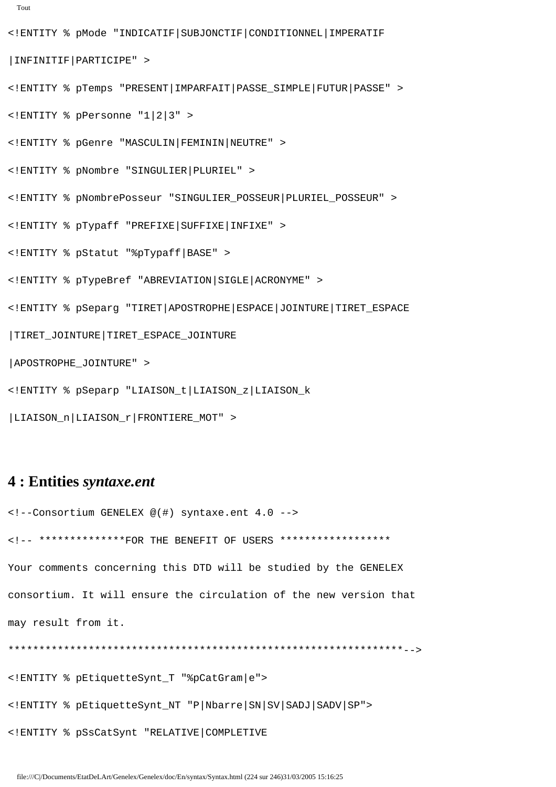```
Tout
```
<!ENTITY % pMode "INDICATIF|SUBJONCTIF|CONDITIONNEL|IMPERATIF

|INFINITIF|PARTICIPE" >

<!ENTITY % pTemps "PRESENT|IMPARFAIT|PASSE\_SIMPLE|FUTUR|PASSE" >

<!ENTITY % pPersonne "1|2|3" >

<!ENTITY % pGenre "MASCULIN|FEMININ|NEUTRE" >

<!ENTITY % pNombre "SINGULIER|PLURIEL" >

<!ENTITY % pNombrePosseur "SINGULIER\_POSSEUR|PLURIEL\_POSSEUR" >

<!ENTITY % pTypaff "PREFIXE|SUFFIXE|INFIXE" >

<!ENTITY % pStatut "%pTypaff|BASE" >

<!ENTITY % pTypeBref "ABREVIATION|SIGLE|ACRONYME" >

<!ENTITY % pSeparg "TIRET|APOSTROPHE|ESPACE|JOINTURE|TIRET\_ESPACE

|TIRET\_JOINTURE|TIRET\_ESPACE\_JOINTURE

|APOSTROPHE\_JOINTURE" >

<!ENTITY % pSeparp "LIAISON\_t|LIAISON\_z|LIAISON\_k

|LIAISON\_n|LIAISON\_r|FRONTIERE\_MOT" >

#### **4 : Entities** *syntaxe.ent*

<!--Consortium GENELEX @(#) syntaxe.ent 4.0 --> <!-- \*\*\*\*\*\*\*\*\*\*\*\*\*\*FOR THE BENEFIT OF USERS \*\*\*\*\*\*\*\*\*\*\*\*\*\*\*\*\*\* Your comments concerning this DTD will be studied by the GENELEX consortium. It will ensure the circulation of the new version that may result from it.

\*\*\*\*\*\*\*\*\*\*\*\*\*\*\*\*\*\*\*\*\*\*\*\*\*\*\*\*\*\*\*\*\*\*\*\*\*\*\*\*\*\*\*\*\*\*\*\*\*\*\*\*\*\*\*\*\*\*\*\*\*\*\*\*-->

<!ENTITY % pEtiquetteSynt\_T "%pCatGram|e">

<!ENTITY % pEtiquetteSynt\_NT "P|Nbarre|SN|SV|SADJ|SADV|SP">

<!ENTITY % pSsCatSynt "RELATIVE|COMPLETIVE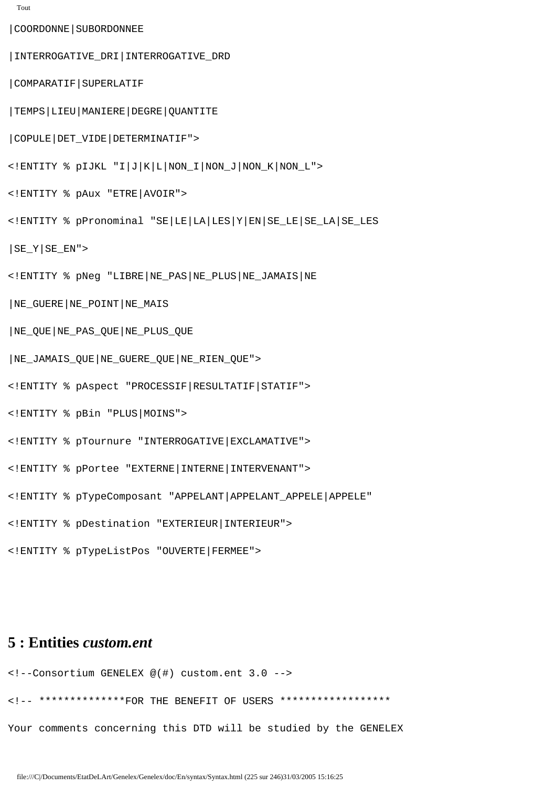```
Tout
```
|COORDONNE|SUBORDONNEE

|INTERROGATIVE\_DRI|INTERROGATIVE\_DRD

|COMPARATIF|SUPERLATIF

|TEMPS|LIEU|MANIERE|DEGRE|QUANTITE

|COPULE|DET\_VIDE|DETERMINATIF">

<!ENTITY % pIJKL "I|J|K|L|NON\_I|NON\_J|NON\_K|NON\_L">

<!ENTITY % pAux "ETRE|AVOIR">

<!ENTITY % pPronominal "SE|LE|LA|LES|Y|EN|SE\_LE|SE\_LA|SE\_LES

 $|SE_Y|SE_EN"$ 

<!ENTITY % pNeg "LIBRE|NE\_PAS|NE\_PLUS|NE\_JAMAIS|NE

|NE\_GUERE|NE\_POINT|NE\_MAIS

|NE\_QUE|NE\_PAS\_QUE|NE\_PLUS\_QUE

|NE\_JAMAIS\_QUE|NE\_GUERE\_QUE|NE\_RIEN\_QUE">

<!ENTITY % pAspect "PROCESSIF|RESULTATIF|STATIF">

<!ENTITY % pBin "PLUS|MOINS">

<!ENTITY % pTournure "INTERROGATIVE|EXCLAMATIVE">

<!ENTITY % pPortee "EXTERNE|INTERNE|INTERVENANT">

<!ENTITY % pTypeComposant "APPELANT|APPELANT\_APPELE|APPELE"

<!ENTITY % pDestination "EXTERIEUR|INTERIEUR">

<!ENTITY % pTypeListPos "OUVERTE|FERMEE">

#### **5 : Entities** *custom.ent*

<!--Consortium GENELEX @(#) custom.ent 3.0 -->

<!-- \*\*\*\*\*\*\*\*\*\*\*\*\*\*FOR THE BENEFIT OF USERS \*\*\*\*\*\*\*\*\*\*\*\*\*\*\*\*\*\*

Your comments concerning this DTD will be studied by the GENELEX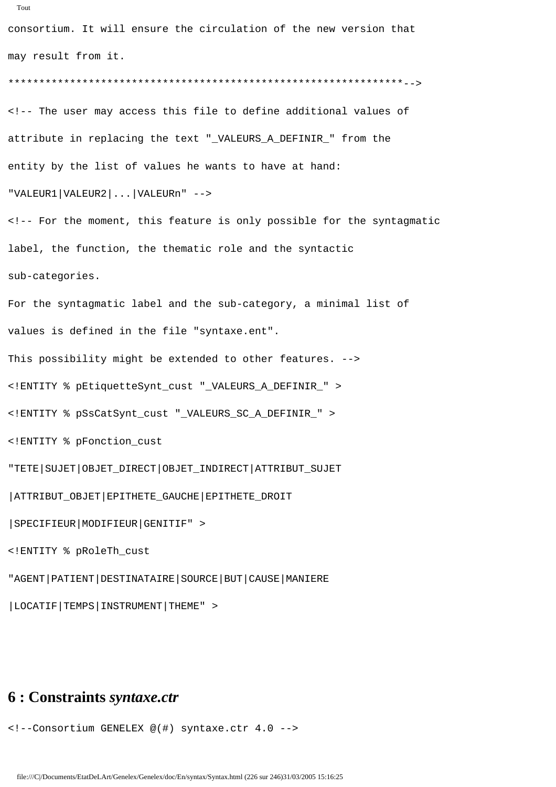```
consortium. It will ensure the circulation of the new version that 
may result from it.
****************************************************************-->
<!-- The user may access this file to define additional values of 
attribute in replacing the text "_VALEURS_A_DEFINIR_" from the 
entity by the list of values he wants to have at hand: 
"VALEUR1|VALEUR2|...|VALEURn" -->
<!-- For the moment, this feature is only possible for the syntagmatic 
label, the function, the thematic role and the syntactic 
sub-categories.
For the syntagmatic label and the sub-category, a minimal list of
values is defined in the file "syntaxe.ent".
This possibility might be extended to other features. -->
<!ENTITY % pEtiquetteSynt_cust "_VALEURS_A_DEFINIR_" >
<!ENTITY % pSsCatSynt_cust "_VALEURS_SC_A_DEFINIR_" >
<!ENTITY % pFonction_cust
"TETE|SUJET|OBJET_DIRECT|OBJET_INDIRECT|ATTRIBUT_SUJET
|ATTRIBUT_OBJET|EPITHETE_GAUCHE|EPITHETE_DROIT
|SPECIFIEUR|MODIFIEUR|GENITIF" >
```

```
<!ENTITY % pRoleTh_cust
```

```
"AGENT|PATIENT|DESTINATAIRE|SOURCE|BUT|CAUSE|MANIERE
```
|LOCATIF|TEMPS|INSTRUMENT|THEME" >

### **6 : Constraints** *syntaxe.ctr*

<!--Consortium GENELEX @(#) syntaxe.ctr 4.0 -->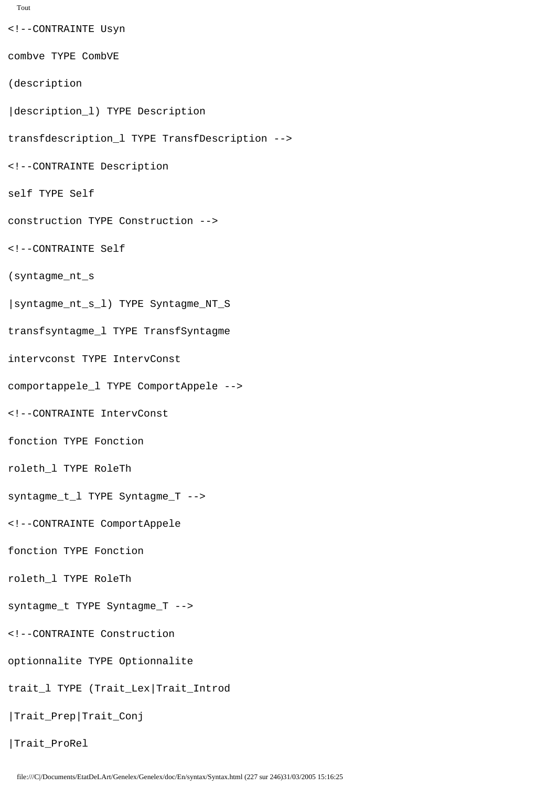```
Tout
```
<!--CONTRAINTE Usyn combve TYPE CombVE (description |description\_l) TYPE Description transfdescription\_l TYPE TransfDescription --> <!--CONTRAINTE Description self TYPE Self construction TYPE Construction --> <!--CONTRAINTE Self (syntagme\_nt\_s |syntagme\_nt\_s\_l) TYPE Syntagme\_NT\_S transfsyntagme\_l TYPE TransfSyntagme intervconst TYPE IntervConst comportappele\_l TYPE ComportAppele --> <!--CONTRAINTE IntervConst fonction TYPE Fonction roleth\_l TYPE RoleTh syntagme\_t\_l TYPE Syntagme\_T --> <!--CONTRAINTE ComportAppele fonction TYPE Fonction roleth\_l TYPE RoleTh syntagme\_t TYPE Syntagme\_T --> <!--CONTRAINTE Construction optionnalite TYPE Optionnalite trait\_l TYPE (Trait\_Lex|Trait\_Introd |Trait\_Prep|Trait\_Conj |Trait\_ProRel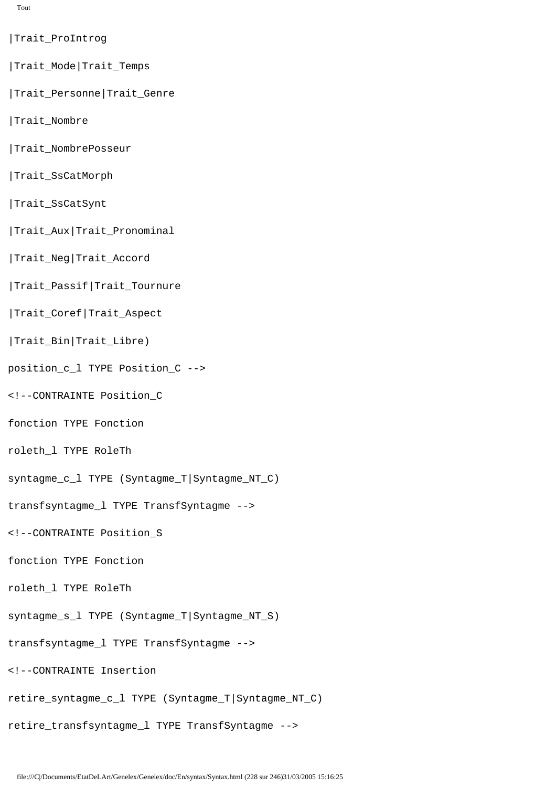- |Trait\_ProIntrog
- |Trait\_Mode|Trait\_Temps
- |Trait\_Personne|Trait\_Genre
- |Trait\_Nombre
- |Trait\_NombrePosseur
- |Trait\_SsCatMorph
- |Trait\_SsCatSynt
- |Trait\_Aux|Trait\_Pronominal
- |Trait\_Neg|Trait\_Accord
- |Trait\_Passif|Trait\_Tournure
- |Trait\_Coref|Trait\_Aspect
- |Trait\_Bin|Trait\_Libre)
- position\_c\_l TYPE Position\_C -->
- <!--CONTRAINTE Position\_C
- fonction TYPE Fonction
- roleth\_l TYPE RoleTh
- syntagme\_c\_l TYPE (Syntagme\_T|Syntagme\_NT\_C)
- transfsyntagme\_l TYPE TransfSyntagme -->
- <!--CONTRAINTE Position\_S
- fonction TYPE Fonction
- roleth\_l TYPE RoleTh
- syntagme\_s\_l TYPE (Syntagme\_T|Syntagme\_NT\_S)
- transfsyntagme\_l TYPE TransfSyntagme -->
- <!--CONTRAINTE Insertion
- retire\_syntagme\_c\_l TYPE (Syntagme\_T|Syntagme\_NT\_C)
- retire\_transfsyntagme\_l TYPE TransfSyntagme -->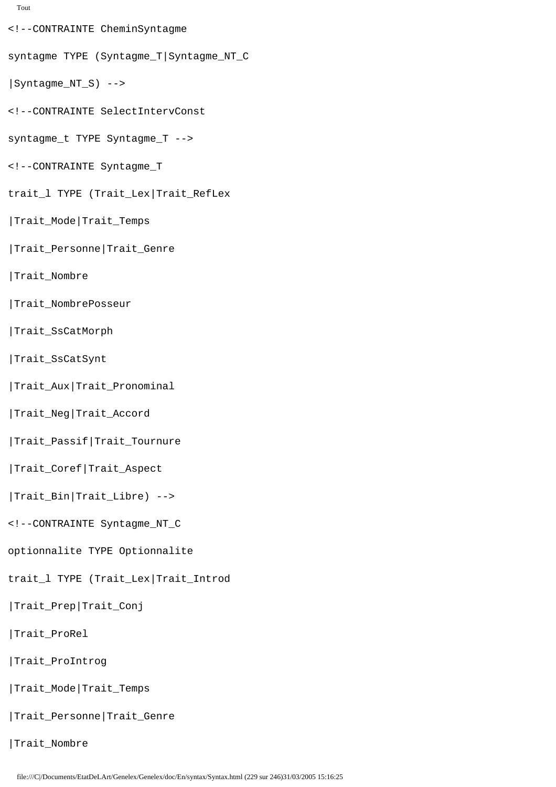```
Tout
```
- <!--CONTRAINTE CheminSyntagme
- syntagme TYPE (Syntagme\_T|Syntagme\_NT\_C
- |Syntagme\_NT\_S) -->
- <!--CONTRAINTE SelectIntervConst
- syntagme\_t TYPE Syntagme\_T -->
- <!--CONTRAINTE Syntagme\_T
- trait\_l TYPE (Trait\_Lex|Trait\_RefLex
- |Trait\_Mode|Trait\_Temps
- |Trait\_Personne|Trait\_Genre
- |Trait\_Nombre
- |Trait\_NombrePosseur
- |Trait\_SsCatMorph
- |Trait\_SsCatSynt
- |Trait\_Aux|Trait\_Pronominal
- |Trait\_Neg|Trait\_Accord
- |Trait\_Passif|Trait\_Tournure
- |Trait\_Coref|Trait\_Aspect
- |Trait\_Bin|Trait\_Libre) -->
- <!--CONTRAINTE Syntagme\_NT\_C
- optionnalite TYPE Optionnalite
- trait 1 TYPE (Trait Lex|Trait Introd
- |Trait\_Prep|Trait\_Conj
- |Trait\_ProRel
- |Trait\_ProIntrog
- |Trait\_Mode|Trait\_Temps
- |Trait\_Personne|Trait\_Genre

|Trait\_Nombre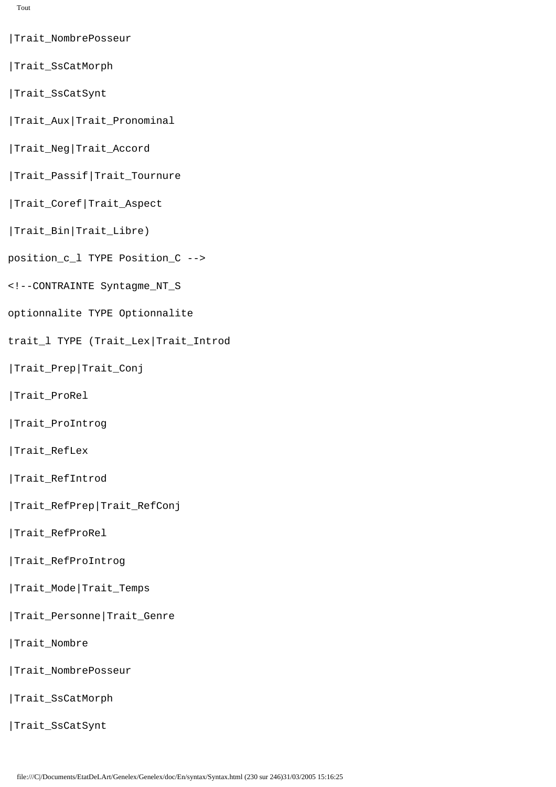Tout

- |Trait\_NombrePosseur
- |Trait\_SsCatMorph
- |Trait\_SsCatSynt
- |Trait\_Aux|Trait\_Pronominal
- |Trait\_Neg|Trait\_Accord
- |Trait\_Passif|Trait\_Tournure
- |Trait\_Coref|Trait\_Aspect
- |Trait\_Bin|Trait\_Libre)
- position\_c\_l TYPE Position\_C -->
- <!--CONTRAINTE Syntagme\_NT\_S
- optionnalite TYPE Optionnalite
- trait\_l TYPE (Trait\_Lex|Trait\_Introd
- |Trait\_Prep|Trait\_Conj
- |Trait\_ProRel
- |Trait\_ProIntrog
- |Trait\_RefLex
- |Trait\_RefIntrod
- |Trait\_RefPrep|Trait\_RefConj
- |Trait\_RefProRel
- |Trait\_RefProIntrog
- |Trait\_Mode|Trait\_Temps
- |Trait\_Personne|Trait\_Genre
- |Trait\_Nombre
- |Trait\_NombrePosseur
- |Trait\_SsCatMorph
- |Trait\_SsCatSynt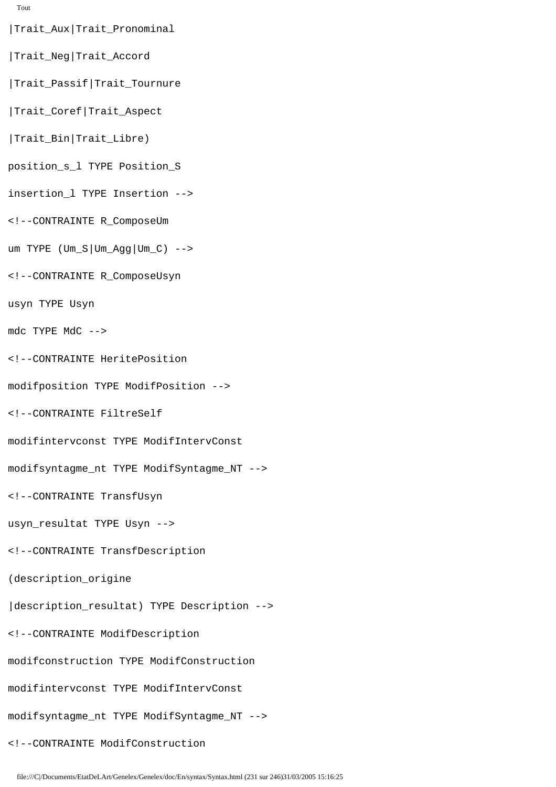```
Tout
```
|Trait\_Aux|Trait\_Pronominal

- |Trait\_Neg|Trait\_Accord
- |Trait\_Passif|Trait\_Tournure
- |Trait\_Coref|Trait\_Aspect
- |Trait\_Bin|Trait\_Libre)
- position\_s\_l TYPE Position\_S
- insertion\_l TYPE Insertion -->
- <!--CONTRAINTE R\_ComposeUm
- um TYPE  $Um_S|Um_Agg|Um_C$ ) -->
- <!--CONTRAINTE R\_ComposeUsyn
- usyn TYPE Usyn
- mdc TYPE MdC -->
- <!--CONTRAINTE HeritePosition
- modifposition TYPE ModifPosition -->
- <!--CONTRAINTE FiltreSelf
- modifintervconst TYPE ModifIntervConst
- modifsyntagme\_nt TYPE ModifSyntagme\_NT -->
- <!--CONTRAINTE TransfUsyn
- usyn\_resultat TYPE Usyn -->
- <!--CONTRAINTE TransfDescription
- (description\_origine
- |description\_resultat) TYPE Description -->
- <!--CONTRAINTE ModifDescription
- modifconstruction TYPE ModifConstruction
- modifintervconst TYPE ModifIntervConst
- modifsyntagme\_nt TYPE ModifSyntagme\_NT -->
- <!--CONTRAINTE ModifConstruction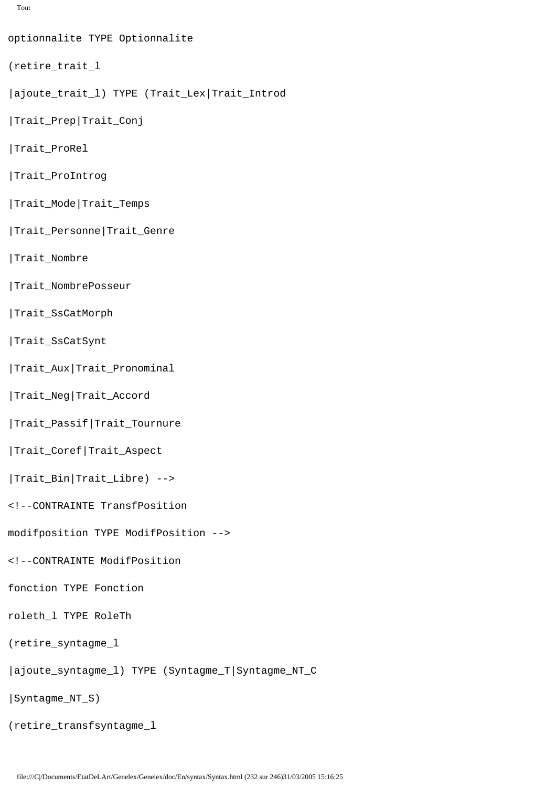```
Tout
```
optionnalite TYPE Optionnalite

```
(retire_trait_l
```
- |ajoute\_trait\_l) TYPE (Trait\_Lex|Trait\_Introd
- |Trait\_Prep|Trait\_Conj
- |Trait\_ProRel
- |Trait\_ProIntrog
- |Trait\_Mode|Trait\_Temps
- |Trait\_Personne|Trait\_Genre
- |Trait\_Nombre
- |Trait\_NombrePosseur
- |Trait\_SsCatMorph
- |Trait\_SsCatSynt
- |Trait\_Aux|Trait\_Pronominal
- |Trait\_Neg|Trait\_Accord
- |Trait\_Passif|Trait\_Tournure
- |Trait\_Coref|Trait\_Aspect
- |Trait\_Bin|Trait\_Libre) -->
- <!--CONTRAINTE TransfPosition
- modifposition TYPE ModifPosition -->
- <!--CONTRAINTE ModifPosition
- fonction TYPE Fonction
- roleth\_l TYPE RoleTh
- (retire\_syntagme\_l
- |ajoute\_syntagme\_l) TYPE (Syntagme\_T|Syntagme\_NT\_C
- |Syntagme\_NT\_S)
- (retire\_transfsyntagme\_l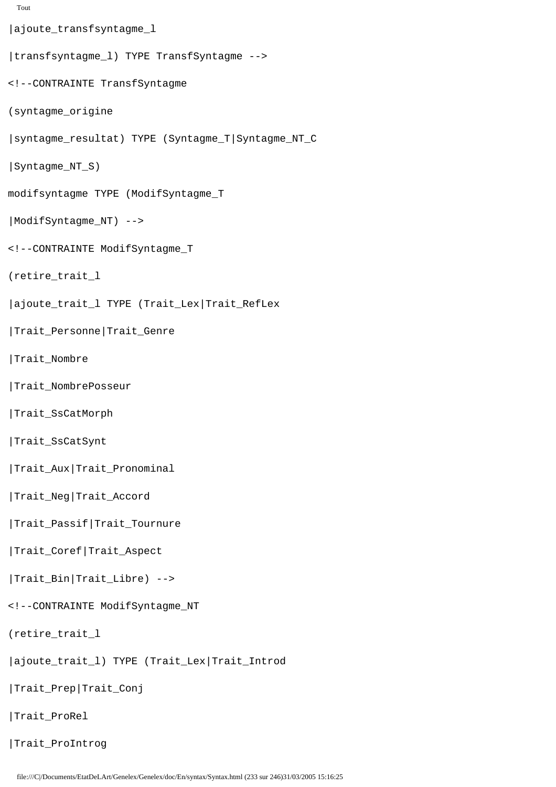```
Tout
```
|ajoute\_transfsyntagme\_l |transfsyntagme\_l) TYPE TransfSyntagme --> <!--CONTRAINTE TransfSyntagme (syntagme\_origine |syntagme\_resultat) TYPE (Syntagme\_T|Syntagme\_NT\_C |Syntagme\_NT\_S) modifsyntagme TYPE (ModifSyntagme\_T |ModifSyntagme\_NT) --> <!--CONTRAINTE ModifSyntagme\_T (retire\_trait\_l |ajoute\_trait\_l TYPE (Trait\_Lex|Trait\_RefLex |Trait\_Personne|Trait\_Genre |Trait\_Nombre |Trait\_NombrePosseur |Trait\_SsCatMorph |Trait\_SsCatSynt |Trait\_Aux|Trait\_Pronominal |Trait\_Neg|Trait\_Accord |Trait\_Passif|Trait\_Tournure |Trait\_Coref|Trait\_Aspect |Trait\_Bin|Trait\_Libre) --> <!--CONTRAINTE ModifSyntagme\_NT (retire\_trait\_l |ajoute\_trait\_l) TYPE (Trait\_Lex|Trait\_Introd |Trait\_Prep|Trait\_Conj |Trait\_ProRel |Trait\_ProIntrog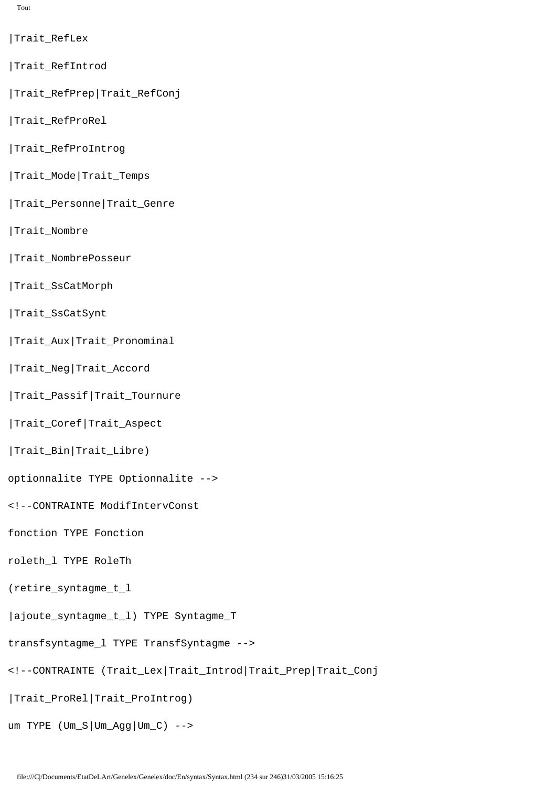Tout

- |Trait\_RefLex
- |Trait\_RefIntrod
- |Trait\_RefPrep|Trait\_RefConj
- |Trait\_RefProRel
- |Trait\_RefProIntrog
- |Trait\_Mode|Trait\_Temps
- |Trait\_Personne|Trait\_Genre
- |Trait\_Nombre
- |Trait\_NombrePosseur
- |Trait\_SsCatMorph
- |Trait\_SsCatSynt
- |Trait\_Aux|Trait\_Pronominal
- |Trait\_Neg|Trait\_Accord
- |Trait\_Passif|Trait\_Tournure
- |Trait\_Coref|Trait\_Aspect
- |Trait\_Bin|Trait\_Libre)
- optionnalite TYPE Optionnalite -->
- <!--CONTRAINTE ModifIntervConst
- fonction TYPE Fonction
- roleth\_l TYPE RoleTh
- (retire\_syntagme\_t\_l
- |ajoute\_syntagme\_t\_l) TYPE Syntagme\_T
- transfsyntagme\_l TYPE TransfSyntagme -->
- <!--CONTRAINTE (Trait\_Lex|Trait\_Introd|Trait\_Prep|Trait\_Conj
- |Trait\_ProRel|Trait\_ProIntrog)
- um TYPE (Um\_S|Um\_Agg|Um\_C) -->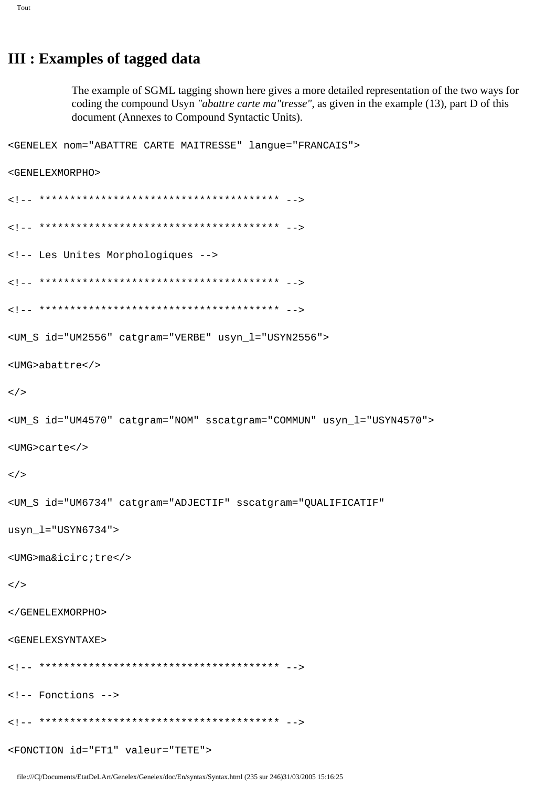# **III : Examples of tagged data**

The example of SGML tagging shown here gives a more detailed representation of the two ways for coding the compound Usyn "abattre carte ma"tresse", as given in the example (13), part D of this document (Annexes to Compound Syntactic Units).

```
<GENELEX nom="ABATTRE CARTE MAITRESSE" langue="FRANCAIS">
<GENELEXMORPHO>
<!-- Les Unites Morphologiques -->
<UM_S id="UM2556" catgram="VERBE" usyn_l="USYN2556">
<UMG>abattre</>
\lt/<UM_S id="UM4570" catgram="NOM" sscatgram="COMMUN" usyn_l="USYN4570">
<UMG>carte</>
\lt/<UM_S id="UM6734" catgram="ADJECTIF" sscatgram="QUALIFICATIF"
usyn_l = "USYN6734"<UMG>ma&icirc;tre</>
\lt/</GENELEXMORPHO>
<GENELEXSYNTAXE>
<!-- Fonctions -->
<FONCTION id="FT1" valeur="TETE">
```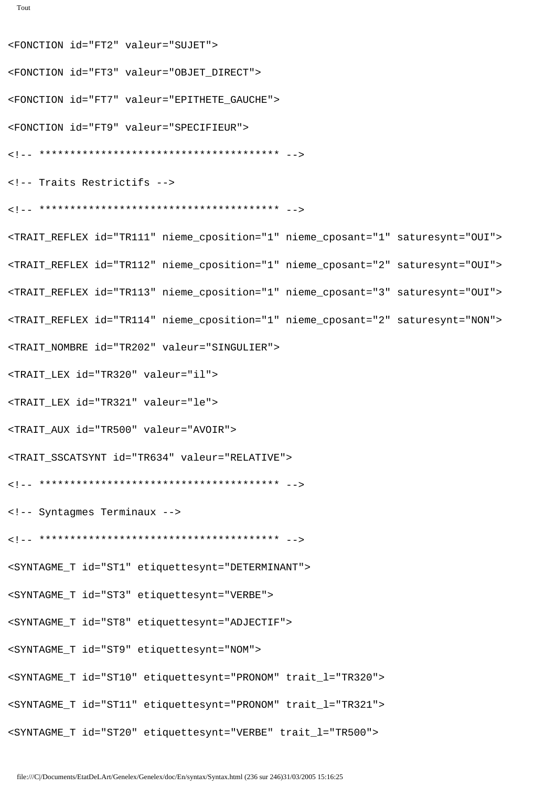<FONCTION id="FT2" valeur="SUJET"> <FONCTION id="FT3" valeur="OBJET\_DIRECT"> <FONCTION id="FT7" valeur="EPITHETE\_GAUCHE"> <FONCTION id="FT9" valeur="SPECIFIEUR"> <!-- \*\*\*\*\*\*\*\*\*\*\*\*\*\*\*\*\*\*\*\*\*\*\*\*\*\*\*\*\*\*\*\*\*\*\*\*\*\*\* --> <!-- Traits Restrictifs --> <!-- \*\*\*\*\*\*\*\*\*\*\*\*\*\*\*\*\*\*\*\*\*\*\*\*\*\*\*\*\*\*\*\*\*\*\*\*\*\*\* --> <TRAIT\_REFLEX id="TR111" nieme\_cposition="1" nieme\_cposant="1" saturesynt="OUI"> <TRAIT\_REFLEX id="TR112" nieme\_cposition="1" nieme\_cposant="2" saturesynt="OUI"> <TRAIT\_REFLEX id="TR113" nieme\_cposition="1" nieme\_cposant="3" saturesynt="OUI"> <TRAIT\_REFLEX id="TR114" nieme\_cposition="1" nieme\_cposant="2" saturesynt="NON"> <TRAIT\_NOMBRE id="TR202" valeur="SINGULIER"> <TRAIT\_LEX id="TR320" valeur="il"> <TRAIT\_LEX id="TR321" valeur="le"> <TRAIT\_AUX id="TR500" valeur="AVOIR"> <TRAIT\_SSCATSYNT id="TR634" valeur="RELATIVE"> <!-- \*\*\*\*\*\*\*\*\*\*\*\*\*\*\*\*\*\*\*\*\*\*\*\*\*\*\*\*\*\*\*\*\*\*\*\*\*\*\* --> <!-- Syntagmes Terminaux --> <!-- \*\*\*\*\*\*\*\*\*\*\*\*\*\*\*\*\*\*\*\*\*\*\*\*\*\*\*\*\*\*\*\*\*\*\*\*\*\*\* --> <SYNTAGME\_T id="ST1" etiquettesynt="DETERMINANT"> <SYNTAGME\_T id="ST3" etiquettesynt="VERBE"> <SYNTAGME\_T id="ST8" etiquettesynt="ADJECTIF"> <SYNTAGME\_T id="ST9" etiquettesynt="NOM"> <SYNTAGME\_T id="ST10" etiquettesynt="PRONOM" trait\_l="TR320"> <SYNTAGME\_T id="ST11" etiquettesynt="PRONOM" trait\_l="TR321"> <SYNTAGME\_T id="ST20" etiquettesynt="VERBE" trait\_l="TR500">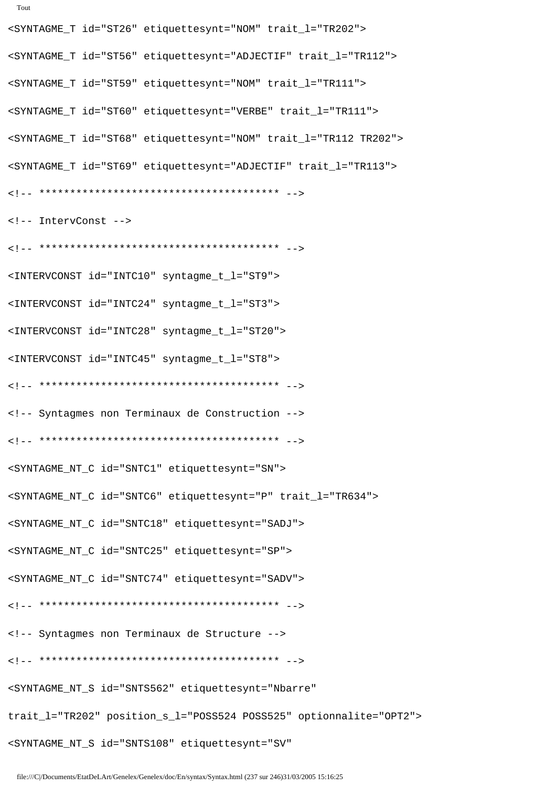<SYNTAGME\_T id="ST56" etiquettesynt="ADJECTIF" trait\_l="TR112"> <SYNTAGME\_T id="ST59" etiquettesynt="NOM" trait\_l="TR111"> <SYNTAGME\_T id="ST60" etiquettesynt="VERBE" trait\_l="TR111"> <SYNTAGME\_T id="ST68" etiquettesynt="NOM" trait\_l="TR112 TR202"> <SYNTAGME\_T id="ST69" etiquettesynt="ADJECTIF" trait\_l="TR113"> <!-- \*\*\*\*\*\*\*\*\*\*\*\*\*\*\*\*\*\*\*\*\*\*\*\*\*\*\*\*\*\*\*\*\*\*\*\*\*\*\* --> <!-- IntervConst --> <!-- \*\*\*\*\*\*\*\*\*\*\*\*\*\*\*\*\*\*\*\*\*\*\*\*\*\*\*\*\*\*\*\*\*\*\*\*\*\*\* --> <INTERVCONST id="INTC10" syntagme\_t\_l="ST9"> <INTERVCONST id="INTC24" syntagme\_t\_l="ST3"> <INTERVCONST id="INTC28" syntagme\_t\_l="ST20"> <INTERVCONST id="INTC45" syntagme\_t\_l="ST8"> <!-- \*\*\*\*\*\*\*\*\*\*\*\*\*\*\*\*\*\*\*\*\*\*\*\*\*\*\*\*\*\*\*\*\*\*\*\*\*\*\* --> <!-- Syntagmes non Terminaux de Construction --> <!-- \*\*\*\*\*\*\*\*\*\*\*\*\*\*\*\*\*\*\*\*\*\*\*\*\*\*\*\*\*\*\*\*\*\*\*\*\*\*\* --> <SYNTAGME\_NT\_C id="SNTC1" etiquettesynt="SN"> <SYNTAGME\_NT\_C id="SNTC6" etiquettesynt="P" trait\_l="TR634"> <SYNTAGME\_NT\_C id="SNTC18" etiquettesynt="SADJ"> <SYNTAGME\_NT\_C id="SNTC25" etiquettesynt="SP"> <SYNTAGME\_NT\_C id="SNTC74" etiquettesynt="SADV"> <!-- \*\*\*\*\*\*\*\*\*\*\*\*\*\*\*\*\*\*\*\*\*\*\*\*\*\*\*\*\*\*\*\*\*\*\*\*\*\*\* --> <!-- Syntagmes non Terminaux de Structure --> <!-- \*\*\*\*\*\*\*\*\*\*\*\*\*\*\*\*\*\*\*\*\*\*\*\*\*\*\*\*\*\*\*\*\*\*\*\*\*\*\* --> <SYNTAGME\_NT\_S id="SNTS562" etiquettesynt="Nbarre" trait\_l="TR202" position\_s\_l="POSS524 POSS525" optionnalite="OPT2"> <SYNTAGME\_NT\_S id="SNTS108" etiquettesynt="SV"

<SYNTAGME\_T id="ST26" etiquettesynt="NOM" trait\_l="TR202">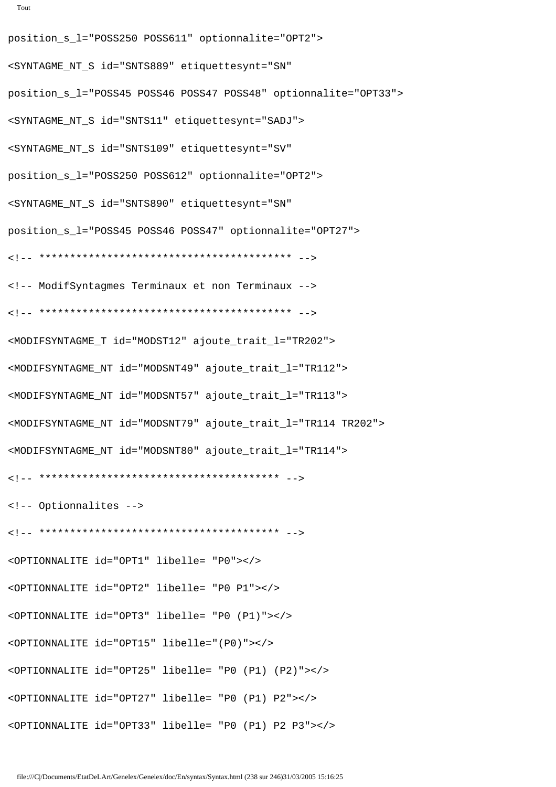```
Tout
```

```
position_s_l="POSS250 POSS611" optionnalite="OPT2">
<SYNTAGME_NT_S id="SNTS889" etiquettesynt="SN"
position_s_l="POSS45 POSS46 POSS47 POSS48" optionnalite="OPT33">
<SYNTAGME_NT_S id="SNTS11" etiquettesynt="SADJ">
<SYNTAGME_NT_S id="SNTS109" etiquettesynt="SV"
position_s_l="POSS250 POSS612" optionnalite="OPT2">
<SYNTAGME_NT_S id="SNTS890" etiquettesynt="SN"
position_s_l="POSS45 POSS46 POSS47" optionnalite="OPT27">
<!-- ***************************************** -->
<!-- ModifSyntagmes Terminaux et non Terminaux -->
<!-- ***************************************** -->
<MODIFSYNTAGME_T id="MODST12" ajoute_trait_l="TR202">
<MODIFSYNTAGME_NT id="MODSNT49" ajoute_trait_l="TR112">
<MODIFSYNTAGME_NT id="MODSNT57" ajoute_trait_l="TR113">
<MODIFSYNTAGME_NT id="MODSNT79" ajoute_trait_l="TR114 TR202">
<MODIFSYNTAGME_NT id="MODSNT80" ajoute_trait_l="TR114">
<!-- *************************************** -->
<!-- Optionnalites -->
<!-- *************************************** -->
<OPTIONNALITE id="OPT1" libelle= "P0"></>
<OPTIONNALITE id="OPT2" libelle= "P0 P1"></>
<OPTIONNALITE id="OPT3" libelle= "P0 (P1)"></>
<OPTIONNALITE id="OPT15" libelle="(P0)"></>
<OPTIONNALITE id="OPT25" libelle= "P0 (P1) (P2)"></>
<OPTIONNALITE id="OPT27" libelle= "P0 (P1) P2"></>
<OPTIONNALITE id="OPT33" libelle= "P0 (P1) P2 P3"></>
```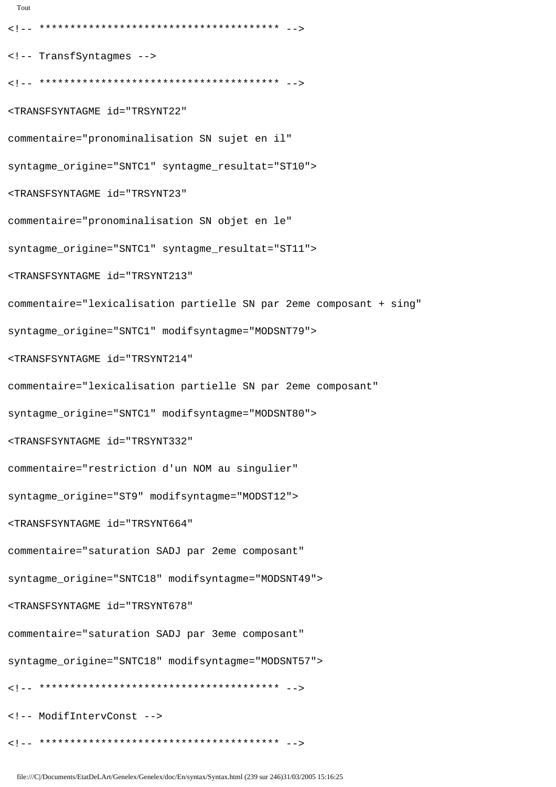<!-- \*\*\*\*\*\*\*\*\*\*\*\*\*\*\*\*\*\*\*\*\*\*\*\*\*\*\*\*\*\*\*\*\*\*\*\*\*\*\* --> <!-- TransfSyntagmes --> <!-- \*\*\*\*\*\*\*\*\*\*\*\*\*\*\*\*\*\*\*\*\*\*\*\*\*\*\*\*\*\*\*\*\*\*\*\*\*\*\* --> <TRANSFSYNTAGME id="TRSYNT22" commentaire="pronominalisation SN sujet en il" syntagme\_origine="SNTC1" syntagme\_resultat="ST10"> <TRANSFSYNTAGME id="TRSYNT23" commentaire="pronominalisation SN objet en le" syntagme\_origine="SNTC1" syntagme\_resultat="ST11"> <TRANSFSYNTAGME id="TRSYNT213" commentaire="lexicalisation partielle SN par 2eme composant + sing" syntagme\_origine="SNTC1" modifsyntagme="MODSNT79"> <TRANSFSYNTAGME id="TRSYNT214" commentaire="lexicalisation partielle SN par 2eme composant" syntagme\_origine="SNTC1" modifsyntagme="MODSNT80"> <TRANSFSYNTAGME id="TRSYNT332" commentaire="restriction d'un NOM au singulier" syntagme\_origine="ST9" modifsyntagme="MODST12"> <TRANSFSYNTAGME id="TRSYNT664" commentaire="saturation SADJ par 2eme composant" syntagme\_origine="SNTC18" modifsyntagme="MODSNT49"> <TRANSFSYNTAGME id="TRSYNT678" commentaire="saturation SADJ par 3eme composant" syntagme\_origine="SNTC18" modifsyntagme="MODSNT57"> <!-- \*\*\*\*\*\*\*\*\*\*\*\*\*\*\*\*\*\*\*\*\*\*\*\*\*\*\*\*\*\*\*\*\*\*\*\*\*\*\* --> <!-- ModifIntervConst -->

Tout

<!-- \*\*\*\*\*\*\*\*\*\*\*\*\*\*\*\*\*\*\*\*\*\*\*\*\*\*\*\*\*\*\*\*\*\*\*\*\*\*\* -->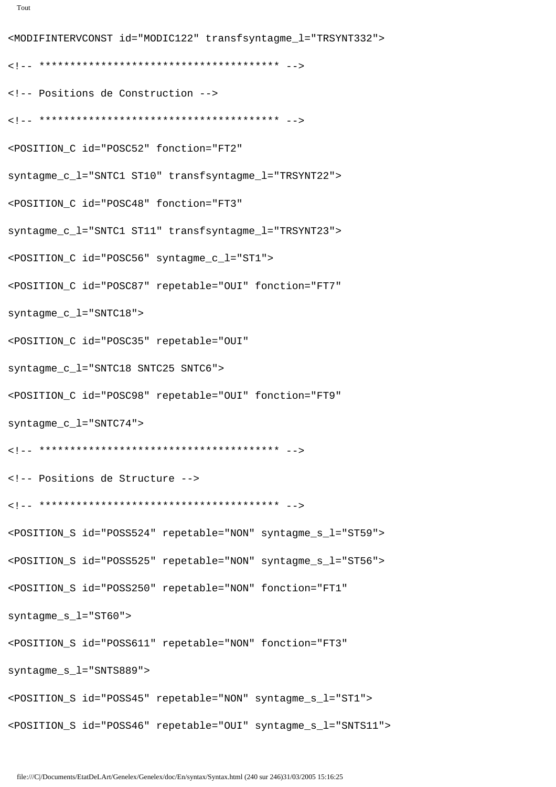```
file:///C|/Documents/EtatDeLArt/Genelex/Genelex/doc/En/syntax/Syntax.html (240 sur 246)31/03/2005 15:16:25
```

```
<MODIFINTERVCONST id="MODIC122" transfsyntagme_l="TRSYNT332">
<!-- *************************************** -->
<!-- Positions de Construction -->
<!-- *************************************** -->
<POSITION_C id="POSC52" fonction="FT2"
syntagme_c_l="SNTC1 ST10" transfsyntagme_l="TRSYNT22">
<POSITION_C id="POSC48" fonction="FT3"
syntagme_c_l="SNTC1 ST11" transfsyntagme_l="TRSYNT23">
<POSITION_C id="POSC56" syntagme_c_l="ST1">
<POSITION_C id="POSC87" repetable="OUI" fonction="FT7"
syntagme_c_l="SNTC18">
<POSITION_C id="POSC35" repetable="OUI"
syntagme_c_l="SNTC18 SNTC25 SNTC6">
<POSITION_C id="POSC98" repetable="OUI" fonction="FT9"
syntagme_c_l="SNTC74">
<!-- *************************************** -->
<!-- Positions de Structure -->
<!-- *************************************** -->
<POSITION_S id="POSS524" repetable="NON" syntagme_s_l="ST59">
<POSITION_S id="POSS525" repetable="NON" syntagme_s_l="ST56">
<POSITION_S id="POSS250" repetable="NON" fonction="FT1"
syntagme_s_l="ST60">
<POSITION_S id="POSS611" repetable="NON" fonction="FT3"
syntagme_s_l="SNTS889">
<POSITION_S id="POSS45" repetable="NON" syntagme_s_l="ST1">
<POSITION_S id="POSS46" repetable="OUI" syntagme_s_l="SNTS11">
```

```
Tout
```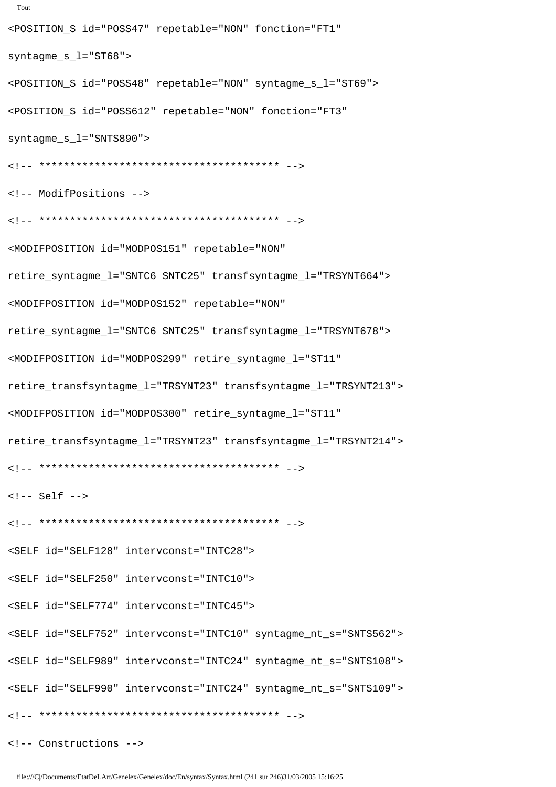```
Tout
<POSITION_S id="POSS47" repetable="NON" fonction="FT1"
syntagme_s_l="ST68">
<POSITION_S id="POSS48" repetable="NON" syntagme_s_l="ST69">
<POSITION_S id="POSS612" repetable="NON" fonction="FT3"
syntagme_s_l="SNTS890">
<!-- *************************************** -->
<!-- ModifPositions -->
<!-- *************************************** -->
<MODIFPOSITION id="MODPOS151" repetable="NON"
retire_syntagme_l="SNTC6 SNTC25" transfsyntagme_l="TRSYNT664">
<MODIFPOSITION id="MODPOS152" repetable="NON"
retire_syntagme_l="SNTC6 SNTC25" transfsyntagme_l="TRSYNT678">
<MODIFPOSITION id="MODPOS299" retire_syntagme_l="ST11"
retire_transfsyntagme_l="TRSYNT23" transfsyntagme_l="TRSYNT213">
<MODIFPOSITION id="MODPOS300" retire_syntagme_l="ST11"
retire_transfsyntagme_l="TRSYNT23" transfsyntagme_l="TRSYNT214">
<!-- *************************************** -->
\leftarrow!-- Self -->
<!-- *************************************** -->
<SELF id="SELF128" intervconst="INTC28">
<SELF id="SELF250" intervconst="INTC10">
<SELF id="SELF774" intervconst="INTC45">
<SELF id="SELF752" intervconst="INTC10" syntagme_nt_s="SNTS562">
<SELF id="SELF989" intervconst="INTC24" syntagme_nt_s="SNTS108">
<SELF id="SELF990" intervconst="INTC24" syntagme_nt_s="SNTS109">
<!-- *************************************** -->
```
<!-- Constructions -->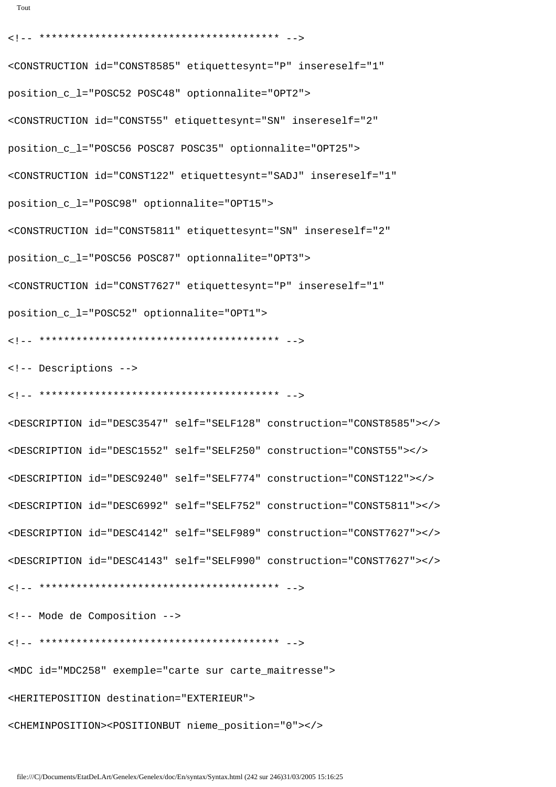```
<!-- *************************************** -->
<CONSTRUCTION id="CONST8585" etiquettesynt="P" insereself="1"
position_c_l="POSC52 POSC48" optionnalite="OPT2">
<CONSTRUCTION id="CONST55" etiquettesynt="SN" insereself="2"
position_c_l="POSC56 POSC87 POSC35" optionnalite="OPT25">
<CONSTRUCTION id="CONST122" etiquettesynt="SADJ" insereself="1"
position_c_l="POSC98" optionnalite="OPT15">
<CONSTRUCTION id="CONST5811" etiquettesynt="SN" insereself="2"
position_c_l="POSC56 POSC87" optionnalite="OPT3">
<CONSTRUCTION id="CONST7627" etiquettesynt="P" insereself="1"
position_c_l="POSC52" optionnalite="OPT1">
<!-- *************************************** -->
<!-- Descriptions -->
<!-- *************************************** -->
<DESCRIPTION id="DESC3547" self="SELF128" construction="CONST8585"></>
<DESCRIPTION id="DESC1552" self="SELF250" construction="CONST55"></>
<DESCRIPTION id="DESC9240" self="SELF774" construction="CONST122"></>
<DESCRIPTION id="DESC6992" self="SELF752" construction="CONST5811"></>
<DESCRIPTION id="DESC4142" self="SELF989" construction="CONST7627"></>
<DESCRIPTION id="DESC4143" self="SELF990" construction="CONST7627"></>
<!-- *************************************** -->
<!-- Mode de Composition -->
<!-- *************************************** -->
<MDC id="MDC258" exemple="carte sur carte_maitresse">
<HERITEPOSITION destination="EXTERIEUR">
<CHEMINPOSITION><POSITIONBUT nieme_position="0"></>
```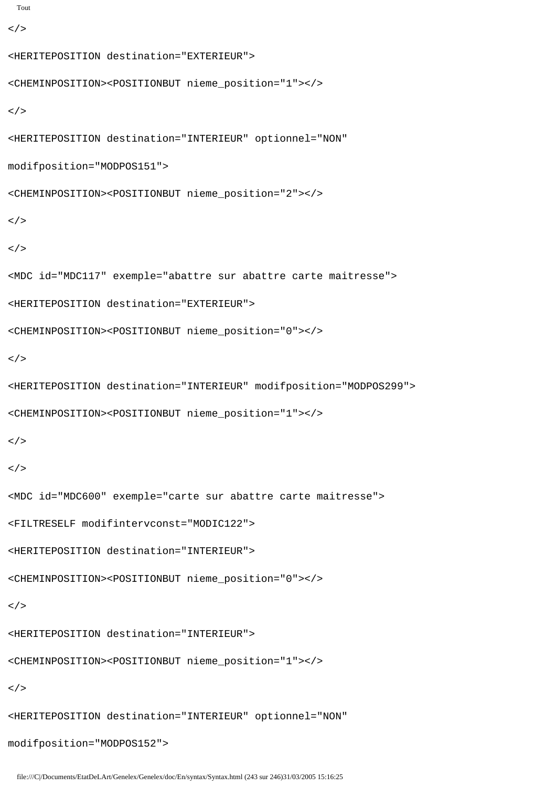```
Tout
```

```
\lt/
```

```
<HERITEPOSITION destination="EXTERIEUR">
<CHEMINPOSITION><POSITIONBUT nieme_position="1"></>
\lt / ><HERITEPOSITION destination="INTERIEUR" optionnel="NON"
modifposition="MODPOS151">
<CHEMINPOSITION><POSITIONBUT nieme_position="2"></>
\lt/\lt / ><MDC id="MDC117" exemple="abattre sur abattre carte maitresse">
<HERITEPOSITION destination="EXTERIEUR">
<CHEMINPOSITION><POSITIONBUT nieme_position="0"></>
\lt / ><HERITEPOSITION destination="INTERIEUR" modifposition="MODPOS299">
<CHEMINPOSITION><POSITIONBUT nieme_position="1"></>
\lt / >\lt / ><MDC id="MDC600" exemple="carte sur abattre carte maitresse">
<FILTRESELF modifintervconst="MODIC122">
<HERITEPOSITION destination="INTERIEUR">
<CHEMINPOSITION><POSITIONBUT nieme_position="0"></>
\lt / ><HERITEPOSITION destination="INTERIEUR">
<CHEMINPOSITION><POSITIONBUT nieme_position="1"></>
\lt / ><HERITEPOSITION destination="INTERIEUR" optionnel="NON"
modifposition="MODPOS152">
```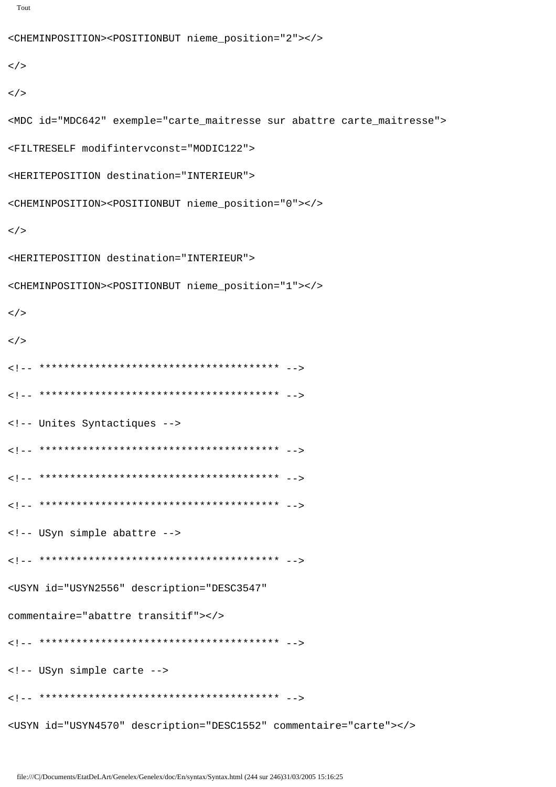```
Tout
```

```
<CHEMINPOSITION><POSITIONBUT nieme_position="2"></>
\lt/\lt/<MDC id="MDC642" exemple="carte_maitresse sur abattre carte_maitresse">
<FILTRESELF modifintervconst="MODIC122">
<HERITEPOSITION destination="INTERIEUR">
<CHEMINPOSITION><POSITIONBUT nieme_position="0"></>
\lt/<HERITEPOSITION destination="INTERIEUR">
<CHEMINPOSITION><POSITIONBUT nieme_position="1"></>
\lt/\lt / >
<!-- Unites Syntactiques -->
<!-- USyn simple abattre -->
<USYN id="USYN2556" description="DESC3547"
commentaire="abattre transitif"></>
<!-- USyn simple carte -->
<USYN id="USYN4570" description="DESC1552" commentaire="carte"></>>></>
```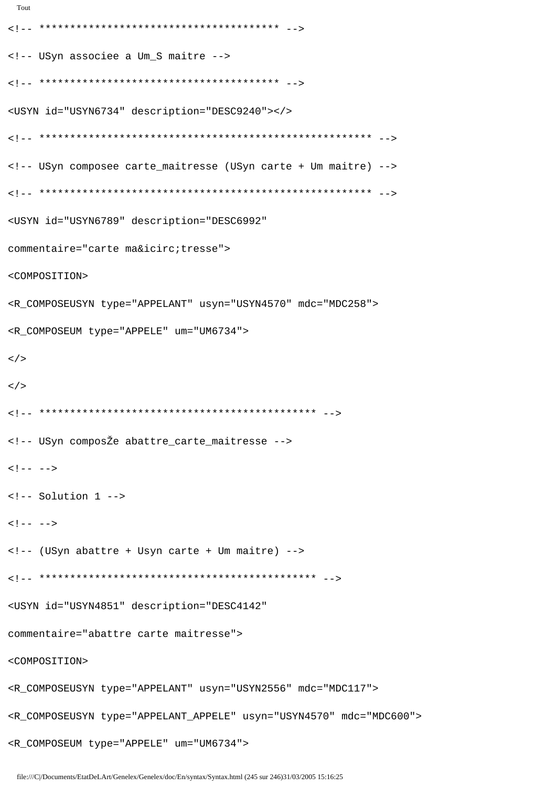```
<!-- USyn associee a Um_S maitre -->
<USYN id="USYN6734" description="DESC9240"></>
<!-- USyn composee carte_maitresse (USyn carte + Um maitre) -->
<USYN id="USYN6789" description="DESC6992"
commentaire="carte maîtresse">
<COMPOSITION>
<R_COMPOSEUSYN type="APPELANT" usyn="USYN4570" mdc="MDC258">
<R_COMPOSEUM type="APPELE" um="UM6734">
\lt/\lt/<!-- USyn composŽe abattre_carte_maitresse -->
\langle!-- -->
\leftarrow !-- Solution 1 -->
\langle!-- -->
<!-- (USyn abattre + Usyn carte + Um maitre) -->
<USYN id="USYN4851" description="DESC4142"
commentaire="abattre carte maitresse">
<COMPOSITION>
<R_COMPOSEUSYN type="APPELANT" usyn="USYN2556" mdc="MDC117">
<R_COMPOSEUSYN type="APPELANT_APPELE" usyn="USYN4570" mdc="MDC600">
```
Tout

file:///C|/Documents/EtatDeLArt/Genelex/Genelex/doc/En/syntax.Syntax.html (245 sur 246)31/03/2005 15:16:25

<R\_COMPOSEUM type="APPELE" um="UM6734">